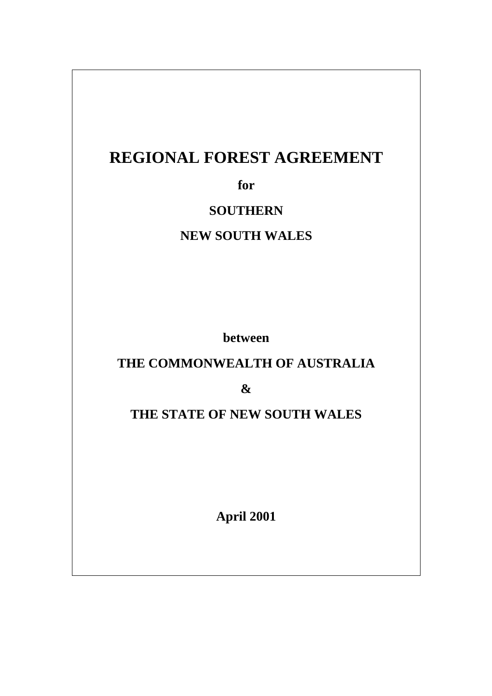# **REGIONAL FOREST AGREEMENT**

**for**

## **SOUTHERN**

## **NEW SOUTH WALES**

**between**

## **THE COMMONWEALTH OF AUSTRALIA**

**&**

## **THE STATE OF NEW SOUTH WALES**

**April 2001**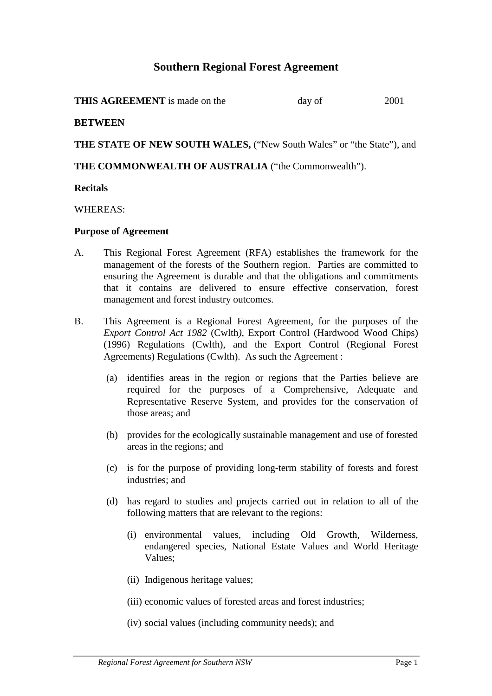## **Southern Regional Forest Agreement**

| <b>THIS AGREEMENT</b> is made on the | day of | 2001 |
|--------------------------------------|--------|------|
|--------------------------------------|--------|------|

#### **BETWEEN**

**THE STATE OF NEW SOUTH WALES,** ("New South Wales" or "the State"), and

### **THE COMMONWEALTH OF AUSTRALIA** ("the Commonwealth").

#### **Recitals**

WHEREAS:

#### **Purpose of Agreement**

- A. This Regional Forest Agreement (RFA) establishes the framework for the management of the forests of the Southern region. Parties are committed to ensuring the Agreement is durable and that the obligations and commitments that it contains are delivered to ensure effective conservation, forest management and forest industry outcomes.
- B. This Agreement is a Regional Forest Agreement, for the purposes of the *Export Control Act 1982* (Cwlth*),* Export Control (Hardwood Wood Chips) (1996) Regulations (Cwlth), and the Export Control (Regional Forest Agreements) Regulations (Cwlth). As such the Agreement :
	- (a) identifies areas in the region or regions that the Parties believe are required for the purposes of a Comprehensive, Adequate and Representative Reserve System, and provides for the conservation of those areas; and
	- (b) provides for the ecologically sustainable management and use of forested areas in the regions; and
	- (c) is for the purpose of providing long-term stability of forests and forest industries; and
	- (d) has regard to studies and projects carried out in relation to all of the following matters that are relevant to the regions:
		- (i) environmental values, including Old Growth, Wilderness, endangered species, National Estate Values and World Heritage Values;
		- (ii) Indigenous heritage values;
		- (iii) economic values of forested areas and forest industries;
		- (iv) social values (including community needs); and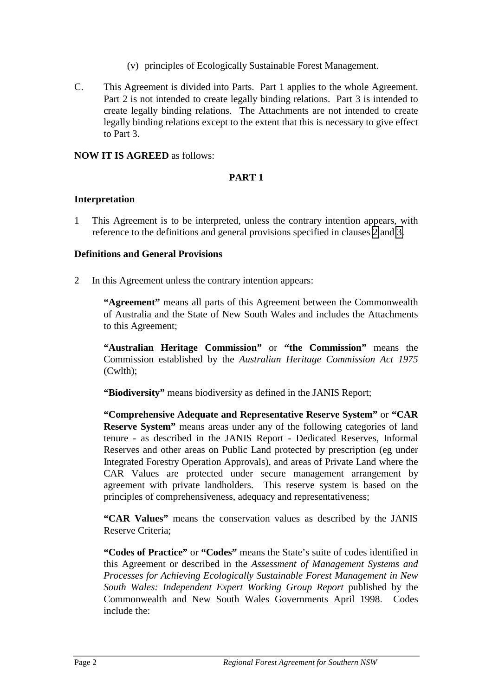- (v) principles of Ecologically Sustainable Forest Management.
- C. This Agreement is divided into Parts. Part 1 applies to the whole Agreement. Part 2 is not intended to create legally binding relations. Part 3 is intended to create legally binding relations. The Attachments are not intended to create legally binding relations except to the extent that this is necessary to give effect to Part 3.

#### **NOW IT IS AGREED** as follows:

## **PART 1**

### **Interpretation**

1 This Agreement is to be interpreted, unless the contrary intention appears, with reference to the definitions and general provisions specified in clauses 2 and [3.](#page-10-0)

### **Definitions and General Provisions**

2 In this Agreement unless the contrary intention appears:

**"Agreement"** means all parts of this Agreement between the Commonwealth of Australia and the State of New South Wales and includes the Attachments to this Agreement;

**"Australian Heritage Commission"** or **"the Commission"** means the Commission established by the *Australian Heritage Commission Act 1975* (Cwlth);

**"Biodiversity"** means biodiversity as defined in the JANIS Report;

**"Comprehensive Adequate and Representative Reserve System"** or **"CAR Reserve System"** means areas under any of the following categories of land tenure - as described in the JANIS Report - Dedicated Reserves, Informal Reserves and other areas on Public Land protected by prescription (eg under Integrated Forestry Operation Approvals), and areas of Private Land where the CAR Values are protected under secure management arrangement by agreement with private landholders. This reserve system is based on the principles of comprehensiveness, adequacy and representativeness;

**"CAR Values"** means the conservation values as described by the JANIS Reserve Criteria;

**"Codes of Practice"** or **"Codes"** means the State's suite of codes identified in this Agreement or described in the *Assessment of Management Systems and Processes for Achieving Ecologically Sustainable Forest Management in New South Wales: Independent Expert Working Group Report* published by the Commonwealth and New South Wales Governments April 1998. Codes include the: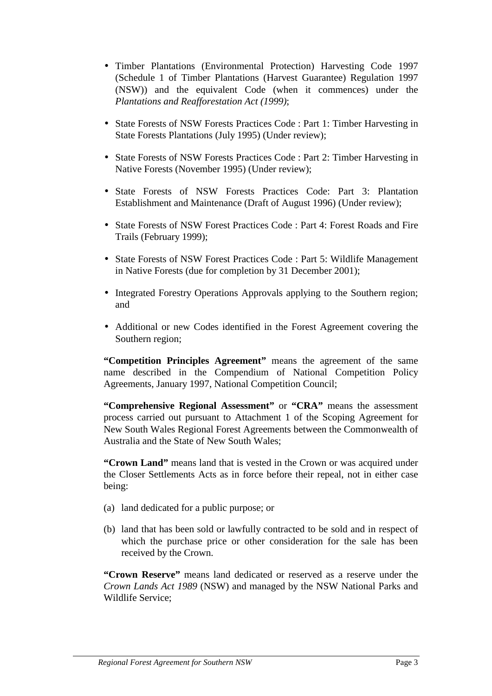- Timber Plantations (Environmental Protection) Harvesting Code 1997 (Schedule 1 of Timber Plantations (Harvest Guarantee) Regulation 1997 (NSW)) and the equivalent Code (when it commences) under the *Plantations and Reafforestation Act (1999)*;
- State Forests of NSW Forests Practices Code : Part 1: Timber Harvesting in State Forests Plantations (July 1995) (Under review);
- State Forests of NSW Forests Practices Code : Part 2: Timber Harvesting in Native Forests (November 1995) (Under review);
- State Forests of NSW Forests Practices Code: Part 3: Plantation Establishment and Maintenance (Draft of August 1996) (Under review);
- State Forests of NSW Forest Practices Code : Part 4: Forest Roads and Fire Trails (February 1999);
- State Forests of NSW Forest Practices Code : Part 5: Wildlife Management in Native Forests (due for completion by 31 December 2001);
- Integrated Forestry Operations Approvals applying to the Southern region; and
- Additional or new Codes identified in the Forest Agreement covering the Southern region;

**"Competition Principles Agreement"** means the agreement of the same name described in the Compendium of National Competition Policy Agreements, January 1997, National Competition Council;

**"Comprehensive Regional Assessment"** or **"CRA"** means the assessment process carried out pursuant to Attachment 1 of the Scoping Agreement for New South Wales Regional Forest Agreements between the Commonwealth of Australia and the State of New South Wales;

**"Crown Land"** means land that is vested in the Crown or was acquired under the Closer Settlements Acts as in force before their repeal, not in either case being:

- (a) land dedicated for a public purpose; or
- (b) land that has been sold or lawfully contracted to be sold and in respect of which the purchase price or other consideration for the sale has been received by the Crown.

**"Crown Reserve"** means land dedicated or reserved as a reserve under the *Crown Lands Act 1989* (NSW) and managed by the NSW National Parks and Wildlife Service;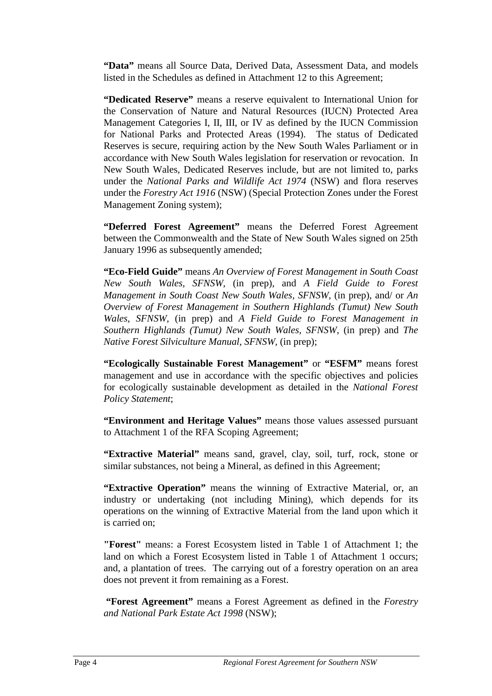**"Data"** means all Source Data, Derived Data, Assessment Data, and models listed in the Schedules as defined in Attachment 12 to this Agreement;

**"Dedicated Reserve"** means a reserve equivalent to International Union for the Conservation of Nature and Natural Resources (IUCN) Protected Area Management Categories I, II, III, or IV as defined by the IUCN Commission for National Parks and Protected Areas (1994). The status of Dedicated Reserves is secure, requiring action by the New South Wales Parliament or in accordance with New South Wales legislation for reservation or revocation. In New South Wales, Dedicated Reserves include, but are not limited to, parks under the *National Parks and Wildlife Act 1974* (NSW) and flora reserves under the *Forestry Act 1916* (NSW) (Special Protection Zones under the Forest Management Zoning system);

**"Deferred Forest Agreement"** means the Deferred Forest Agreement between the Commonwealth and the State of New South Wales signed on 25th January 1996 as subsequently amended:

**"Eco-Field Guide"** means *An Overview of Forest Management in South Coast New South Wales, SFNSW,* (in prep), and *A Field Guide to Forest Management in South Coast New South Wales, SFNSW,* (in prep), and/ or *An Overview of Forest Management in Southern Highlands (Tumut) New South Wales, SFNSW,* (in prep) and *A Field Guide to Forest Management in Southern Highlands (Tumut) New South Wales, SFNSW,* (in prep) and *The Native Forest Silviculture Manual, SFNSW,* (in prep);

**"Ecologically Sustainable Forest Management"** or **"ESFM"** means forest management and use in accordance with the specific objectives and policies for ecologically sustainable development as detailed in the *National Forest Policy Statement*;

**"Environment and Heritage Values"** means those values assessed pursuant to Attachment 1 of the RFA Scoping Agreement;

**"Extractive Material"** means sand, gravel, clay, soil, turf, rock, stone or similar substances, not being a Mineral, as defined in this Agreement;

**"Extractive Operation"** means the winning of Extractive Material, or, an industry or undertaking (not including Mining), which depends for its operations on the winning of Extractive Material from the land upon which it is carried on;

**"Forest"** means: a Forest Ecosystem listed in Table 1 of Attachment 1; the land on which a Forest Ecosystem listed in Table 1 of Attachment 1 occurs; and, a plantation of trees. The carrying out of a forestry operation on an area does not prevent it from remaining as a Forest.

 **"Forest Agreement"** means a Forest Agreement as defined in the *Forestry and National Park Estate Act 1998* (NSW);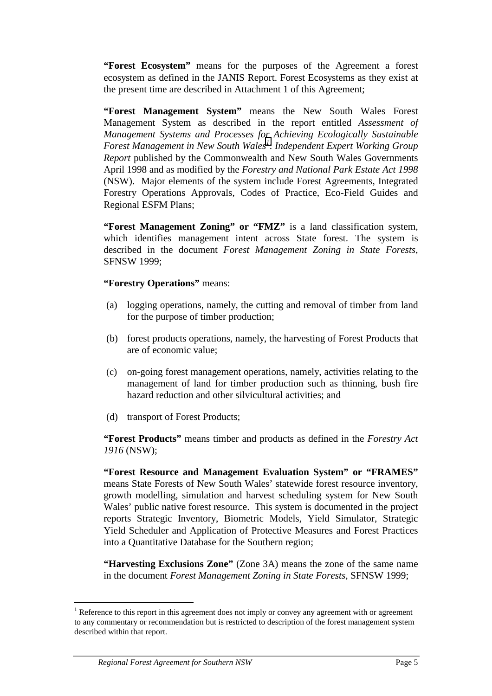**"Forest Ecosystem"** means for the purposes of the Agreement a forest ecosystem as defined in the JANIS Report. Forest Ecosystems as they exist at the present time are described in Attachment 1 of this Agreement;

**"Forest Management System"** means the New South Wales Forest Management System as described in the report entitled *Assessment of Management Systems and Processes for Achieving Ecologically Sustainable* **Forest Management in New South Wales<sup>1</sup>: Independent Expert Working Group** *Report* published by the Commonwealth and New South Wales Governments April 1998 and as modified by the *Forestry and National Park Estate Act 1998* (NSW). Major elements of the system include Forest Agreements, Integrated Forestry Operations Approvals, Codes of Practice, Eco-Field Guides and Regional ESFM Plans;

**"Forest Management Zoning" or "FMZ"** is a land classification system, which identifies management intent across State forest. The system is described in the document *Forest Management Zoning in State Forests*, SFNSW 1999;

### **"Forestry Operations"** means:

- (a) logging operations, namely, the cutting and removal of timber from land for the purpose of timber production;
- (b) forest products operations, namely, the harvesting of Forest Products that are of economic value;
- (c) on-going forest management operations, namely, activities relating to the management of land for timber production such as thinning, bush fire hazard reduction and other silvicultural activities; and
- (d) transport of Forest Products;

**"Forest Products"** means timber and products as defined in the *Forestry Act 1916* (NSW);

**"Forest Resource and Management Evaluation System" or "FRAMES"** means State Forests of New South Wales' statewide forest resource inventory, growth modelling, simulation and harvest scheduling system for New South Wales' public native forest resource. This system is documented in the project reports Strategic Inventory, Biometric Models, Yield Simulator, Strategic Yield Scheduler and Application of Protective Measures and Forest Practices into a Quantitative Database for the Southern region;

**"Harvesting Exclusions Zone"** (Zone 3A) means the zone of the same name in the document *Forest Management Zoning in State Forests*, SFNSW 1999;

 $\overline{a}$ 

<sup>&</sup>lt;sup>1</sup> Reference to this report in this agreement does not imply or convey any agreement with or agreement to any commentary or recommendation but is restricted to description of the forest management system described within that report.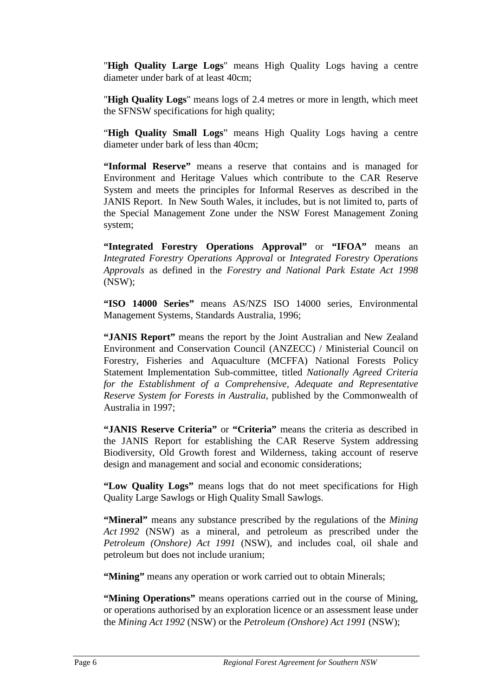"**High Quality Large Logs**" means High Quality Logs having a centre diameter under bark of at least 40cm;

"**High Quality Logs**" means logs of 2.4 metres or more in length, which meet the SFNSW specifications for high quality;

"**High Quality Small Logs**" means High Quality Logs having a centre diameter under bark of less than 40cm;

**"Informal Reserve"** means a reserve that contains and is managed for Environment and Heritage Values which contribute to the CAR Reserve System and meets the principles for Informal Reserves as described in the JANIS Report. In New South Wales, it includes, but is not limited to, parts of the Special Management Zone under the NSW Forest Management Zoning system;

**"Integrated Forestry Operations Approval"** or **"IFOA"** means an *Integrated Forestry Operations Approval* or *Integrated Forestry Operations Approvals* as defined in the *Forestry and National Park Estate Act 1998* (NSW);

**"ISO 14000 Series"** means AS/NZS ISO 14000 series, Environmental Management Systems, Standards Australia, 1996;

**"JANIS Report"** means the report by the Joint Australian and New Zealand Environment and Conservation Council (ANZECC) / Ministerial Council on Forestry, Fisheries and Aquaculture (MCFFA) National Forests Policy Statement Implementation Sub-committee, titled *Nationally Agreed Criteria for the Establishment of a Comprehensive, Adequate and Representative Reserve System for Forests in Australia*, published by the Commonwealth of Australia in 1997;

**"JANIS Reserve Criteria"** or **"Criteria"** means the criteria as described in the JANIS Report for establishing the CAR Reserve System addressing Biodiversity, Old Growth forest and Wilderness, taking account of reserve design and management and social and economic considerations;

**"Low Quality Logs"** means logs that do not meet specifications for High Quality Large Sawlogs or High Quality Small Sawlogs.

**"Mineral"** means any substance prescribed by the regulations of the *Mining Act 1992* (NSW) as a mineral, and petroleum as prescribed under the *Petroleum (Onshore) Act 1991* (NSW), and includes coal, oil shale and petroleum but does not include uranium;

"Mining" means any operation or work carried out to obtain Minerals;

**"Mining Operations"** means operations carried out in the course of Mining, or operations authorised by an exploration licence or an assessment lease under the *Mining Act 1992* (NSW) or the *Petroleum (Onshore) Act 1991* (NSW);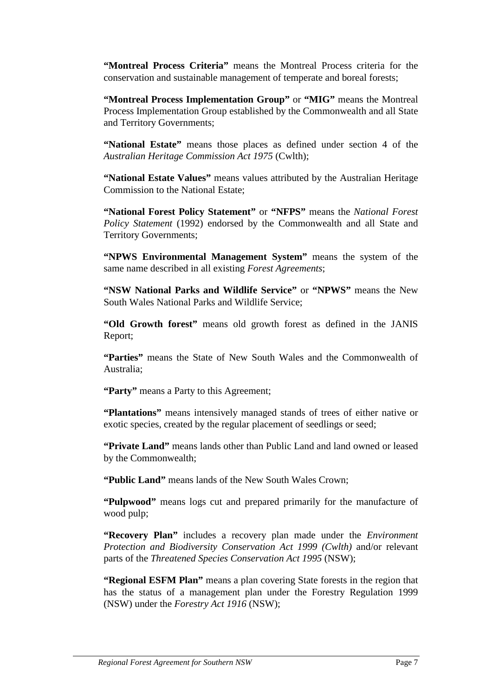**"Montreal Process Criteria"** means the Montreal Process criteria for the conservation and sustainable management of temperate and boreal forests;

**"Montreal Process Implementation Group"** or **"MIG"** means the Montreal Process Implementation Group established by the Commonwealth and all State and Territory Governments;

**"National Estate"** means those places as defined under section 4 of the *Australian Heritage Commission Act 1975* (Cwlth);

**"National Estate Values"** means values attributed by the Australian Heritage Commission to the National Estate;

**"National Forest Policy Statement"** or **"NFPS"** means the *National Forest Policy Statement* (1992) endorsed by the Commonwealth and all State and Territory Governments;

**"NPWS Environmental Management System"** means the system of the same name described in all existing *Forest Agreements*;

**"NSW National Parks and Wildlife Service"** or **"NPWS"** means the New South Wales National Parks and Wildlife Service;

**"Old Growth forest"** means old growth forest as defined in the JANIS Report;

**"Parties"** means the State of New South Wales and the Commonwealth of Australia;

**"Party"** means a Party to this Agreement;

**"Plantations"** means intensively managed stands of trees of either native or exotic species, created by the regular placement of seedlings or seed;

**"Private Land"** means lands other than Public Land and land owned or leased by the Commonwealth;

**"Public Land"** means lands of the New South Wales Crown;

**"Pulpwood"** means logs cut and prepared primarily for the manufacture of wood pulp;

**"Recovery Plan"** includes a recovery plan made under the *Environment Protection and Biodiversity Conservation Act 1999 (Cwlth)* and/or relevant parts of the *Threatened Species Conservation Act 1995* (NSW);

**"Regional ESFM Plan"** means a plan covering State forests in the region that has the status of a management plan under the Forestry Regulation 1999 (NSW) under the *Forestry Act 1916* (NSW);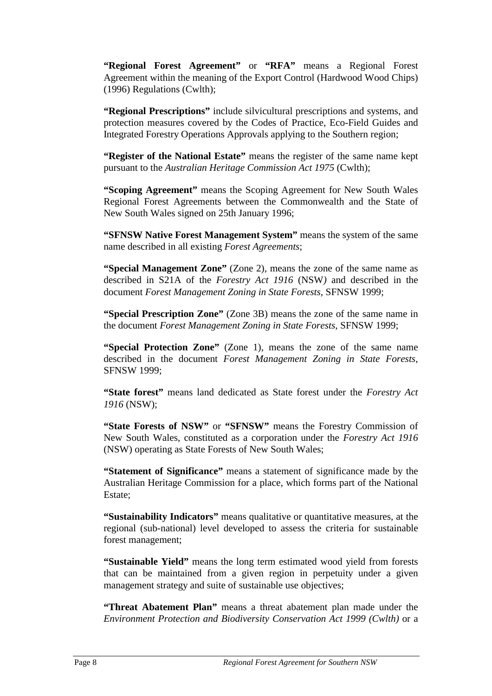**"Regional Forest Agreement"** or **"RFA"** means a Regional Forest Agreement within the meaning of the Export Control (Hardwood Wood Chips) (1996) Regulations (Cwlth);

**"Regional Prescriptions"** include silvicultural prescriptions and systems, and protection measures covered by the Codes of Practice, Eco-Field Guides and Integrated Forestry Operations Approvals applying to the Southern region;

**"Register of the National Estate"** means the register of the same name kept pursuant to the *Australian Heritage Commission Act 1975* (Cwlth);

**"Scoping Agreement"** means the Scoping Agreement for New South Wales Regional Forest Agreements between the Commonwealth and the State of New South Wales signed on 25th January 1996;

**"SFNSW Native Forest Management System"** means the system of the same name described in all existing *Forest Agreements*;

**"Special Management Zone"** (Zone 2), means the zone of the same name as described in S21A of the *Forestry Act 1916* (NSW*)* and described in the document *Forest Management Zoning in State Forests*, SFNSW 1999;

**"Special Prescription Zone"** (Zone 3B) means the zone of the same name in the document *Forest Management Zoning in State Forests*, SFNSW 1999;

**"Special Protection Zone"** (Zone 1), means the zone of the same name described in the document *Forest Management Zoning in State Forests*, SFNSW 1999;

**"State forest"** means land dedicated as State forest under the *Forestry Act 1916* (NSW);

**"State Forests of NSW"** or **"SFNSW"** means the Forestry Commission of New South Wales, constituted as a corporation under the *Forestry Act 1916* (NSW) operating as State Forests of New South Wales;

**"Statement of Significance"** means a statement of significance made by the Australian Heritage Commission for a place, which forms part of the National Estate;

**"Sustainability Indicators"** means qualitative or quantitative measures, at the regional (sub-national) level developed to assess the criteria for sustainable forest management;

**"Sustainable Yield"** means the long term estimated wood yield from forests that can be maintained from a given region in perpetuity under a given management strategy and suite of sustainable use objectives;

**"Threat Abatement Plan"** means a threat abatement plan made under the *Environment Protection and Biodiversity Conservation Act 1999 (Cwlth)* or a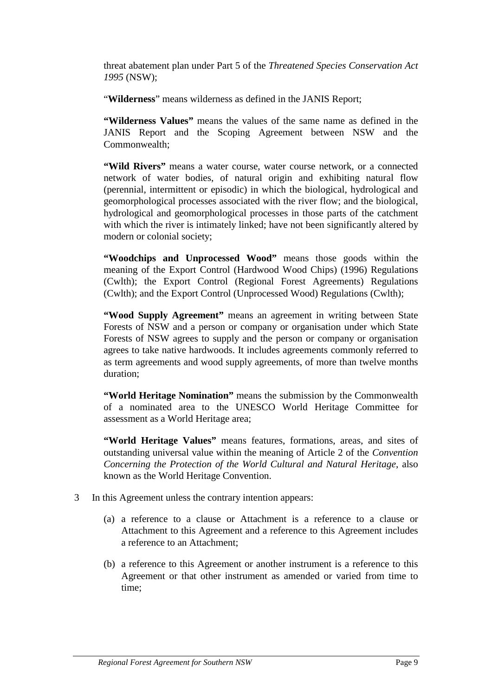<span id="page-10-0"></span>threat abatement plan under Part 5 of the *Threatened Species Conservation Act 1995* (NSW);

"**Wilderness**" means wilderness as defined in the JANIS Report;

**"Wilderness Values"** means the values of the same name as defined in the JANIS Report and the Scoping Agreement between NSW and the Commonwealth;

**"Wild Rivers"** means a water course, water course network, or a connected network of water bodies, of natural origin and exhibiting natural flow (perennial, intermittent or episodic) in which the biological, hydrological and geomorphological processes associated with the river flow; and the biological, hydrological and geomorphological processes in those parts of the catchment with which the river is intimately linked; have not been significantly altered by modern or colonial society;

**"Woodchips and Unprocessed Wood"** means those goods within the meaning of the Export Control (Hardwood Wood Chips) (1996) Regulations (Cwlth); the Export Control (Regional Forest Agreements) Regulations (Cwlth); and the Export Control (Unprocessed Wood) Regulations (Cwlth);

**"Wood Supply Agreement"** means an agreement in writing between State Forests of NSW and a person or company or organisation under which State Forests of NSW agrees to supply and the person or company or organisation agrees to take native hardwoods. It includes agreements commonly referred to as term agreements and wood supply agreements, of more than twelve months duration;

**"World Heritage Nomination"** means the submission by the Commonwealth of a nominated area to the UNESCO World Heritage Committee for assessment as a World Heritage area;

**"World Heritage Values"** means features, formations, areas, and sites of outstanding universal value within the meaning of Article 2 of the *Convention Concerning the Protection of the World Cultural and Natural Heritage*, also known as the World Heritage Convention.

- 3 In this Agreement unless the contrary intention appears:
	- (a) a reference to a clause or Attachment is a reference to a clause or Attachment to this Agreement and a reference to this Agreement includes a reference to an Attachment;
	- (b) a reference to this Agreement or another instrument is a reference to this Agreement or that other instrument as amended or varied from time to time;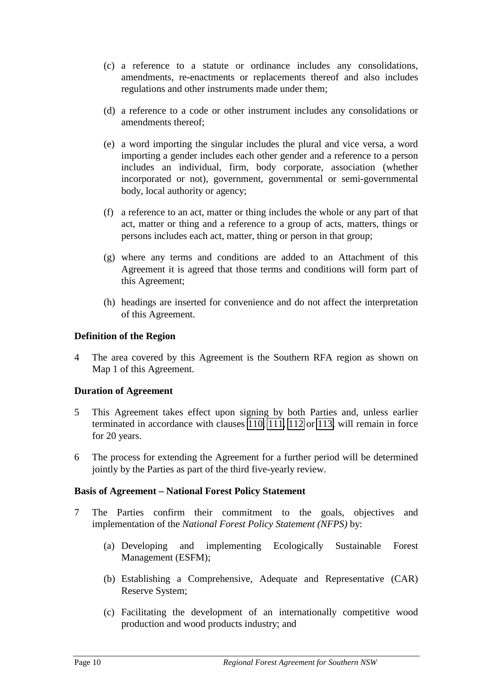- (c) a reference to a statute or ordinance includes any consolidations, amendments, re-enactments or replacements thereof and also includes regulations and other instruments made under them;
- (d) a reference to a code or other instrument includes any consolidations or amendments thereof;
- (e) a word importing the singular includes the plural and vice versa, a word importing a gender includes each other gender and a reference to a person includes an individual, firm, body corporate, association (whether incorporated or not), government, governmental or semi-governmental body, local authority or agency;
- (f) a reference to an act, matter or thing includes the whole or any part of that act, matter or thing and a reference to a group of acts, matters, things or persons includes each act, matter, thing or person in that group;
- (g) where any terms and conditions are added to an Attachment of this Agreement it is agreed that those terms and conditions will form part of this Agreement;
- (h) headings are inserted for convenience and do not affect the interpretation of this Agreement.

## **Definition of the Region**

4 The area covered by this Agreement is the Southern RFA region as shown on Map 1 of this Agreement.

#### **Duration of Agreement**

- 5 This Agreement takes effect upon signing by both Parties and, unless earlier terminated in accordance with clauses [110, 111,](#page-35-0) [112](#page-36-0) or [113,](#page-36-0) will remain in force for 20 years.
- 6 The process for extending the Agreement for a further period will be determined jointly by the Parties as part of the third five-yearly review.

#### **Basis of Agreement – National Forest Policy Statement**

- 7 The Parties confirm their commitment to the goals, objectives and implementation of the *National Forest Policy Statement (NFPS)* by:
	- (a) Developing and implementing Ecologically Sustainable Forest Management (ESFM);
	- (b) Establishing a Comprehensive, Adequate and Representative (CAR) Reserve System;
	- (c) Facilitating the development of an internationally competitive wood production and wood products industry; and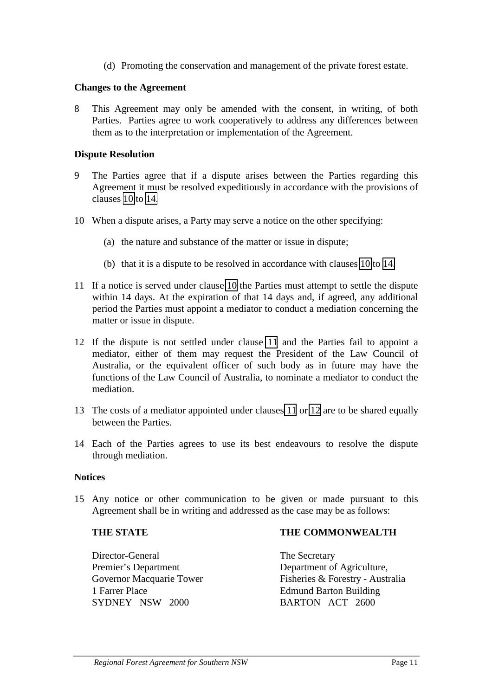(d) Promoting the conservation and management of the private forest estate.

### <span id="page-12-0"></span>**Changes to the Agreement**

8 This Agreement may only be amended with the consent, in writing, of both Parties. Parties agree to work cooperatively to address any differences between them as to the interpretation or implementation of the Agreement.

### **Dispute Resolution**

- 9 The Parties agree that if a dispute arises between the Parties regarding this Agreement it must be resolved expeditiously in accordance with the provisions of clauses 10 to 14.
- 10 When a dispute arises, a Party may serve a notice on the other specifying:
	- (a) the nature and substance of the matter or issue in dispute;
	- (b) that it is a dispute to be resolved in accordance with clauses 10 to 14.
- 11 If a notice is served under clause 10 the Parties must attempt to settle the dispute within 14 days. At the expiration of that 14 days and, if agreed, any additional period the Parties must appoint a mediator to conduct a mediation concerning the matter or issue in dispute.
- 12 If the dispute is not settled under clause 11 and the Parties fail to appoint a mediator, either of them may request the President of the Law Council of Australia, or the equivalent officer of such body as in future may have the functions of the Law Council of Australia, to nominate a mediator to conduct the mediation.
- 13 The costs of a mediator appointed under clauses 11 or 12 are to be shared equally between the Parties.
- 14 Each of the Parties agrees to use its best endeavours to resolve the dispute through mediation.

#### **Notices**

15 Any notice or other communication to be given or made pursuant to this Agreement shall be in writing and addressed as the case may be as follows:

#### **THE STATE**

**THE COMMONWEALTH**

Director-General Premier's Department Governor Macquarie Tower 1 Farrer Place SYDNEY NSW 2000

The Secretary Department of Agriculture, Fisheries & Forestry - Australia Edmund Barton Building BARTON ACT 2600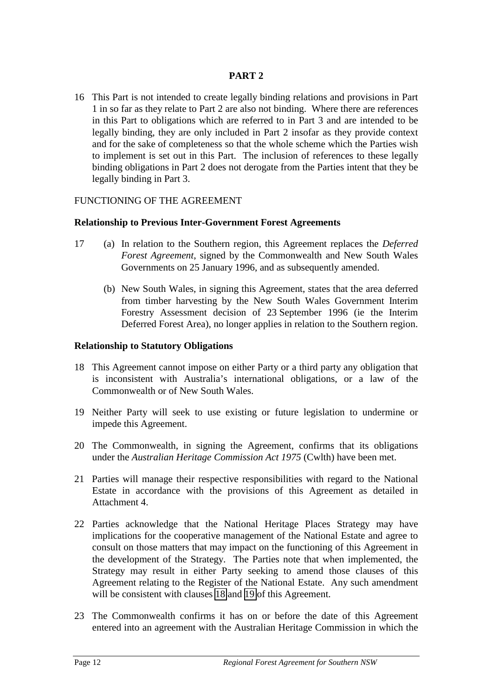## **PART 2**

<span id="page-13-0"></span>16 This Part is not intended to create legally binding relations and provisions in Part 1 in so far as they relate to Part 2 are also not binding. Where there are references in this Part to obligations which are referred to in Part 3 and are intended to be legally binding, they are only included in Part 2 insofar as they provide context and for the sake of completeness so that the whole scheme which the Parties wish to implement is set out in this Part. The inclusion of references to these legally binding obligations in Part 2 does not derogate from the Parties intent that they be legally binding in Part 3.

## FUNCTIONING OF THE AGREEMENT

### **Relationship to Previous Inter-Government Forest Agreements**

- 17 (a) In relation to the Southern region, this Agreement replaces the *Deferred Forest Agreement*, signed by the Commonwealth and New South Wales Governments on 25 January 1996, and as subsequently amended.
	- (b) New South Wales, in signing this Agreement, states that the area deferred from timber harvesting by the New South Wales Government Interim Forestry Assessment decision of 23 September 1996 (ie the Interim Deferred Forest Area), no longer applies in relation to the Southern region.

#### **Relationship to Statutory Obligations**

- 18 This Agreement cannot impose on either Party or a third party any obligation that is inconsistent with Australia's international obligations, or a law of the Commonwealth or of New South Wales.
- 19 Neither Party will seek to use existing or future legislation to undermine or impede this Agreement.
- 20 The Commonwealth, in signing the Agreement, confirms that its obligations under the *Australian Heritage Commission Act 1975* (Cwlth) have been met.
- 21 Parties will manage their respective responsibilities with regard to the National Estate in accordance with the provisions of this Agreement as detailed in Attachment 4.
- 22 Parties acknowledge that the National Heritage Places Strategy may have implications for the cooperative management of the National Estate and agree to consult on those matters that may impact on the functioning of this Agreement in the development of the Strategy. The Parties note that when implemented, the Strategy may result in either Party seeking to amend those clauses of this Agreement relating to the Register of the National Estate. Any such amendment will be consistent with clauses 18 and 19 of this Agreement.
- 23 The Commonwealth confirms it has on or before the date of this Agreement entered into an agreement with the Australian Heritage Commission in which the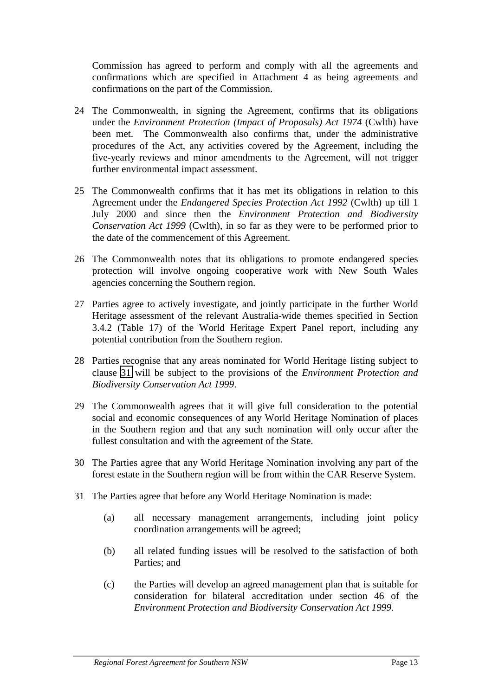Commission has agreed to perform and comply with all the agreements and confirmations which are specified in Attachment 4 as being agreements and confirmations on the part of the Commission.

- 24 The Commonwealth, in signing the Agreement, confirms that its obligations under the *Environment Protection (Impact of Proposals) Act 1974* (Cwlth) have been met. The Commonwealth also confirms that, under the administrative procedures of the Act, any activities covered by the Agreement, including the five-yearly reviews and minor amendments to the Agreement, will not trigger further environmental impact assessment.
- 25 The Commonwealth confirms that it has met its obligations in relation to this Agreement under the *Endangered Species Protection Act 1992* (Cwlth) up till 1 July 2000 and since then the *Environment Protection and Biodiversity Conservation Act 1999* (Cwlth), in so far as they were to be performed prior to the date of the commencement of this Agreement.
- 26 The Commonwealth notes that its obligations to promote endangered species protection will involve ongoing cooperative work with New South Wales agencies concerning the Southern region.
- 27 Parties agree to actively investigate, and jointly participate in the further World Heritage assessment of the relevant Australia-wide themes specified in Section 3.4.2 (Table 17) of the World Heritage Expert Panel report, including any potential contribution from the Southern region.
- 28 Parties recognise that any areas nominated for World Heritage listing subject to clause 31 will be subject to the provisions of the *Environment Protection and Biodiversity Conservation Act 1999*.
- 29 The Commonwealth agrees that it will give full consideration to the potential social and economic consequences of any World Heritage Nomination of places in the Southern region and that any such nomination will only occur after the fullest consultation and with the agreement of the State.
- 30 The Parties agree that any World Heritage Nomination involving any part of the forest estate in the Southern region will be from within the CAR Reserve System.
- 31 The Parties agree that before any World Heritage Nomination is made:
	- (a) all necessary management arrangements, including joint policy coordination arrangements will be agreed;
	- (b) all related funding issues will be resolved to the satisfaction of both Parties; and
	- (c) the Parties will develop an agreed management plan that is suitable for consideration for bilateral accreditation under section 46 of the *Environment Protection and Biodiversity Conservation Act 1999*.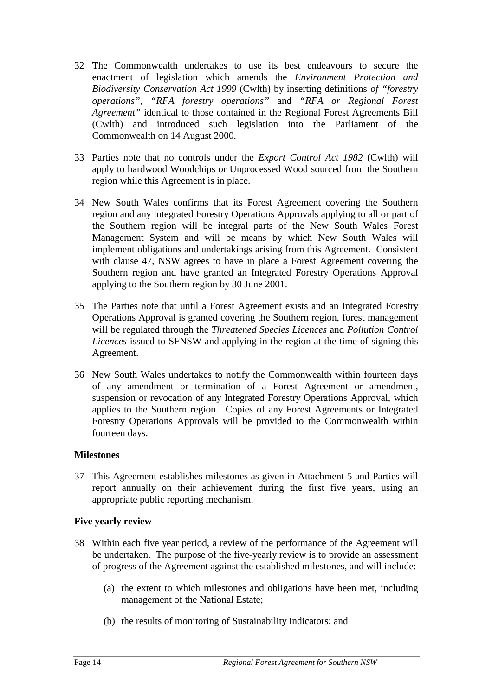- <span id="page-15-0"></span>32 The Commonwealth undertakes to use its best endeavours to secure the enactment of legislation which amends the *Environment Protection and Biodiversity Conservation Act 1999* (Cwlth) by inserting definitions *of "forestry operations"*, *"RFA forestry operations"* and *"RFA or Regional Forest Agreement"* identical to those contained in the Regional Forest Agreements Bill (Cwlth) and introduced such legislation into the Parliament of the Commonwealth on 14 August 2000.
- 33 Parties note that no controls under the *Export Control Act 1982* (Cwlth) will apply to hardwood Woodchips or Unprocessed Wood sourced from the Southern region while this Agreement is in place.
- 34 New South Wales confirms that its Forest Agreement covering the Southern region and any Integrated Forestry Operations Approvals applying to all or part of the Southern region will be integral parts of the New South Wales Forest Management System and will be means by which New South Wales will implement obligations and undertakings arising from this Agreement. Consistent with clause 47, NSW agrees to have in place a Forest Agreement covering the Southern region and have granted an Integrated Forestry Operations Approval applying to the Southern region by 30 June 2001.
- 35 The Parties note that until a Forest Agreement exists and an Integrated Forestry Operations Approval is granted covering the Southern region, forest management will be regulated through the *Threatened Species Licences* and *Pollution Control Licences* issued to SFNSW and applying in the region at the time of signing this Agreement.
- 36 New South Wales undertakes to notify the Commonwealth within fourteen days of any amendment or termination of a Forest Agreement or amendment, suspension or revocation of any Integrated Forestry Operations Approval, which applies to the Southern region. Copies of any Forest Agreements or Integrated Forestry Operations Approvals will be provided to the Commonwealth within fourteen days.

## **Milestones**

37 This Agreement establishes milestones as given in Attachment 5 and Parties will report annually on their achievement during the first five years, using an appropriate public reporting mechanism.

## **Five yearly review**

- 38 Within each five year period, a review of the performance of the Agreement will be undertaken. The purpose of the five-yearly review is to provide an assessment of progress of the Agreement against the established milestones, and will include:
	- (a) the extent to which milestones and obligations have been met, including management of the National Estate;
	- (b) the results of monitoring of Sustainability Indicators; and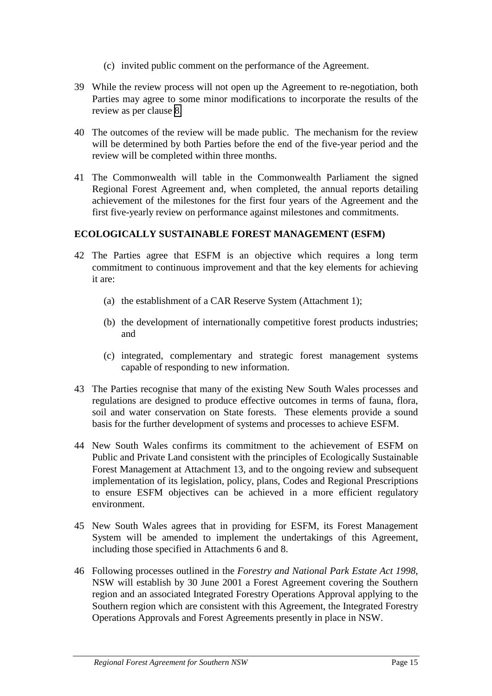- (c) invited public comment on the performance of the Agreement.
- <span id="page-16-0"></span>39 While the review process will not open up the Agreement to re-negotiation, both Parties may agree to some minor modifications to incorporate the results of the review as per clause [8.](#page-12-0)
- 40 The outcomes of the review will be made public. The mechanism for the review will be determined by both Parties before the end of the five-year period and the review will be completed within three months.
- 41 The Commonwealth will table in the Commonwealth Parliament the signed Regional Forest Agreement and, when completed, the annual reports detailing achievement of the milestones for the first four years of the Agreement and the first five-yearly review on performance against milestones and commitments.

### **ECOLOGICALLY SUSTAINABLE FOREST MANAGEMENT (ESFM)**

- 42 The Parties agree that ESFM is an objective which requires a long term commitment to continuous improvement and that the key elements for achieving it are:
	- (a) the establishment of a CAR Reserve System (Attachment 1);
	- (b) the development of internationally competitive forest products industries; and
	- (c) integrated, complementary and strategic forest management systems capable of responding to new information.
- 43 The Parties recognise that many of the existing New South Wales processes and regulations are designed to produce effective outcomes in terms of fauna, flora, soil and water conservation on State forests. These elements provide a sound basis for the further development of systems and processes to achieve ESFM.
- 44 New South Wales confirms its commitment to the achievement of ESFM on Public and Private Land consistent with the principles of Ecologically Sustainable Forest Management at Attachment 13, and to the ongoing review and subsequent implementation of its legislation, policy, plans, Codes and Regional Prescriptions to ensure ESFM objectives can be achieved in a more efficient regulatory environment.
- 45 New South Wales agrees that in providing for ESFM, its Forest Management System will be amended to implement the undertakings of this Agreement, including those specified in Attachments 6 and 8.
- 46 Following processes outlined in the *Forestry and National Park Estate Act 1998*, NSW will establish by 30 June 2001 a Forest Agreement covering the Southern region and an associated Integrated Forestry Operations Approval applying to the Southern region which are consistent with this Agreement, the Integrated Forestry Operations Approvals and Forest Agreements presently in place in NSW.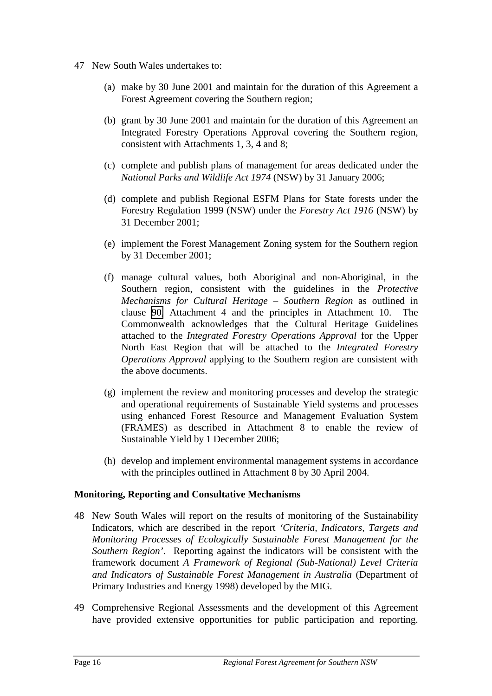- <span id="page-17-0"></span>47 New South Wales undertakes to:
	- (a) make by 30 June 2001 and maintain for the duration of this Agreement a Forest Agreement covering the Southern region;
	- (b) grant by 30 June 2001 and maintain for the duration of this Agreement an Integrated Forestry Operations Approval covering the Southern region, consistent with Attachments 1, 3, 4 and 8;
	- (c) complete and publish plans of management for areas dedicated under the *National Parks and Wildlife Act 1974* (NSW) by 31 January 2006;
	- (d) complete and publish Regional ESFM Plans for State forests under the Forestry Regulation 1999 (NSW) under the *Forestry Act 1916* (NSW) by 31 December 2001;
	- (e) implement the Forest Management Zoning system for the Southern region by 31 December 2001;
	- (f) manage cultural values, both Aboriginal and non-Aboriginal, in the Southern region, consistent with the guidelines in the *Protective Mechanisms for Cultural Heritage – Southern Region* as outlined in clause [90,](#page-24-0) Attachment 4 and the principles in Attachment 10. The Commonwealth acknowledges that the Cultural Heritage Guidelines attached to the *Integrated Forestry Operations Approval* for the Upper North East Region that will be attached to the *Integrated Forestry Operations Approval* applying to the Southern region are consistent with the above documents.
	- (g) implement the review and monitoring processes and develop the strategic and operational requirements of Sustainable Yield systems and processes using enhanced Forest Resource and Management Evaluation System (FRAMES) as described in Attachment 8 to enable the review of Sustainable Yield by 1 December 2006;
	- (h) develop and implement environmental management systems in accordance with the principles outlined in Attachment 8 by 30 April 2004.

#### **Monitoring, Reporting and Consultative Mechanisms**

- 48 New South Wales will report on the results of monitoring of the Sustainability Indicators, which are described in the report *'Criteria, Indicators, Targets and Monitoring Processes of Ecologically Sustainable Forest Management for the Southern Region'*. Reporting against the indicators will be consistent with the framework document *A Framework of Regional (Sub-National) Level Criteria and Indicators of Sustainable Forest Management in Australia* (Department of Primary Industries and Energy 1998) developed by the MIG.
- 49 Comprehensive Regional Assessments and the development of this Agreement have provided extensive opportunities for public participation and reporting.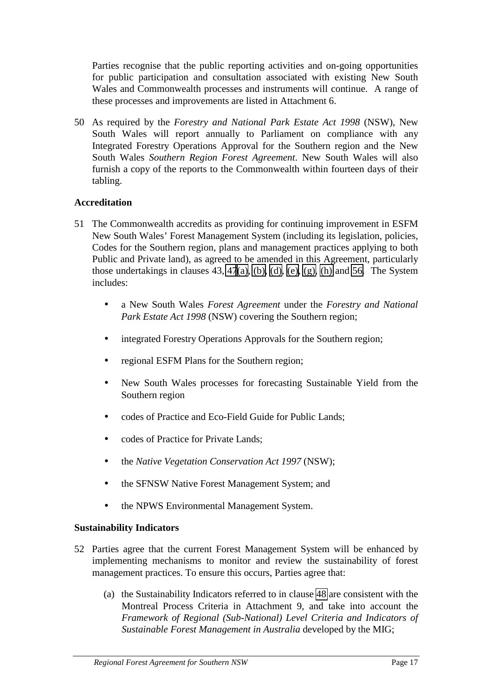<span id="page-18-0"></span>Parties recognise that the public reporting activities and on-going opportunities for public participation and consultation associated with existing New South Wales and Commonwealth processes and instruments will continue. A range of these processes and improvements are listed in Attachment 6.

50 As required by the *Forestry and National Park Estate Act 1998* (NSW), New South Wales will report annually to Parliament on compliance with any Integrated Forestry Operations Approval for the Southern region and the New South Wales *Southern Region Forest Agreement*. New South Wales will also furnish a copy of the reports to the Commonwealth within fourteen days of their tabling.

## **Accreditation**

- 51 The Commonwealth accredits as providing for continuing improvement in ESFM New South Wales' Forest Management System (including its legislation, policies, Codes for the Southern region, plans and management practices applying to both Public and Private land), as agreed to be amended in this Agreement, particularly those undertakings in clauses  $43, 47(a)$  $43, 47(a)$ ,  $(b)$ ,  $(d)$ ,  $(e)$ ,  $(g)$ ,  $(h)$  and  $56$ . The System includes:
	- a New South Wales *Forest Agreement* under the *Forestry and National Park Estate Act 1998* (NSW) covering the Southern region;
	- integrated Forestry Operations Approvals for the Southern region;
	- regional ESFM Plans for the Southern region;
	- New South Wales processes for forecasting Sustainable Yield from the Southern region
	- codes of Practice and Eco-Field Guide for Public Lands;
	- codes of Practice for Private Lands;
	- the *Native Vegetation Conservation Act 1997* (NSW);
	- the SFNSW Native Forest Management System; and
	- the NPWS Environmental Management System.

## **Sustainability Indicators**

- 52 Parties agree that the current Forest Management System will be enhanced by implementing mechanisms to monitor and review the sustainability of forest management practices. To ensure this occurs, Parties agree that:
	- (a) the Sustainability Indicators referred to in clause [48](#page-17-0) are consistent with the Montreal Process Criteria in Attachment 9, and take into account the *Framework of Regional (Sub-National) Level Criteria and Indicators of Sustainable Forest Management in Australia* developed by the MIG;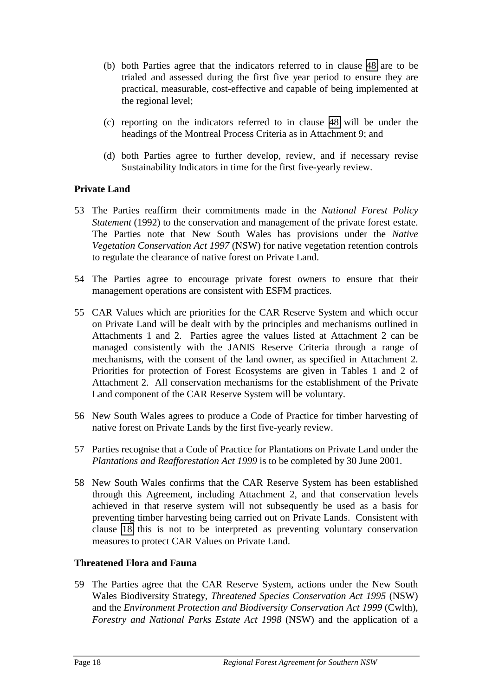- <span id="page-19-0"></span>(b) both Parties agree that the indicators referred to in clause [48](#page-17-0) are to be trialed and assessed during the first five year period to ensure they are practical, measurable, cost-effective and capable of being implemented at the regional level;
- (c) reporting on the indicators referred to in clause [48](#page-17-0) will be under the headings of the Montreal Process Criteria as in Attachment 9; and
- (d) both Parties agree to further develop, review, and if necessary revise Sustainability Indicators in time for the first five-yearly review.

## **Private Land**

- 53 The Parties reaffirm their commitments made in the *National Forest Policy Statement* (1992) to the conservation and management of the private forest estate. The Parties note that New South Wales has provisions under the *Native Vegetation Conservation Act 1997* (NSW) for native vegetation retention controls to regulate the clearance of native forest on Private Land.
- 54 The Parties agree to encourage private forest owners to ensure that their management operations are consistent with ESFM practices.
- 55 CAR Values which are priorities for the CAR Reserve System and which occur on Private Land will be dealt with by the principles and mechanisms outlined in Attachments 1 and 2. Parties agree the values listed at Attachment 2 can be managed consistently with the JANIS Reserve Criteria through a range of mechanisms, with the consent of the land owner, as specified in Attachment 2. Priorities for protection of Forest Ecosystems are given in Tables 1 and 2 of Attachment 2. All conservation mechanisms for the establishment of the Private Land component of the CAR Reserve System will be voluntary.
- 56 New South Wales agrees to produce a Code of Practice for timber harvesting of native forest on Private Lands by the first five-yearly review.
- 57 Parties recognise that a Code of Practice for Plantations on Private Land under the *Plantations and Reafforestation Act 1999* is to be completed by 30 June 2001.
- 58 New South Wales confirms that the CAR Reserve System has been established through this Agreement, including Attachment 2, and that conservation levels achieved in that reserve system will not subsequently be used as a basis for preventing timber harvesting being carried out on Private Lands. Consistent with clause [18](#page-13-0) this is not to be interpreted as preventing voluntary conservation measures to protect CAR Values on Private Land.

## **Threatened Flora and Fauna**

59 The Parties agree that the CAR Reserve System, actions under the New South Wales Biodiversity Strategy, *Threatened Species Conservation Act 1995* (NSW) and the *Environment Protection and Biodiversity Conservation Act 1999* (Cwlth), *Forestry and National Parks Estate Act 1998* (NSW) and the application of a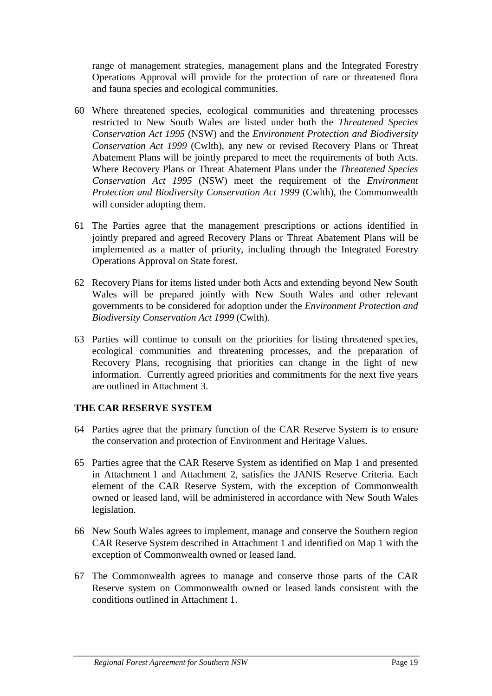<span id="page-20-0"></span>range of management strategies, management plans and the Integrated Forestry Operations Approval will provide for the protection of rare or threatened flora and fauna species and ecological communities.

- 60 Where threatened species, ecological communities and threatening processes restricted to New South Wales are listed under both the *Threatened Species Conservation Act 1995* (NSW) and the *Environment Protection and Biodiversity Conservation Act 1999* (Cwlth), any new or revised Recovery Plans or Threat Abatement Plans will be jointly prepared to meet the requirements of both Acts. Where Recovery Plans or Threat Abatement Plans under the *Threatened Species Conservation Act 1995* (NSW) meet the requirement of the *Environment Protection and Biodiversity Conservation Act 1999* (Cwlth), the Commonwealth will consider adopting them.
- 61 The Parties agree that the management prescriptions or actions identified in jointly prepared and agreed Recovery Plans or Threat Abatement Plans will be implemented as a matter of priority, including through the Integrated Forestry Operations Approval on State forest.
- 62 Recovery Plans for items listed under both Acts and extending beyond New South Wales will be prepared jointly with New South Wales and other relevant governments to be considered for adoption under the *Environment Protection and Biodiversity Conservation Act 1999* (Cwlth).
- 63 Parties will continue to consult on the priorities for listing threatened species, ecological communities and threatening processes, and the preparation of Recovery Plans, recognising that priorities can change in the light of new information. Currently agreed priorities and commitments for the next five years are outlined in Attachment 3.

## **THE CAR RESERVE SYSTEM**

- 64 Parties agree that the primary function of the CAR Reserve System is to ensure the conservation and protection of Environment and Heritage Values.
- 65 Parties agree that the CAR Reserve System as identified on Map 1 and presented in Attachment 1 and Attachment 2, satisfies the JANIS Reserve Criteria. Each element of the CAR Reserve System, with the exception of Commonwealth owned or leased land, will be administered in accordance with New South Wales legislation.
- 66 New South Wales agrees to implement, manage and conserve the Southern region CAR Reserve System described in Attachment 1 and identified on Map 1 with the exception of Commonwealth owned or leased land.
- 67 The Commonwealth agrees to manage and conserve those parts of the CAR Reserve system on Commonwealth owned or leased lands consistent with the conditions outlined in Attachment 1.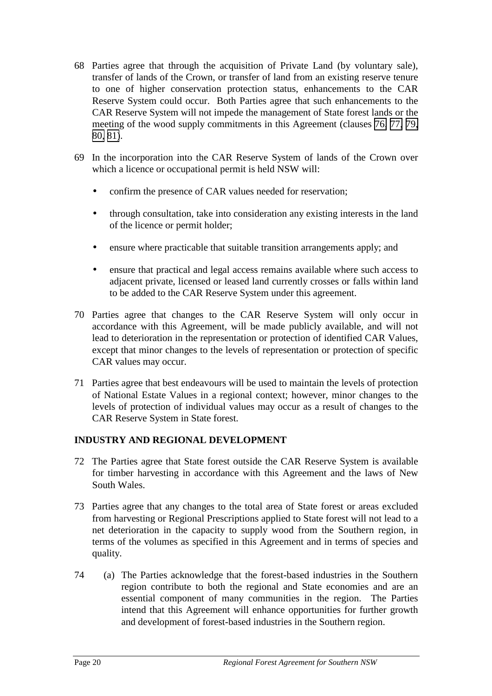- 68 Parties agree that through the acquisition of Private Land (by voluntary sale), transfer of lands of the Crown, or transfer of land from an existing reserve tenure to one of higher conservation protection status, enhancements to the CAR Reserve System could occur. Both Parties agree that such enhancements to the CAR Reserve System will not impede the management of State forest lands or the meeting of the wood supply commitments in this Agreement (clauses [76,](#page-22-0) [77,](#page-22-0) [79,](#page-22-0) [80,](#page-23-0) [81\)](#page-23-0).
- 69 In the incorporation into the CAR Reserve System of lands of the Crown over which a licence or occupational permit is held NSW will:
	- confirm the presence of CAR values needed for reservation;
	- through consultation, take into consideration any existing interests in the land of the licence or permit holder;
	- ensure where practicable that suitable transition arrangements apply; and
	- ensure that practical and legal access remains available where such access to adjacent private, licensed or leased land currently crosses or falls within land to be added to the CAR Reserve System under this agreement.
- 70 Parties agree that changes to the CAR Reserve System will only occur in accordance with this Agreement, will be made publicly available, and will not lead to deterioration in the representation or protection of identified CAR Values, except that minor changes to the levels of representation or protection of specific CAR values may occur.
- 71 Parties agree that best endeavours will be used to maintain the levels of protection of National Estate Values in a regional context; however, minor changes to the levels of protection of individual values may occur as a result of changes to the CAR Reserve System in State forest.

## **INDUSTRY AND REGIONAL DEVELOPMENT**

- 72 The Parties agree that State forest outside the CAR Reserve System is available for timber harvesting in accordance with this Agreement and the laws of New South Wales.
- 73 Parties agree that any changes to the total area of State forest or areas excluded from harvesting or Regional Prescriptions applied to State forest will not lead to a net deterioration in the capacity to supply wood from the Southern region, in terms of the volumes as specified in this Agreement and in terms of species and quality.
- 74 (a) The Parties acknowledge that the forest-based industries in the Southern region contribute to both the regional and State economies and are an essential component of many communities in the region. The Parties intend that this Agreement will enhance opportunities for further growth and development of forest-based industries in the Southern region.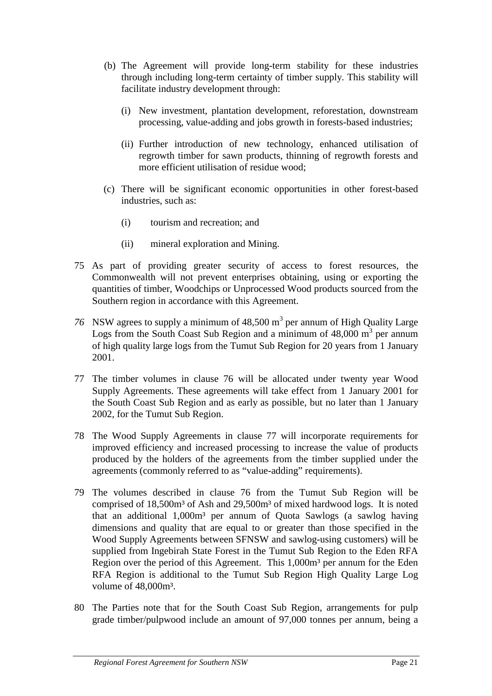- <span id="page-22-0"></span>(b) The Agreement will provide long-term stability for these industries through including long-term certainty of timber supply. This stability will facilitate industry development through:
	- (i) New investment, plantation development, reforestation, downstream processing, value-adding and jobs growth in forests-based industries;
	- (ii) Further introduction of new technology, enhanced utilisation of regrowth timber for sawn products, thinning of regrowth forests and more efficient utilisation of residue wood;
- (c) There will be significant economic opportunities in other forest-based industries, such as:
	- (i) tourism and recreation; and
	- (ii) mineral exploration and Mining.
- 75 As part of providing greater security of access to forest resources, the Commonwealth will not prevent enterprises obtaining, using or exporting the quantities of timber, Woodchips or Unprocessed Wood products sourced from the Southern region in accordance with this Agreement.
- 76 NSW agrees to supply a minimum of  $48,500 \text{ m}^3$  per annum of High Quality Large Logs from the South Coast Sub Region and a minimum of  $48,000 \text{ m}^3$  per annum of high quality large logs from the Tumut Sub Region for 20 years from 1 January 2001.
- 77 The timber volumes in clause 76 will be allocated under twenty year Wood Supply Agreements. These agreements will take effect from 1 January 2001 for the South Coast Sub Region and as early as possible, but no later than 1 January 2002, for the Tumut Sub Region.
- 78 The Wood Supply Agreements in clause 77 will incorporate requirements for improved efficiency and increased processing to increase the value of products produced by the holders of the agreements from the timber supplied under the agreements (commonly referred to as "value-adding" requirements).
- 79 The volumes described in clause 76 from the Tumut Sub Region will be comprised of 18,500m<sup>3</sup> of Ash and 29,500m<sup>3</sup> of mixed hardwood logs. It is noted that an additional 1,000m<sup>3</sup> per annum of Quota Sawlogs (a sawlog having dimensions and quality that are equal to or greater than those specified in the Wood Supply Agreements between SFNSW and sawlog-using customers) will be supplied from Ingebirah State Forest in the Tumut Sub Region to the Eden RFA Region over the period of this Agreement. This 1,000m<sup>3</sup> per annum for the Eden RFA Region is additional to the Tumut Sub Region High Quality Large Log volume of  $48,000$ m<sup>3</sup>.
- 80 The Parties note that for the South Coast Sub Region, arrangements for pulp grade timber/pulpwood include an amount of 97,000 tonnes per annum, being a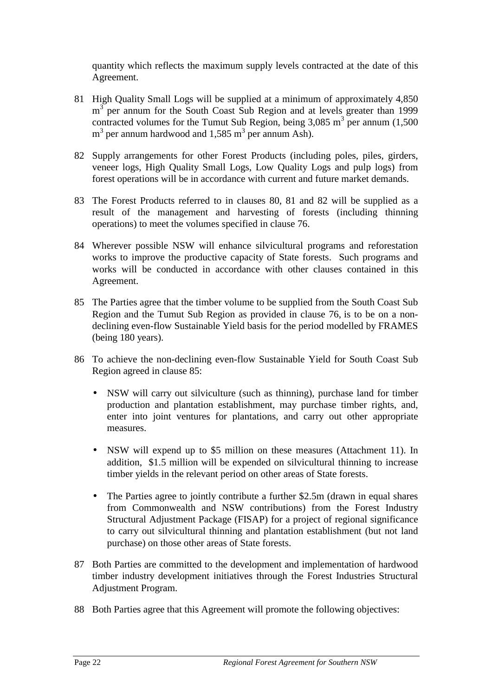<span id="page-23-0"></span>quantity which reflects the maximum supply levels contracted at the date of this Agreement.

- 81 High Quality Small Logs will be supplied at a minimum of approximately 4,850 m<sup>3</sup> per annum for the South Coast Sub Region and at levels greater than 1999 contracted volumes for the Tumut Sub Region, being  $3,085$  m<sup>3</sup> per annum (1,500)  $m<sup>3</sup>$  per annum hardwood and 1,585  $m<sup>3</sup>$  per annum Ash).
- 82 Supply arrangements for other Forest Products (including poles, piles, girders, veneer logs, High Quality Small Logs, Low Quality Logs and pulp logs) from forest operations will be in accordance with current and future market demands.
- 83 The Forest Products referred to in clauses 80, 81 and 82 will be supplied as a result of the management and harvesting of forests (including thinning operations) to meet the volumes specified in clause 76.
- 84 Wherever possible NSW will enhance silvicultural programs and reforestation works to improve the productive capacity of State forests. Such programs and works will be conducted in accordance with other clauses contained in this Agreement.
- 85 The Parties agree that the timber volume to be supplied from the South Coast Sub Region and the Tumut Sub Region as provided in clause 76, is to be on a nondeclining even-flow Sustainable Yield basis for the period modelled by FRAMES (being 180 years).
- 86 To achieve the non-declining even-flow Sustainable Yield for South Coast Sub Region agreed in clause 85:
	- NSW will carry out silviculture (such as thinning), purchase land for timber production and plantation establishment, may purchase timber rights, and, enter into joint ventures for plantations, and carry out other appropriate measures.
	- NSW will expend up to \$5 million on these measures (Attachment 11). In addition, \$1.5 million will be expended on silvicultural thinning to increase timber yields in the relevant period on other areas of State forests.
	- The Parties agree to jointly contribute a further \$2.5m (drawn in equal shares from Commonwealth and NSW contributions) from the Forest Industry Structural Adjustment Package (FISAP) for a project of regional significance to carry out silvicultural thinning and plantation establishment (but not land purchase) on those other areas of State forests.
- 87 Both Parties are committed to the development and implementation of hardwood timber industry development initiatives through the Forest Industries Structural Adjustment Program.
- 88 Both Parties agree that this Agreement will promote the following objectives: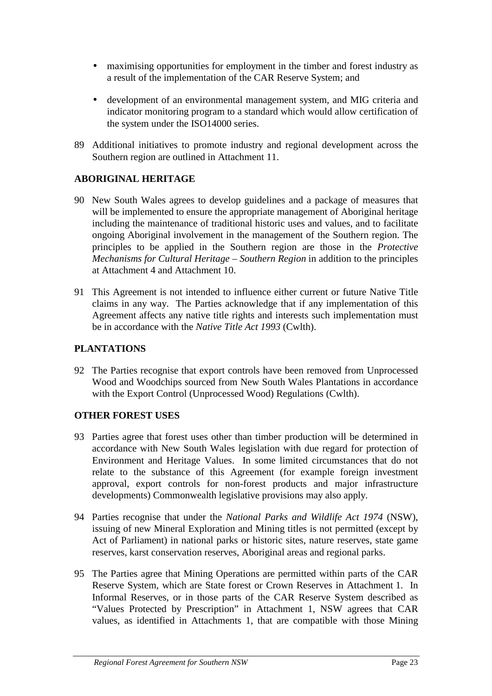- <span id="page-24-0"></span>• maximising opportunities for employment in the timber and forest industry as a result of the implementation of the CAR Reserve System; and
- development of an environmental management system, and MIG criteria and indicator monitoring program to a standard which would allow certification of the system under the ISO14000 series.
- 89 Additional initiatives to promote industry and regional development across the Southern region are outlined in Attachment 11.

## **ABORIGINAL HERITAGE**

- 90 New South Wales agrees to develop guidelines and a package of measures that will be implemented to ensure the appropriate management of Aboriginal heritage including the maintenance of traditional historic uses and values, and to facilitate ongoing Aboriginal involvement in the management of the Southern region. The principles to be applied in the Southern region are those in the *Protective Mechanisms for Cultural Heritage – Southern Region* in addition to the principles at Attachment 4 and Attachment 10.
- 91 This Agreement is not intended to influence either current or future Native Title claims in any way. The Parties acknowledge that if any implementation of this Agreement affects any native title rights and interests such implementation must be in accordance with the *Native Title Act 1993* (Cwlth).

## **PLANTATIONS**

92 The Parties recognise that export controls have been removed from Unprocessed Wood and Woodchips sourced from New South Wales Plantations in accordance with the Export Control (Unprocessed Wood) Regulations (Cwlth).

## **OTHER FOREST USES**

- 93 Parties agree that forest uses other than timber production will be determined in accordance with New South Wales legislation with due regard for protection of Environment and Heritage Values. In some limited circumstances that do not relate to the substance of this Agreement (for example foreign investment approval, export controls for non-forest products and major infrastructure developments) Commonwealth legislative provisions may also apply.
- 94 Parties recognise that under the *National Parks and Wildlife Act 1974* (NSW), issuing of new Mineral Exploration and Mining titles is not permitted (except by Act of Parliament) in national parks or historic sites, nature reserves, state game reserves, karst conservation reserves, Aboriginal areas and regional parks.
- 95 The Parties agree that Mining Operations are permitted within parts of the CAR Reserve System, which are State forest or Crown Reserves in Attachment 1. In Informal Reserves, or in those parts of the CAR Reserve System described as "Values Protected by Prescription" in Attachment 1, NSW agrees that CAR values, as identified in Attachments 1, that are compatible with those Mining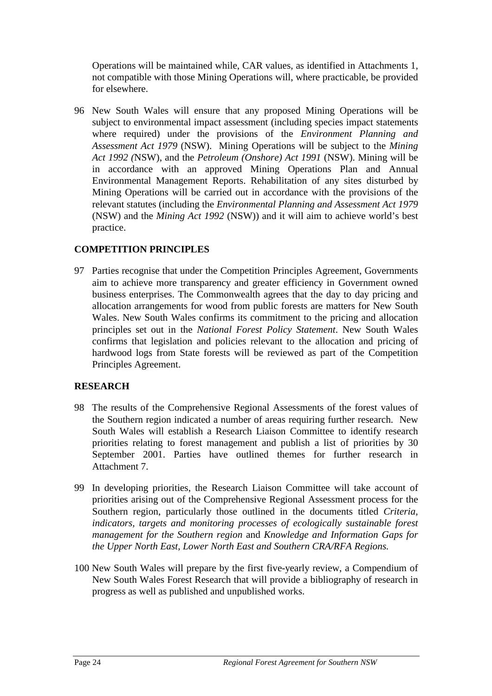<span id="page-25-0"></span>Operations will be maintained while, CAR values, as identified in Attachments 1, not compatible with those Mining Operations will, where practicable, be provided for elsewhere.

96 New South Wales will ensure that any proposed Mining Operations will be subject to environmental impact assessment (including species impact statements where required) under the provisions of the *Environment Planning and Assessment Act 1979* (NSW). Mining Operations will be subject to the *Mining Act 1992 (*NSW), and the *Petroleum (Onshore) Act 1991* (NSW). Mining will be in accordance with an approved Mining Operations Plan and Annual Environmental Management Reports. Rehabilitation of any sites disturbed by Mining Operations will be carried out in accordance with the provisions of the relevant statutes (including the *Environmental Planning and Assessment Act 1979* (NSW) and the *Mining Act 1992* (NSW)) and it will aim to achieve world's best practice.

## **COMPETITION PRINCIPLES**

97 Parties recognise that under the Competition Principles Agreement, Governments aim to achieve more transparency and greater efficiency in Government owned business enterprises. The Commonwealth agrees that the day to day pricing and allocation arrangements for wood from public forests are matters for New South Wales. New South Wales confirms its commitment to the pricing and allocation principles set out in the *National Forest Policy Statement*. New South Wales confirms that legislation and policies relevant to the allocation and pricing of hardwood logs from State forests will be reviewed as part of the Competition Principles Agreement.

## **RESEARCH**

- 98 The results of the Comprehensive Regional Assessments of the forest values of the Southern region indicated a number of areas requiring further research. New South Wales will establish a Research Liaison Committee to identify research priorities relating to forest management and publish a list of priorities by 30 September 2001. Parties have outlined themes for further research in Attachment 7.
- 99 In developing priorities, the Research Liaison Committee will take account of priorities arising out of the Comprehensive Regional Assessment process for the Southern region, particularly those outlined in the documents titled *Criteria, indicators, targets and monitoring processes of ecologically sustainable forest management for the Southern region* and *Knowledge and Information Gaps for the Upper North East, Lower North East and Southern CRA/RFA Regions.*
- 100 New South Wales will prepare by the first five-yearly review, a Compendium of New South Wales Forest Research that will provide a bibliography of research in progress as well as published and unpublished works.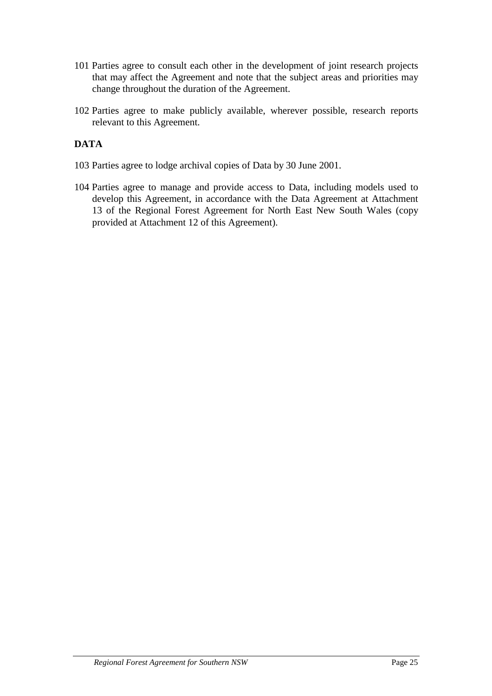- 101 Parties agree to consult each other in the development of joint research projects that may affect the Agreement and note that the subject areas and priorities may change throughout the duration of the Agreement.
- 102 Parties agree to make publicly available, wherever possible, research reports relevant to this Agreement.

## **DATA**

- 103 Parties agree to lodge archival copies of Data by 30 June 2001.
- 104 Parties agree to manage and provide access to Data, including models used to develop this Agreement, in accordance with the Data Agreement at Attachment 13 of the Regional Forest Agreement for North East New South Wales (copy provided at Attachment 12 of this Agreement).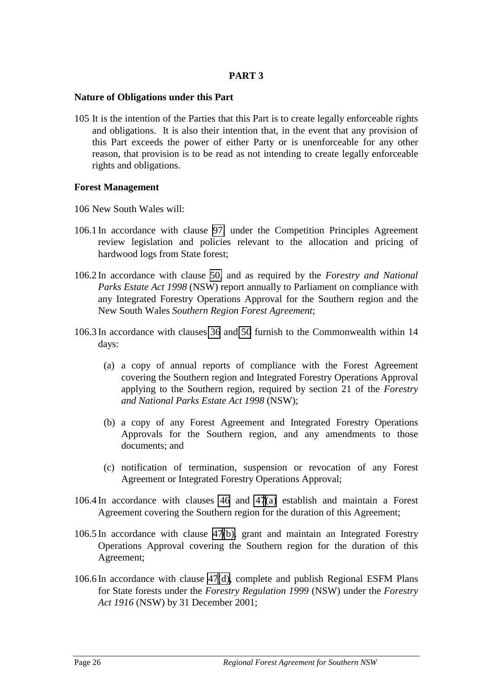## **PART 3**

#### **Nature of Obligations under this Part**

105 It is the intention of the Parties that this Part is to create legally enforceable rights and obligations. It is also their intention that, in the event that any provision of this Part exceeds the power of either Party or is unenforceable for any other reason, that provision is to be read as not intending to create legally enforceable rights and obligations.

### **Forest Management**

- 106 New South Wales will:
- 106.1 In accordance with clause [97,](#page-25-0) under the Competition Principles Agreement review legislation and policies relevant to the allocation and pricing of hardwood logs from State forest;
- 106.2 In accordance with clause [50,](#page-18-0) and as required by the *Forestry and National Parks Estate Act 1998* (NSW) report annually to Parliament on compliance with any Integrated Forestry Operations Approval for the Southern region and the New South Wales *Southern Region Forest Agreement*;
- 106.3 In accordance with clauses [36](#page-15-0) and [50](#page-18-0) furnish to the Commonwealth within 14 days:
	- (a) a copy of annual reports of compliance with the Forest Agreement covering the Southern region and Integrated Forestry Operations Approval applying to the Southern region, required by section 21 of the *Forestry and National Parks Estate Act 1998* (NSW);
	- (b) a copy of any Forest Agreement and Integrated Forestry Operations Approvals for the Southern region, and any amendments to those documents; and
	- (c) notification of termination, suspension or revocation of any Forest Agreement or Integrated Forestry Operations Approval;
- 106.4 In accordance with clauses [46](#page-16-0) and [47\(a\)](#page-17-0) establish and maintain a Forest Agreement covering the Southern region for the duration of this Agreement;
- 106.5 In accordance with clause [47\(b\),](#page-17-0) grant and maintain an Integrated Forestry Operations Approval covering the Southern region for the duration of this Agreement;
- 106.6 In accordance with clause [47\(d\),](#page-17-0) complete and publish Regional ESFM Plans for State forests under the *Forestry Regulation 1999* (NSW) under the *Forestry Act 1916* (NSW) by 31 December 2001;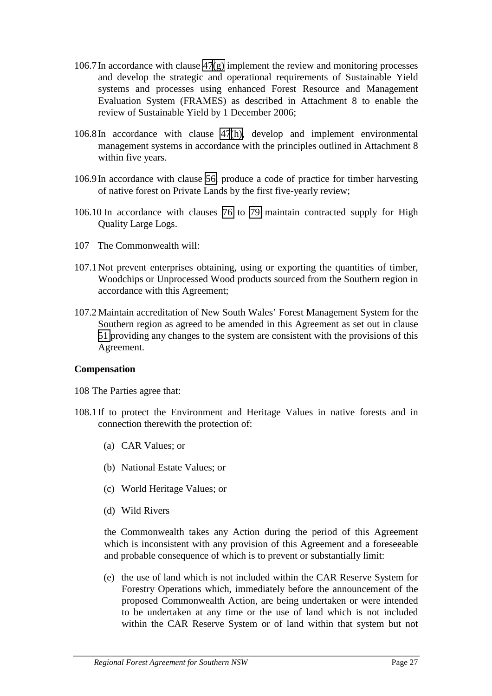- <span id="page-28-0"></span>106.7In accordance with clause [47\(g\)](#page-17-0) implement the review and monitoring processes and develop the strategic and operational requirements of Sustainable Yield systems and processes using enhanced Forest Resource and Management Evaluation System (FRAMES) as described in Attachment 8 to enable the review of Sustainable Yield by 1 December 2006;
- 106.8In accordance with clause [47\(h\),](#page-17-0) develop and implement environmental management systems in accordance with the principles outlined in Attachment 8 within five years.
- 106.9In accordance with clause [56,](#page-19-0) produce a code of practice for timber harvesting of native forest on Private Lands by the first five-yearly review;
- 106.10 In accordance with clauses [76](#page-22-0) to [79](#page-22-0) maintain contracted supply for High Quality Large Logs.
- 107 The Commonwealth will:
- 107.1 Not prevent enterprises obtaining, using or exporting the quantities of timber, Woodchips or Unprocessed Wood products sourced from the Southern region in accordance with this Agreement;
- 107.2 Maintain accreditation of New South Wales' Forest Management System for the Southern region as agreed to be amended in this Agreement as set out in clause [51](#page-18-0) providing any changes to the system are consistent with the provisions of this Agreement.

#### **Compensation**

- 108 The Parties agree that:
- 108.1If to protect the Environment and Heritage Values in native forests and in connection therewith the protection of:
	- (a) CAR Values; or
	- (b) National Estate Values; or
	- (c) World Heritage Values; or
	- (d) Wild Rivers

the Commonwealth takes any Action during the period of this Agreement which is inconsistent with any provision of this Agreement and a foreseeable and probable consequence of which is to prevent or substantially limit:

(e) the use of land which is not included within the CAR Reserve System for Forestry Operations which, immediately before the announcement of the proposed Commonwealth Action, are being undertaken or were intended to be undertaken at any time or the use of land which is not included within the CAR Reserve System or of land within that system but not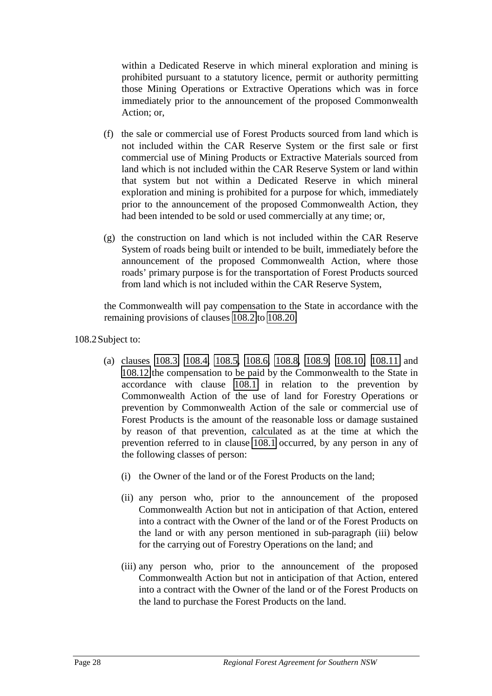<span id="page-29-0"></span>within a Dedicated Reserve in which mineral exploration and mining is prohibited pursuant to a statutory licence, permit or authority permitting those Mining Operations or Extractive Operations which was in force immediately prior to the announcement of the proposed Commonwealth Action; or,

- (f) the sale or commercial use of Forest Products sourced from land which is not included within the CAR Reserve System or the first sale or first commercial use of Mining Products or Extractive Materials sourced from land which is not included within the CAR Reserve System or land within that system but not within a Dedicated Reserve in which mineral exploration and mining is prohibited for a purpose for which, immediately prior to the announcement of the proposed Commonwealth Action, they had been intended to be sold or used commercially at any time; or,
- (g) the construction on land which is not included within the CAR Reserve System of roads being built or intended to be built, immediately before the announcement of the proposed Commonwealth Action, where those roads' primary purpose is for the transportation of Forest Products sourced from land which is not included within the CAR Reserve System,

the Commonwealth will pay compensation to the State in accordance with the remaining provisions of clauses 108.2 to [108.20.](#page-34-0)

108.2Subject to:

- (a) clauses [108.3,](#page-30-0) [108.4,](#page-30-0) [108.5,](#page-30-0) [108.6,](#page-30-0) [108.8,](#page-31-0) [108.9,](#page-31-0) [108.10,](#page-31-0) [108.11](#page-31-0) and [108.12](#page-31-0) the compensation to be paid by the Commonwealth to the State in accordance with clause [108.1](#page-28-0) in relation to the prevention by Commonwealth Action of the use of land for Forestry Operations or prevention by Commonwealth Action of the sale or commercial use of Forest Products is the amount of the reasonable loss or damage sustained by reason of that prevention, calculated as at the time at which the prevention referred to in clause [108.1](#page-28-0) occurred, by any person in any of the following classes of person:
	- (i) the Owner of the land or of the Forest Products on the land;
	- (ii) any person who, prior to the announcement of the proposed Commonwealth Action but not in anticipation of that Action, entered into a contract with the Owner of the land or of the Forest Products on the land or with any person mentioned in sub-paragraph (iii) below for the carrying out of Forestry Operations on the land; and
	- (iii) any person who, prior to the announcement of the proposed Commonwealth Action but not in anticipation of that Action, entered into a contract with the Owner of the land or of the Forest Products on the land to purchase the Forest Products on the land.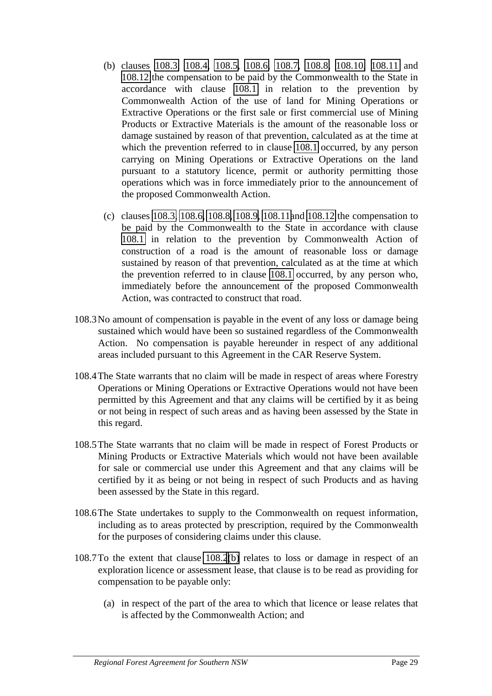- <span id="page-30-0"></span>(b) clauses 108.3, 108.4, 108.5, 108.6, 108.7, [108.8,](#page-31-0) [108.10,](#page-31-0) [108.11](#page-31-0) and [108.12](#page-31-0) the compensation to be paid by the Commonwealth to the State in accordance with clause [108.1](#page-28-0) in relation to the prevention by Commonwealth Action of the use of land for Mining Operations or Extractive Operations or the first sale or first commercial use of Mining Products or Extractive Materials is the amount of the reasonable loss or damage sustained by reason of that prevention, calculated as at the time at which the prevention referred to in clause [108.1](#page-28-0) occurred, by any person carrying on Mining Operations or Extractive Operations on the land pursuant to a statutory licence, permit or authority permitting those operations which was in force immediately prior to the announcement of the proposed Commonwealth Action.
- (c) clauses 108.3, 108.6, [108.8, 108.9, 108.11a](#page-31-0)nd [108.12](#page-31-0) the compensation to be paid by the Commonwealth to the State in accordance with clause [108.1](#page-28-0) in relation to the prevention by Commonwealth Action of construction of a road is the amount of reasonable loss or damage sustained by reason of that prevention, calculated as at the time at which the prevention referred to in clause [108.1](#page-28-0) occurred, by any person who, immediately before the announcement of the proposed Commonwealth Action, was contracted to construct that road.
- 108.3No amount of compensation is payable in the event of any loss or damage being sustained which would have been so sustained regardless of the Commonwealth Action. No compensation is payable hereunder in respect of any additional areas included pursuant to this Agreement in the CAR Reserve System.
- 108.4The State warrants that no claim will be made in respect of areas where Forestry Operations or Mining Operations or Extractive Operations would not have been permitted by this Agreement and that any claims will be certified by it as being or not being in respect of such areas and as having been assessed by the State in this regard.
- 108.5The State warrants that no claim will be made in respect of Forest Products or Mining Products or Extractive Materials which would not have been available for sale or commercial use under this Agreement and that any claims will be certified by it as being or not being in respect of such Products and as having been assessed by the State in this regard.
- 108.6The State undertakes to supply to the Commonwealth on request information, including as to areas protected by prescription, required by the Commonwealth for the purposes of considering claims under this clause.
- 108.7To the extent that clause [108.2\(](#page-29-0)b) relates to loss or damage in respect of an exploration licence or assessment lease, that clause is to be read as providing for compensation to be payable only:
	- (a) in respect of the part of the area to which that licence or lease relates that is affected by the Commonwealth Action; and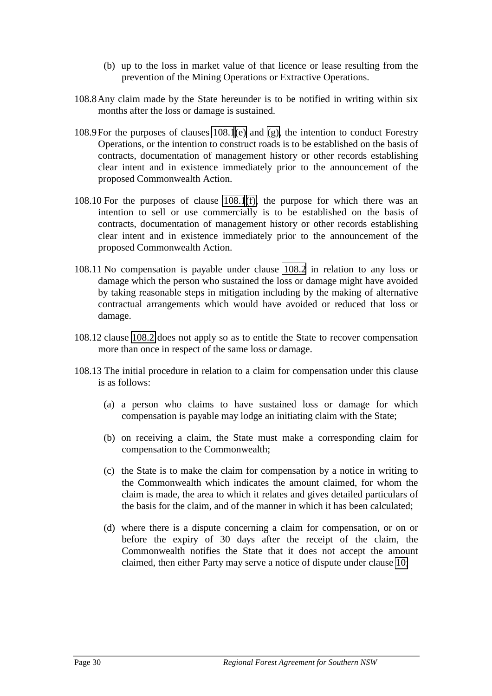- (b) up to the loss in market value of that licence or lease resulting from the prevention of the Mining Operations or Extractive Operations.
- <span id="page-31-0"></span>108.8Any claim made by the State hereunder is to be notified in writing within six months after the loss or damage is sustained.
- 108.9For the purposes of clauses [108.1](#page-28-0)[\(e\)](#page-29-0) and [\(g\),](#page-29-0) the intention to conduct Forestry Operations, or the intention to construct roads is to be established on the basis of contracts, documentation of management history or other records establishing clear intent and in existence immediately prior to the announcement of the proposed Commonwealth Action.
- 108.10 For the purposes of clause [108.1](#page-28-0)[\(f\),](#page-29-0) the purpose for which there was an intention to sell or use commercially is to be established on the basis of contracts, documentation of management history or other records establishing clear intent and in existence immediately prior to the announcement of the proposed Commonwealth Action.
- 108.11 No compensation is payable under clause [108.2](#page-29-0) in relation to any loss or damage which the person who sustained the loss or damage might have avoided by taking reasonable steps in mitigation including by the making of alternative contractual arrangements which would have avoided or reduced that loss or damage.
- 108.12 clause [108.2](#page-29-0) does not apply so as to entitle the State to recover compensation more than once in respect of the same loss or damage.
- 108.13 The initial procedure in relation to a claim for compensation under this clause is as follows:
	- (a) a person who claims to have sustained loss or damage for which compensation is payable may lodge an initiating claim with the State;
	- (b) on receiving a claim, the State must make a corresponding claim for compensation to the Commonwealth;
	- (c) the State is to make the claim for compensation by a notice in writing to the Commonwealth which indicates the amount claimed, for whom the claim is made, the area to which it relates and gives detailed particulars of the basis for the claim, and of the manner in which it has been calculated;
	- (d) where there is a dispute concerning a claim for compensation, or on or before the expiry of 30 days after the receipt of the claim, the Commonwealth notifies the State that it does not accept the amount claimed, then either Party may serve a notice of dispute under clause [10;](#page-12-0)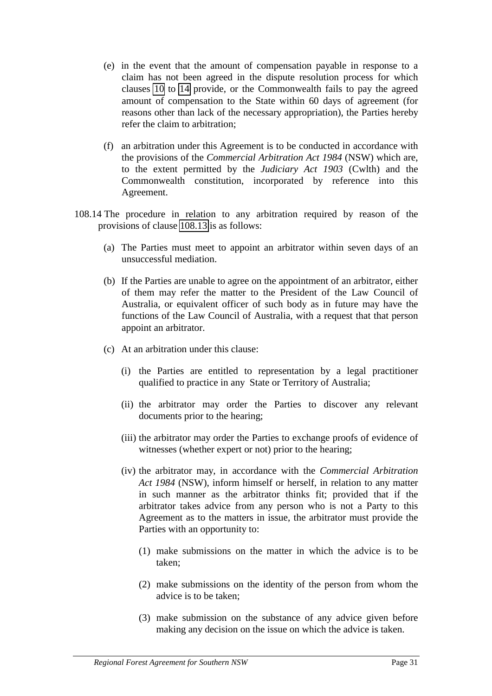- <span id="page-32-0"></span>(e) in the event that the amount of compensation payable in response to a claim has not been agreed in the dispute resolution process for which clauses [10](#page-12-0) to [14](#page-12-0) provide, or the Commonwealth fails to pay the agreed amount of compensation to the State within 60 days of agreement (for reasons other than lack of the necessary appropriation), the Parties hereby refer the claim to arbitration;
- (f) an arbitration under this Agreement is to be conducted in accordance with the provisions of the *Commercial Arbitration Act 1984* (NSW) which are, to the extent permitted by the *Judiciary Act 1903* (Cwlth) and the Commonwealth constitution, incorporated by reference into this Agreement.
- 108.14 The procedure in relation to any arbitration required by reason of the provisions of clause [108.13](#page-31-0) is as follows:
	- (a) The Parties must meet to appoint an arbitrator within seven days of an unsuccessful mediation.
	- (b) If the Parties are unable to agree on the appointment of an arbitrator, either of them may refer the matter to the President of the Law Council of Australia, or equivalent officer of such body as in future may have the functions of the Law Council of Australia, with a request that that person appoint an arbitrator.
	- (c) At an arbitration under this clause:
		- (i) the Parties are entitled to representation by a legal practitioner qualified to practice in any State or Territory of Australia;
		- (ii) the arbitrator may order the Parties to discover any relevant documents prior to the hearing;
		- (iii) the arbitrator may order the Parties to exchange proofs of evidence of witnesses (whether expert or not) prior to the hearing;
		- (iv) the arbitrator may, in accordance with the *Commercial Arbitration Act 1984* (NSW), inform himself or herself, in relation to any matter in such manner as the arbitrator thinks fit; provided that if the arbitrator takes advice from any person who is not a Party to this Agreement as to the matters in issue, the arbitrator must provide the Parties with an opportunity to:
			- (1) make submissions on the matter in which the advice is to be taken;
			- (2) make submissions on the identity of the person from whom the advice is to be taken;
			- (3) make submission on the substance of any advice given before making any decision on the issue on which the advice is taken.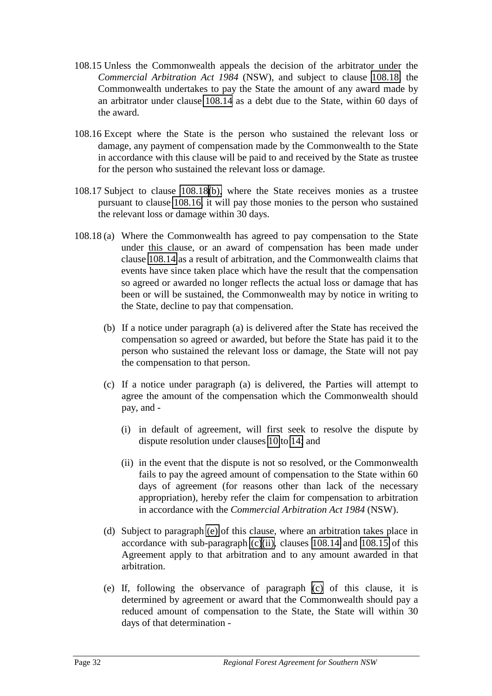- <span id="page-33-0"></span>108.15 Unless the Commonwealth appeals the decision of the arbitrator under the *Commercial Arbitration Act 1984* (NSW), and subject to clause 108.18, the Commonwealth undertakes to pay the State the amount of any award made by an arbitrator under clause [108.14](#page-32-0) as a debt due to the State, within 60 days of the award.
- 108.16 Except where the State is the person who sustained the relevant loss or damage, any payment of compensation made by the Commonwealth to the State in accordance with this clause will be paid to and received by the State as trustee for the person who sustained the relevant loss or damage.
- 108.17 Subject to clause 108.18(b), where the State receives monies as a trustee pursuant to clause 108.16, it will pay those monies to the person who sustained the relevant loss or damage within 30 days.
- 108.18 (a) Where the Commonwealth has agreed to pay compensation to the State under this clause, or an award of compensation has been made under clause [108.14](#page-32-0) as a result of arbitration, and the Commonwealth claims that events have since taken place which have the result that the compensation so agreed or awarded no longer reflects the actual loss or damage that has been or will be sustained, the Commonwealth may by notice in writing to the State, decline to pay that compensation.
	- (b) If a notice under paragraph (a) is delivered after the State has received the compensation so agreed or awarded, but before the State has paid it to the person who sustained the relevant loss or damage, the State will not pay the compensation to that person.
	- (c) If a notice under paragraph (a) is delivered, the Parties will attempt to agree the amount of the compensation which the Commonwealth should pay, and -
		- (i) in default of agreement, will first seek to resolve the dispute by dispute resolution under clauses [10](#page-12-0) to [14;](#page-12-0) and
		- (ii) in the event that the dispute is not so resolved, or the Commonwealth fails to pay the agreed amount of compensation to the State within 60 days of agreement (for reasons other than lack of the necessary appropriation), hereby refer the claim for compensation to arbitration in accordance with the *Commercial Arbitration Act 1984* (NSW).
	- (d) Subject to paragraph (e) of this clause, where an arbitration takes place in accordance with sub-paragraph  $(c)(ii)$ , clauses [108.14](#page-32-0) and 108.15 of this Agreement apply to that arbitration and to any amount awarded in that arbitration.
	- (e) If, following the observance of paragraph (c) of this clause, it is determined by agreement or award that the Commonwealth should pay a reduced amount of compensation to the State, the State will within 30 days of that determination -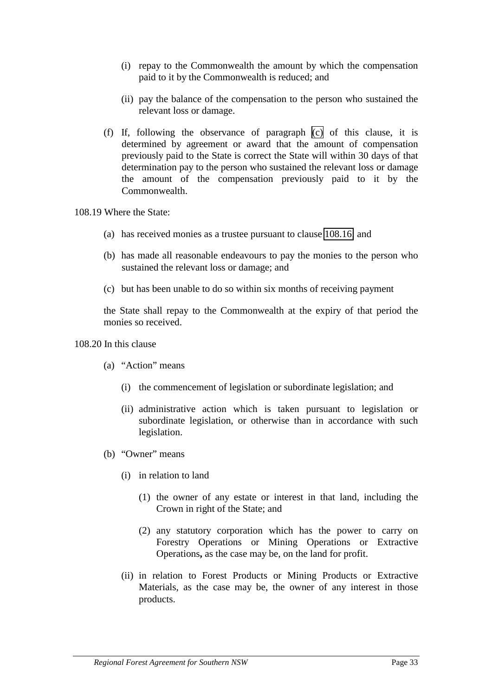- <span id="page-34-0"></span>(i) repay to the Commonwealth the amount by which the compensation paid to it by the Commonwealth is reduced; and
- (ii) pay the balance of the compensation to the person who sustained the relevant loss or damage.
- (f) If, following the observance of paragraph [\(c\)](#page-33-0) of this clause, it is determined by agreement or award that the amount of compensation previously paid to the State is correct the State will within 30 days of that determination pay to the person who sustained the relevant loss or damage the amount of the compensation previously paid to it by the Commonwealth.

108.19 Where the State:

- (a) has received monies as a trustee pursuant to clause [108.16;](#page-33-0) and
- (b) has made all reasonable endeavours to pay the monies to the person who sustained the relevant loss or damage; and
- (c) but has been unable to do so within six months of receiving payment

the State shall repay to the Commonwealth at the expiry of that period the monies so received.

#### 108.20 In this clause

- (a) "Action" means
	- (i) the commencement of legislation or subordinate legislation; and
	- (ii) administrative action which is taken pursuant to legislation or subordinate legislation, or otherwise than in accordance with such legislation.
- (b) "Owner" means
	- (i) in relation to land
		- (1) the owner of any estate or interest in that land, including the Crown in right of the State; and
		- (2) any statutory corporation which has the power to carry on Forestry Operations or Mining Operations or Extractive Operations**,** as the case may be, on the land for profit.
	- (ii) in relation to Forest Products or Mining Products or Extractive Materials, as the case may be, the owner of any interest in those products.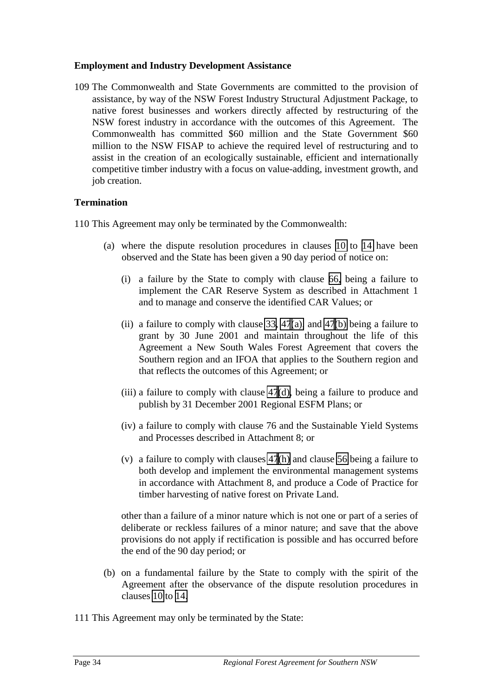### <span id="page-35-0"></span>**Employment and Industry Development Assistance**

109 The Commonwealth and State Governments are committed to the provision of assistance, by way of the NSW Forest Industry Structural Adjustment Package, to native forest businesses and workers directly affected by restructuring of the NSW forest industry in accordance with the outcomes of this Agreement. The Commonwealth has committed \$60 million and the State Government \$60 million to the NSW FISAP to achieve the required level of restructuring and to assist in the creation of an ecologically sustainable, efficient and internationally competitive timber industry with a focus on value-adding, investment growth, and job creation.

## **Termination**

110 This Agreement may only be terminated by the Commonwealth:

- (a) where the dispute resolution procedures in clauses [10](#page-12-0) to [14](#page-12-0) have been observed and the State has been given a 90 day period of notice on:
	- (i) a failure by the State to comply with clause [66,](#page-20-0) being a failure to implement the CAR Reserve System as described in Attachment 1 and to manage and conserve the identified CAR Values; or
	- (ii) a failure to comply with clause [33,](#page-15-0)  $47(a)$ , and  $47(b)$  being a failure to grant by 30 June 2001 and maintain throughout the life of this Agreement a New South Wales Forest Agreement that covers the Southern region and an IFOA that applies to the Southern region and that reflects the outcomes of this Agreement; or
	- (iii) a failure to comply with clause [47\(d\),](#page-17-0) being a failure to produce and publish by 31 December 2001 Regional ESFM Plans; or
	- (iv) a failure to comply with clause 76 and the Sustainable Yield Systems and Processes described in Attachment 8; or
	- (v) a failure to comply with clauses [47\(h\)](#page-17-0) and clause [56](#page-19-0) being a failure to both develop and implement the environmental management systems in accordance with Attachment 8, and produce a Code of Practice for timber harvesting of native forest on Private Land.

other than a failure of a minor nature which is not one or part of a series of deliberate or reckless failures of a minor nature; and save that the above provisions do not apply if rectification is possible and has occurred before the end of the 90 day period; or

- (b) on a fundamental failure by the State to comply with the spirit of the Agreement after the observance of the dispute resolution procedures in clauses [10](#page-12-0) to [14.](#page-12-0)
- 111 This Agreement may only be terminated by the State: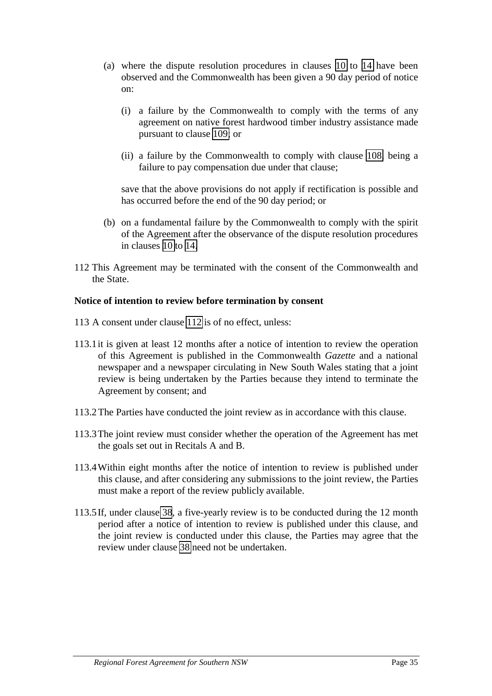- (a) where the dispute resolution procedures in clauses [10](#page-12-0) to [14](#page-12-0) have been observed and the Commonwealth has been given a 90 day period of notice on:
	- (i) a failure by the Commonwealth to comply with the terms of any agreement on native forest hardwood timber industry assistance made pursuant to clause [109;](#page-35-0) or
	- (ii) a failure by the Commonwealth to comply with clause [108,](#page-28-0) being a failure to pay compensation due under that clause;

save that the above provisions do not apply if rectification is possible and has occurred before the end of the 90 day period; or

- (b) on a fundamental failure by the Commonwealth to comply with the spirit of the Agreement after the observance of the dispute resolution procedures in clauses [10](#page-12-0) to [14.](#page-12-0)
- 112 This Agreement may be terminated with the consent of the Commonwealth and the State.

#### **Notice of intention to review before termination by consent**

- 113 A consent under clause 112 is of no effect, unless:
- 113.1it is given at least 12 months after a notice of intention to review the operation of this Agreement is published in the Commonwealth *Gazette* and a national newspaper and a newspaper circulating in New South Wales stating that a joint review is being undertaken by the Parties because they intend to terminate the Agreement by consent; and
- 113.2The Parties have conducted the joint review as in accordance with this clause.
- 113.3The joint review must consider whether the operation of the Agreement has met the goals set out in Recitals A and B.
- 113.4Within eight months after the notice of intention to review is published under this clause, and after considering any submissions to the joint review, the Parties must make a report of the review publicly available.
- 113.5If, under clause [38](#page-15-0), a five-yearly review is to be conducted during the 12 month period after a notice of intention to review is published under this clause, and the joint review is conducted under this clause, the Parties may agree that the review under clause [38](#page-15-0) need not be undertaken.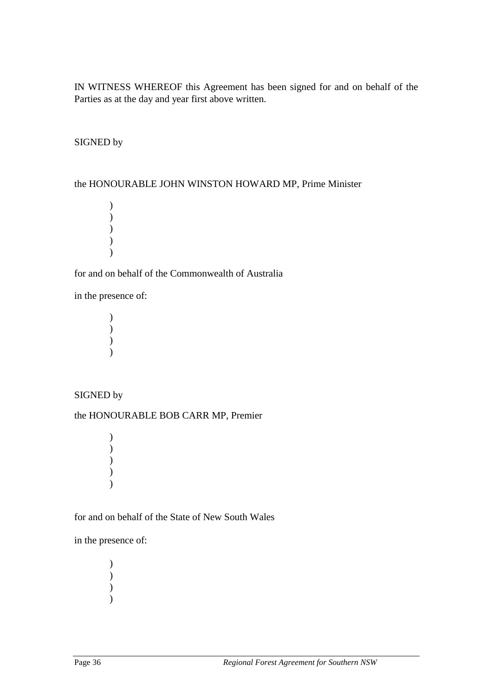IN WITNESS WHEREOF this Agreement has been signed for and on behalf of the Parties as at the day and year first above written.

# SIGNED by

#### the HONOURABLE JOHN WINSTON HOWARD MP, Prime Minister

) ) ) )  $\lambda$ 

# for and on behalf of the Commonwealth of Australia

in the presence of:

) )  $\sum$  $\overline{\phantom{a}}$ 

#### SIGNED by

#### the HONOURABLE BOB CARR MP, Premier

) ) ) ) )

#### for and on behalf of the State of New South Wales

in the presence of:

) ) )  $\lambda$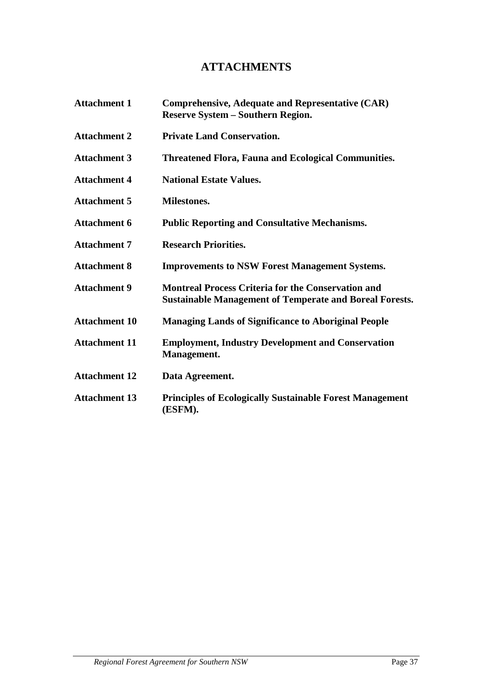# **ATTACHMENTS**

| <b>Attachment 1</b>  | <b>Comprehensive, Adequate and Representative (CAR)</b><br><b>Reserve System – Southern Region.</b>                         |
|----------------------|-----------------------------------------------------------------------------------------------------------------------------|
| <b>Attachment 2</b>  | <b>Private Land Conservation.</b>                                                                                           |
| <b>Attachment 3</b>  | <b>Threatened Flora, Fauna and Ecological Communities.</b>                                                                  |
| <b>Attachment 4</b>  | <b>National Estate Values.</b>                                                                                              |
| <b>Attachment 5</b>  | <b>Milestones.</b>                                                                                                          |
| <b>Attachment 6</b>  | <b>Public Reporting and Consultative Mechanisms.</b>                                                                        |
| <b>Attachment 7</b>  | <b>Research Priorities.</b>                                                                                                 |
| <b>Attachment 8</b>  | <b>Improvements to NSW Forest Management Systems.</b>                                                                       |
| <b>Attachment 9</b>  | <b>Montreal Process Criteria for the Conservation and</b><br><b>Sustainable Management of Temperate and Boreal Forests.</b> |
| <b>Attachment 10</b> | <b>Managing Lands of Significance to Aboriginal People</b>                                                                  |
| <b>Attachment 11</b> | <b>Employment, Industry Development and Conservation</b><br>Management.                                                     |
| <b>Attachment 12</b> | Data Agreement.                                                                                                             |
| <b>Attachment 13</b> | <b>Principles of Ecologically Sustainable Forest Management</b><br>(ESFM).                                                  |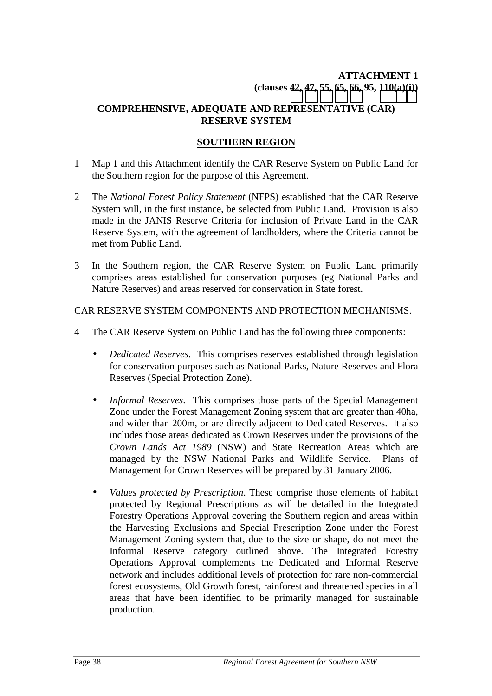# **ATTACHMENT 1 (clauses [42,](#page-16-0) [47,](#page-17-0) [55,](#page-19-0) [65, 66,](#page-20-0) 95, [110\(a\)\(i\)\)](#page-35-0)**

### **COMPREHENSIVE, ADEQUATE AND REPRESENTATIVE (CAR) RESERVE SYSTEM**

### **SOUTHERN REGION**

- 1 Map 1 and this Attachment identify the CAR Reserve System on Public Land for the Southern region for the purpose of this Agreement.
- 2 The *National Forest Policy Statement* (NFPS) established that the CAR Reserve System will, in the first instance, be selected from Public Land. Provision is also made in the JANIS Reserve Criteria for inclusion of Private Land in the CAR Reserve System, with the agreement of landholders, where the Criteria cannot be met from Public Land.
- 3 In the Southern region, the CAR Reserve System on Public Land primarily comprises areas established for conservation purposes (eg National Parks and Nature Reserves) and areas reserved for conservation in State forest.

#### CAR RESERVE SYSTEM COMPONENTS AND PROTECTION MECHANISMS.

- 4 The CAR Reserve System on Public Land has the following three components:
	- *Dedicated Reserves*. This comprises reserves established through legislation for conservation purposes such as National Parks, Nature Reserves and Flora Reserves (Special Protection Zone).
	- *Informal Reserves*. This comprises those parts of the Special Management Zone under the Forest Management Zoning system that are greater than 40ha, and wider than 200m, or are directly adjacent to Dedicated Reserves. It also includes those areas dedicated as Crown Reserves under the provisions of the *Crown Lands Act 1989* (NSW) and State Recreation Areas which are managed by the NSW National Parks and Wildlife Service. Plans of Management for Crown Reserves will be prepared by 31 January 2006.
	- *Values protected by Prescription*. These comprise those elements of habitat protected by Regional Prescriptions as will be detailed in the Integrated Forestry Operations Approval covering the Southern region and areas within the Harvesting Exclusions and Special Prescription Zone under the Forest Management Zoning system that, due to the size or shape, do not meet the Informal Reserve category outlined above. The Integrated Forestry Operations Approval complements the Dedicated and Informal Reserve network and includes additional levels of protection for rare non-commercial forest ecosystems, Old Growth forest, rainforest and threatened species in all areas that have been identified to be primarily managed for sustainable production.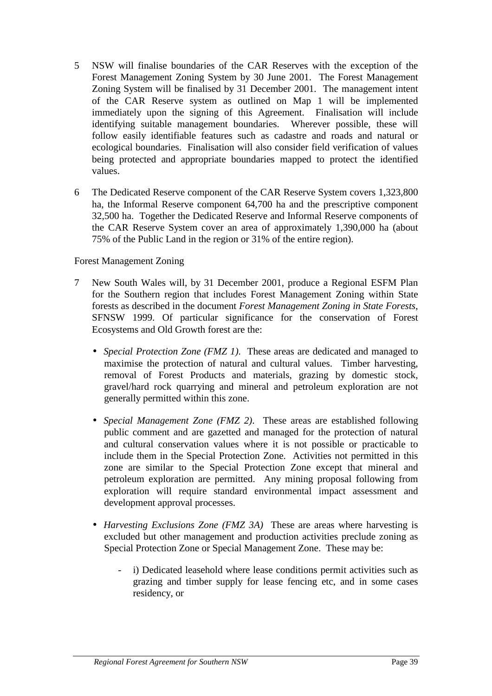- 5 NSW will finalise boundaries of the CAR Reserves with the exception of the Forest Management Zoning System by 30 June 2001. The Forest Management Zoning System will be finalised by 31 December 2001. The management intent of the CAR Reserve system as outlined on Map 1 will be implemented immediately upon the signing of this Agreement. Finalisation will include identifying suitable management boundaries. Wherever possible, these will follow easily identifiable features such as cadastre and roads and natural or ecological boundaries. Finalisation will also consider field verification of values being protected and appropriate boundaries mapped to protect the identified values.
- 6 The Dedicated Reserve component of the CAR Reserve System covers 1,323,800 ha, the Informal Reserve component 64,700 ha and the prescriptive component 32,500 ha. Together the Dedicated Reserve and Informal Reserve components of the CAR Reserve System cover an area of approximately 1,390,000 ha (about 75% of the Public Land in the region or 31% of the entire region).

Forest Management Zoning

- 7 New South Wales will, by 31 December 2001, produce a Regional ESFM Plan for the Southern region that includes Forest Management Zoning within State forests as described in the document *Forest Management Zoning in State Forests*, SFNSW 1999. Of particular significance for the conservation of Forest Ecosystems and Old Growth forest are the:
	- *Special Protection Zone (FMZ 1)*. These areas are dedicated and managed to maximise the protection of natural and cultural values. Timber harvesting, removal of Forest Products and materials, grazing by domestic stock, gravel/hard rock quarrying and mineral and petroleum exploration are not generally permitted within this zone.
	- *Special Management Zone (FMZ 2)*. These areas are established following public comment and are gazetted and managed for the protection of natural and cultural conservation values where it is not possible or practicable to include them in the Special Protection Zone. Activities not permitted in this zone are similar to the Special Protection Zone except that mineral and petroleum exploration are permitted. Any mining proposal following from exploration will require standard environmental impact assessment and development approval processes.
	- *Harvesting Exclusions Zone (FMZ 3A)* These are areas where harvesting is excluded but other management and production activities preclude zoning as Special Protection Zone or Special Management Zone. These may be:
		- i) Dedicated leasehold where lease conditions permit activities such as grazing and timber supply for lease fencing etc, and in some cases residency, or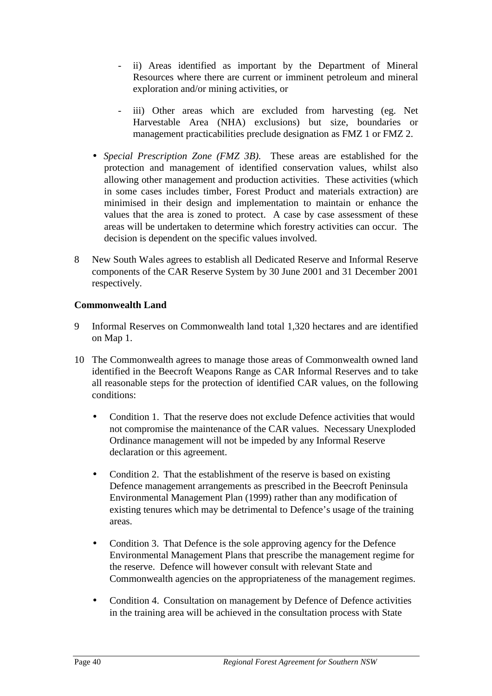- ii) Areas identified as important by the Department of Mineral Resources where there are current or imminent petroleum and mineral exploration and/or mining activities, or
- iii) Other areas which are excluded from harvesting (eg. Net Harvestable Area (NHA) exclusions) but size, boundaries or management practicabilities preclude designation as FMZ 1 or FMZ 2.
- *Special Prescription Zone (FMZ 3B)*. These areas are established for the protection and management of identified conservation values, whilst also allowing other management and production activities. These activities (which in some cases includes timber, Forest Product and materials extraction) are minimised in their design and implementation to maintain or enhance the values that the area is zoned to protect. A case by case assessment of these areas will be undertaken to determine which forestry activities can occur. The decision is dependent on the specific values involved.
- 8 New South Wales agrees to establish all Dedicated Reserve and Informal Reserve components of the CAR Reserve System by 30 June 2001 and 31 December 2001 respectively.

# **Commonwealth Land**

- 9 Informal Reserves on Commonwealth land total 1,320 hectares and are identified on Map 1.
- 10 The Commonwealth agrees to manage those areas of Commonwealth owned land identified in the Beecroft Weapons Range as CAR Informal Reserves and to take all reasonable steps for the protection of identified CAR values, on the following conditions:
	- Condition 1. That the reserve does not exclude Defence activities that would not compromise the maintenance of the CAR values. Necessary Unexploded Ordinance management will not be impeded by any Informal Reserve declaration or this agreement.
	- Condition 2. That the establishment of the reserve is based on existing Defence management arrangements as prescribed in the Beecroft Peninsula Environmental Management Plan (1999) rather than any modification of existing tenures which may be detrimental to Defence's usage of the training areas.
	- Condition 3. That Defence is the sole approving agency for the Defence Environmental Management Plans that prescribe the management regime for the reserve. Defence will however consult with relevant State and Commonwealth agencies on the appropriateness of the management regimes.
	- Condition 4. Consultation on management by Defence of Defence activities in the training area will be achieved in the consultation process with State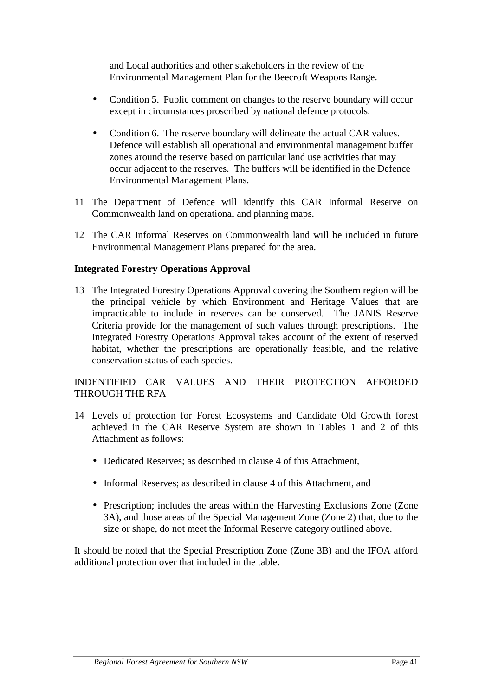and Local authorities and other stakeholders in the review of the Environmental Management Plan for the Beecroft Weapons Range.

- Condition 5. Public comment on changes to the reserve boundary will occur except in circumstances proscribed by national defence protocols.
- Condition 6. The reserve boundary will delineate the actual CAR values. Defence will establish all operational and environmental management buffer zones around the reserve based on particular land use activities that may occur adjacent to the reserves. The buffers will be identified in the Defence Environmental Management Plans.
- 11 The Department of Defence will identify this CAR Informal Reserve on Commonwealth land on operational and planning maps.
- 12 The CAR Informal Reserves on Commonwealth land will be included in future Environmental Management Plans prepared for the area.

#### **Integrated Forestry Operations Approval**

13 The Integrated Forestry Operations Approval covering the Southern region will be the principal vehicle by which Environment and Heritage Values that are impracticable to include in reserves can be conserved. The JANIS Reserve Criteria provide for the management of such values through prescriptions. The Integrated Forestry Operations Approval takes account of the extent of reserved habitat, whether the prescriptions are operationally feasible, and the relative conservation status of each species.

# INDENTIFIED CAR VALUES AND THEIR PROTECTION AFFORDED THROUGH THE RFA

- 14 Levels of protection for Forest Ecosystems and Candidate Old Growth forest achieved in the CAR Reserve System are shown in Tables 1 and 2 of this Attachment as follows:
	- Dedicated Reserves; as described in clause 4 of this Attachment,
	- Informal Reserves; as described in clause 4 of this Attachment, and
	- Prescription; includes the areas within the Harvesting Exclusions Zone (Zone) 3A), and those areas of the Special Management Zone (Zone 2) that, due to the size or shape, do not meet the Informal Reserve category outlined above.

It should be noted that the Special Prescription Zone (Zone 3B) and the IFOA afford additional protection over that included in the table.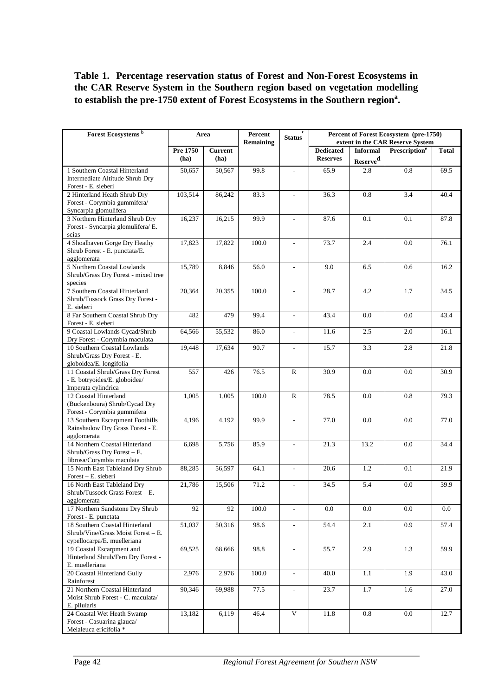# **Table 1. Percentage reservation status of Forest and Non-Forest Ecosystems in the CAR Reserve System in the Southern region based on vegetation modelling to establish the pre-1750 extent of Forest Ecosystems in the Southern region<sup>a</sup> .**

| Forest Ecosystems <sup>b</sup>                                                                      | Area             |                        | Percent<br>Remaining | status <sup>c</sup>      |                                     | Percent of Forest Ecosystem (pre-1750)<br>extent in the CAR Reserve System |                                 |              |
|-----------------------------------------------------------------------------------------------------|------------------|------------------------|----------------------|--------------------------|-------------------------------------|----------------------------------------------------------------------------|---------------------------------|--------------|
|                                                                                                     | Pre 1750<br>(ha) | <b>Current</b><br>(ha) |                      |                          | <b>Dedicated</b><br><b>Reserves</b> | <b>Informal</b><br>Reserve <sup>d</sup>                                    | <b>Prescription<sup>e</sup></b> | <b>Total</b> |
| 1 Southern Coastal Hinterland<br>Intermediate Altitude Shrub Dry<br>Forest - E. sieberi             | 50.657           | 50,567                 | 99.8                 | $\mathbf{r}$             | 65.9                                | 2.8                                                                        | 0.8                             | 69.5         |
| 2 Hinterland Heath Shrub Dry<br>Forest - Corymbia gummifera/<br>Syncarpia glomulifera               | 103,514          | 86,242                 | 83.3                 | $\bar{\phantom{a}}$      | 36.3                                | 0.8                                                                        | 3.4                             | 40.4         |
| 3 Northern Hinterland Shrub Dry<br>Forest - Syncarpia glomulifera/ E.<br>scias                      | 16,237           | 16,215                 | 99.9                 | $\overline{\phantom{a}}$ | 87.6                                | 0.1                                                                        | 0.1                             | 87.8         |
| 4 Shoalhaven Gorge Dry Heathy<br>Shrub Forest - E. punctata/E.<br>agglomerata                       | 17,823           | 17,822                 | 100.0                | $\overline{\phantom{a}}$ | 73.7                                | 2.4                                                                        | 0.0                             | 76.1         |
| 5 Northern Coastal Lowlands<br>Shrub/Grass Dry Forest - mixed tree<br>species                       | 15,789           | 8,846                  | 56.0                 | $\sim$                   | 9.0                                 | 6.5                                                                        | 0.6                             | 16.2         |
| 7 Southern Coastal Hinterland<br>Shrub/Tussock Grass Dry Forest -<br>E. sieberi                     | 20,364           | 20,355                 | 100.0                | $\overline{\phantom{a}}$ | 28.7                                | 4.2                                                                        | 1.7                             | 34.5         |
| 8 Far Southern Coastal Shrub Dry<br>Forest - E. sieberi                                             | 482              | 479                    | 99.4                 | $\overline{\phantom{a}}$ | 43.4                                | 0.0                                                                        | 0.0                             | 43.4         |
| 9 Coastal Lowlands Cycad/Shrub<br>Dry Forest - Corymbia maculata                                    | 64,566           | 55,532                 | 86.0                 | $\overline{\phantom{a}}$ | 11.6                                | 2.5                                                                        | 2.0                             | 16.1         |
| 10 Southern Coastal Lowlands<br>Shrub/Grass Dry Forest - E.<br>globoidea/E. longifolia              | 19,448           | 17,634                 | 90.7                 | $\mathcal{L}$            | 15.7                                | 3.3                                                                        | 2.8                             | 21.8         |
| 11 Coastal Shrub/Grass Dry Forest<br>- E. botryoides/E. globoidea/<br>Imperata cylindrica           | 557              | 426                    | 76.5                 | $\mathbb{R}$             | 30.9                                | 0.0                                                                        | 0.0                             | 30.9         |
| 12 Coastal Hinterland<br>(Buckenboura) Shrub/Cycad Dry<br>Forest - Corymbia gummifera               | 1,005            | 1,005                  | 100.0                | ${\bf R}$                | 78.5                                | 0.0                                                                        | 0.8                             | 79.3         |
| 13 Southern Escarpment Foothills<br>Rainshadow Dry Grass Forest - E.<br>agglomerata                 | 4,196            | 4,192                  | 99.9                 | $\overline{a}$           | 77.0                                | 0.0                                                                        | 0.0                             | 77.0         |
| 14 Northern Coastal Hinterland<br>Shrub/Grass Dry Forest - E.<br>fibrosa/Corymbia maculata          | 6,698            | 5,756                  | 85.9                 | $\mathcal{L}$            | 21.3                                | 13.2                                                                       | 0.0                             | 34.4         |
| 15 North East Tableland Dry Shrub<br>Forest - E. sieberi                                            | 88,285           | 56,597                 | 64.1                 | $\mathcal{L}$            | 20.6                                | 1.2                                                                        | 0.1                             | 21.9         |
| 16 North East Tableland Dry<br>Shrub/Tussock Grass Forest - E.<br>agglomerata                       | 21,786           | 15,506                 | 71.2                 |                          | 34.5                                | 5.4                                                                        | 0.0                             | 39.9         |
| 17 Northern Sandstone Dry Shrub<br>Forest - E. punctata                                             | 92               | 92                     | 100.0                | $\overline{\phantom{a}}$ | 0.0                                 | 0.0                                                                        | 0.0                             | 0.0          |
| 18 Southern Coastal Hinterland<br>Shrub/Vine/Grass Moist Forest - E.<br>cypellocarpa/E. muelleriana | 51,037           | 50,316                 | 98.6                 | $\mathbf{r}$             | 54.4                                | 2.1                                                                        | 0.9                             | 57.4         |
| 19 Coastal Escarpment and<br>Hinterland Shrub/Fern Dry Forest -<br>E. muelleriana                   | 69,525           | 68,666                 | 98.8                 | $\overline{\phantom{a}}$ | 55.7                                | 2.9                                                                        | 1.3                             | 59.9         |
| 20 Coastal Hinterland Gully<br>Rainforest                                                           | 2,976            | 2,976                  | 100.0                | $\mathcal{L}$            | 40.0                                | 1.1                                                                        | 1.9                             | 43.0         |
| 21 Northern Coastal Hinterland<br>Moist Shrub Forest - C. maculata/<br>E. pilularis                 | 90,346           | 69,988                 | 77.5                 | $\overline{\phantom{a}}$ | 23.7                                | 1.7                                                                        | 1.6                             | 27.0         |
| 24 Coastal Wet Heath Swamp<br>Forest - Casuarina glauca/<br>Melaleuca ericifolia *                  | 13,182           | 6,119                  | 46.4                 | $\mathbf{V}$             | 11.8                                | 0.8                                                                        | 0.0                             | 12.7         |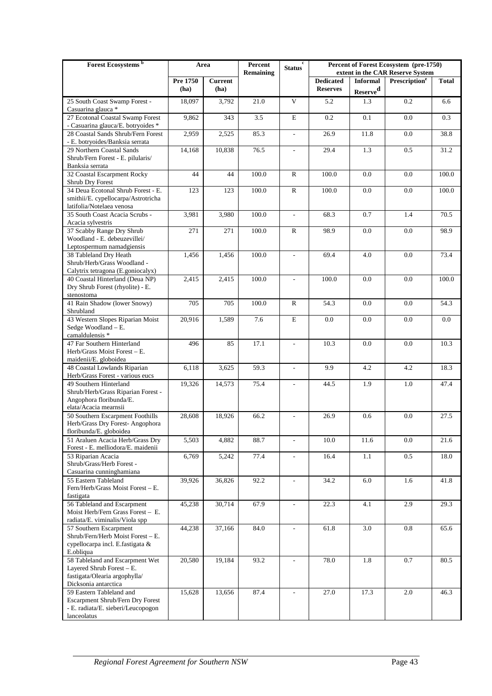| Forest Ecosystems <sup>b</sup>                                                                                                                 | Area               |                        | Percent<br><b>Remaining</b> | <b>Status</b>            |                                     | Percent of Forest Ecosystem (pre-1750)<br>extent in the CAR Reserve System |                           |              |
|------------------------------------------------------------------------------------------------------------------------------------------------|--------------------|------------------------|-----------------------------|--------------------------|-------------------------------------|----------------------------------------------------------------------------|---------------------------|--------------|
|                                                                                                                                                | Pre 1750<br>(ha)   | <b>Current</b><br>(ha) |                             |                          | <b>Dedicated</b><br><b>Reserves</b> | <b>Informal</b>                                                            | Prescription <sup>e</sup> | <b>Total</b> |
| 25 South Coast Swamp Forest -                                                                                                                  | 18,097             | 3,792                  | 21.0                        | $\mathbf{V}$             | 5.2                                 | Reserve <sup>d</sup><br>1.3                                                | 0.2                       | 6.6          |
| Casuarina glauca *                                                                                                                             |                    |                        |                             |                          |                                     |                                                                            |                           |              |
| 27 Ecotonal Coastal Swamp Forest<br>- Casuarina glauca/E. botryoides *                                                                         | 9,862              | 343                    | 3.5                         | E                        | 0.2                                 | 0.1                                                                        | 0.0                       | 0.3          |
| 28 Coastal Sands Shrub/Fern Forest<br>- E. botryoides/Banksia serrata                                                                          | 2,959              | 2,525                  | 85.3                        | $\overline{\phantom{a}}$ | 26.9                                | 11.8                                                                       | 0.0                       | 38.8         |
| 29 Northern Coastal Sands<br>Shrub/Fern Forest - E. pilularis/<br>Banksia serrata                                                              | 14,168             | 10,838                 | 76.5                        | $\overline{\phantom{a}}$ | 29.4                                | 1.3                                                                        | 0.5                       | 31.2         |
| 32 Coastal Escarpment Rocky<br>Shrub Dry Forest                                                                                                | 44                 | 44                     | 100.0                       | R                        | 100.0                               | 0.0                                                                        | 0.0                       | 100.0        |
| 34 Deua Ecotonal Shrub Forest - E.<br>smithii/E. cypellocarpa/Astrotricha<br>latifolia/Notelaea venosa                                         | 123                | 123                    | 100.0                       | ${\bf R}$                | 100.0                               | 0.0                                                                        | 0.0                       | 100.0        |
| 35 South Coast Acacia Scrubs -<br>Acacia sylvestris                                                                                            | 3,981              | 3,980                  | 100.0                       | $\blacksquare$           | 68.3                                | 0.7                                                                        | 1.4                       | 70.5         |
| 37 Scabby Range Dry Shrub<br>Woodland - E. debeuzevillei/<br>Leptospermum namadgiensis                                                         | 271                | 271                    | 100.0                       | ${\bf R}$                | 98.9                                | 0.0                                                                        | 0.0                       | 98.9         |
| 38 Tableland Dry Heath<br>Shrub/Herb/Grass Woodland -<br>Calytrix tetragona (E.goniocalyx)                                                     | 1,456              | 1,456                  | 100.0                       | $\bar{\phantom{a}}$      | 69.4                                | 4.0                                                                        | 0.0                       | 73.4         |
| 40 Coastal Hinterland (Deua NP)<br>Dry Shrub Forest (rhyolite) - E.<br>stenostoma                                                              | 2,415              | 2,415                  | 100.0                       | $\frac{1}{2}$            | 100.0                               | 0.0                                                                        | 0.0                       | 100.0        |
| 41 Rain Shadow (lower Snowy)<br>Shrubland                                                                                                      | 705                | 705                    | 100.0                       | R                        | 54.3                                | 0.0                                                                        | 0.0                       | 54.3         |
| 43 Western Slopes Riparian Moist<br>Sedge Woodland - E.<br>camaldulensis *                                                                     | 20,916             | 1,589                  | 7.6                         | E                        | 0.0                                 | 0.0                                                                        | 0.0                       | 0.0          |
| 47 Far Southern Hinterland<br>Herb/Grass Moist Forest - E.<br>maidenii/E. globoidea                                                            | 496                | 85                     | 17.1                        | $\blacksquare$           | 10.3                                | 0.0                                                                        | 0.0                       | 10.3         |
| 48 Coastal Lowlands Riparian<br>Herb/Grass Forest - various eucs                                                                               | $\overline{6,}118$ | 3,625                  | 59.3                        | $\blacksquare$           | 9.9                                 | 4.2                                                                        | 4.2                       | 18.3         |
| 49 Southern Hinterland<br>Shrub/Herb/Grass Riparian Forest -<br>Angophora floribunda/E.<br>elata/Acacia mearnsii                               | 19,326             | 14,573                 | 75.4                        | $\overline{\phantom{a}}$ | 44.5                                | 1.9                                                                        | 1.0                       | 47.4         |
| 50 Southern Escarpment Foothills<br>Herb/Grass Dry Forest-Angophora<br>floribunda/E. globoidea                                                 | 28,608             | 18,926                 | 66.2                        |                          | 26.9                                | 0.6                                                                        | 0.0                       | 27.5         |
| 51 Araluen Acacia Herb/Grass Dry<br>Forest - E. melliodora/E. maidenii                                                                         | 5,503              | 4,882                  | 88.7                        |                          | 10.0                                | 11.6                                                                       | 0.0                       | 21.6         |
| 53 Riparian Acacia<br>Shrub/Grass/Herb Forest -<br>Casuarina cunninghamiana                                                                    | 6,769              | 5,242                  | 77.4                        | $\overline{\phantom{a}}$ | 16.4                                | 1.1                                                                        | 0.5                       | 18.0         |
| 55 Eastern Tableland<br>Fern/Herb/Grass Moist Forest - E.<br>fastigata                                                                         | 39,926             | 36,826                 | 92.2                        | $\overline{\phantom{a}}$ | 34.2                                | 6.0                                                                        | 1.6                       | 41.8         |
| 56 Tableland and Escarpment<br>Moist Herb/Fern Grass Forest - E.                                                                               | 45,238             | 30,714                 | 67.9                        | $\overline{\phantom{a}}$ | 22.3                                | 4.1                                                                        | 2.9                       | 29.3         |
| radiata/E. viminalis/Viola spp<br>57 Southern Escarpment<br>Shrub/Fern/Herb Moist Forest - E.<br>cypellocarpa incl. E.fastigata &<br>E.obliqua | 44,238             | 37,166                 | 84.0                        |                          | 61.8                                | 3.0                                                                        | 0.8                       | 65.6         |
| 58 Tableland and Escarpment Wet<br>Layered Shrub Forest - E.<br>fastigata/Olearia argophylla/<br>Dicksonia antarctica                          | 20,580             | 19,184                 | 93.2                        | $\overline{\phantom{a}}$ | 78.0                                | 1.8                                                                        | $0.7\,$                   | 80.5         |
| 59 Eastern Tableland and<br>Escarpment Shrub/Fern Dry Forest<br>- E. radiata/E. sieberi/Leucopogon<br>lanceolatus                              | 15,628             | 13,656                 | 87.4                        | $\mathcal{L}$            | 27.0                                | 17.3                                                                       | 2.0                       | 46.3         |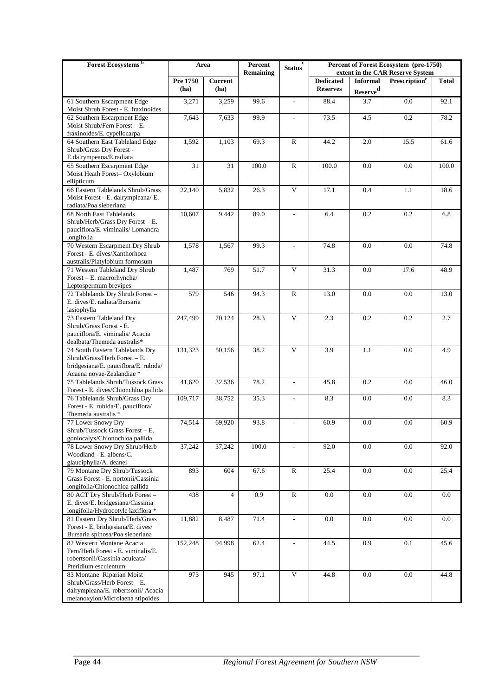| <b>Dedicated</b><br>Pre 1750<br><b>Current</b><br><b>Informal</b><br>Prescription <sup>e</sup><br><b>Total</b><br><b>Reserves</b><br>(ha)<br>(ha)<br>Reserve <sup>d</sup><br>0.0<br>61 Southern Escarpment Edge<br>3,259<br>99.6<br>88.4<br>3.7<br>92.1<br>3,271<br>$\overline{\phantom{a}}$<br>Moist Shrub Forest - E. fraxinoides<br>62 Southern Escarpment Edge<br>99.9<br>0.2<br>78.2<br>7,643<br>7,633<br>73.5<br>4.5<br>Moist Shrub/Fern Forest - E.<br>fraxinoides/E. cypellocarpa<br>1,592<br>1,103<br>69.3<br>${\bf R}$<br>44.2<br>2.0<br>15.5<br>64 Southern East Tableland Edge<br>61.6<br>Shrub/Grass Dry Forest -<br>E.dalrympeana/E.radiata<br>31<br>31<br>100.0<br>${\bf R}$<br>0.0<br>65 Southern Escarpment Edge<br>100.0<br>0.0<br>100.0<br>Moist Heath Forest-Oxylobium<br>ellipticum<br>66 Eastern Tablelands Shrub/Grass<br>$\mathbf{V}$<br>5,832<br>26.3<br>17.1<br>0.4<br>1.1<br>22,140<br>18.6<br>Moist Forest - E. dalrympleana/ E.<br>radiata/Poa sieberiana<br>68 North East Tablelands<br>10,607<br>89.0<br>0.2<br>0.2<br>9,442<br>6.4<br>6.8<br>$\overline{\phantom{a}}$<br>Shrub/Herb/Grass Dry Forest - E.<br>pauciflora/E. viminalis/ Lomandra<br>longifolia<br>70 Western Escarpment Dry Shrub<br>0.0<br>1,578<br>1,567<br>99.3<br>74.8<br>0.0<br>74.8<br>Forest - E. dives/Xanthorhoea<br>australis/Platylobium formosum<br>1,487<br>769<br>V<br>31.3<br>0.0<br>71 Western Tableland Dry Shrub<br>51.7<br>17.6<br>48.9<br>Forest - E. macrorhyncha/<br>Leptospermum brevipes<br>72 Tablelands Dry Shrub Forest -<br>579<br>546<br>94.3<br>${\bf R}$<br>13.0<br>0.0<br>0.0<br>13.0<br>E. dives/E. radiata/Bursaria<br>lasiophylla<br>$\mathbf{V}$<br>73 Eastern Tableland Dry<br>28.3<br>0.2<br>0.2<br>247,499<br>70,124<br>2.3<br>2.7<br>Shrub/Grass Forest - E.<br>pauciflora/E. viminalis/ Acacia<br>dealbata/Themeda australis*<br>V<br>0.0<br>131,323<br>50,156<br>38.2<br>3.9<br>1.1<br>4.9<br>74 South Eastern Tablelands Dry<br>Shrub/Grass/Herb Forest - E.<br>bridgesiana/E. pauciflora/E. rubida/<br>Acaena novae-Zealandiae *<br>75 Tablelands Shrub/Tussock Grass<br>41,620<br>78.2<br>0.2<br>32,536<br>45.8<br>0.0<br>46.0<br>$\overline{\phantom{a}}$<br>Forest - E. dives/Chionchloa pallida<br>0.0<br>76 Tablelands Shrub/Grass Dry<br>109,717<br>38,752<br>35.3<br>8.3<br>0.0<br>8.3<br>$\sim$<br>Forest - E. rubida/E. pauciflora/<br>Themeda australis *<br>77 Lower Snowy Dry<br>74,514<br>69,920<br>93.8<br>0.0<br>60.9<br>0.0<br>60.9<br>$\overline{\phantom{a}}$<br>Shrub/Tussock Grass Forest - E.<br>goniocalyx/Chionochloa pallida<br>37,242<br>100.0<br>$0.0\,$<br>$0.0\,$<br>78 Lower Snowy Dry Shrub/Herb<br>37,242<br>92.0<br>92.0<br>$\overline{\phantom{a}}$<br>Woodland - E. albens/C.<br>glauciphylla/A. deanei<br>79 Montane Dry Shrub/Tussock<br>893<br>67.6<br>25.4<br>0.0<br>604<br>R<br>0.0<br>25.4<br>Grass Forest - E. nortonii/Cassinia<br>longifolia/Chionochloa pallida<br>0.9<br>0.0<br>80 ACT Dry Shrub/Herb Forest-<br>438<br>${\bf R}$<br>0.0<br>0.0<br>$\overline{4}$<br>0.0<br>E. dives/E. bridgesiana/Cassinia<br>longifolia/Hydrocotyle laxiflora *<br>71.4<br>0.0<br>0.0<br>0.0<br>81 Eastern Dry Shrub/Herb/Grass<br>11,882<br>8,487<br>0.0<br>$\overline{\phantom{a}}$ | Forest Ecosystems <sup>b</sup>    | Area | Percent<br><b>Remaining</b> | $\mathbf c$<br><b>Status</b> | Percent of Forest Ecosystem (pre-1750)<br>extent in the CAR Reserve System |  |  |  |
|-----------------------------------------------------------------------------------------------------------------------------------------------------------------------------------------------------------------------------------------------------------------------------------------------------------------------------------------------------------------------------------------------------------------------------------------------------------------------------------------------------------------------------------------------------------------------------------------------------------------------------------------------------------------------------------------------------------------------------------------------------------------------------------------------------------------------------------------------------------------------------------------------------------------------------------------------------------------------------------------------------------------------------------------------------------------------------------------------------------------------------------------------------------------------------------------------------------------------------------------------------------------------------------------------------------------------------------------------------------------------------------------------------------------------------------------------------------------------------------------------------------------------------------------------------------------------------------------------------------------------------------------------------------------------------------------------------------------------------------------------------------------------------------------------------------------------------------------------------------------------------------------------------------------------------------------------------------------------------------------------------------------------------------------------------------------------------------------------------------------------------------------------------------------------------------------------------------------------------------------------------------------------------------------------------------------------------------------------------------------------------------------------------------------------------------------------------------------------------------------------------------------------------------------------------------------------------------------------------------------------------------------------------------------------------------------------------------------------------------------------------------------------------------------------------------------------------------------------------------------------------------------------------------------------------------------------------------------------------------------------------------------------------------------------------------------------------------------------------------------------------------------------------------------------------------------------------------------------------------------------------------------|-----------------------------------|------|-----------------------------|------------------------------|----------------------------------------------------------------------------|--|--|--|
|                                                                                                                                                                                                                                                                                                                                                                                                                                                                                                                                                                                                                                                                                                                                                                                                                                                                                                                                                                                                                                                                                                                                                                                                                                                                                                                                                                                                                                                                                                                                                                                                                                                                                                                                                                                                                                                                                                                                                                                                                                                                                                                                                                                                                                                                                                                                                                                                                                                                                                                                                                                                                                                                                                                                                                                                                                                                                                                                                                                                                                                                                                                                                                                                                                                                 |                                   |      |                             |                              |                                                                            |  |  |  |
|                                                                                                                                                                                                                                                                                                                                                                                                                                                                                                                                                                                                                                                                                                                                                                                                                                                                                                                                                                                                                                                                                                                                                                                                                                                                                                                                                                                                                                                                                                                                                                                                                                                                                                                                                                                                                                                                                                                                                                                                                                                                                                                                                                                                                                                                                                                                                                                                                                                                                                                                                                                                                                                                                                                                                                                                                                                                                                                                                                                                                                                                                                                                                                                                                                                                 |                                   |      |                             |                              |                                                                            |  |  |  |
|                                                                                                                                                                                                                                                                                                                                                                                                                                                                                                                                                                                                                                                                                                                                                                                                                                                                                                                                                                                                                                                                                                                                                                                                                                                                                                                                                                                                                                                                                                                                                                                                                                                                                                                                                                                                                                                                                                                                                                                                                                                                                                                                                                                                                                                                                                                                                                                                                                                                                                                                                                                                                                                                                                                                                                                                                                                                                                                                                                                                                                                                                                                                                                                                                                                                 |                                   |      |                             |                              |                                                                            |  |  |  |
|                                                                                                                                                                                                                                                                                                                                                                                                                                                                                                                                                                                                                                                                                                                                                                                                                                                                                                                                                                                                                                                                                                                                                                                                                                                                                                                                                                                                                                                                                                                                                                                                                                                                                                                                                                                                                                                                                                                                                                                                                                                                                                                                                                                                                                                                                                                                                                                                                                                                                                                                                                                                                                                                                                                                                                                                                                                                                                                                                                                                                                                                                                                                                                                                                                                                 |                                   |      |                             |                              |                                                                            |  |  |  |
|                                                                                                                                                                                                                                                                                                                                                                                                                                                                                                                                                                                                                                                                                                                                                                                                                                                                                                                                                                                                                                                                                                                                                                                                                                                                                                                                                                                                                                                                                                                                                                                                                                                                                                                                                                                                                                                                                                                                                                                                                                                                                                                                                                                                                                                                                                                                                                                                                                                                                                                                                                                                                                                                                                                                                                                                                                                                                                                                                                                                                                                                                                                                                                                                                                                                 |                                   |      |                             |                              |                                                                            |  |  |  |
|                                                                                                                                                                                                                                                                                                                                                                                                                                                                                                                                                                                                                                                                                                                                                                                                                                                                                                                                                                                                                                                                                                                                                                                                                                                                                                                                                                                                                                                                                                                                                                                                                                                                                                                                                                                                                                                                                                                                                                                                                                                                                                                                                                                                                                                                                                                                                                                                                                                                                                                                                                                                                                                                                                                                                                                                                                                                                                                                                                                                                                                                                                                                                                                                                                                                 |                                   |      |                             |                              |                                                                            |  |  |  |
|                                                                                                                                                                                                                                                                                                                                                                                                                                                                                                                                                                                                                                                                                                                                                                                                                                                                                                                                                                                                                                                                                                                                                                                                                                                                                                                                                                                                                                                                                                                                                                                                                                                                                                                                                                                                                                                                                                                                                                                                                                                                                                                                                                                                                                                                                                                                                                                                                                                                                                                                                                                                                                                                                                                                                                                                                                                                                                                                                                                                                                                                                                                                                                                                                                                                 |                                   |      |                             |                              |                                                                            |  |  |  |
|                                                                                                                                                                                                                                                                                                                                                                                                                                                                                                                                                                                                                                                                                                                                                                                                                                                                                                                                                                                                                                                                                                                                                                                                                                                                                                                                                                                                                                                                                                                                                                                                                                                                                                                                                                                                                                                                                                                                                                                                                                                                                                                                                                                                                                                                                                                                                                                                                                                                                                                                                                                                                                                                                                                                                                                                                                                                                                                                                                                                                                                                                                                                                                                                                                                                 |                                   |      |                             |                              |                                                                            |  |  |  |
|                                                                                                                                                                                                                                                                                                                                                                                                                                                                                                                                                                                                                                                                                                                                                                                                                                                                                                                                                                                                                                                                                                                                                                                                                                                                                                                                                                                                                                                                                                                                                                                                                                                                                                                                                                                                                                                                                                                                                                                                                                                                                                                                                                                                                                                                                                                                                                                                                                                                                                                                                                                                                                                                                                                                                                                                                                                                                                                                                                                                                                                                                                                                                                                                                                                                 |                                   |      |                             |                              |                                                                            |  |  |  |
|                                                                                                                                                                                                                                                                                                                                                                                                                                                                                                                                                                                                                                                                                                                                                                                                                                                                                                                                                                                                                                                                                                                                                                                                                                                                                                                                                                                                                                                                                                                                                                                                                                                                                                                                                                                                                                                                                                                                                                                                                                                                                                                                                                                                                                                                                                                                                                                                                                                                                                                                                                                                                                                                                                                                                                                                                                                                                                                                                                                                                                                                                                                                                                                                                                                                 |                                   |      |                             |                              |                                                                            |  |  |  |
|                                                                                                                                                                                                                                                                                                                                                                                                                                                                                                                                                                                                                                                                                                                                                                                                                                                                                                                                                                                                                                                                                                                                                                                                                                                                                                                                                                                                                                                                                                                                                                                                                                                                                                                                                                                                                                                                                                                                                                                                                                                                                                                                                                                                                                                                                                                                                                                                                                                                                                                                                                                                                                                                                                                                                                                                                                                                                                                                                                                                                                                                                                                                                                                                                                                                 |                                   |      |                             |                              |                                                                            |  |  |  |
|                                                                                                                                                                                                                                                                                                                                                                                                                                                                                                                                                                                                                                                                                                                                                                                                                                                                                                                                                                                                                                                                                                                                                                                                                                                                                                                                                                                                                                                                                                                                                                                                                                                                                                                                                                                                                                                                                                                                                                                                                                                                                                                                                                                                                                                                                                                                                                                                                                                                                                                                                                                                                                                                                                                                                                                                                                                                                                                                                                                                                                                                                                                                                                                                                                                                 |                                   |      |                             |                              |                                                                            |  |  |  |
|                                                                                                                                                                                                                                                                                                                                                                                                                                                                                                                                                                                                                                                                                                                                                                                                                                                                                                                                                                                                                                                                                                                                                                                                                                                                                                                                                                                                                                                                                                                                                                                                                                                                                                                                                                                                                                                                                                                                                                                                                                                                                                                                                                                                                                                                                                                                                                                                                                                                                                                                                                                                                                                                                                                                                                                                                                                                                                                                                                                                                                                                                                                                                                                                                                                                 |                                   |      |                             |                              |                                                                            |  |  |  |
|                                                                                                                                                                                                                                                                                                                                                                                                                                                                                                                                                                                                                                                                                                                                                                                                                                                                                                                                                                                                                                                                                                                                                                                                                                                                                                                                                                                                                                                                                                                                                                                                                                                                                                                                                                                                                                                                                                                                                                                                                                                                                                                                                                                                                                                                                                                                                                                                                                                                                                                                                                                                                                                                                                                                                                                                                                                                                                                                                                                                                                                                                                                                                                                                                                                                 |                                   |      |                             |                              |                                                                            |  |  |  |
|                                                                                                                                                                                                                                                                                                                                                                                                                                                                                                                                                                                                                                                                                                                                                                                                                                                                                                                                                                                                                                                                                                                                                                                                                                                                                                                                                                                                                                                                                                                                                                                                                                                                                                                                                                                                                                                                                                                                                                                                                                                                                                                                                                                                                                                                                                                                                                                                                                                                                                                                                                                                                                                                                                                                                                                                                                                                                                                                                                                                                                                                                                                                                                                                                                                                 |                                   |      |                             |                              |                                                                            |  |  |  |
|                                                                                                                                                                                                                                                                                                                                                                                                                                                                                                                                                                                                                                                                                                                                                                                                                                                                                                                                                                                                                                                                                                                                                                                                                                                                                                                                                                                                                                                                                                                                                                                                                                                                                                                                                                                                                                                                                                                                                                                                                                                                                                                                                                                                                                                                                                                                                                                                                                                                                                                                                                                                                                                                                                                                                                                                                                                                                                                                                                                                                                                                                                                                                                                                                                                                 |                                   |      |                             |                              |                                                                            |  |  |  |
|                                                                                                                                                                                                                                                                                                                                                                                                                                                                                                                                                                                                                                                                                                                                                                                                                                                                                                                                                                                                                                                                                                                                                                                                                                                                                                                                                                                                                                                                                                                                                                                                                                                                                                                                                                                                                                                                                                                                                                                                                                                                                                                                                                                                                                                                                                                                                                                                                                                                                                                                                                                                                                                                                                                                                                                                                                                                                                                                                                                                                                                                                                                                                                                                                                                                 |                                   |      |                             |                              |                                                                            |  |  |  |
|                                                                                                                                                                                                                                                                                                                                                                                                                                                                                                                                                                                                                                                                                                                                                                                                                                                                                                                                                                                                                                                                                                                                                                                                                                                                                                                                                                                                                                                                                                                                                                                                                                                                                                                                                                                                                                                                                                                                                                                                                                                                                                                                                                                                                                                                                                                                                                                                                                                                                                                                                                                                                                                                                                                                                                                                                                                                                                                                                                                                                                                                                                                                                                                                                                                                 |                                   |      |                             |                              |                                                                            |  |  |  |
|                                                                                                                                                                                                                                                                                                                                                                                                                                                                                                                                                                                                                                                                                                                                                                                                                                                                                                                                                                                                                                                                                                                                                                                                                                                                                                                                                                                                                                                                                                                                                                                                                                                                                                                                                                                                                                                                                                                                                                                                                                                                                                                                                                                                                                                                                                                                                                                                                                                                                                                                                                                                                                                                                                                                                                                                                                                                                                                                                                                                                                                                                                                                                                                                                                                                 |                                   |      |                             |                              |                                                                            |  |  |  |
|                                                                                                                                                                                                                                                                                                                                                                                                                                                                                                                                                                                                                                                                                                                                                                                                                                                                                                                                                                                                                                                                                                                                                                                                                                                                                                                                                                                                                                                                                                                                                                                                                                                                                                                                                                                                                                                                                                                                                                                                                                                                                                                                                                                                                                                                                                                                                                                                                                                                                                                                                                                                                                                                                                                                                                                                                                                                                                                                                                                                                                                                                                                                                                                                                                                                 |                                   |      |                             |                              |                                                                            |  |  |  |
|                                                                                                                                                                                                                                                                                                                                                                                                                                                                                                                                                                                                                                                                                                                                                                                                                                                                                                                                                                                                                                                                                                                                                                                                                                                                                                                                                                                                                                                                                                                                                                                                                                                                                                                                                                                                                                                                                                                                                                                                                                                                                                                                                                                                                                                                                                                                                                                                                                                                                                                                                                                                                                                                                                                                                                                                                                                                                                                                                                                                                                                                                                                                                                                                                                                                 |                                   |      |                             |                              |                                                                            |  |  |  |
|                                                                                                                                                                                                                                                                                                                                                                                                                                                                                                                                                                                                                                                                                                                                                                                                                                                                                                                                                                                                                                                                                                                                                                                                                                                                                                                                                                                                                                                                                                                                                                                                                                                                                                                                                                                                                                                                                                                                                                                                                                                                                                                                                                                                                                                                                                                                                                                                                                                                                                                                                                                                                                                                                                                                                                                                                                                                                                                                                                                                                                                                                                                                                                                                                                                                 |                                   |      |                             |                              |                                                                            |  |  |  |
|                                                                                                                                                                                                                                                                                                                                                                                                                                                                                                                                                                                                                                                                                                                                                                                                                                                                                                                                                                                                                                                                                                                                                                                                                                                                                                                                                                                                                                                                                                                                                                                                                                                                                                                                                                                                                                                                                                                                                                                                                                                                                                                                                                                                                                                                                                                                                                                                                                                                                                                                                                                                                                                                                                                                                                                                                                                                                                                                                                                                                                                                                                                                                                                                                                                                 |                                   |      |                             |                              |                                                                            |  |  |  |
|                                                                                                                                                                                                                                                                                                                                                                                                                                                                                                                                                                                                                                                                                                                                                                                                                                                                                                                                                                                                                                                                                                                                                                                                                                                                                                                                                                                                                                                                                                                                                                                                                                                                                                                                                                                                                                                                                                                                                                                                                                                                                                                                                                                                                                                                                                                                                                                                                                                                                                                                                                                                                                                                                                                                                                                                                                                                                                                                                                                                                                                                                                                                                                                                                                                                 |                                   |      |                             |                              |                                                                            |  |  |  |
|                                                                                                                                                                                                                                                                                                                                                                                                                                                                                                                                                                                                                                                                                                                                                                                                                                                                                                                                                                                                                                                                                                                                                                                                                                                                                                                                                                                                                                                                                                                                                                                                                                                                                                                                                                                                                                                                                                                                                                                                                                                                                                                                                                                                                                                                                                                                                                                                                                                                                                                                                                                                                                                                                                                                                                                                                                                                                                                                                                                                                                                                                                                                                                                                                                                                 |                                   |      |                             |                              |                                                                            |  |  |  |
|                                                                                                                                                                                                                                                                                                                                                                                                                                                                                                                                                                                                                                                                                                                                                                                                                                                                                                                                                                                                                                                                                                                                                                                                                                                                                                                                                                                                                                                                                                                                                                                                                                                                                                                                                                                                                                                                                                                                                                                                                                                                                                                                                                                                                                                                                                                                                                                                                                                                                                                                                                                                                                                                                                                                                                                                                                                                                                                                                                                                                                                                                                                                                                                                                                                                 |                                   |      |                             |                              |                                                                            |  |  |  |
|                                                                                                                                                                                                                                                                                                                                                                                                                                                                                                                                                                                                                                                                                                                                                                                                                                                                                                                                                                                                                                                                                                                                                                                                                                                                                                                                                                                                                                                                                                                                                                                                                                                                                                                                                                                                                                                                                                                                                                                                                                                                                                                                                                                                                                                                                                                                                                                                                                                                                                                                                                                                                                                                                                                                                                                                                                                                                                                                                                                                                                                                                                                                                                                                                                                                 |                                   |      |                             |                              |                                                                            |  |  |  |
|                                                                                                                                                                                                                                                                                                                                                                                                                                                                                                                                                                                                                                                                                                                                                                                                                                                                                                                                                                                                                                                                                                                                                                                                                                                                                                                                                                                                                                                                                                                                                                                                                                                                                                                                                                                                                                                                                                                                                                                                                                                                                                                                                                                                                                                                                                                                                                                                                                                                                                                                                                                                                                                                                                                                                                                                                                                                                                                                                                                                                                                                                                                                                                                                                                                                 |                                   |      |                             |                              |                                                                            |  |  |  |
|                                                                                                                                                                                                                                                                                                                                                                                                                                                                                                                                                                                                                                                                                                                                                                                                                                                                                                                                                                                                                                                                                                                                                                                                                                                                                                                                                                                                                                                                                                                                                                                                                                                                                                                                                                                                                                                                                                                                                                                                                                                                                                                                                                                                                                                                                                                                                                                                                                                                                                                                                                                                                                                                                                                                                                                                                                                                                                                                                                                                                                                                                                                                                                                                                                                                 |                                   |      |                             |                              |                                                                            |  |  |  |
|                                                                                                                                                                                                                                                                                                                                                                                                                                                                                                                                                                                                                                                                                                                                                                                                                                                                                                                                                                                                                                                                                                                                                                                                                                                                                                                                                                                                                                                                                                                                                                                                                                                                                                                                                                                                                                                                                                                                                                                                                                                                                                                                                                                                                                                                                                                                                                                                                                                                                                                                                                                                                                                                                                                                                                                                                                                                                                                                                                                                                                                                                                                                                                                                                                                                 |                                   |      |                             |                              |                                                                            |  |  |  |
|                                                                                                                                                                                                                                                                                                                                                                                                                                                                                                                                                                                                                                                                                                                                                                                                                                                                                                                                                                                                                                                                                                                                                                                                                                                                                                                                                                                                                                                                                                                                                                                                                                                                                                                                                                                                                                                                                                                                                                                                                                                                                                                                                                                                                                                                                                                                                                                                                                                                                                                                                                                                                                                                                                                                                                                                                                                                                                                                                                                                                                                                                                                                                                                                                                                                 |                                   |      |                             |                              |                                                                            |  |  |  |
|                                                                                                                                                                                                                                                                                                                                                                                                                                                                                                                                                                                                                                                                                                                                                                                                                                                                                                                                                                                                                                                                                                                                                                                                                                                                                                                                                                                                                                                                                                                                                                                                                                                                                                                                                                                                                                                                                                                                                                                                                                                                                                                                                                                                                                                                                                                                                                                                                                                                                                                                                                                                                                                                                                                                                                                                                                                                                                                                                                                                                                                                                                                                                                                                                                                                 |                                   |      |                             |                              |                                                                            |  |  |  |
|                                                                                                                                                                                                                                                                                                                                                                                                                                                                                                                                                                                                                                                                                                                                                                                                                                                                                                                                                                                                                                                                                                                                                                                                                                                                                                                                                                                                                                                                                                                                                                                                                                                                                                                                                                                                                                                                                                                                                                                                                                                                                                                                                                                                                                                                                                                                                                                                                                                                                                                                                                                                                                                                                                                                                                                                                                                                                                                                                                                                                                                                                                                                                                                                                                                                 |                                   |      |                             |                              |                                                                            |  |  |  |
|                                                                                                                                                                                                                                                                                                                                                                                                                                                                                                                                                                                                                                                                                                                                                                                                                                                                                                                                                                                                                                                                                                                                                                                                                                                                                                                                                                                                                                                                                                                                                                                                                                                                                                                                                                                                                                                                                                                                                                                                                                                                                                                                                                                                                                                                                                                                                                                                                                                                                                                                                                                                                                                                                                                                                                                                                                                                                                                                                                                                                                                                                                                                                                                                                                                                 |                                   |      |                             |                              |                                                                            |  |  |  |
|                                                                                                                                                                                                                                                                                                                                                                                                                                                                                                                                                                                                                                                                                                                                                                                                                                                                                                                                                                                                                                                                                                                                                                                                                                                                                                                                                                                                                                                                                                                                                                                                                                                                                                                                                                                                                                                                                                                                                                                                                                                                                                                                                                                                                                                                                                                                                                                                                                                                                                                                                                                                                                                                                                                                                                                                                                                                                                                                                                                                                                                                                                                                                                                                                                                                 |                                   |      |                             |                              |                                                                            |  |  |  |
|                                                                                                                                                                                                                                                                                                                                                                                                                                                                                                                                                                                                                                                                                                                                                                                                                                                                                                                                                                                                                                                                                                                                                                                                                                                                                                                                                                                                                                                                                                                                                                                                                                                                                                                                                                                                                                                                                                                                                                                                                                                                                                                                                                                                                                                                                                                                                                                                                                                                                                                                                                                                                                                                                                                                                                                                                                                                                                                                                                                                                                                                                                                                                                                                                                                                 |                                   |      |                             |                              |                                                                            |  |  |  |
|                                                                                                                                                                                                                                                                                                                                                                                                                                                                                                                                                                                                                                                                                                                                                                                                                                                                                                                                                                                                                                                                                                                                                                                                                                                                                                                                                                                                                                                                                                                                                                                                                                                                                                                                                                                                                                                                                                                                                                                                                                                                                                                                                                                                                                                                                                                                                                                                                                                                                                                                                                                                                                                                                                                                                                                                                                                                                                                                                                                                                                                                                                                                                                                                                                                                 |                                   |      |                             |                              |                                                                            |  |  |  |
|                                                                                                                                                                                                                                                                                                                                                                                                                                                                                                                                                                                                                                                                                                                                                                                                                                                                                                                                                                                                                                                                                                                                                                                                                                                                                                                                                                                                                                                                                                                                                                                                                                                                                                                                                                                                                                                                                                                                                                                                                                                                                                                                                                                                                                                                                                                                                                                                                                                                                                                                                                                                                                                                                                                                                                                                                                                                                                                                                                                                                                                                                                                                                                                                                                                                 |                                   |      |                             |                              |                                                                            |  |  |  |
|                                                                                                                                                                                                                                                                                                                                                                                                                                                                                                                                                                                                                                                                                                                                                                                                                                                                                                                                                                                                                                                                                                                                                                                                                                                                                                                                                                                                                                                                                                                                                                                                                                                                                                                                                                                                                                                                                                                                                                                                                                                                                                                                                                                                                                                                                                                                                                                                                                                                                                                                                                                                                                                                                                                                                                                                                                                                                                                                                                                                                                                                                                                                                                                                                                                                 |                                   |      |                             |                              |                                                                            |  |  |  |
|                                                                                                                                                                                                                                                                                                                                                                                                                                                                                                                                                                                                                                                                                                                                                                                                                                                                                                                                                                                                                                                                                                                                                                                                                                                                                                                                                                                                                                                                                                                                                                                                                                                                                                                                                                                                                                                                                                                                                                                                                                                                                                                                                                                                                                                                                                                                                                                                                                                                                                                                                                                                                                                                                                                                                                                                                                                                                                                                                                                                                                                                                                                                                                                                                                                                 |                                   |      |                             |                              |                                                                            |  |  |  |
|                                                                                                                                                                                                                                                                                                                                                                                                                                                                                                                                                                                                                                                                                                                                                                                                                                                                                                                                                                                                                                                                                                                                                                                                                                                                                                                                                                                                                                                                                                                                                                                                                                                                                                                                                                                                                                                                                                                                                                                                                                                                                                                                                                                                                                                                                                                                                                                                                                                                                                                                                                                                                                                                                                                                                                                                                                                                                                                                                                                                                                                                                                                                                                                                                                                                 |                                   |      |                             |                              |                                                                            |  |  |  |
|                                                                                                                                                                                                                                                                                                                                                                                                                                                                                                                                                                                                                                                                                                                                                                                                                                                                                                                                                                                                                                                                                                                                                                                                                                                                                                                                                                                                                                                                                                                                                                                                                                                                                                                                                                                                                                                                                                                                                                                                                                                                                                                                                                                                                                                                                                                                                                                                                                                                                                                                                                                                                                                                                                                                                                                                                                                                                                                                                                                                                                                                                                                                                                                                                                                                 | Forest - E. bridgesiana/E. dives/ |      |                             |                              |                                                                            |  |  |  |
| Bursaria spinosa/Poa sieberiana<br>82 Western Montane Acacia<br>0.9<br>152,248<br>94,998<br>62.4<br>44.5<br>0.1<br>45.6<br>$\mathcal{L}$                                                                                                                                                                                                                                                                                                                                                                                                                                                                                                                                                                                                                                                                                                                                                                                                                                                                                                                                                                                                                                                                                                                                                                                                                                                                                                                                                                                                                                                                                                                                                                                                                                                                                                                                                                                                                                                                                                                                                                                                                                                                                                                                                                                                                                                                                                                                                                                                                                                                                                                                                                                                                                                                                                                                                                                                                                                                                                                                                                                                                                                                                                                        |                                   |      |                             |                              |                                                                            |  |  |  |
| Fern/Herb Forest - E. viminalis/E.                                                                                                                                                                                                                                                                                                                                                                                                                                                                                                                                                                                                                                                                                                                                                                                                                                                                                                                                                                                                                                                                                                                                                                                                                                                                                                                                                                                                                                                                                                                                                                                                                                                                                                                                                                                                                                                                                                                                                                                                                                                                                                                                                                                                                                                                                                                                                                                                                                                                                                                                                                                                                                                                                                                                                                                                                                                                                                                                                                                                                                                                                                                                                                                                                              |                                   |      |                             |                              |                                                                            |  |  |  |
| robertsonii/Cassinia aculeata/                                                                                                                                                                                                                                                                                                                                                                                                                                                                                                                                                                                                                                                                                                                                                                                                                                                                                                                                                                                                                                                                                                                                                                                                                                                                                                                                                                                                                                                                                                                                                                                                                                                                                                                                                                                                                                                                                                                                                                                                                                                                                                                                                                                                                                                                                                                                                                                                                                                                                                                                                                                                                                                                                                                                                                                                                                                                                                                                                                                                                                                                                                                                                                                                                                  |                                   |      |                             |                              |                                                                            |  |  |  |
| Pteridium esculentum<br>83 Montane Riparian Moist<br>973<br>945<br>97.1<br>V<br>0.0<br>$0.0\,$<br>44.8<br>44.8                                                                                                                                                                                                                                                                                                                                                                                                                                                                                                                                                                                                                                                                                                                                                                                                                                                                                                                                                                                                                                                                                                                                                                                                                                                                                                                                                                                                                                                                                                                                                                                                                                                                                                                                                                                                                                                                                                                                                                                                                                                                                                                                                                                                                                                                                                                                                                                                                                                                                                                                                                                                                                                                                                                                                                                                                                                                                                                                                                                                                                                                                                                                                  |                                   |      |                             |                              |                                                                            |  |  |  |
| Shrub/Grass/Herb Forest - E.                                                                                                                                                                                                                                                                                                                                                                                                                                                                                                                                                                                                                                                                                                                                                                                                                                                                                                                                                                                                                                                                                                                                                                                                                                                                                                                                                                                                                                                                                                                                                                                                                                                                                                                                                                                                                                                                                                                                                                                                                                                                                                                                                                                                                                                                                                                                                                                                                                                                                                                                                                                                                                                                                                                                                                                                                                                                                                                                                                                                                                                                                                                                                                                                                                    |                                   |      |                             |                              |                                                                            |  |  |  |
| dalrympleana/E. robertsonii/ Acacia<br>melanoxylon/Microlaena stipoides                                                                                                                                                                                                                                                                                                                                                                                                                                                                                                                                                                                                                                                                                                                                                                                                                                                                                                                                                                                                                                                                                                                                                                                                                                                                                                                                                                                                                                                                                                                                                                                                                                                                                                                                                                                                                                                                                                                                                                                                                                                                                                                                                                                                                                                                                                                                                                                                                                                                                                                                                                                                                                                                                                                                                                                                                                                                                                                                                                                                                                                                                                                                                                                         |                                   |      |                             |                              |                                                                            |  |  |  |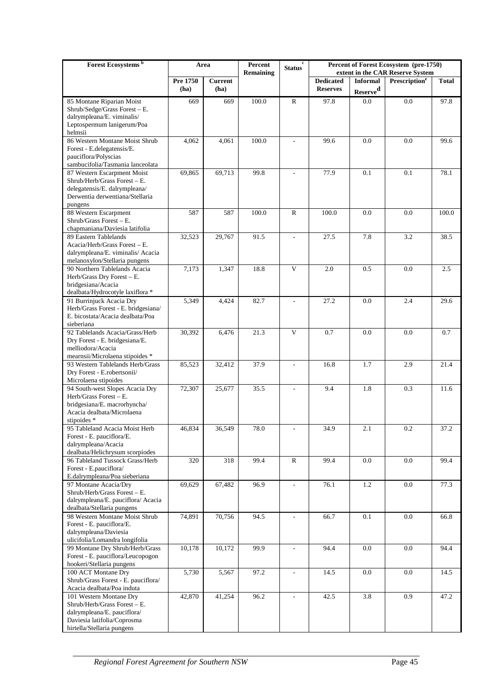| Forest Ecosystems <sup>b</sup>                                      | Area     |                | Percent<br>Remaining | c<br><b>Status</b>       | Percent of Forest Ecosystem (pre-1750)<br>extent in the CAR Reserve System |                      |                           |              |  |
|---------------------------------------------------------------------|----------|----------------|----------------------|--------------------------|----------------------------------------------------------------------------|----------------------|---------------------------|--------------|--|
|                                                                     | Pre 1750 | <b>Current</b> |                      |                          | <b>Dedicated</b>                                                           | <b>Informal</b>      | Prescription <sup>e</sup> | <b>Total</b> |  |
|                                                                     | (ha)     | (ha)           |                      |                          | <b>Reserves</b>                                                            | Reserve <sup>d</sup> |                           |              |  |
| 85 Montane Riparian Moist                                           | 669      | 669            | 100.0                | $\mathbb{R}$             | 97.8                                                                       | 0.0                  | 0.0                       | 97.8         |  |
| Shrub/Sedge/Grass Forest - E.                                       |          |                |                      |                          |                                                                            |                      |                           |              |  |
| dalrympleana/E. viminalis/                                          |          |                |                      |                          |                                                                            |                      |                           |              |  |
| Leptospermum lanigerum/Poa                                          |          |                |                      |                          |                                                                            |                      |                           |              |  |
| helmsii                                                             |          |                |                      |                          |                                                                            |                      |                           |              |  |
| 86 Western Montane Moist Shrub                                      | 4,062    | 4,061          | 100.0                | $\overline{a}$           | 99.6                                                                       | 0.0                  | 0.0                       | 99.6         |  |
| Forest - E.delegatensis/E.<br>pauciflora/Polyscias                  |          |                |                      |                          |                                                                            |                      |                           |              |  |
| sambucifolia/Tasmania lanceolata                                    |          |                |                      |                          |                                                                            |                      |                           |              |  |
| 87 Western Escarpment Moist                                         | 69,865   | 69,713         | 99.8                 |                          | 77.9                                                                       | 0.1                  | 0.1                       | 78.1         |  |
| Shrub/Herb/Grass Forest - E.                                        |          |                |                      |                          |                                                                            |                      |                           |              |  |
| delegatensis/E. dalrympleana/                                       |          |                |                      |                          |                                                                            |                      |                           |              |  |
| Derwentia derwentiana/Stellaria                                     |          |                |                      |                          |                                                                            |                      |                           |              |  |
| pungens                                                             |          |                |                      |                          |                                                                            |                      |                           |              |  |
| 88 Western Escarpment<br>Shrub/Grass Forest - E.                    | 587      | 587            | 100.0                | $\mathbf R$              | 100.0                                                                      | 0.0                  | 0.0                       | 100.0        |  |
| chapmaniana/Daviesia latifolia                                      |          |                |                      |                          |                                                                            |                      |                           |              |  |
| 89 Eastern Tablelands                                               | 32,523   | 29,767         | 91.5                 | $\overline{\phantom{a}}$ | 27.5                                                                       | 7.8                  | 3.2                       | 38.5         |  |
| Acacia/Herb/Grass Forest - E.                                       |          |                |                      |                          |                                                                            |                      |                           |              |  |
| dalrympleana/E. viminalis/ Acacia                                   |          |                |                      |                          |                                                                            |                      |                           |              |  |
| melanoxylon/Stellaria pungens                                       |          |                |                      |                          |                                                                            |                      |                           |              |  |
| 90 Northern Tablelands Acacia                                       | 7,173    | 1,347          | 18.8                 | V                        | 2.0                                                                        | 0.5                  | 0.0                       | 2.5          |  |
| Herb/Grass Dry Forest - E.                                          |          |                |                      |                          |                                                                            |                      |                           |              |  |
| bridgesiana/Acacia<br>dealbata/Hydrocotyle laxiflora *              |          |                |                      |                          |                                                                            |                      |                           |              |  |
| 91 Burrinjuck Acacia Dry                                            | 5,349    | 4,424          | 82.7                 |                          | 27.2                                                                       | 0.0                  | 2.4                       | 29.6         |  |
| Herb/Grass Forest - E. bridgesiana/                                 |          |                |                      |                          |                                                                            |                      |                           |              |  |
| E. bicostata/Acacia dealbata/Poa                                    |          |                |                      |                          |                                                                            |                      |                           |              |  |
| sieberiana                                                          |          |                |                      |                          |                                                                            |                      |                           |              |  |
| 92 Tablelands Acacia/Grass/Herb                                     | 30,392   | 6,476          | 21.3                 | $\mathbf{V}$             | 0.7                                                                        | 0.0                  | 0.0                       | 0.7          |  |
| Dry Forest - E. bridgesiana/E.                                      |          |                |                      |                          |                                                                            |                      |                           |              |  |
| melliodora/Acacia                                                   |          |                |                      |                          |                                                                            |                      |                           |              |  |
| mearnsii/Microlaena stipoides *<br>93 Western Tablelands Herb/Grass | 85,523   | 32,412         | 37.9                 | $\overline{a}$           | 16.8                                                                       | 1.7                  | 2.9                       | 21.4         |  |
| Dry Forest - E.robertsonii/                                         |          |                |                      |                          |                                                                            |                      |                           |              |  |
| Microlaena stipoides                                                |          |                |                      |                          |                                                                            |                      |                           |              |  |
| 94 South-west Slopes Acacia Dry                                     | 72,307   | 25,677         | 35.5                 | $\overline{a}$           | 9.4                                                                        | 1.8                  | 0.3                       | 11.6         |  |
| Herb/Grass Forest - E.                                              |          |                |                      |                          |                                                                            |                      |                           |              |  |
| bridgesiana/E. macrorhyncha/                                        |          |                |                      |                          |                                                                            |                      |                           |              |  |
| Acacia dealbata/Microlaena                                          |          |                |                      |                          |                                                                            |                      |                           |              |  |
| stipoides *<br>95 Tableland Acacia Moist Herb                       | 46,834   | 36.549         | 78.0                 |                          | 34.9                                                                       | 2.1                  | 0.2                       | 37.2         |  |
| Forest - E. pauciflora/E.                                           |          |                |                      |                          |                                                                            |                      |                           |              |  |
| dalrympleana/Acacia                                                 |          |                |                      |                          |                                                                            |                      |                           |              |  |
| dealbata/Helichrysum scorpiodes                                     |          |                |                      |                          |                                                                            |                      |                           |              |  |
| 96 Tableland Tussock Grass/Herb                                     | 320      | 318            | 99.4                 | ${\bf R}$                | 99.4                                                                       | 0.0                  | 0.0                       | 99.4         |  |
| Forest - E.pauciflora/                                              |          |                |                      |                          |                                                                            |                      |                           |              |  |
| E.dalrympleana/Poa sieberiana                                       |          |                |                      |                          |                                                                            |                      |                           |              |  |
| 97 Montane Acacia/Dry                                               | 69,629   | 67,482         | 96.9                 | $\overline{a}$           | 76.1                                                                       | 1.2                  | 0.0                       | 77.3         |  |
| Shrub/Herb/Grass Forest - E.<br>dalrympleana/E. pauciflora/ Acacia  |          |                |                      |                          |                                                                            |                      |                           |              |  |
| dealbata/Stellaria pungens                                          |          |                |                      |                          |                                                                            |                      |                           |              |  |
| 98 Western Montane Moist Shrub                                      | 74,891   | 70,756         | 94.5                 |                          | 66.7                                                                       | 0.1                  | 0.0                       | 66.8         |  |
| Forest - E. pauciflora/E.                                           |          |                |                      |                          |                                                                            |                      |                           |              |  |
| dalrympleana/Daviesia                                               |          |                |                      |                          |                                                                            |                      |                           |              |  |
| ulicifolia/Lomandra longifolia                                      |          |                |                      |                          |                                                                            |                      |                           |              |  |
| 99 Montane Dry Shrub/Herb/Grass                                     | 10,178   | 10,172         | 99.9                 | $\overline{a}$           | 94.4                                                                       | 0.0                  | 0.0                       | 94.4         |  |
| Forest - E. pauciflora/Leucopogon                                   |          |                |                      |                          |                                                                            |                      |                           |              |  |
| hookeri/Stellaria pungens<br>100 ACT Montane Dry                    | 5,730    | 5,567          | 97.2                 | $\overline{\phantom{a}}$ | 14.5                                                                       | 0.0                  | 0.0                       | 14.5         |  |
| Shrub/Grass Forest - E. pauciflora/                                 |          |                |                      |                          |                                                                            |                      |                           |              |  |
| Acacia dealbata/Poa induta                                          |          |                |                      |                          |                                                                            |                      |                           |              |  |
| 101 Western Montane Dry                                             | 42,870   | 41,254         | 96.2                 | $\overline{a}$           | 42.5                                                                       | 3.8                  | 0.9                       | 47.2         |  |
| Shrub/Herb/Grass Forest - E.                                        |          |                |                      |                          |                                                                            |                      |                           |              |  |
| dalrympleana/E. pauciflora/                                         |          |                |                      |                          |                                                                            |                      |                           |              |  |
| Daviesia latifolia/Coprosma                                         |          |                |                      |                          |                                                                            |                      |                           |              |  |
| hirtella/Stellaria pungens                                          |          |                |                      |                          |                                                                            |                      |                           |              |  |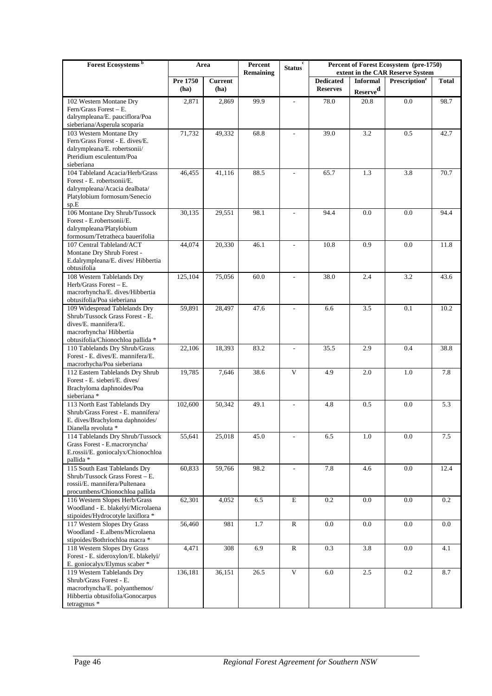| Forest Ecosystems <sup>b</sup>                                      | Area     |                | Percent<br><b>Remaining</b> | $\mathbf c$<br>Status    | Percent of Forest Ecosystem (pre-1750)<br>extent in the CAR Reserve System |                      |                           |              |
|---------------------------------------------------------------------|----------|----------------|-----------------------------|--------------------------|----------------------------------------------------------------------------|----------------------|---------------------------|--------------|
|                                                                     | Pre 1750 | <b>Current</b> |                             |                          | <b>Dedicated</b><br><b>Reserves</b>                                        | <b>Informal</b>      | Prescription <sup>e</sup> | <b>Total</b> |
|                                                                     | (ha)     | (ha)           |                             |                          |                                                                            | Reserve <sup>d</sup> |                           |              |
| 102 Western Montane Dry<br>Fern/Grass Forest $- E$ .                | 2,871    | 2,869          | 99.9                        | $\overline{\phantom{a}}$ | 78.0                                                                       | 20.8                 | 0.0                       | 98.7         |
| dalrympleana/E. pauciflora/Poa                                      |          |                |                             |                          |                                                                            |                      |                           |              |
| sieberiana/Asperula scoparia                                        |          |                |                             |                          |                                                                            |                      |                           |              |
| 103 Western Montane Dry                                             | 71,732   | 49,332         | 68.8                        |                          | 39.0                                                                       | 3.2                  | 0.5                       | 42.7         |
| Fern/Grass Forest - E. dives/E.<br>dalrympleana/E. robertsonii/     |          |                |                             |                          |                                                                            |                      |                           |              |
| Pteridium esculentum/Poa                                            |          |                |                             |                          |                                                                            |                      |                           |              |
| sieberiana                                                          |          |                |                             |                          |                                                                            |                      |                           |              |
| 104 Tableland Acacia/Herb/Grass                                     | 46,455   | 41,116         | 88.5                        |                          | 65.7                                                                       | 1.3                  | 3.8                       | 70.7         |
| Forest - E. robertsonii/E.                                          |          |                |                             |                          |                                                                            |                      |                           |              |
| dalrympleana/Acacia dealbata/<br>Platylobium formosum/Senecio       |          |                |                             |                          |                                                                            |                      |                           |              |
| sp.E                                                                |          |                |                             |                          |                                                                            |                      |                           |              |
| 106 Montane Dry Shrub/Tussock                                       | 30,135   | 29,551         | 98.1                        | $\sim$                   | 94.4                                                                       | 0.0                  | 0.0                       | 94.4         |
| Forest - E.robertsonii/E.                                           |          |                |                             |                          |                                                                            |                      |                           |              |
| dalrympleana/Platylobium                                            |          |                |                             |                          |                                                                            |                      |                           |              |
| formosum/Tetratheca bauerifolia<br>107 Central Tableland/ACT        | 44,074   | 20,330         | 46.1                        | $\sim$                   | 10.8                                                                       | 0.9                  | 0.0                       | 11.8         |
| Montane Dry Shrub Forest -                                          |          |                |                             |                          |                                                                            |                      |                           |              |
| E.dalrympleana/E. dives/ Hibbertia                                  |          |                |                             |                          |                                                                            |                      |                           |              |
| obtusifolia                                                         |          |                | 60.0                        |                          | 38.0                                                                       | 2.4                  | 3.2                       |              |
| 108 Western Tablelands Dry<br>Herb/Grass Forest - E.                | 125,104  | 75,056         |                             |                          |                                                                            |                      |                           | 43.6         |
| macrorhyncha/E. dives/Hibbertia                                     |          |                |                             |                          |                                                                            |                      |                           |              |
| obtusifolia/Poa sieberiana                                          |          |                |                             |                          |                                                                            |                      |                           |              |
| 109 Widespread Tablelands Dry                                       | 59,891   | 28,497         | 47.6                        |                          | 6.6                                                                        | 3.5                  | 0.1                       | 10.2         |
| Shrub/Tussock Grass Forest - E.<br>dives/E. mannifera/E.            |          |                |                             |                          |                                                                            |                      |                           |              |
| macrorhyncha/ Hibbertia                                             |          |                |                             |                          |                                                                            |                      |                           |              |
| obtusifolia/Chionochloa pallida *                                   |          |                |                             |                          |                                                                            |                      |                           |              |
| 110 Tablelands Dry Shrub/Grass                                      | 22,106   | 18,393         | 83.2                        | $\overline{a}$           | 35.5                                                                       | 2.9                  | 0.4                       | 38.8         |
| Forest - E. dives/E. mannifera/E.<br>macrorhycha/Poa sieberiana     |          |                |                             |                          |                                                                            |                      |                           |              |
| 112 Eastern Tablelands Dry Shrub                                    | 19,785   | 7,646          | 38.6                        | V                        | 4.9                                                                        | 2.0                  | 1.0                       | 7.8          |
| Forest - E. sieberi/E. dives/                                       |          |                |                             |                          |                                                                            |                      |                           |              |
| Brachyloma daphnoides/Poa                                           |          |                |                             |                          |                                                                            |                      |                           |              |
| sieberiana *                                                        | 102,600  |                | 49.1                        |                          | 4.8                                                                        | 0.5                  | 0.0                       |              |
| 113 North East Tablelands Dry<br>Shrub/Grass Forest - E. mannifera/ |          | 50,342         |                             |                          |                                                                            |                      |                           | 5.3          |
| E. dives/Brachyloma daphnoides/                                     |          |                |                             |                          |                                                                            |                      |                           |              |
| Dianella revoluta *                                                 |          |                |                             |                          |                                                                            |                      |                           |              |
| 114 Tablelands Dry Shrub/Tussock                                    | 55,641   | 25,018         | 45.0                        | $\overline{\phantom{a}}$ | 6.5                                                                        | $1.0\,$              | $0.0\,$                   | $7.5\,$      |
| Grass Forest - E.macroryncha/<br>E.rossii/E. goniocalyx/Chionochloa |          |                |                             |                          |                                                                            |                      |                           |              |
| pallida *                                                           |          |                |                             |                          |                                                                            |                      |                           |              |
| 115 South East Tablelands Dry                                       | 60,833   | 59,766         | 98.2                        | $\mathcal{L}$            | 7.8                                                                        | 4.6                  | $0.0\,$                   | 12.4         |
| Shrub/Tussock Grass Forest - E.                                     |          |                |                             |                          |                                                                            |                      |                           |              |
| rossii/E. mannifera/Pultenaea<br>procumbens/Chionochloa pallida     |          |                |                             |                          |                                                                            |                      |                           |              |
| 116 Western Slopes Herb/Grass                                       | 62,301   | 4,052          | 6.5                         | E                        | 0.2                                                                        | 0.0                  | 0.0                       | 0.2          |
| Woodland - E. blakelyi/Microlaena                                   |          |                |                             |                          |                                                                            |                      |                           |              |
| stipoides/Hydrocotyle laxiflora *                                   |          |                |                             |                          |                                                                            |                      |                           |              |
| 117 Western Slopes Dry Grass<br>Woodland - E.albens/Microlaena      | 56,460   | 981            | 1.7                         | ${\bf R}$                | 0.0                                                                        | 0.0                  | 0.0                       | 0.0          |
| stipoides/Bothriochloa macra *                                      |          |                |                             |                          |                                                                            |                      |                           |              |
| 118 Western Slopes Dry Grass                                        | 4,471    | 308            | 6.9                         | $\mathbf R$              | 0.3                                                                        | 3.8                  | 0.0                       | 4.1          |
| Forest - E. sideroxylon/E. blakelyi/                                |          |                |                             |                          |                                                                            |                      |                           |              |
| E. goniocalyx/Elymus scaber *<br>119 Western Tablelands Dry         | 136,181  | 36,151         | 26.5                        | V                        | 6.0                                                                        | 2.5                  | 0.2                       | 8.7          |
| Shrub/Grass Forest - E.                                             |          |                |                             |                          |                                                                            |                      |                           |              |
| macrorhyncha/E. polyanthemos/                                       |          |                |                             |                          |                                                                            |                      |                           |              |
| Hibbertia obtusifolia/Gonocarpus                                    |          |                |                             |                          |                                                                            |                      |                           |              |
| tetragynus *                                                        |          |                |                             |                          |                                                                            |                      |                           |              |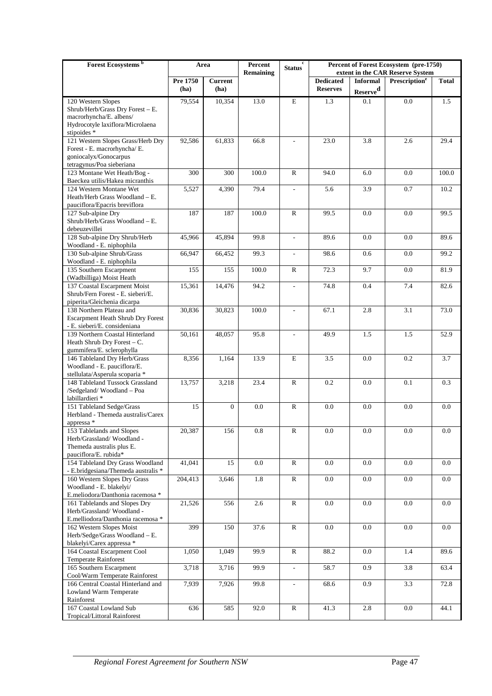| Forest Ecosystems <sup>b</sup>                                   | Area     |                | Percent<br><b>Remaining</b> | c<br><b>Status</b>       |                  | Percent of Forest Ecosystem (pre-1750)<br>extent in the CAR Reserve System |                           |              |
|------------------------------------------------------------------|----------|----------------|-----------------------------|--------------------------|------------------|----------------------------------------------------------------------------|---------------------------|--------------|
|                                                                  | Pre 1750 | <b>Current</b> |                             |                          | <b>Dedicated</b> | <b>Informal</b>                                                            | Prescription <sup>e</sup> | <b>Total</b> |
|                                                                  | (ha)     | (ha)           |                             |                          | <b>Reserves</b>  | Reserve <sup>d</sup>                                                       |                           |              |
| 120 Western Slopes                                               | 79,554   | 10,354         | 13.0                        | E                        | 1.3              | 0.1                                                                        | 0.0                       | 1.5          |
| Shrub/Herb/Grass Dry Forest - E.<br>macrorhyncha/E. albens/      |          |                |                             |                          |                  |                                                                            |                           |              |
| Hydrocotyle laxiflora/Microlaena                                 |          |                |                             |                          |                  |                                                                            |                           |              |
| stipoides *                                                      |          |                |                             |                          |                  |                                                                            |                           |              |
| 121 Western Slopes Grass/Herb Dry                                | 92,586   | 61,833         | 66.8                        | $\overline{\phantom{a}}$ | 23.0             | 3.8                                                                        | 2.6                       | 29.4         |
| Forest - E. macrorhyncha/ E.<br>goniocalyx/Gonocarpus            |          |                |                             |                          |                  |                                                                            |                           |              |
| tetragynus/Poa sieberiana                                        |          |                |                             |                          |                  |                                                                            |                           |              |
| 123 Montane Wet Heath/Bog -                                      | 300      | 300            | 100.0                       | ${\bf R}$                | 94.0             | 6.0                                                                        | 0.0                       | 100.0        |
| Baeckea utilis/Hakea micranthis<br>124 Western Montane Wet       | 5,527    | 4,390          | 79.4                        | $\overline{a}$           | 5.6              | 3.9                                                                        | 0.7                       | 10.2         |
| Heath/Herb Grass Woodland - E.                                   |          |                |                             |                          |                  |                                                                            |                           |              |
| pauciflora/Epacris breviflora                                    |          |                |                             |                          |                  |                                                                            |                           |              |
| 127 Sub-alpine Dry                                               | 187      | 187            | 100.0                       | $\mathbb{R}$             | 99.5             | 0.0                                                                        | 0.0                       | 99.5         |
| Shrub/Herb/Grass Woodland - E.<br>debeuzevillei                  |          |                |                             |                          |                  |                                                                            |                           |              |
| 128 Sub-alpine Dry Shrub/Herb                                    | 45,966   | 45,894         | 99.8                        | $\overline{a}$           | 89.6             | 0.0                                                                        | 0.0                       | 89.6         |
| Woodland - E. niphophila                                         |          |                |                             |                          |                  |                                                                            |                           |              |
| 130 Sub-alpine Shrub/Grass                                       | 66,947   | 66,452         | 99.3                        | $\overline{\phantom{a}}$ | 98.6             | 0.6                                                                        | 0.0                       | 99.2         |
| Woodland - E. niphophila<br>135 Southern Escarpment              | 155      | 155            | 100.0                       | $\mathbb{R}$             | 72.3             | 9.7                                                                        | 0.0                       | 81.9         |
| (Wadbilliga) Moist Heath                                         |          |                |                             |                          |                  |                                                                            |                           |              |
| 137 Coastal Escarpment Moist                                     | 15,361   | 14,476         | 94.2                        | $\frac{1}{2}$            | 74.8             | 0.4                                                                        | 7.4                       | 82.6         |
| Shrub/Fern Forest - E. sieberi/E.<br>piperita/Gleichenia dicarpa |          |                |                             |                          |                  |                                                                            |                           |              |
| 138 Northern Plateau and                                         | 30,836   | 30,823         | 100.0                       | $\overline{\phantom{a}}$ | 67.1             | 2.8                                                                        | 3.1                       | 73.0         |
| Escarpment Heath Shrub Dry Forest                                |          |                |                             |                          |                  |                                                                            |                           |              |
| - E. sieberi/E. consideniana                                     |          |                |                             |                          |                  |                                                                            |                           |              |
| 139 Northern Coastal Hinterland<br>Heath Shrub Dry Forest - C.   | 50,161   | 48,057         | 95.8                        | $\overline{\phantom{a}}$ | 49.9             | 1.5                                                                        | 1.5                       | 52.9         |
| gummifera/E. sclerophylla                                        |          |                |                             |                          |                  |                                                                            |                           |              |
| 146 Tableland Dry Herb/Grass                                     | 8,356    | 1,164          | 13.9                        | E                        | 3.5              | 0.0                                                                        | 0.2                       | 3.7          |
| Woodland - E. pauciflora/E.<br>stellulata/Asperula scoparia *    |          |                |                             |                          |                  |                                                                            |                           |              |
| 148 Tableland Tussock Grassland                                  | 13,757   | 3,218          | 23.4                        | $\mathbb{R}$             | 0.2              | 0.0                                                                        | 0.1                       | 0.3          |
| /Sedgeland/Woodland - Poa                                        |          |                |                             |                          |                  |                                                                            |                           |              |
| labillardieri *                                                  |          |                |                             |                          |                  |                                                                            |                           |              |
| 151 Tableland Sedge/Grass<br>Herbland - Themeda australis/Carex  | 15       | $\mathbf{0}$   | 0.0                         | $\mathbb{R}$             | 0.0              | 0.0                                                                        | 0.0                       | 0.0          |
| appressa *                                                       |          |                |                             |                          |                  |                                                                            |                           |              |
| 153 Tablelands and Slopes                                        | 20,387   | 156            | 0.8                         | ${\bf R}$                | 0.0              | $0.0\,$                                                                    | $\overline{0.0}$          | $0.0\,$      |
| Herb/Grassland/Woodland -<br>Themeda australis plus E.           |          |                |                             |                          |                  |                                                                            |                           |              |
| pauciflora/E. rubida*                                            |          |                |                             |                          |                  |                                                                            |                           |              |
| 154 Tableland Dry Grass Woodland                                 | 41,041   | 15             | 0.0                         | $\mathbb{R}$             | $0.0\,$          | $0.0\,$                                                                    | 0.0                       | 0.0          |
| - E.bridgesiana/Themeda australis *                              |          |                |                             |                          |                  |                                                                            |                           |              |
| 160 Western Slopes Dry Grass<br>Woodland - E. blakelyi/          | 204,413  | 3,646          | 1.8                         | ${\bf R}$                | $0.0\,$          | $0.0\,$                                                                    | $0.0\,$                   | $0.0\,$      |
| E.meliodora/Danthonia racemosa *                                 |          |                |                             |                          |                  |                                                                            |                           |              |
| 161 Tablelands and Slopes Dry                                    | 21,526   | 556            | 2.6                         | ${\bf R}$                | 0.0              | 0.0                                                                        | 0.0                       | 0.0          |
| Herb/Grassland/Woodland -<br>E.melliodora/Danthonia racemosa *   |          |                |                             |                          |                  |                                                                            |                           |              |
| 162 Western Slopes Moist                                         | 399      | 150            | 37.6                        | ${\bf R}$                | $0.0\,$          | $0.0\,$                                                                    | $0.0\,$                   | 0.0          |
| Herb/Sedge/Grass Woodland - E.                                   |          |                |                             |                          |                  |                                                                            |                           |              |
| blakelyi/Carex appressa *                                        |          |                |                             |                          |                  |                                                                            |                           |              |
| 164 Coastal Escarpment Cool<br>Temperate Rainforest              | 1,050    | 1,049          | 99.9                        | $\mathbb{R}$             | 88.2             | 0.0                                                                        | 1.4                       | 89.6         |
| 165 Southern Escarpment                                          | 3,718    | 3,716          | 99.9                        | $\overline{\phantom{a}}$ | 58.7             | 0.9                                                                        | 3.8                       | 63.4         |
| Cool/Warm Temperate Rainforest                                   |          |                |                             |                          |                  |                                                                            |                           |              |
| 166 Central Coastal Hinterland and                               | 7,939    | 7,926          | 99.8                        | $\mathcal{L}$            | 68.6             | 0.9                                                                        | 3.3                       | 72.8         |
| Lowland Warm Temperate<br>Rainforest                             |          |                |                             |                          |                  |                                                                            |                           |              |
| 167 Coastal Lowland Sub                                          | 636      | 585            | 92.0                        | $\mathbb{R}$             | 41.3             | 2.8                                                                        | 0.0                       | 44.1         |
| Tropical/Littoral Rainforest                                     |          |                |                             |                          |                  |                                                                            |                           |              |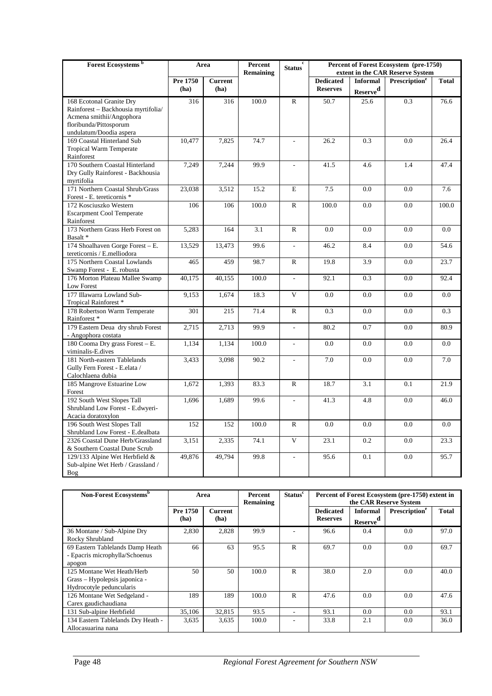| Forest Ecosystems <sup>b</sup>      | Area     |                | Percent<br>Remaining | <b>Status</b>            |                  |                      | Percent of Forest Ecosystem (pre-1750)<br>extent in the CAR Reserve System |              |  |  |
|-------------------------------------|----------|----------------|----------------------|--------------------------|------------------|----------------------|----------------------------------------------------------------------------|--------------|--|--|
|                                     | Pre 1750 | <b>Current</b> |                      |                          | <b>Dedicated</b> | <b>Informal</b>      | Prescription <sup>e</sup>                                                  | <b>Total</b> |  |  |
|                                     | (ha)     | (ha)           |                      |                          | <b>Reserves</b>  | Reserve <sup>d</sup> |                                                                            |              |  |  |
| 168 Ecotonal Granite Dry            | 316      | 316            | 100.0                | $\mathsf{R}$             | 50.7             | 25.6                 | 0.3                                                                        | 76.6         |  |  |
| Rainforest - Backhousia myrtifolia/ |          |                |                      |                          |                  |                      |                                                                            |              |  |  |
| Acmena smithii/Angophora            |          |                |                      |                          |                  |                      |                                                                            |              |  |  |
| floribunda/Pittosporum              |          |                |                      |                          |                  |                      |                                                                            |              |  |  |
| undulatum/Doodia aspera             |          |                |                      |                          |                  |                      |                                                                            |              |  |  |
| 169 Coastal Hinterland Sub          | 10,477   | 7,825          | 74.7                 | $\bar{\phantom{a}}$      | 26.2             | 0.3                  | 0.0                                                                        | 26.4         |  |  |
| Tropical Warm Temperate             |          |                |                      |                          |                  |                      |                                                                            |              |  |  |
| Rainforest                          |          |                |                      |                          |                  |                      |                                                                            |              |  |  |
| 170 Southern Coastal Hinterland     | 7,249    | 7,244          | 99.9                 |                          | 41.5             | 4.6                  | 1.4                                                                        | 47.4         |  |  |
| Dry Gully Rainforest - Backhousia   |          |                |                      |                          |                  |                      |                                                                            |              |  |  |
| myrtifolia                          |          |                |                      |                          |                  |                      |                                                                            |              |  |  |
| 171 Northern Coastal Shrub/Grass    | 23,038   | 3,512          | 15.2                 | $\mathbf E$              | 7.5              | 0.0                  | 0.0                                                                        | 7.6          |  |  |
| Forest - E. tereticornis *          |          |                |                      |                          |                  |                      |                                                                            |              |  |  |
| 172 Kosciuszko Western              | 106      | 106            | 100.0                | $\mathbb{R}$             | 100.0            | 0.0                  | 0.0                                                                        | 100.0        |  |  |
| <b>Escarpment Cool Temperate</b>    |          |                |                      |                          |                  |                      |                                                                            |              |  |  |
| Rainforest                          |          |                |                      |                          |                  |                      |                                                                            |              |  |  |
| 173 Northern Grass Herb Forest on   | 5,283    | 164            | 3.1                  | $\mathbb{R}$             | 0.0              | 0.0                  | 0.0                                                                        | 0.0          |  |  |
| Basalt*                             |          |                |                      |                          |                  |                      |                                                                            |              |  |  |
| 174 Shoalhaven Gorge Forest - E.    | 13,529   | 13,473         | 99.6                 | $\mathcal{L}$            | 46.2             | 8.4                  | 0.0                                                                        | 54.6         |  |  |
| tereticornis / E.melliodora         |          |                |                      |                          |                  |                      |                                                                            |              |  |  |
| 175 Northern Coastal Lowlands       | 465      | 459            | 98.7                 | $\mathbb{R}$             | 19.8             | 3.9                  | 0.0                                                                        | 23.7         |  |  |
| Swamp Forest - E. robusta           |          |                |                      |                          |                  |                      |                                                                            |              |  |  |
| 176 Morton Plateau Mallee Swamp     | 40,175   | 40,155         | 100.0                | $\overline{a}$           | 92.1             | 0.3                  | 0.0                                                                        | 92.4         |  |  |
| Low Forest                          |          |                |                      |                          |                  |                      |                                                                            |              |  |  |
| 177 Illawarra Lowland Sub-          | 9,153    | 1,674          | 18.3                 | $\mathbf{V}$             | 0.0              | 0.0                  | 0.0                                                                        | 0.0          |  |  |
| Tropical Rainforest *               |          |                |                      |                          |                  |                      |                                                                            |              |  |  |
| 178 Robertson Warm Temperate        | 301      | 215            | 71.4                 | $\mathbb{R}$             | 0.3              | 0.0                  | 0.0                                                                        | 0.3          |  |  |
| Rainforest*                         |          |                |                      |                          |                  |                      |                                                                            |              |  |  |
| 179 Eastern Deua dry shrub Forest   | 2,715    | 2,713          | 99.9                 | $\mathcal{L}$            | 80.2             | 0.7                  | 0.0                                                                        | 80.9         |  |  |
| - Angophora costata                 |          |                |                      |                          |                  |                      |                                                                            |              |  |  |
| 180 Cooma Dry grass Forest - E.     | 1,134    | 1,134          | 100.0                | $\overline{\phantom{a}}$ | 0.0              | 0.0                  | 0.0                                                                        | 0.0          |  |  |
| viminalis-E.dives                   |          |                |                      |                          |                  |                      |                                                                            |              |  |  |
| 181 North-eastern Tablelands        | 3,433    | 3,098          | 90.2                 | $\overline{a}$           | 7.0              | 0.0                  | 0.0                                                                        | 7.0          |  |  |
| Gully Fern Forest - E.elata /       |          |                |                      |                          |                  |                      |                                                                            |              |  |  |
| Calochlaena dubia                   |          |                |                      |                          |                  |                      |                                                                            |              |  |  |
| 185 Mangrove Estuarine Low          | 1,672    | 1,393          | 83.3                 | $\mathbb{R}$             | 18.7             | 3.1                  | 0.1                                                                        | 21.9         |  |  |
| Forest                              |          |                |                      |                          |                  |                      |                                                                            |              |  |  |
| 192 South West Slopes Tall          | 1,696    | 1,689          | 99.6                 | $\overline{\phantom{a}}$ | 41.3             | 4.8                  | 0.0                                                                        | 46.0         |  |  |
| Shrubland Low Forest - E.dwyeri-    |          |                |                      |                          |                  |                      |                                                                            |              |  |  |
| Acacia doratoxylon                  |          |                |                      |                          |                  |                      |                                                                            |              |  |  |
| 196 South West Slopes Tall          | 152      | 152            | 100.0                | $\mathbb{R}$             | 0.0              | 0.0                  | 0.0                                                                        | 0.0          |  |  |
| Shrubland Low Forest - E.dealbata   |          |                |                      |                          |                  |                      |                                                                            |              |  |  |
| 2326 Coastal Dune Herb/Grassland    | 3,151    | 2,335          | 74.1                 | $\mathbf{V}$             | 23.1             | 0.2                  | 0.0                                                                        | 23.3         |  |  |
| & Southern Coastal Dune Scrub       |          |                |                      |                          |                  |                      |                                                                            |              |  |  |
| 129/133 Alpine Wet Herbfield &      | 49,876   | 49,794         | 99.8                 |                          | 95.6             | 0.1                  | 0.0                                                                        | 95.7         |  |  |
| Sub-alpine Wet Herb / Grassland /   |          |                |                      |                          |                  |                      |                                                                            |              |  |  |
| Bog                                 |          |                |                      |                          |                  |                      |                                                                            |              |  |  |

| Non-Forest Ecosystems <sup>b</sup>                                                      | Area                    |                        | <b>Percent</b><br>Remaining | <b>Status<sup>c</sup></b> |                                     | Percent of Forest Ecosystem (pre-1750) extent in<br>the CAR Reserve System |                           |              |
|-----------------------------------------------------------------------------------------|-------------------------|------------------------|-----------------------------|---------------------------|-------------------------------------|----------------------------------------------------------------------------|---------------------------|--------------|
|                                                                                         | <b>Pre 1750</b><br>(ha) | <b>Current</b><br>(ha) |                             |                           | <b>Dedicated</b><br><b>Reserves</b> | <b>Informal</b><br>Reserve <sup>d</sup>                                    | Prescription <sup>e</sup> | <b>Total</b> |
| 36 Montane / Sub-Alpine Dry<br>Rocky Shrubland                                          | 2.830                   | 2.828                  | 99.9                        |                           | 96.6                                | 0.4                                                                        | 0.0                       | 97.0         |
| 69 Eastern Tablelands Damp Heath<br>- Epacris microphylla/Schoenus<br>apogon            | 66                      | 63                     | 95.5                        | $\mathsf{R}$              | 69.7                                | 0.0                                                                        | 0.0                       | 69.7         |
| 125 Montane Wet Heath/Herb<br>Grass – Hypolepsis japonica -<br>Hydrocotyle peduncularis | 50                      | 50                     | 100.0                       | R                         | 38.0                                | 2.0                                                                        | 0.0                       | 40.0         |
| 126 Montane Wet Sedgeland -<br>Carex gaudichaudiana                                     | 189                     | 189                    | 100.0                       | R                         | 47.6                                | 0.0                                                                        | 0.0                       | 47.6         |
| 131 Sub-alpine Herbfield                                                                | 35,106                  | 32,815                 | 93.5                        | ۰                         | 93.1                                | 0.0                                                                        | 0.0                       | 93.1         |
| 134 Eastern Tablelands Dry Heath -<br>Allocasuarina nana                                | 3,635                   | 3,635                  | 100.0                       |                           | 33.8                                | 2.1                                                                        | 0.0                       | 36.0         |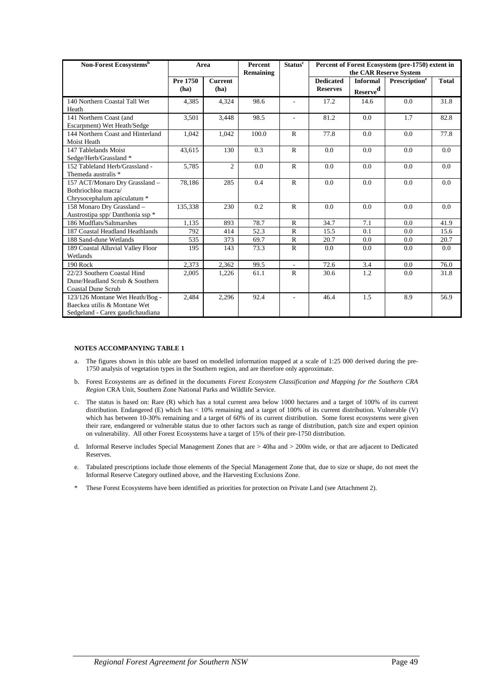| Non-Forest Ecosystems <sup>b</sup> | Area     |                | <b>Percent</b><br>Remaining | <b>Status<sup>c</sup></b> |                  |                 | Percent of Forest Ecosystem (pre-1750) extent in<br>the CAR Reserve System |              |
|------------------------------------|----------|----------------|-----------------------------|---------------------------|------------------|-----------------|----------------------------------------------------------------------------|--------------|
|                                    | Pre 1750 | <b>Current</b> |                             |                           | <b>Dedicated</b> | <b>Informal</b> | Prescription <sup>e</sup>                                                  | <b>Total</b> |
|                                    | (ha)     | (ha)           |                             |                           | <b>Reserves</b>  | $Reserve^d$     |                                                                            |              |
| 140 Northern Coastal Tall Wet      | 4,385    | 4,324          | 98.6                        | ÷                         | 17.2             | 14.6            | 0.0                                                                        | 31.8         |
| Heath                              |          |                |                             |                           |                  |                 |                                                                            |              |
| 141 Northern Coast (and            | 3,501    | 3,448          | 98.5                        | $\overline{\phantom{a}}$  | 81.2             | 0.0             | 1.7                                                                        | 82.8         |
| Escarpment) Wet Heath/Sedge        |          |                |                             |                           |                  |                 |                                                                            |              |
| 144 Northern Coast and Hinterland  | 1,042    | 1,042          | 100.0                       | $\mathbb{R}$              | 77.8             | 0.0             | 0.0                                                                        | 77.8         |
| Moist Heath                        |          |                |                             |                           |                  |                 |                                                                            |              |
| 147 Tablelands Moist               | 43.615   | 130            | 0.3                         | $\mathbb{R}$              | 0.0              | 0.0             | 0.0                                                                        | 0.0          |
| Sedge/Herb/Grassland *             |          |                |                             |                           |                  |                 |                                                                            |              |
| 152 Tableland Herb/Grassland -     | 5,785    | $\overline{c}$ | 0.0                         | $\mathbb{R}$              | 0.0              | 0.0             | 0.0                                                                        | 0.0          |
| Themeda australis *                |          |                |                             |                           |                  |                 |                                                                            |              |
| 157 ACT/Monaro Dry Grassland -     | 78,186   | 285            | 0.4                         | $\mathbb{R}$              | 0.0              | 0.0             | 0.0                                                                        | 0.0          |
| Bothriochloa macra/                |          |                |                             |                           |                  |                 |                                                                            |              |
| Chrysocephalum apiculatum *        |          |                |                             |                           |                  |                 |                                                                            |              |
| 158 Monaro Dry Grassland -         | 135,338  | 230            | 0.2                         | $\mathbb{R}$              | 0.0              | 0.0             | 0.0                                                                        | 0.0          |
| Austrostipa spp/Danthonia ssp *    |          |                |                             |                           |                  |                 |                                                                            |              |
| 186 Mudflats/Saltmarshes           | 1.135    | 893            | 78.7                        | $\mathbb{R}$              | 34.7             | 7.1             | 0.0                                                                        | 41.9         |
| 187 Coastal Headland Heathlands    | 792      | 414            | 52.3                        | $\mathsf{R}$              | 15.5             | 0.1             | 0.0                                                                        | 15.6         |
| 188 Sand-dune Wetlands             | 535      | 373            | 69.7                        | ${\bf R}$                 | 20.7             | 0.0             | 0.0                                                                        | 20.7         |
| 189 Coastal Alluvial Valley Floor  | 195      | 143            | 73.3                        | $\mathbb{R}$              | 0.0              | 0.0             | 0.0                                                                        | 0.0          |
| Wetlands                           |          |                |                             |                           |                  |                 |                                                                            |              |
| 190 Rock                           | 2,373    | 2,362          | 99.5                        | $\overline{\phantom{a}}$  | 72.6             | 3.4             | 0.0                                                                        | 76.0         |
| 22/23 Southern Coastal Hind        | 2,005    | 1,226          | 61.1                        | $\mathsf{R}$              | 30.6             | 1.2             | 0.0                                                                        | 31.8         |
| Dune/Headland Scrub & Southern     |          |                |                             |                           |                  |                 |                                                                            |              |
| <b>Coastal Dune Scrub</b>          |          |                |                             |                           |                  |                 |                                                                            |              |
| 123/126 Montane Wet Heath/Bog -    | 2,484    | 2,296          | 92.4                        | $\blacksquare$            | 46.4             | 1.5             | 8.9                                                                        | 56.9         |
| Baeckea utilis & Montane Wet       |          |                |                             |                           |                  |                 |                                                                            |              |
| Sedgeland - Carex gaudichaudiana   |          |                |                             |                           |                  |                 |                                                                            |              |

#### **NOTES ACCOMPANYING TABLE 1**

- a. The figures shown in this table are based on modelled information mapped at a scale of 1:25 000 derived during the pre-1750 analysis of vegetation types in the Southern region, and are therefore only approximate.
- b. Forest Ecosystems are as defined in the documents *Forest Ecosystem Classification and Mapping for the Southern CRA Region* CRA Unit, Southern Zone National Parks and Wildlife Service.
- c. The status is based on: Rare (R) which has a total current area below 1000 hectares and a target of 100% of its current distribution. Endangered (E) which has < 10% remaining and a target of 100% of its current distribution. Vulnerable (V) which has between 10-30% remaining and a target of 60% of its current distribution. Some forest ecosystems were given their rare, endangered or vulnerable status due to other factors such as range of distribution, patch size and expert opinion on vulnerability. All other Forest Ecosystems have a target of 15% of their pre-1750 distribution.
- d. Informal Reserve includes Special Management Zones that are > 40ha and > 200m wide, or that are adjacent to Dedicated **Reserves**
- e. Tabulated prescriptions include those elements of the Special Management Zone that, due to size or shape, do not meet the Informal Reserve Category outlined above, and the Harvesting Exclusions Zone.
- These Forest Ecosystems have been identified as priorities for protection on Private Land (see Attachment 2).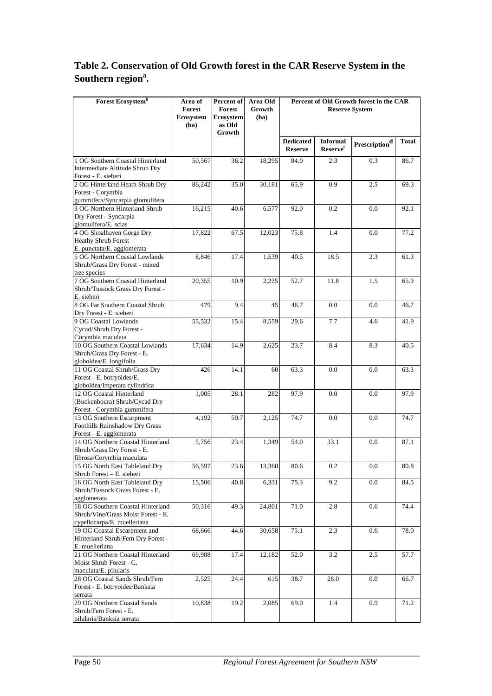# **Table 2. Conservation of Old Growth forest in the CAR Reserve System in the Southern region<sup>a</sup> .**

| <b>Forest Ecosystemb</b>                                          | Area of<br><b>Forest</b> | Percent of<br>Forest | Area Old<br>Growth |                                    | <b>Reserve System</b>                         | Percent of Old Growth forest in the CAR |              |
|-------------------------------------------------------------------|--------------------------|----------------------|--------------------|------------------------------------|-----------------------------------------------|-----------------------------------------|--------------|
|                                                                   | Ecosystem                | Ecosystem            | (ha)               |                                    |                                               |                                         |              |
|                                                                   | (ha)                     | as Old<br>Growth     |                    |                                    |                                               |                                         |              |
|                                                                   |                          |                      |                    | <b>Dedicated</b><br><b>Reserve</b> | <b>Informal</b><br><b>Reserve<sup>c</sup></b> | $\ensuremath{\mathbf{Prescription}}^d$  | <b>Total</b> |
| 1 OG Southern Coastal Hinterland                                  | 50,567                   | 36.2                 | 18,295             | 84.0                               | 2.3                                           | 0.3                                     | 86.7         |
| Intermediate Altitude Shrub Dry<br>Forest - E. sieberi            |                          |                      |                    |                                    |                                               |                                         |              |
| 2 OG Hinterland Heath Shrub Dry                                   | 86,242                   | 35.0                 | 30,181             | 65.9                               | 0.9                                           | 2.5                                     | 69.3         |
| Forest - Corymbia                                                 |                          |                      |                    |                                    |                                               |                                         |              |
| gummifera/Syncarpia glomulifera<br>3 OG Northern Hinterland Shrub | 16,215                   | 40.6                 | 6,577              | 92.0                               | 0.2                                           | 0.0                                     | 92.1         |
| Dry Forest - Syncarpia                                            |                          |                      |                    |                                    |                                               |                                         |              |
| glomulifera/E. scias                                              |                          |                      |                    |                                    |                                               |                                         |              |
| 4 OG Shoalhaven Gorge Dry<br>Heathy Shrub Forest-                 | 17,822                   | 67.5                 | 12,023             | 75.8                               | 1.4                                           | 0.0                                     | 77.2         |
| E. punctata/E. agglomerata                                        |                          |                      |                    |                                    |                                               |                                         |              |
| 5 OG Northern Coastal Lowlands                                    | 8,846                    | 17.4                 | 1,539              | 40.5                               | 18.5                                          | 2.3                                     | 61.3         |
| Shrub/Grass Dry Forest - mixed<br>tree species                    |                          |                      |                    |                                    |                                               |                                         |              |
| 7 OG Southern Coastal Hinterland                                  | 20,355                   | 10.9                 | 2,225              | 52.7                               | 11.8                                          | 1.5                                     | 65.9         |
| Shrub/Tussock Grass Dry Forest -                                  |                          |                      |                    |                                    |                                               |                                         |              |
| E. sieberi                                                        |                          |                      |                    |                                    |                                               |                                         |              |
| 8 OG Far Southern Coastal Shrub<br>Dry Forest - E. sieberi        | 479                      | 9.4                  | 45                 | 46.7                               | 0.0                                           | 0.0                                     | 46.7         |
| 9 OG Coastal Lowlands                                             | 55,532                   | 15.4                 | 8,559              | 29.6                               | 7.7                                           | 4.6                                     | 41.9         |
| Cycad/Shrub Dry Forest -                                          |                          |                      |                    |                                    |                                               |                                         |              |
| Corymbia maculata<br>10 OG Southern Coastal Lowlands              |                          | 14.9                 |                    | 23.7                               | 8.4                                           | 8.3                                     | 40.5         |
| Shrub/Grass Dry Forest - E.                                       | 17,634                   |                      | 2,625              |                                    |                                               |                                         |              |
| globoidea/E. longifolia                                           |                          |                      |                    |                                    |                                               |                                         |              |
| 11 OG Coastal Shrub/Grass Dry                                     | 426                      | 14.1                 | 60                 | 63.3                               | 0.0                                           | 0.0                                     | 63.3         |
| Forest - E. botryoides/E.<br>globoidea/Imperata cylindrica        |                          |                      |                    |                                    |                                               |                                         |              |
| 12 OG Coastal Hinterland                                          | 1,005                    | 28.1                 | 282                | 97.9                               | 0.0                                           | 0.0                                     | 97.9         |
| (Buckenboura) Shrub/Cycad Dry                                     |                          |                      |                    |                                    |                                               |                                         |              |
| Forest - Corymbia gummifera<br>13 OG Southern Escarpment          | 4,192                    | 50.7                 | 2,125              | 74.7                               | 0.0                                           | 0.0                                     | 74.7         |
| Foothills Rainshadow Dry Grass                                    |                          |                      |                    |                                    |                                               |                                         |              |
| Forest - E. agglomerata                                           |                          |                      |                    |                                    |                                               |                                         |              |
| 14 OG Northern Coastal Hinterland                                 | 5,756                    | 23.4                 | 1,349              | 54.0                               | 33.1                                          | 0.0                                     | 87.1         |
| Shrub/Grass Dry Forest - E.<br>fibrosa/Corymbia maculata          |                          |                      |                    |                                    |                                               |                                         |              |
| 15 OG North East Tableland Dry                                    | 56,597                   | 23.6                 | 13,360             | 80.6                               | 0.2                                           | $0.0\,$                                 | 80.8         |
| Shrub Forest - E. sieberi                                         |                          |                      |                    |                                    |                                               |                                         |              |
| 16 OG North East Tableland Dry<br>Shrub/Tussock Grass Forest - E. | 15,506                   | 40.8                 | 6,331              | 75.3                               | 9.2                                           | 0.0                                     | 84.5         |
| agglomerata                                                       |                          |                      |                    |                                    |                                               |                                         |              |
| 18 OG Southern Coastal Hinterland                                 | 50,316                   | 49.3                 | 24,801             | 71.0                               | 2.8                                           | 0.6                                     | 74.4         |
| Shrub/Vine/Grass Moist Forest - E.                                |                          |                      |                    |                                    |                                               |                                         |              |
| cypellocarpa/E. muelleriana<br>19 OG Coastal Escarpment and       | 68,666                   | 44.6                 | 30,658             | 75.1                               | 2.3                                           | 0.6                                     | 78.0         |
| Hinterland Shrub/Fern Dry Forest -                                |                          |                      |                    |                                    |                                               |                                         |              |
| E. muelleriana                                                    |                          |                      |                    |                                    |                                               |                                         |              |
| 21 OG Northern Coastal Hinterland<br>Moist Shrub Forest - C.      | 69,988                   | 17.4                 | 12,182             | 52.0                               | 3.2                                           | 2.5                                     | 57.7         |
| maculata/E. pilularis                                             |                          |                      |                    |                                    |                                               |                                         |              |
| 28 OG Coastal Sands Shrub/Fern                                    | 2,525                    | 24.4                 | 615                | 38.7                               | 28.0                                          | $0.0\,$                                 | 66.7         |
| Forest - E. botryoides/Banksia                                    |                          |                      |                    |                                    |                                               |                                         |              |
| serrata<br>29 OG Northern Coastal Sands                           | 10,838                   | 19.2                 | 2,085              | 69.0                               | 1.4                                           | 0.9                                     | 71.2         |
| Shrub/Fern Forest - E.                                            |                          |                      |                    |                                    |                                               |                                         |              |
| pilularis/Banksia serrata                                         |                          |                      |                    |                                    |                                               |                                         |              |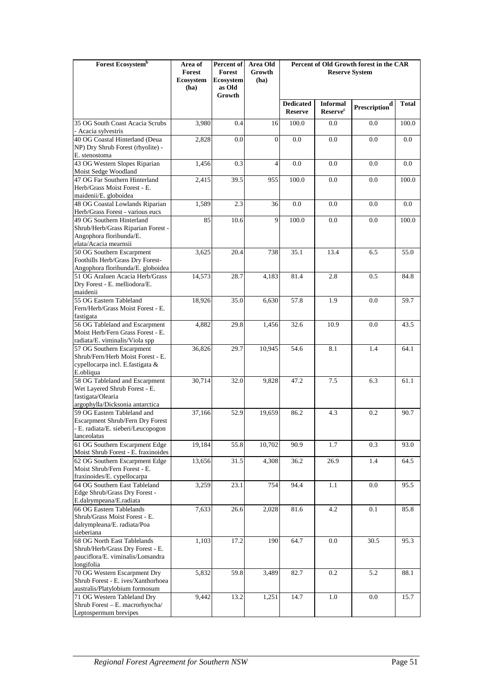| Forest Ecosystem <sup>b</sup>                                                                                                        | Area of<br>Forest<br>Ecosystem<br>(ha) | Percent of<br>Forest<br>Ecosystem<br>as Old | Area Old<br>Growth<br>(ha) |                                    | Percent of Old Growth forest in the CAR<br><b>Reserve System</b> |                                                             |              |
|--------------------------------------------------------------------------------------------------------------------------------------|----------------------------------------|---------------------------------------------|----------------------------|------------------------------------|------------------------------------------------------------------|-------------------------------------------------------------|--------------|
|                                                                                                                                      |                                        | Growth                                      |                            | <b>Dedicated</b><br><b>Reserve</b> | <b>Informal</b><br>Reserve <sup>c</sup>                          | $\ensuremath{\mathbf{Prescript}}\ensuremath{\mathbf{in}}^d$ | <b>Total</b> |
| 35 OG South Coast Acacia Scrubs                                                                                                      | 3,980                                  | 0.4                                         | 16                         | 100.0                              | 0.0                                                              | 0.0                                                         | 100.0        |
| - Acacia sylvestris<br>40 OG Coastal Hinterland (Deua                                                                                | 2,828                                  | 0.0                                         | $\Omega$                   | 0.0                                | 0.0                                                              | 0.0                                                         | 0.0          |
| NP) Dry Shrub Forest (rhyolite) -<br>E. stenostoma                                                                                   |                                        |                                             |                            |                                    |                                                                  |                                                             |              |
| 43 OG Western Slopes Riparian<br>Moist Sedge Woodland                                                                                | 1,456                                  | 0.3                                         | $\overline{4}$             | 0.0                                | 0.0                                                              | 0.0                                                         | 0.0          |
| 47 OG Far Southern Hinterland<br>Herb/Grass Moist Forest - E.<br>maidenii/E. globoidea                                               | 2,415                                  | 39.5                                        | 955                        | 100.0                              | 0.0                                                              | 0.0                                                         | 100.0        |
| 48 OG Coastal Lowlands Riparian<br>Herb/Grass Forest - various eucs                                                                  | 1,589                                  | 2.3                                         | 36                         | 0.0                                | 0.0                                                              | 0.0                                                         | 0.0          |
| 49 OG Southern Hinterland<br>Shrub/Herb/Grass Riparian Forest -<br>Angophora floribunda/E.<br>elata/Acacia mearnsii                  | 85                                     | 10.6                                        | 9                          | 100.0                              | 0.0                                                              | 0.0                                                         | 100.0        |
| 50 OG Southern Escarpment<br>Foothills Herb/Grass Dry Forest-<br>Angophora floribunda/E. globoidea                                   | 3,625                                  | 20.4                                        | 738                        | 35.1                               | 13.4                                                             | 6.5                                                         | 55.0         |
| 51 OG Araluen Acacia Herb/Grass<br>Dry Forest - E. melliodora/E.<br>maidenii                                                         | 14,573                                 | 28.7                                        | 4,183                      | 81.4                               | 2.8                                                              | 0.5                                                         | 84.8         |
| 55 OG Eastern Tableland<br>Fern/Herb/Grass Moist Forest - E.<br>fastigata                                                            | 18,926                                 | 35.0                                        | 6,630                      | 57.8                               | 1.9                                                              | 0.0                                                         | 59.7         |
| 56 OG Tableland and Escarpment<br>Moist Herb/Fern Grass Forest - E.<br>radiata/E. viminalis/Viola spp                                | 4,882                                  | 29.8                                        | 1,456                      | 32.6                               | 10.9                                                             | 0.0                                                         | 43.5         |
| 57 OG Southern Escarpment<br>Shrub/Fern/Herb Moist Forest - E.<br>cypellocarpa incl. E.fastigata &<br>E.obliqua                      | 36,826                                 | 29.7                                        | 10,945                     | 54.6                               | 8.1                                                              | 1.4                                                         | 64.1         |
| 58 OG Tableland and Escarpment<br>Wet Layered Shrub Forest - E.<br>fastigata/Olearia<br>argophylla/Dicksonia antarctica              | 30,714                                 | 32.0                                        | 9,828                      | 47.2                               | 7.5                                                              | 6.3                                                         | 61.1         |
| 59 OG Eastern Tableland and<br>Escarpment Shrub/Fern Dry Forest<br>- E. radiata/E. sieberi/Leucopogon<br>lanceolatus                 | 37,166                                 | 52.9                                        | 19,659                     | 86.2                               | 4.3                                                              | 0.2                                                         | 90.7         |
| 61 OG Southern Escarpment Edge                                                                                                       | 19,184                                 | 55.8                                        | 10,702                     | 90.9                               | 1.7                                                              | 0.3                                                         | 93.0         |
| Moist Shrub Forest - E. fraxinoides<br>62 OG Southern Escarpment Edge<br>Moist Shrub/Fern Forest - E.<br>fraxinoides/E. cypellocarpa | 13,656                                 | 31.5                                        | 4,308                      | 36.2                               | 26.9                                                             | 1.4                                                         | 64.5         |
| 64 OG Southern East Tableland<br>Edge Shrub/Grass Dry Forest -<br>E.dalrympeana/E.radiata                                            | 3,259                                  | 23.1                                        | 754                        | 94.4                               | 1.1                                                              | 0.0                                                         | 95.5         |
| 66 OG Eastern Tablelands<br>Shrub/Grass Moist Forest - E.<br>dalrympleana/E. radiata/Poa<br>sieberiana                               | 7,633                                  | 26.6                                        | 2,028                      | 81.6                               | 4.2                                                              | 0.1                                                         | 85.8         |
| 68 OG North East Tablelands<br>Shrub/Herb/Grass Dry Forest - E.<br>pauciflora/E. viminalis/Lomandra<br>longifolia                    | 1,103                                  | 17.2                                        | 190                        | 64.7                               | 0.0                                                              | 30.5                                                        | 95.3         |
| 70 OG Western Escarpment Dry<br>Shrub Forest - E. ives/Xanthorhoea<br>australis/Platylobium formosum                                 | 5,832                                  | 59.8                                        | 3,489                      | 82.7                               | 0.2                                                              | 5.2                                                         | 88.1         |
| 71 OG Western Tableland Dry<br>Shrub Forest - E. macrorhyncha/<br>Leptospermum brevipes                                              | 9,442                                  | 13.2                                        | 1,251                      | 14.7                               | 1.0                                                              | 0.0                                                         | 15.7         |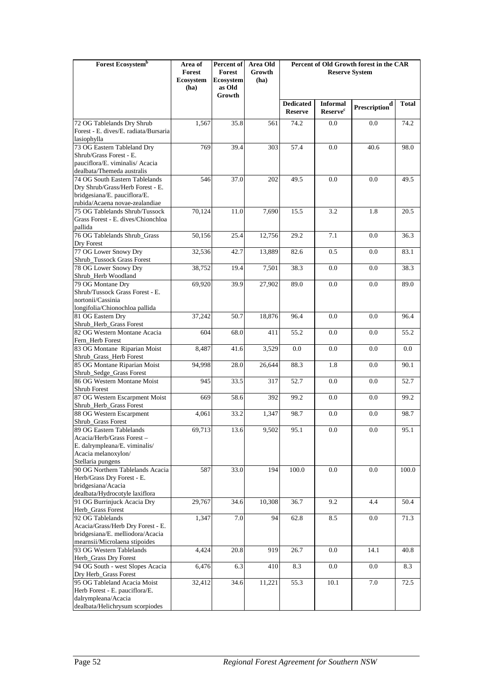| Forest Ecosystem <sup>b</sup>                                                                      | Area of<br>Forest        | Percent of<br>Forest       | Area Old<br>Growth | Percent of Old Growth forest in the CAR<br><b>Reserve System</b> |                                                |                                                             |              |
|----------------------------------------------------------------------------------------------------|--------------------------|----------------------------|--------------------|------------------------------------------------------------------|------------------------------------------------|-------------------------------------------------------------|--------------|
|                                                                                                    | <b>Ecosystem</b><br>(ha) | <b>Ecosystem</b><br>as Old | (ha)               |                                                                  |                                                |                                                             |              |
|                                                                                                    |                          | Growth                     |                    | <b>Dedicated</b><br><b>Reserve</b>                               | <b>Informal</b><br><b>Reserve</b> <sup>c</sup> | $\ensuremath{\mathbf{Prescript}}\ensuremath{\mathbf{in}}^d$ | <b>Total</b> |
| 72 OG Tablelands Dry Shrub                                                                         | 1,567                    | 35.8                       | 561                | 74.2                                                             | 0.0                                            | 0.0                                                         | 74.2         |
| Forest - E. dives/E. radiata/Bursaria<br>lasiophylla                                               |                          |                            |                    |                                                                  |                                                |                                                             |              |
| 73 OG Eastern Tableland Dry                                                                        | 769                      | 39.4                       | 303                | 57.4                                                             | 0.0                                            | 40.6                                                        | 98.0         |
| Shrub/Grass Forest - E.<br>pauciflora/E. viminalis/ Acacia<br>dealbata/Themeda australis           |                          |                            |                    |                                                                  |                                                |                                                             |              |
| 74 OG South Eastern Tablelands                                                                     | 546                      | 37.0                       | 202                | 49.5                                                             | 0.0                                            | 0.0                                                         | 49.5         |
| Dry Shrub/Grass/Herb Forest - E.<br>bridgesiana/E. pauciflora/E.<br>rubida/Acaena novae-zealandiae |                          |                            |                    |                                                                  |                                                |                                                             |              |
| 75 OG Tablelands Shrub/Tussock                                                                     | 70,124                   | 11.0                       | 7,690              | 15.5                                                             | 3.2                                            | 1.8                                                         | 20.5         |
| Grass Forest - E. dives/Chionchloa                                                                 |                          |                            |                    |                                                                  |                                                |                                                             |              |
| pallida<br>76 OG Tablelands Shrub_Grass                                                            | 50,156                   | 25.4                       | 12,756             | 29.2                                                             | 7.1                                            | 0.0                                                         | 36.3         |
| Dry Forest                                                                                         |                          |                            |                    |                                                                  |                                                |                                                             |              |
| 77 OG Lower Snowy Dry<br>Shrub_Tussock Grass Forest                                                | 32,536                   | 42.7                       | 13,889             | 82.6                                                             | 0.5                                            | 0.0                                                         | 83.1         |
| 78 OG Lower Snowy Dry                                                                              | 38,752                   | 19.4                       | 7,501              | 38.3                                                             | 0.0                                            | 0.0                                                         | 38.3         |
| Shrub_Herb Woodland                                                                                |                          |                            |                    |                                                                  |                                                |                                                             |              |
| 79 OG Montane Dry<br>Shrub/Tussock Grass Forest - E.                                               | 69,920                   | 39.9                       | 27,902             | 89.0                                                             | 0.0                                            | 0.0                                                         | 89.0         |
| nortonii/Cassinia                                                                                  |                          |                            |                    |                                                                  |                                                |                                                             |              |
| longifolia/Chionochloa pallida                                                                     |                          |                            |                    |                                                                  |                                                |                                                             |              |
| 81 OG Eastern Dry<br>Shrub_Herb_Grass Forest                                                       | 37,242                   | 50.7                       | 18,876             | 96.4                                                             | 0.0                                            | 0.0                                                         | 96.4         |
| 82 OG Western Montane Acacia                                                                       | 604                      | 68.0                       | 411                | 55.2                                                             | 0.0                                            | 0.0                                                         | 55.2         |
| Fern_Herb Forest<br>83 OG Montane Riparian Moist                                                   | 8,487                    | 41.6                       | 3,529              | 0.0                                                              | 0.0                                            | 0.0                                                         | 0.0          |
| Shrub_Grass_Herb Forest                                                                            |                          |                            |                    |                                                                  |                                                |                                                             |              |
| 85 OG Montane Riparian Moist<br>Shrub_Sedge_Grass Forest                                           | 94,998                   | 28.0                       | 26,644             | 88.3                                                             | 1.8                                            | 0.0                                                         | 90.1         |
| 86 OG Western Montane Moist                                                                        | 945                      | 33.5                       | 317                | 52.7                                                             | 0.0                                            | 0.0                                                         | 52.7         |
| Shrub Forest                                                                                       |                          |                            |                    |                                                                  |                                                |                                                             |              |
| 87 OG Western Escarpment Moist<br>Shrub_Herb_Grass Forest                                          | 669                      | 58.6                       | 392                | 99.2                                                             | 0.0                                            | 0.0                                                         | 99.2         |
| 88 OG Western Escarpment<br>Shrub_Grass Forest                                                     | 4,061                    | 33.2                       | 1,347              | 98.7                                                             | 0.0                                            | 0.0                                                         | 98.7         |
| 89 OG Eastern Tablelands<br>Acacia/Herb/Grass Forest-                                              | 69,713                   | 13.6                       | 9,502              | 95.1                                                             | $0.0\,$                                        | $0.0\,$                                                     | 95.1         |
| E. dalrympleana/E. viminalis/<br>Acacia melanoxylon/<br>Stellaria pungens                          |                          |                            |                    |                                                                  |                                                |                                                             |              |
| 90 OG Northern Tablelands Acacia                                                                   | 587                      | 33.0                       | 194                | 100.0                                                            | 0.0                                            | 0.0                                                         | 100.0        |
| Herb/Grass Dry Forest - E.                                                                         |                          |                            |                    |                                                                  |                                                |                                                             |              |
| bridgesiana/Acacia<br>dealbata/Hydrocotyle laxiflora                                               |                          |                            |                    |                                                                  |                                                |                                                             |              |
| 91 OG Burrinjuck Acacia Dry                                                                        | 29,767                   | 34.6                       | 10,308             | 36.7                                                             | 9.2                                            | 4.4                                                         | 50.4         |
| Herb_Grass Forest                                                                                  |                          |                            |                    |                                                                  |                                                |                                                             |              |
| 92 OG Tablelands<br>Acacia/Grass/Herb Dry Forest - E.                                              | 1,347                    | 7.0                        | 94                 | 62.8                                                             | 8.5                                            | $0.0\,$                                                     | 71.3         |
| bridgesiana/E. melliodora/Acacia                                                                   |                          |                            |                    |                                                                  |                                                |                                                             |              |
| mearnsii/Microlaena stipoides<br>93 OG Western Tablelands                                          | 4,424                    | 20.8                       | 919                | 26.7                                                             | 0.0                                            | 14.1                                                        | 40.8         |
| Herb_Grass Dry Forest                                                                              |                          |                            |                    |                                                                  |                                                |                                                             |              |
| 94 OG South - west Slopes Acacia                                                                   | 6,476                    | 6.3                        | 410                | 8.3                                                              | 0.0                                            | 0.0                                                         | 8.3          |
| Dry Herb_Grass Forest<br>95 OG Tableland Acacia Moist                                              | 32,412                   | 34.6                       | 11,221             | 55.3                                                             | 10.1                                           | 7.0                                                         | 72.5         |
| Herb Forest - E. pauciflora/E.                                                                     |                          |                            |                    |                                                                  |                                                |                                                             |              |
| dalrympleana/Acacia                                                                                |                          |                            |                    |                                                                  |                                                |                                                             |              |
| dealbata/Helichrysum scorpiodes                                                                    |                          |                            |                    |                                                                  |                                                |                                                             |              |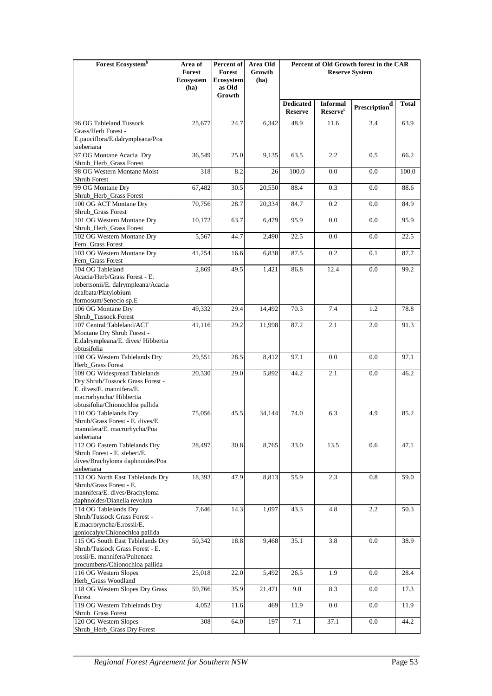| Forest Ecosystem <sup>b</sup>                                       | Area of<br>Forest | Percent of<br><b>Forest</b> | Area Old<br>Growth | Percent of Old Growth forest in the CAR<br><b>Reserve System</b> |                            |                                    |              |
|---------------------------------------------------------------------|-------------------|-----------------------------|--------------------|------------------------------------------------------------------|----------------------------|------------------------------------|--------------|
|                                                                     | Ecosystem<br>(ha) | Ecosystem<br>as Old         | (ha)               |                                                                  |                            |                                    |              |
|                                                                     |                   | Growth                      |                    | <b>Dedicated</b>                                                 | <b>Informal</b>            | $\mathbf{Prescription}^\mathbf{d}$ | <b>Total</b> |
|                                                                     |                   |                             |                    | <b>Reserve</b>                                                   | <b>Reserve<sup>c</sup></b> |                                    |              |
| 96 OG Tableland Tussock<br>Grass/Herb Forest -                      | 25,677            | 24.7                        | 6,342              | 48.9                                                             | 11.6                       | 3.4                                | 63.9         |
| E.pauciflora/E.dalrympleana/Poa                                     |                   |                             |                    |                                                                  |                            |                                    |              |
| sieberiana                                                          |                   |                             |                    |                                                                  |                            |                                    |              |
| 97 OG Montane Acacia_Dry<br>Shrub_Herb_Grass Forest                 | 36,549            | 25.0                        | 9,135              | 63.5                                                             | 2.2                        | 0.5                                | 66.2         |
| 98 OG Western Montane Moist                                         | 318               | 8.2                         | 26                 | 100.0                                                            | 0.0                        | 0.0                                | 100.0        |
| Shrub Forest<br>99 OG Montane Dry                                   | 67,482            | 30.5                        | 20,550             | 88.4                                                             | 0.3                        | 0.0                                | 88.6         |
| Shrub_Herb_Grass Forest                                             |                   |                             |                    |                                                                  |                            |                                    |              |
| 100 OG ACT Montane Dry                                              | 70,756            | 28.7                        | 20,334             | 84.7                                                             | 0.2                        | 0.0                                | 84.9         |
| Shrub_Grass Forest<br>101 OG Western Montane Dry                    | 10,172            | 63.7                        | 6,479              | 95.9                                                             | 0.0                        | 0.0                                | 95.9         |
| Shrub_Herb_Grass Forest                                             |                   |                             |                    |                                                                  |                            |                                    |              |
| 102 OG Western Montane Dry<br>Fern_Grass Forest                     | 5,567             | 44.7                        | 2,490              | 22.5                                                             | 0.0                        | 0.0                                | 22.5         |
| 103 OG Western Montane Dry<br>Fern_Grass Forest                     | 41,254            | 16.6                        | 6,838              | 87.5                                                             | 0.2                        | 0.1                                | 87.7         |
| 104 OG Tableland                                                    | 2,869             | 49.5                        | 1,421              | 86.8                                                             | 12.4                       | 0.0                                | 99.2         |
| Acacia/Herb/Grass Forest - E.<br>robertsonii/E. dalrympleana/Acacia |                   |                             |                    |                                                                  |                            |                                    |              |
| dealbata/Platylobium                                                |                   |                             |                    |                                                                  |                            |                                    |              |
| formosum/Senecio sp.E<br>106 OG Montane Dry                         | 49,332            | 29.4                        | 14,492             | 70.3                                                             | 7.4                        | 1.2                                | 78.8         |
| Shrub_Tussock Forest                                                |                   |                             |                    |                                                                  |                            |                                    |              |
| 107 Central Tableland/ACT                                           | 41,116            | 29.2                        | 11,998             | 87.2                                                             | 2.1                        | 2.0                                | 91.3         |
| Montane Dry Shrub Forest -<br>E.dalrympleana/E. dives/ Hibbertia    |                   |                             |                    |                                                                  |                            |                                    |              |
| obtusifolia                                                         |                   |                             |                    |                                                                  |                            |                                    |              |
| 108 OG Western Tablelands Dry<br>Herb_Grass Forest                  | 29,551            | 28.5                        | 8,412              | 97.1                                                             | 0.0                        | 0.0                                | 97.1         |
| 109 OG Widespread Tablelands                                        | 20,330            | 29.0                        | 5,892              | 44.2                                                             | 2.1                        | 0.0                                | 46.2         |
| Dry Shrub/Tussock Grass Forest -<br>E. dives/E. mannifera/E.        |                   |                             |                    |                                                                  |                            |                                    |              |
| macrorhyncha/Hibbertia                                              |                   |                             |                    |                                                                  |                            |                                    |              |
| obtusifolia/Chionochloa pallida<br>110 OG Tablelands Dry            | 75,056            | 45.5                        | 34,144             | 74.0                                                             | 6.3                        | 4.9                                | 85.2         |
| Shrub/Grass Forest - E. dives/E.                                    |                   |                             |                    |                                                                  |                            |                                    |              |
| mannifera/E. macrorhycha/Poa<br>sieberiana                          |                   |                             |                    |                                                                  |                            |                                    |              |
| 112 OG Eastern Tablelands Dry                                       | 28,497            | 30.8                        | 8,765              | 33.0                                                             | 13.5                       | 0.6                                | 47.1         |
| Shrub Forest - E. sieberi/E.                                        |                   |                             |                    |                                                                  |                            |                                    |              |
| dives/Brachyloma daphnoides/Poa<br>sieberiana                       |                   |                             |                    |                                                                  |                            |                                    |              |
| 113 OG North East Tablelands Dry                                    | 18,393            | 47.9                        | 8,813              | 55.9                                                             | 2.3                        | 0.8                                | 59.0         |
| Shrub/Grass Forest - E.<br>mannifera/E. dives/Brachyloma            |                   |                             |                    |                                                                  |                            |                                    |              |
| daphnoides/Dianella revoluta                                        |                   |                             |                    |                                                                  |                            |                                    |              |
| 114 OG Tablelands Dry<br>Shrub/Tussock Grass Forest -               | 7,646             | 14.3                        | 1,097              | 43.3                                                             | 4.8                        | 2.2                                | 50.3         |
| E.macroryncha/E.rossii/E.                                           |                   |                             |                    |                                                                  |                            |                                    |              |
| goniocalyx/Chionochloa pallida                                      |                   |                             |                    |                                                                  |                            |                                    |              |
| 115 OG South East Tablelands Dry<br>Shrub/Tussock Grass Forest - E. | 50,342            | 18.8                        | 9,468              | 35.1                                                             | 3.8                        | 0.0                                | 38.9         |
| rossii/E. mannifera/Pultenaea                                       |                   |                             |                    |                                                                  |                            |                                    |              |
| procumbens/Chionochloa pallida<br>116 OG Western Slopes             | 25,018            | 22.0                        | 5,492              | 26.5                                                             | 1.9                        | 0.0                                | 28.4         |
| Herb_Grass Woodland                                                 |                   |                             |                    |                                                                  |                            |                                    |              |
| 118 OG Western Slopes Dry Grass                                     | 59,766            | 35.9                        | 21,471             | 9.0                                                              | 8.3                        | 0.0                                | 17.3         |
| Forest<br>119 OG Western Tablelands Dry                             | 4,052             | 11.6                        | 469                | 11.9                                                             | 0.0                        | $0.0\,$                            | 11.9         |
| Shrub_Grass Forest                                                  |                   |                             |                    |                                                                  |                            |                                    |              |
| 120 OG Western Slopes<br>Shrub_Herb_Grass Dry Forest                | 308               | 64.0                        | 197                | 7.1                                                              | 37.1                       | 0.0                                | 44.2         |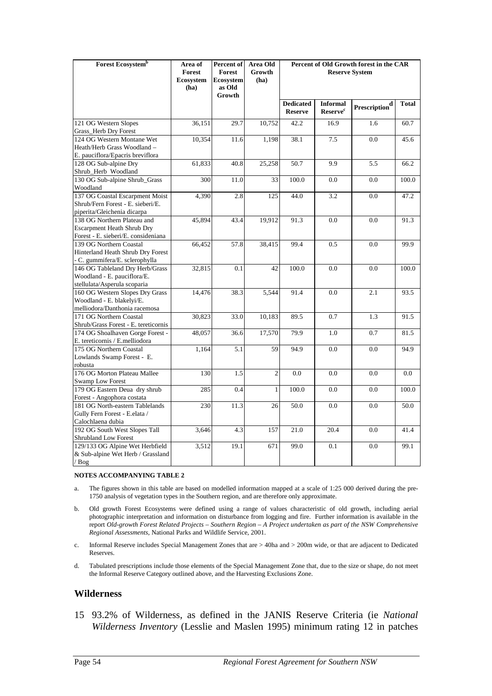| Forest Ecosystem <sup>b</sup>                                                                           | Area of<br>Forest<br><b>Ecosystem</b><br>(ha) | Percent of<br>Forest<br>Ecosystem<br>as Old<br>Growth | Area Old<br>Growth<br>(ha) | Percent of Old Growth forest in the CAR<br><b>Reserve System</b> |                                               |                                        |              |
|---------------------------------------------------------------------------------------------------------|-----------------------------------------------|-------------------------------------------------------|----------------------------|------------------------------------------------------------------|-----------------------------------------------|----------------------------------------|--------------|
|                                                                                                         |                                               |                                                       |                            | <b>Dedicated</b><br><b>Reserve</b>                               | <b>Informal</b><br><b>Reserve<sup>c</sup></b> | $\ensuremath{\mathbf{Prescription}}^d$ | <b>Total</b> |
| 121 OG Western Slopes<br>Grass_Herb Dry Forest                                                          | 36,151                                        | 29.7                                                  | 10,752                     | 42.2                                                             | 16.9                                          | 1.6                                    | 60.7         |
| 124 OG Western Montane Wet<br>Heath/Herb Grass Woodland -<br>E. pauciflora/Epacris breviflora           | 10,354                                        | 11.6                                                  | 1,198                      | 38.1                                                             | 7.5                                           | 0.0                                    | 45.6         |
| 128 OG Sub-alpine Dry<br>Shrub_Herb Woodland                                                            | 61,833                                        | 40.8                                                  | 25,258                     | 50.7                                                             | 9.9                                           | 5.5                                    | 66.2         |
| 130 OG Sub-alpine Shrub_Grass<br>Woodland                                                               | 300                                           | 11.0                                                  | 33                         | 100.0                                                            | 0.0                                           | 0.0                                    | 100.0        |
| 137 OG Coastal Escarpment Moist<br>Shrub/Fern Forest - E. sieberi/E.<br>piperita/Gleichenia dicarpa     | 4,390                                         | 2.8                                                   | 125                        | 44.0                                                             | 3.2                                           | 0.0                                    | 47.2         |
| 138 OG Northern Plateau and<br><b>Escarpment Heath Shrub Dry</b><br>Forest - E. sieberi/E. consideniana | 45,894                                        | 43.4                                                  | 19,912                     | 91.3                                                             | 0.0                                           | 0.0                                    | 91.3         |
| 139 OG Northern Coastal<br>Hinterland Heath Shrub Dry Forest<br>- C. gummifera/E. sclerophylla          | 66,452                                        | 57.8                                                  | 38,415                     | 99.4                                                             | 0.5                                           | 0.0                                    | 99.9         |
| 146 OG Tableland Dry Herb/Grass<br>Woodland - E. pauciflora/E.<br>stellulata/Asperula scoparia          | 32,815                                        | 0.1                                                   | 42                         | 100.0                                                            | 0.0                                           | 0.0                                    | 100.0        |
| 160 OG Western Slopes Dry Grass<br>Woodland - E. blakelyi/E.<br>melliodora/Danthonia racemosa           | 14,476                                        | 38.3                                                  | 5,544                      | 91.4                                                             | 0.0                                           | 2.1                                    | 93.5         |
| 171 OG Northern Coastal<br>Shrub/Grass Forest - E. tereticornis                                         | 30,823                                        | 33.0                                                  | 10,183                     | 89.5                                                             | 0.7                                           | 1.3                                    | 91.5         |
| 174 OG Shoalhaven Gorge Forest -<br>E. tereticornis / E.melliodora                                      | 48,057                                        | 36.6                                                  | 17,570                     | 79.9                                                             | 1.0                                           | 0.7                                    | 81.5         |
| 175 OG Northern Coastal<br>Lowlands Swamp Forest - E.<br>robusta                                        | 1,164                                         | 5.1                                                   | 59                         | 94.9                                                             | 0.0                                           | 0.0                                    | 94.9         |
| 176 OG Morton Plateau Mallee<br>Swamp Low Forest                                                        | 130                                           | 1.5                                                   | $\overline{2}$             | 0.0                                                              | 0.0                                           | 0.0                                    | 0.0          |
| 179 OG Eastern Deua dry shrub<br>Forest - Angophora costata                                             | 285                                           | 0.4                                                   | $\mathbf{1}$               | 100.0                                                            | 0.0                                           | 0.0                                    | 100.0        |
| 181 OG North-eastern Tablelands<br>Gully Fern Forest - E.elata /<br>Calochlaena dubia                   | 230                                           | 11.3                                                  | 26                         | 50.0                                                             | 0.0                                           | 0.0                                    | 50.0         |
| 192 OG South West Slopes Tall<br>Shrubland Low Forest                                                   | 3,646                                         | 4.3                                                   | 157                        | 21.0                                                             | 20.4                                          | 0.0                                    | 41.4         |
| 129/133 OG Alpine Wet Herbfield<br>& Sub-alpine Wet Herb / Grassland<br>/ Bog                           | 3,512                                         | 19.1                                                  | 671                        | 99.0                                                             | 0.1                                           | 0.0                                    | 99.1         |

#### **NOTES ACCOMPANYING TABLE 2**

- a. The figures shown in this table are based on modelled information mapped at a scale of 1:25 000 derived during the pre-1750 analysis of vegetation types in the Southern region, and are therefore only approximate.
- b. Old growth Forest Ecosystems were defined using a range of values characteristic of old growth, including aerial photographic interpretation and information on disturbance from logging and fire. Further information is available in the report *Old-growth Forest Related Projects – Southern Region – A Project undertaken as part of the NSW Comprehensive Regional Assessments,* National Parks and Wildlife Service, 2001.
- c. Informal Reserve includes Special Management Zones that are > 40ha and > 200m wide, or that are adjacent to Dedicated Reserves.
- d. Tabulated prescriptions include those elements of the Special Management Zone that, due to the size or shape, do not meet the Informal Reserve Category outlined above, and the Harvesting Exclusions Zone.

#### **Wilderness**

15 93.2% of Wilderness, as defined in the JANIS Reserve Criteria (ie *National Wilderness Inventory* (Lesslie and Maslen 1995) minimum rating 12 in patches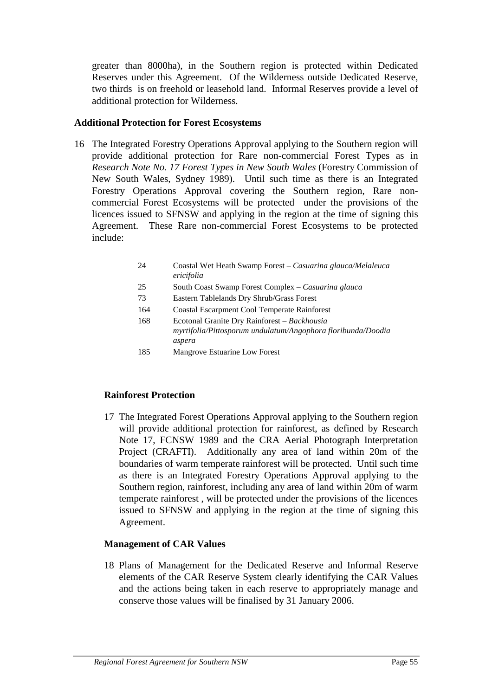greater than 8000ha), in the Southern region is protected within Dedicated Reserves under this Agreement. Of the Wilderness outside Dedicated Reserve, two thirds is on freehold or leasehold land. Informal Reserves provide a level of additional protection for Wilderness.

#### **Additional Protection for Forest Ecosystems**

- 16 The Integrated Forestry Operations Approval applying to the Southern region will provide additional protection for Rare non-commercial Forest Types as in *Research Note No. 17 Forest Types in New South Wales* (Forestry Commission of New South Wales, Sydney 1989). Until such time as there is an Integrated Forestry Operations Approval covering the Southern region, Rare noncommercial Forest Ecosystems will be protected under the provisions of the licences issued to SFNSW and applying in the region at the time of signing this Agreement. These Rare non-commercial Forest Ecosystems to be protected include:
	- 24 Coastal Wet Heath Swamp Forest *Casuarina glauca/Melaleuca ericifolia*
	- 25 South Coast Swamp Forest Complex *Casuarina glauca*
	- 73 Eastern Tablelands Dry Shrub/Grass Forest
	- 164 Coastal Escarpment Cool Temperate Rainforest
	- 168 Ecotonal Granite Dry Rainforest *Backhousia myrtifolia/Pittosporum undulatum/Angophora floribunda/Doodia aspera*
	- 185 Mangrove Estuarine Low Forest

#### **Rainforest Protection**

17 The Integrated Forest Operations Approval applying to the Southern region will provide additional protection for rainforest, as defined by Research Note 17, FCNSW 1989 and the CRA Aerial Photograph Interpretation Project (CRAFTI). Additionally any area of land within 20m of the boundaries of warm temperate rainforest will be protected. Until such time as there is an Integrated Forestry Operations Approval applying to the Southern region, rainforest, including any area of land within 20m of warm temperate rainforest , will be protected under the provisions of the licences issued to SFNSW and applying in the region at the time of signing this Agreement.

#### **Management of CAR Values**

18 Plans of Management for the Dedicated Reserve and Informal Reserve elements of the CAR Reserve System clearly identifying the CAR Values and the actions being taken in each reserve to appropriately manage and conserve those values will be finalised by 31 January 2006.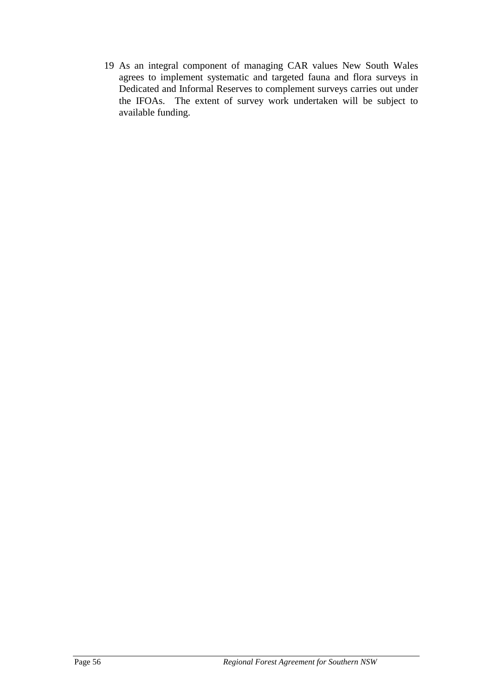19 As an integral component of managing CAR values New South Wales agrees to implement systematic and targeted fauna and flora surveys in Dedicated and Informal Reserves to complement surveys carries out under the IFOAs. The extent of survey work undertaken will be subject to available funding.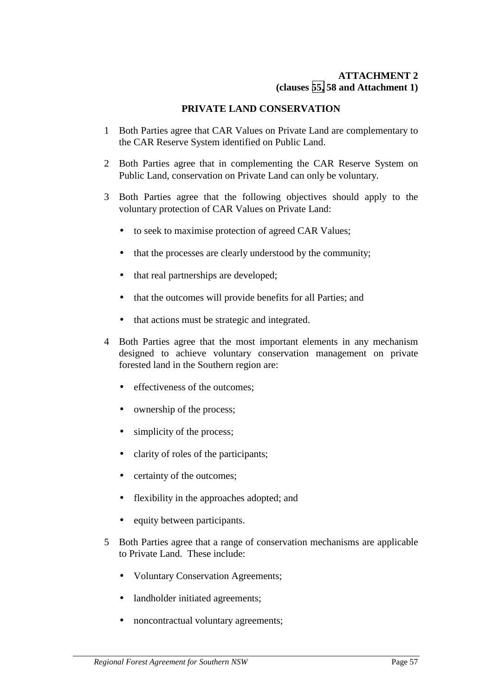### **ATTACHMENT 2 (clauses [55,](#page-19-0) 58 and Attachment 1)**

# **PRIVATE LAND CONSERVATION**

- 1 Both Parties agree that CAR Values on Private Land are complementary to the CAR Reserve System identified on Public Land.
- 2 Both Parties agree that in complementing the CAR Reserve System on Public Land, conservation on Private Land can only be voluntary.
- 3 Both Parties agree that the following objectives should apply to the voluntary protection of CAR Values on Private Land:
	- to seek to maximise protection of agreed CAR Values;
	- that the processes are clearly understood by the community;
	- that real partnerships are developed;
	- that the outcomes will provide benefits for all Parties; and
	- that actions must be strategic and integrated.
- 4 Both Parties agree that the most important elements in any mechanism designed to achieve voluntary conservation management on private forested land in the Southern region are:
	- effectiveness of the outcomes:
	- ownership of the process;
	- simplicity of the process;
	- clarity of roles of the participants;
	- certainty of the outcomes:
	- flexibility in the approaches adopted; and
	- equity between participants.
- 5 Both Parties agree that a range of conservation mechanisms are applicable to Private Land. These include:
	- Voluntary Conservation Agreements;
	- landholder initiated agreements;
	- noncontractual voluntary agreements;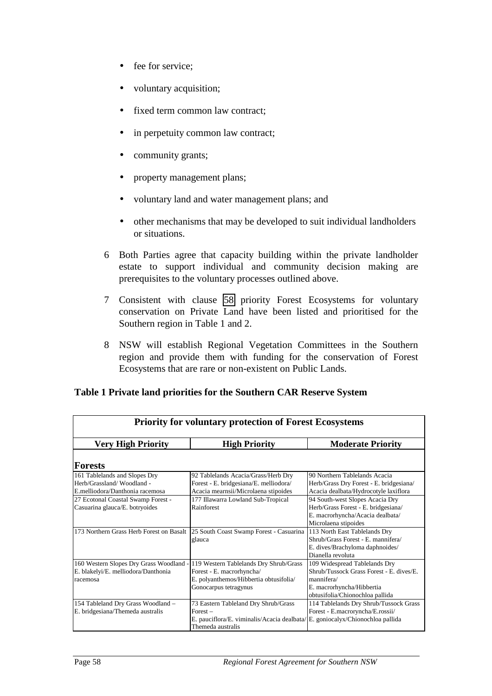- fee for service;
- voluntary acquisition;
- fixed term common law contract;
- in perpetuity common law contract;
- community grants;
- property management plans;
- voluntary land and water management plans; and
- other mechanisms that may be developed to suit individual landholders or situations.
- 6 Both Parties agree that capacity building within the private landholder estate to support individual and community decision making are prerequisites to the voluntary processes outlined above.
- 7 Consistent with clause [58](#page-19-0) priority Forest Ecosystems for voluntary conservation on Private Land have been listed and prioritised for the Southern region in Table 1 and 2.
- 8 NSW will establish Regional Vegetation Committees in the Southern region and provide them with funding for the conservation of Forest Ecosystems that are rare or non-existent on Public Lands.

| <b>Priority for voluntary protection of Forest Ecosystems</b> |                                                                                    |                                          |  |  |  |  |
|---------------------------------------------------------------|------------------------------------------------------------------------------------|------------------------------------------|--|--|--|--|
| <b>Very High Priority</b>                                     | <b>High Priority</b>                                                               | <b>Moderate Priority</b>                 |  |  |  |  |
| Forests                                                       |                                                                                    |                                          |  |  |  |  |
| 161 Tablelands and Slopes Dry                                 | 92 Tablelands Acacia/Grass/Herb Dry                                                | 90 Northern Tablelands Acacia            |  |  |  |  |
| Herb/Grassland/Woodland -                                     | Forest - E. bridgesiana/E. melliodora/                                             | Herb/Grass Dry Forest - E. bridgesiana/  |  |  |  |  |
| E.melliodora/Danthonia racemosa                               | Acacia mearnsii/Microlaena stipoides                                               | Acacia dealbata/Hydrocotyle laxiflora    |  |  |  |  |
| 27 Ecotonal Coastal Swamp Forest -                            | 177 Illawarra Lowland Sub-Tropical                                                 | 94 South-west Slopes Acacia Dry          |  |  |  |  |
| Casuarina glauca/E. botryoides                                | Rainforest                                                                         | Herb/Grass Forest - E. bridgesiana/      |  |  |  |  |
|                                                               |                                                                                    | E. macrorhyncha/Acacia dealbata/         |  |  |  |  |
|                                                               |                                                                                    | Microlaena stipoides                     |  |  |  |  |
|                                                               | 173 Northern Grass Herb Forest on Basalt   25 South Coast Swamp Forest - Casuarina | 113 North East Tablelands Dry            |  |  |  |  |
|                                                               | glauca                                                                             | Shrub/Grass Forest - E. mannifera/       |  |  |  |  |
|                                                               |                                                                                    | E. dives/Brachyloma daphnoides/          |  |  |  |  |
|                                                               |                                                                                    | Dianella revoluta                        |  |  |  |  |
| 160 Western Slopes Dry Grass Woodland                         | 119 Western Tablelands Dry Shrub/Grass                                             | 109 Widespread Tablelands Dry            |  |  |  |  |
| E. blakelyi/E. melliodora/Danthonia                           | Forest - E. macrorhyncha/                                                          | Shrub/Tussock Grass Forest - E. dives/E. |  |  |  |  |
| racemosa                                                      | E. polyanthemos/Hibbertia obtusifolia/                                             | mannifera/                               |  |  |  |  |
|                                                               | Gonocarpus tetragynus                                                              | E. macrorhyncha/Hibbertia                |  |  |  |  |
|                                                               |                                                                                    | obtusifolia/Chionochloa pallida          |  |  |  |  |
| 154 Tableland Dry Grass Woodland -                            | 73 Eastern Tableland Dry Shrub/Grass                                               | 114 Tablelands Dry Shrub/Tussock Grass   |  |  |  |  |
| E. bridgesiana/Themeda australis                              | $Forest -$                                                                         | Forest - E.macroryncha/E.rossii/         |  |  |  |  |
|                                                               | E. pauciflora/E. viminalis/Acacia dealbata/E. goniocalyx/Chionochloa pallida       |                                          |  |  |  |  |
|                                                               | Themeda australis                                                                  |                                          |  |  |  |  |

#### **Table 1 Private land priorities for the Southern CAR Reserve System**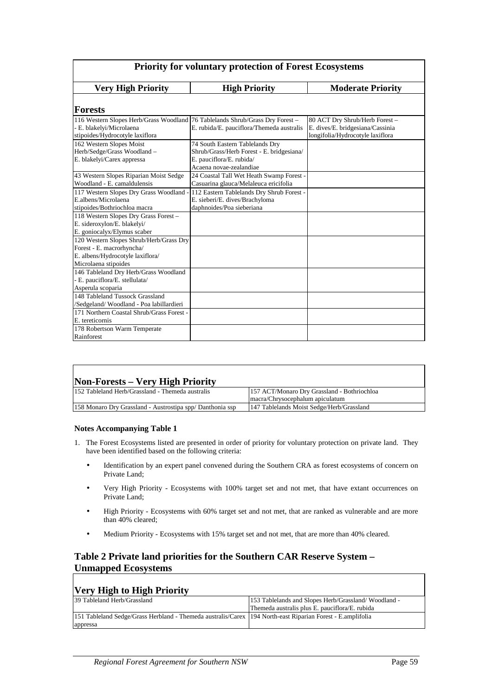| <b>Priority for voluntary protection of Forest Ecosystems</b>                                                                                |                                                                                                                                     |                                                                                                       |  |  |  |  |
|----------------------------------------------------------------------------------------------------------------------------------------------|-------------------------------------------------------------------------------------------------------------------------------------|-------------------------------------------------------------------------------------------------------|--|--|--|--|
| <b>Very High Priority</b>                                                                                                                    | <b>High Priority</b>                                                                                                                | <b>Moderate Priority</b>                                                                              |  |  |  |  |
| <b>Forests</b>                                                                                                                               |                                                                                                                                     |                                                                                                       |  |  |  |  |
| 116 Western Slopes Herb/Grass Woodland 76 Tablelands Shrub/Grass Dry Forest -<br>- E. blakelyi/Microlaena<br>stipoides/Hydrocotyle laxiflora | E. rubida/E. pauciflora/Themeda australis                                                                                           | 80 ACT Dry Shrub/Herb Forest-<br>E. dives/E. bridgesiana/Cassinia<br>longifolia/Hydrocotyle laxiflora |  |  |  |  |
| 162 Western Slopes Moist<br>Herb/Sedge/Grass Woodland -<br>E. blakelyi/Carex appressa                                                        | 74 South Eastern Tablelands Dry<br>Shrub/Grass/Herb Forest - E. bridgesiana/<br>E. pauciflora/E. rubida/<br>Acaena novae-zealandiae |                                                                                                       |  |  |  |  |
| 43 Western Slopes Riparian Moist Sedge<br>Woodland - E. camaldulensis                                                                        | 24 Coastal Tall Wet Heath Swamp Forest -<br>Casuarina glauca/Melaleuca ericifolia                                                   |                                                                                                       |  |  |  |  |
| 117 Western Slopes Dry Grass Woodland -<br>E.albens/Microlaena<br>stipoides/Bothriochloa macra                                               | 112 Eastern Tablelands Dry Shrub Forest -<br>E. sieberi/E. dives/Brachyloma<br>daphnoides/Poa sieberiana                            |                                                                                                       |  |  |  |  |
| 118 Western Slopes Dry Grass Forest -<br>E. sideroxylon/E. blakelyi/<br>E. goniocalyx/Elymus scaber                                          |                                                                                                                                     |                                                                                                       |  |  |  |  |
| 120 Western Slopes Shrub/Herb/Grass Dry<br>Forest - E. macrorhyncha/<br>E. albens/Hydrocotyle laxiflora/<br>Microlaena stipoides             |                                                                                                                                     |                                                                                                       |  |  |  |  |
| 146 Tableland Dry Herb/Grass Woodland<br>- E. pauciflora/E. stellulata/<br>Asperula scoparia                                                 |                                                                                                                                     |                                                                                                       |  |  |  |  |
| 148 Tableland Tussock Grassland<br>/Sedgeland/Woodland - Poa labillardieri                                                                   |                                                                                                                                     |                                                                                                       |  |  |  |  |
| 171 Northern Coastal Shrub/Grass Forest -<br>E. tereticornis                                                                                 |                                                                                                                                     |                                                                                                       |  |  |  |  |
| 178 Robertson Warm Temperate<br>Rainforest                                                                                                   |                                                                                                                                     |                                                                                                       |  |  |  |  |

| <b>Non-Forests – Very High Priority</b>                  |                                             |
|----------------------------------------------------------|---------------------------------------------|
| 152 Tableland Herb/Grassland - Themeda australis         | 157 ACT/Monaro Dry Grassland - Bothriochloa |
|                                                          | macra/Chrysocephalum apiculatum             |
| 158 Monaro Dry Grassland - Austrostipa spp/Danthonia ssp | 147 Tablelands Moist Sedge/Herb/Grassland   |

#### **Notes Accompanying Table 1**

- 1. The Forest Ecosystems listed are presented in order of priority for voluntary protection on private land. They have been identified based on the following criteria:
	- Identification by an expert panel convened during the Southern CRA as forest ecosystems of concern on Private Land;
	- Very High Priority Ecosystems with 100% target set and not met, that have extant occurrences on Private Land;
	- High Priority Ecosystems with 60% target set and not met, that are ranked as vulnerable and are more than 40% cleared;
	- Medium Priority Ecosystems with 15% target set and not met, that are more than 40% cleared.

#### **Table 2 Private land priorities for the Southern CAR Reserve System – Unmapped Ecosystems**

#### **Very High to High Priority**

| 39 Tableland Herb/Grassland                                                                                 | 153 Tablelands and Slopes Herb/Grassland/Woodland - |
|-------------------------------------------------------------------------------------------------------------|-----------------------------------------------------|
|                                                                                                             | Themeda australis plus E. pauciflora/E. rubida      |
| 151 Tableland Sedge/Grass Herbland - Themeda australis/Carex 194 North-east Riparian Forest - E. amplifolia |                                                     |
| appressa                                                                                                    |                                                     |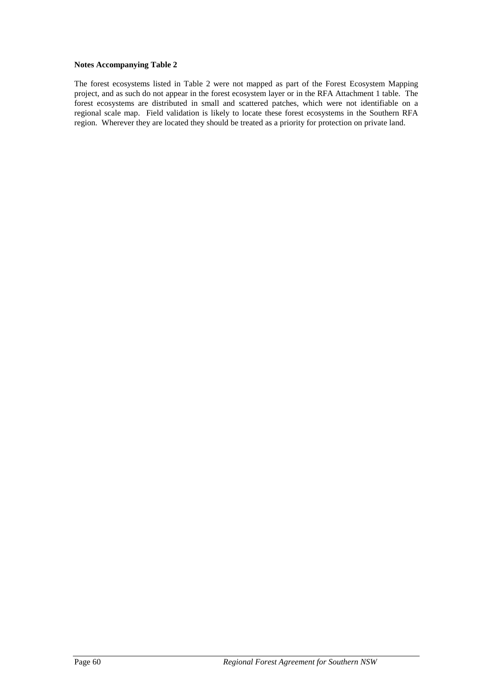#### **Notes Accompanying Table 2**

The forest ecosystems listed in Table 2 were not mapped as part of the Forest Ecosystem Mapping project, and as such do not appear in the forest ecosystem layer or in the RFA Attachment 1 table. The forest ecosystems are distributed in small and scattered patches, which were not identifiable on a regional scale map. Field validation is likely to locate these forest ecosystems in the Southern RFA region. Wherever they are located they should be treated as a priority for protection on private land.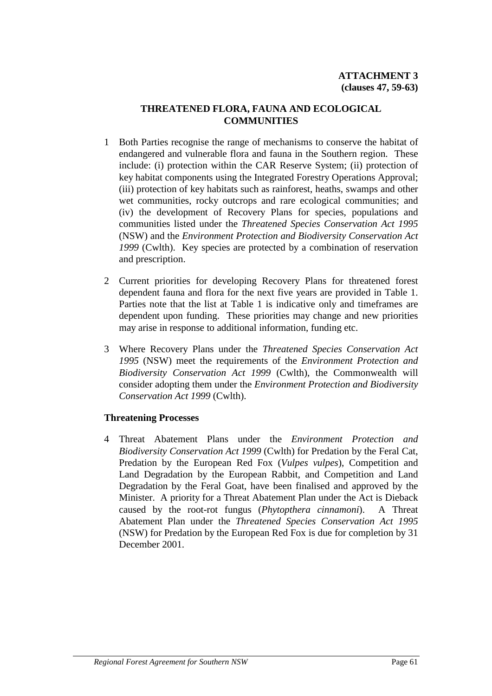# **THREATENED FLORA, FAUNA AND ECOLOGICAL COMMUNITIES**

- 1 Both Parties recognise the range of mechanisms to conserve the habitat of endangered and vulnerable flora and fauna in the Southern region. These include: (i) protection within the CAR Reserve System; (ii) protection of key habitat components using the Integrated Forestry Operations Approval; (iii) protection of key habitats such as rainforest, heaths, swamps and other wet communities, rocky outcrops and rare ecological communities; and (iv) the development of Recovery Plans for species, populations and communities listed under the *Threatened Species Conservation Act 1995* (NSW) and the *Environment Protection and Biodiversity Conservation Act 1999* (Cwlth). Key species are protected by a combination of reservation and prescription.
- 2 Current priorities for developing Recovery Plans for threatened forest dependent fauna and flora for the next five years are provided in Table 1. Parties note that the list at Table 1 is indicative only and timeframes are dependent upon funding. These priorities may change and new priorities may arise in response to additional information, funding etc.
- 3 Where Recovery Plans under the *Threatened Species Conservation Act 1995* (NSW) meet the requirements of the *Environment Protection and Biodiversity Conservation Act 1999* (Cwlth), the Commonwealth will consider adopting them under the *Environment Protection and Biodiversity Conservation Act 1999* (Cwlth).

#### **Threatening Processes**

4 Threat Abatement Plans under the *Environment Protection and Biodiversity Conservation Act 1999* (Cwlth) for Predation by the Feral Cat, Predation by the European Red Fox (*Vulpes vulpes*), Competition and Land Degradation by the European Rabbit, and Competition and Land Degradation by the Feral Goat, have been finalised and approved by the Minister. A priority for a Threat Abatement Plan under the Act is Dieback caused by the root-rot fungus (*Phytopthera cinnamoni*). A Threat Abatement Plan under the *Threatened Species Conservation Act 1995* (NSW) for Predation by the European Red Fox is due for completion by 31 December 2001.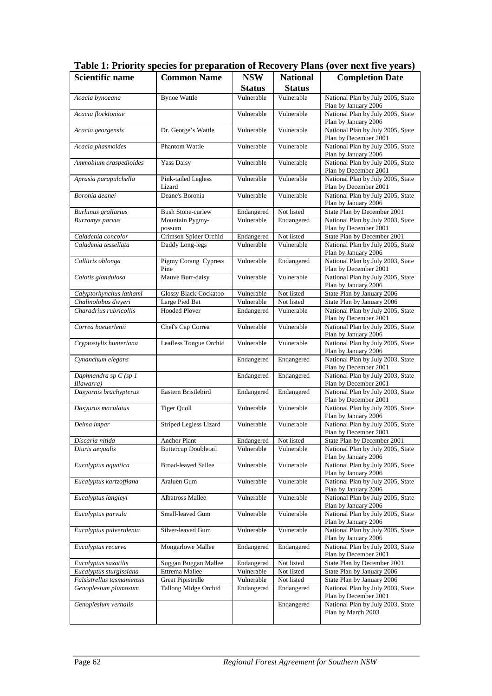| <b>Scientific name</b>              | <b>Common Name</b>            | <b>NSW</b>            | <b>National</b> | <b>Completion Date</b>                                     |
|-------------------------------------|-------------------------------|-----------------------|-----------------|------------------------------------------------------------|
|                                     |                               | <b>Status</b>         | <b>Status</b>   |                                                            |
| Acacia bynoeana                     | <b>Bynoe Wattle</b>           | Vulnerable            | Vulnerable      | National Plan by July 2005, State<br>Plan by January 2006  |
| Acacia flocktoniae                  |                               | Vulnerable            | Vulnerable      | National Plan by July 2005, State<br>Plan by January 2006  |
| Acacia georgensis                   | Dr. George's Wattle           | Vulnerable            | Vulnerable      | National Plan by July 2005, State<br>Plan by December 2001 |
| Acacia phasmoides                   | Phantom Wattle                | Vulnerable            | Vulnerable      | National Plan by July 2005, State<br>Plan by January 2006  |
| Ammobium craspedioides              | Yass Daisy                    | Vulnerable            | Vulnerable      | National Plan by July 2005, State<br>Plan by December 2001 |
| Aprasia parapulchella               | Pink-tailed Legless<br>Lizard | Vulnerable            | Vulnerable      | National Plan by July 2005, State<br>Plan by December 2001 |
| Boronia deanei                      | Deane's Boronia               | Vulnerable            | Vulnerable      | National Plan by July 2005, State<br>Plan by January 2006  |
| Burhinus grallarius                 | <b>Bush Stone-curlew</b>      | Endangered            | Not listed      | State Plan by December 2001                                |
| <b>Burramys</b> parvus              | Mountain Pygmy-<br>possum     | Vulnerable            | Endangered      | National Plan by July 2003, State<br>Plan by December 2001 |
| Caladenia concolor                  | Crimson Spider Orchid         | Endangered            | Not listed      | State Plan by December 2001                                |
| Caladenia tessellata                | Daddy Long-legs               | Vulnerable            | Vulnerable      | National Plan by July 2005, State<br>Plan by January 2006  |
| Callitris oblonga                   | Pigmy Corang Cypress<br>Pine  | Vulnerable            | Endangered      | National Plan by July 2003, State<br>Plan by December 2001 |
| Calotis glandulosa                  | Mauve Burr-daisy              | Vulnerable            | Vulnerable      | National Plan by July 2005, State<br>Plan by January 2006  |
| Calyptorhynchus lathami             | Glossy Black-Cockatoo         | Vulnerable            | Not listed      | State Plan by January 2006                                 |
| Chalinolobus dwyeri                 | Large Pied Bat                | Vulnerable            | Not listed      | State Plan by January 2006                                 |
| Charadrius rubricollis              | <b>Hooded Plover</b>          | Endangered            | Vulnerable      | National Plan by July 2005, State<br>Plan by December 2001 |
| Correa baeuerlenii                  | Chef's Cap Correa             | Vulnerable            | Vulnerable      | National Plan by July 2005, State<br>Plan by January 2006  |
| Cryptostylis hunteriana             | Leafless Tongue Orchid        | Vulnerable            | Vulnerable      | National Plan by July 2005, State<br>Plan by January 2006  |
| Cynanchum elegans                   |                               | Endangered            | Endangered      | National Plan by July 2003, State<br>Plan by December 2001 |
| Daphnandra sp C (sp 1<br>Illawarra) |                               | Endangered            | Endangered      | National Plan by July 2003, State<br>Plan by December 2001 |
| Dasyornis brachypterus              | Eastern Bristlebird           | Endangered            | Endangered      | National Plan by July 2003, State                          |
| Dasyurus maculatus                  | <b>Tiger Quoll</b>            | Vulnerable            | Vulnerable      | Plan by December 2001<br>National Plan by July 2005, State |
| Delma impar                         | Striped Legless Lizard        | Vulnerable            | Vulnerable      | Plan by January 2006<br>National Plan by July 2005, State  |
| Discaria nitida                     | Anchor Plant                  | Endangered Not listed |                 | Plan by December 2001<br>State Plan by December 2001       |
| Diuris aequalis                     | <b>Buttercup Doubletail</b>   | Vulnerable            | Vulnerable      | National Plan by July 2005, State<br>Plan by January 2006  |
| Eucalyptus aquatica                 | <b>Broad-leaved Sallee</b>    | Vulnerable            | Vulnerable      | National Plan by July 2005, State                          |
| Eucalyptus kartzoffiana             | Araluen Gum                   | Vulnerable            | Vulnerable      | Plan by January 2006<br>National Plan by July 2005, State  |
| Eucalyptus langleyi                 | Albatross Mallee              | Vulnerable            | Vulnerable      | Plan by January 2006<br>National Plan by July 2005, State  |
| Eucalyptus parvula                  | Small-leaved Gum              | Vulnerable            | Vulnerable      | Plan by January 2006<br>National Plan by July 2005, State  |
| Eucalyptus pulverulenta             | Silver-leaved Gum             | Vulnerable            | Vulnerable      | Plan by January 2006<br>National Plan by July 2005, State  |
| Eucalyptus recurva                  | Mongarlowe Mallee             | Endangered            | Endangered      | Plan by January 2006<br>National Plan by July 2003, State  |
| Eucalyptus saxatilis                | Suggan Buggan Mallee          | Endangered            | Not listed      | Plan by December 2001<br>State Plan by December 2001       |
| Eucalyptus sturgissiana             | Ettrema Mallee                | Vulnerable            | Not listed      | State Plan by January 2006                                 |
| Falsistrellus tasmaniensis          | <b>Great Pipistrelle</b>      | Vulnerable            | Not listed      | State Plan by January 2006                                 |
| Genoplesium plumosum                | Tallong Midge Orchid          | Endangered            | Endangered      | National Plan by July 2003, State<br>Plan by December 2001 |
| Genoplesium vernalis                |                               |                       | Endangered      | National Plan by July 2003, State<br>Plan by March 2003    |

**Table 1: Priority species for preparation of Recovery Plans (over next five years)**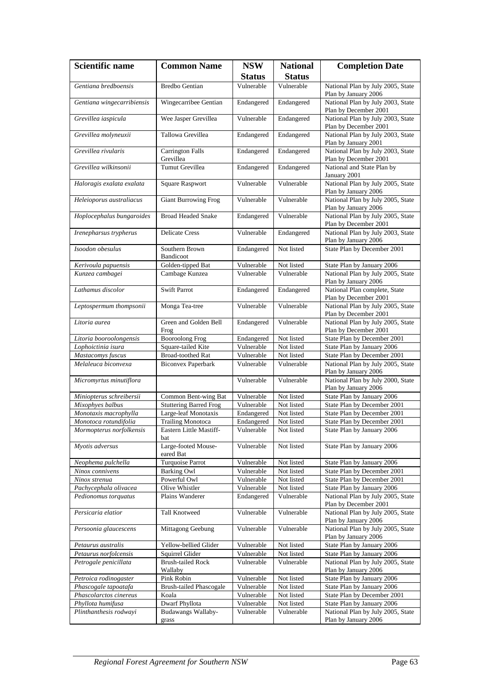| <b>Scientific name</b>     | <b>Common Name</b>                   | <b>NSW</b>    | <b>National</b> | <b>Completion Date</b>                                     |
|----------------------------|--------------------------------------|---------------|-----------------|------------------------------------------------------------|
|                            |                                      | <b>Status</b> | <b>Status</b>   |                                                            |
| Gentiana bredboensis       | <b>Bredbo Gentian</b>                | Vulnerable    | Vulnerable      | National Plan by July 2005, State<br>Plan by January 2006  |
| Gentiana wingecarribiensis | Wingecarribee Gentian                | Endangered    | Endangered      | National Plan by July 2003, State<br>Plan by December 2001 |
| Grevillea iaspicula        | Wee Jasper Grevillea                 | Vulnerable    | Endangered      | National Plan by July 2003, State<br>Plan by December 2001 |
| Grevillea molyneuxii       | Tallowa Grevillea                    | Endangered    | Endangered      | National Plan by July 2003, State<br>Plan by January 2001  |
| Grevillea rivularis        | <b>Carrington Falls</b><br>Grevillea | Endangered    | Endangered      | National Plan by July 2003, State<br>Plan by December 2001 |
| Grevillea wilkinsonii      | <b>Tumut Grevillea</b>               | Endangered    | Endangered      | National and State Plan by<br>January 2001                 |
| Haloragis exalata exalata  | <b>Square Raspwort</b>               | Vulnerable    | Vulnerable      | National Plan by July 2005, State<br>Plan by January 2006  |
| Heleioporus australiacus   | <b>Giant Burrowing Frog</b>          | Vulnerable    | Vulnerable      | National Plan by July 2005, State<br>Plan by January 2006  |
| Hoplocephalus bungaroides  | <b>Broad Headed Snake</b>            | Endangered    | Vulnerable      | National Plan by July 2005, State<br>Plan by December 2001 |
| Irenepharsus trypherus     | <b>Delicate Cress</b>                | Vulnerable    | Endangered      | National Plan by July 2003, State<br>Plan by January 2006  |
| Isoodon obesulus           | Southern Brown<br>Bandicoot          | Endangered    | Not listed      | State Plan by December 2001                                |
| Kerivoula papuensis        | Golden-tipped Bat                    | Vulnerable    | Not listed      | State Plan by January 2006                                 |
| Kunzea cambagei            | Cambage Kunzea                       | Vulnerable    | Vulnerable      | National Plan by July 2005, State<br>Plan by January 2006  |
| Lathamus discolor          | <b>Swift Parrot</b>                  | Endangered    | Endangered      | National Plan complete, State<br>Plan by December 2001     |
| Leptospermum thompsonii    | Monga Tea-tree                       | Vulnerable    | Vulnerable      | National Plan by July 2005, State<br>Plan by December 2001 |
| Litoria aurea              | Green and Golden Bell<br>Frog        | Endangered    | Vulnerable      | National Plan by July 2005, State<br>Plan by December 2001 |
| Litoria booroolongensis    | <b>Booroolong Frog</b>               | Endangered    | Not listed      | State Plan by December 2001                                |
| Lophoictinia isura         | Square-tailed Kite                   | Vulnerable    | Not listed      | State Plan by January 2006                                 |
| Mastacomys fuscus          | <b>Broad-toothed Rat</b>             | Vulnerable    | Not listed      | State Plan by December 2001                                |
| Melaleuca biconvexa        | <b>Biconvex Paperbark</b>            | Vulnerable    | Vulnerable      | National Plan by July 2005, State<br>Plan by January 2006  |
| Micromyrtus minutiflora    |                                      | Vulnerable    | Vulnerable      | National Plan by July 2000, State<br>Plan by January 2006  |
| Miniopterus schreibersii   | Common Bent-wing Bat                 | Vulnerable    | Not listed      | State Plan by January 2006                                 |
| Mixophyes balbus           | <b>Stuttering Barred Frog</b>        | Vulnerable    | Not listed      | State Plan by December 2001                                |
| Monotaxis macrophylla      | Large-leaf Monotaxis                 | Endangered    | Not listed      | State Plan by December 2001                                |
| Monotoca rotundifolia      | <b>Trailing Monotoca</b>             | Endangered    | Not listed      | State Plan by December 2001                                |
| Mormopterus norfolkensis   | Eastern Little Mastiff-<br>bat       | Vulnerable    | Not listed      | State Plan by January 2006                                 |
| Myotis adversus            | Large-footed Mouse-<br>eared Bat     | Vulnerable    | Not listed      | State Plan by January 2006                                 |
| Neophema pulchella         | Turquoise Parrot                     | Vulnerable    | Not listed      | State Plan by January 2006                                 |
| Ninox connivens            | <b>Barking Owl</b>                   | Vulnerable    | Not listed      | State Plan by December 2001                                |
| Ninox strenua              | Powerful Owl                         | Vulnerable    | Not listed      | State Plan by December 2001                                |
| Pachycephala olivacea      | Olive Whistler                       | Vulnerable    | Not listed      | State Plan by January 2006                                 |
| Pedionomus torquatus       | Plains Wanderer                      | Endangered    | Vulnerable      | National Plan by July 2005, State<br>Plan by December 2001 |
| Persicaria elatior         | Tall Knotweed                        | Vulnerable    | Vulnerable      | National Plan by July 2005, State<br>Plan by January 2006  |
| Persoonia glaucescens      | Mittagong Geebung                    | Vulnerable    | Vulnerable      | National Plan by July 2005, State<br>Plan by January 2006  |
| Petaurus australis         | Yellow-bellied Glider                | Vulnerable    | Not listed      | State Plan by January 2006                                 |
| Petaurus norfolcensis      | Squirrel Glider                      | Vulnerable    | Not listed      | State Plan by January 2006                                 |
| Petrogale penicillata      | <b>Brush-tailed Rock</b><br>Wallaby  | Vulnerable    | Vulnerable      | National Plan by July 2005, State<br>Plan by January 2006  |
| Petroica rodinogaster      | Pink Robin                           | Vulnerable    | Not listed      | State Plan by January 2006                                 |
| Phascogale tapoatafa       | <b>Brush-tailed Phascogale</b>       | Vulnerable    | Not listed      | State Plan by January 2006                                 |
| Phascolarctos cinereus     | Koala                                | Vulnerable    | Not listed      | State Plan by December 2001                                |
| Phyllota humifusa          | Dwarf Phyllota                       | Vulnerable    | Not listed      | State Plan by January 2006                                 |
| Plinthanthesis rodwayi     | Budawangs Wallaby-                   | Vulnerable    | Vulnerable      | National Plan by July 2005, State                          |
|                            | grass                                |               |                 | Plan by January 2006                                       |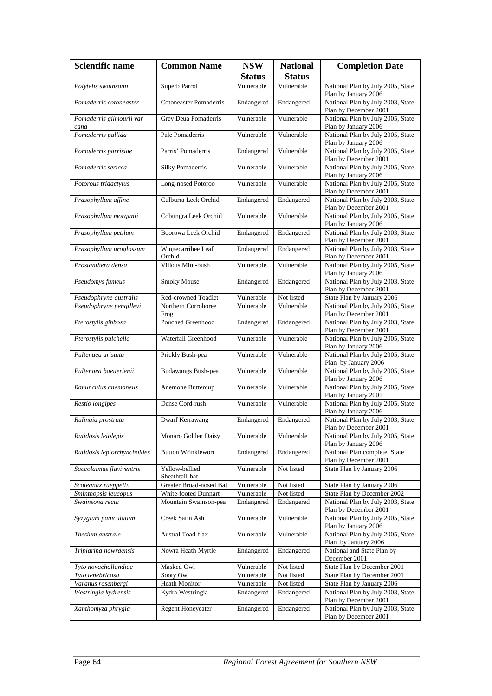| <b>Scientific name</b>           | <b>Common Name</b>               | <b>NSW</b>    | <b>National</b> | <b>Completion Date</b>                                     |
|----------------------------------|----------------------------------|---------------|-----------------|------------------------------------------------------------|
|                                  |                                  | <b>Status</b> | <b>Status</b>   |                                                            |
| Polytelis swainsonii             | Superb Parrot                    | Vulnerable    | Vulnerable      | National Plan by July 2005, State<br>Plan by January 2006  |
| Pomaderris cotoneaster           | <b>Cotoneaster Pomaderris</b>    | Endangered    | Endangered      | National Plan by July 2003, State<br>Plan by December 2001 |
| Pomaderris gilmourii var<br>cana | Grey Deua Pomaderris             | Vulnerable    | Vulnerable      | National Plan by July 2005, State<br>Plan by January 2006  |
| Pomaderris pallida               | Pale Pomaderris                  | Vulnerable    | Vulnerable      | National Plan by July 2005, State<br>Plan by January 2006  |
| Pomaderris parrisiae             | Parris' Pomaderris               | Endangered    | Vulnerable      | National Plan by July 2005, State<br>Plan by December 2001 |
| Pomaderris sericea               | <b>Silky Pomaderris</b>          | Vulnerable    | Vulnerable      | National Plan by July 2005, State<br>Plan by January 2006  |
| Potorous tridactylus             | Long-nosed Potoroo               | Vulnerable    | Vulnerable      | National Plan by July 2005, State<br>Plan by December 2001 |
| Prasophyllum affine              | Culburra Leek Orchid             | Endangered    | Endangered      | National Plan by July 2003, State<br>Plan by December 2001 |
| Prasophyllum morganii            | Cobungra Leek Orchid             | Vulnerable    | Vulnerable      | National Plan by July 2005, State<br>Plan by January 2006  |
| Prasophyllum petilum             | Boorowa Leek Orchid              | Endangered    | Endangered      | National Plan by July 2003, State<br>Plan by December 2001 |
| Prasophyllum uroglossum          | Wingecarribee Leaf<br>Orchid     | Endangered    | Endangered      | National Plan by July 2003, State<br>Plan by December 2001 |
| Prostanthera densa               | Villous Mint-bush                | Vulnerable    | Vulnerable      | National Plan by July 2005, State<br>Plan by January 2006  |
| Pseudomys fumeus                 | Smoky Mouse                      | Endangered    | Endangered      | National Plan by July 2003, State<br>Plan by December 2001 |
| Pseudophryne australis           | Red-crowned Toadlet              | Vulnerable    | Not listed      | State Plan by January 2006                                 |
| Pseudophryne pengilleyi          | Northern Corroboree<br>Frog      | Vulnerable    | Vulnerable      | National Plan by July 2005, State<br>Plan by December 2001 |
| Pterostylis gibbosa              | Pouched Greenhood                | Endangered    | Endangered      | National Plan by July 2003, State<br>Plan by December 2001 |
| Pterostylis pulchella            | Waterfall Greenhood              | Vulnerable    | Vulnerable      | National Plan by July 2005, State<br>Plan by January 2006  |
| Pultenaea aristata               | Prickly Bush-pea                 | Vulnerable    | Vulnerable      | National Plan by July 2005, State<br>Plan by January 2006  |
| Pultenaea baeuerlenii            | Budawangs Bush-pea               | Vulnerable    | Vulnerable      | National Plan by July 2005, State<br>Plan by January 2006  |
| Ranunculus anemoneus             | Anemone Buttercup                | Vulnerable    | Vulnerable      | National Plan by July 2005, State<br>Plan by January 2001  |
| Restio longipes                  | Dense Cord-rush                  | Vulnerable    | Vulnerable      | National Plan by July 2005, State<br>Plan by January 2006  |
| Rulingia prostrata               | Dwarf Kerrawang                  | Endangered    | Endangered      | National Plan by July 2003, State<br>Plan by December 2001 |
| Rutidosis leiolepis              | Monaro Golden Daisy              | Vulnerable    | Vulnerable      | National Plan by July 2005, State<br>Plan by January 2006  |
| Rutidosis leptorrhynchoides      | <b>Button Wrinklewort</b>        | Endangered    | Endangered      | National Plan complete, State<br>Plan by December 2001     |
| Saccolaimus flaviventris         | Yellow-bellied<br>Sheathtail-bat | Vulnerable    | Not listed      | State Plan by January 2006                                 |
| Scoteanax rueppellii             | Greater Broad-nosed Bat          | Vulnerable    | Not listed      | State Plan by January 2006                                 |
| Sminthopsis leucopus             | White-footed Dunnart             | Vulnerable    | Not listed      | State Plan by December 2002                                |
| Swainsona recta                  | Mountain Swainson-pea            | Endangered    | Endangered      | National Plan by July 2003, State<br>Plan by December 2001 |
| Syzygium paniculatum             | Creek Satin Ash                  | Vulnerable    | Vulnerable      | National Plan by July 2005, State<br>Plan by January 2006  |
| Thesium australe                 | Austral Toad-flax                | Vulnerable    | Vulnerable      | National Plan by July 2005, State<br>Plan by January 2006  |
| Triplarina nowraensis            | Nowra Heath Myrtle               | Endangered    | Endangered      | National and State Plan by<br>December 2001                |
| Tyto novaehollandiae             | Masked Owl                       | Vulnerable    | Not listed      | State Plan by December 2001                                |
| Tyto tenebricosa                 | Sooty Owl                        | Vulnerable    | Not listed      | State Plan by December 2001                                |
| Varanus rosenbergi               | Heath Monitor                    | Vulnerable    | Not listed      | State Plan by January 2006                                 |
| Westringia kydrensis             | Kydra Westringia                 | Endangered    | Endangered      | National Plan by July 2003, State<br>Plan by December 2001 |
| Xanthomyza phrygia               | Regent Honeyeater                | Endangered    | Endangered      | National Plan by July 2003, State<br>Plan by December 2001 |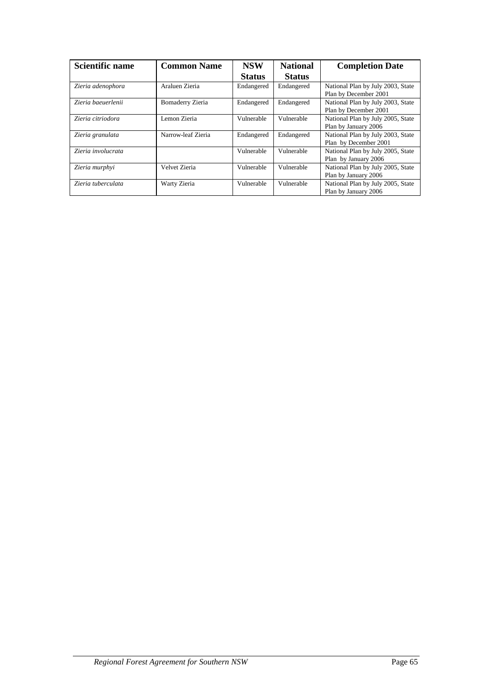| <b>Scientific name</b> | <b>Common Name</b> | <b>NSW</b>    | <b>National</b> | <b>Completion Date</b>                                     |
|------------------------|--------------------|---------------|-----------------|------------------------------------------------------------|
|                        |                    | <b>Status</b> | <b>Status</b>   |                                                            |
| Zieria adenophora      | Araluen Zieria     | Endangered    | Endangered      | National Plan by July 2003, State<br>Plan by December 2001 |
| Zieria baeuerlenii     | Bomaderry Zieria   | Endangered    | Endangered      | National Plan by July 2003, State<br>Plan by December 2001 |
| Zieria citriodora      | Lemon Zieria       | Vulnerable    | Vulnerable      | National Plan by July 2005, State<br>Plan by January 2006  |
| Zieria granulata       | Narrow-leaf Zieria | Endangered    | Endangered      | National Plan by July 2003, State<br>Plan by December 2001 |
| Zieria involucrata     |                    | Vulnerable    | Vulnerable      | National Plan by July 2005, State<br>Plan by January 2006  |
| Zieria murphyi         | Velvet Zieria      | Vulnerable    | Vulnerable      | National Plan by July 2005, State<br>Plan by January 2006  |
| Zieria tuberculata     | Warty Zieria       | Vulnerable    | Vulnerable      | National Plan by July 2005, State<br>Plan by January 2006  |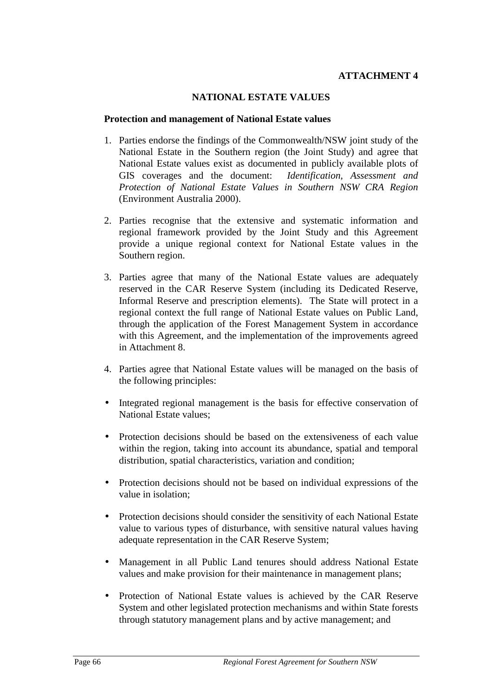#### **ATTACHMENT 4**

#### **NATIONAL ESTATE VALUES**

#### **Protection and management of National Estate values**

- 1. Parties endorse the findings of the Commonwealth/NSW joint study of the National Estate in the Southern region (the Joint Study) and agree that National Estate values exist as documented in publicly available plots of GIS coverages and the document: *Identification, Assessment and Protection of National Estate Values in Southern NSW CRA Region* (Environment Australia 2000).
- 2. Parties recognise that the extensive and systematic information and regional framework provided by the Joint Study and this Agreement provide a unique regional context for National Estate values in the Southern region.
- 3. Parties agree that many of the National Estate values are adequately reserved in the CAR Reserve System (including its Dedicated Reserve, Informal Reserve and prescription elements). The State will protect in a regional context the full range of National Estate values on Public Land, through the application of the Forest Management System in accordance with this Agreement, and the implementation of the improvements agreed in Attachment 8.
- 4. Parties agree that National Estate values will be managed on the basis of the following principles:
- Integrated regional management is the basis for effective conservation of National Estate values;
- Protection decisions should be based on the extensiveness of each value within the region, taking into account its abundance, spatial and temporal distribution, spatial characteristics, variation and condition;
- Protection decisions should not be based on individual expressions of the value in isolation;
- Protection decisions should consider the sensitivity of each National Estate value to various types of disturbance, with sensitive natural values having adequate representation in the CAR Reserve System;
- Management in all Public Land tenures should address National Estate values and make provision for their maintenance in management plans;
- Protection of National Estate values is achieved by the CAR Reserve System and other legislated protection mechanisms and within State forests through statutory management plans and by active management; and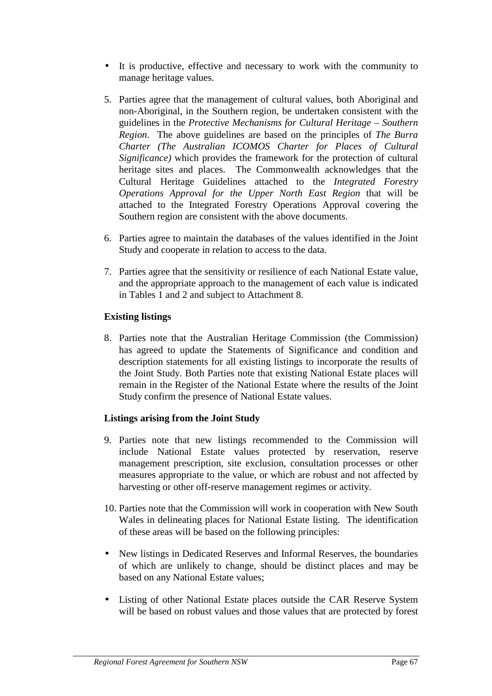- It is productive, effective and necessary to work with the community to manage heritage values.
- 5. Parties agree that the management of cultural values, both Aboriginal and non-Aboriginal, in the Southern region, be undertaken consistent with the guidelines in the *Protective Mechanisms for Cultural Heritage – Southern Region*. The above guidelines are based on the principles of *The Burra Charter (The Australian ICOMOS Charter for Places of Cultural Significance)* which provides the framework for the protection of cultural heritage sites and places. The Commonwealth acknowledges that the Cultural Heritage Guidelines attached to the *Integrated Forestry Operations Approval for the Upper North East Region* that will be attached to the Integrated Forestry Operations Approval covering the Southern region are consistent with the above documents.
- 6. Parties agree to maintain the databases of the values identified in the Joint Study and cooperate in relation to access to the data.
- 7. Parties agree that the sensitivity or resilience of each National Estate value, and the appropriate approach to the management of each value is indicated in Tables 1 and 2 and subject to Attachment 8.

# **Existing listings**

8. Parties note that the Australian Heritage Commission (the Commission) has agreed to update the Statements of Significance and condition and description statements for all existing listings to incorporate the results of the Joint Study. Both Parties note that existing National Estate places will remain in the Register of the National Estate where the results of the Joint Study confirm the presence of National Estate values.

# **Listings arising from the Joint Study**

- 9. Parties note that new listings recommended to the Commission will include National Estate values protected by reservation, reserve management prescription, site exclusion, consultation processes or other measures appropriate to the value, or which are robust and not affected by harvesting or other off-reserve management regimes or activity.
- 10. Parties note that the Commission will work in cooperation with New South Wales in delineating places for National Estate listing.The identification of these areas will be based on the following principles:
- New listings in Dedicated Reserves and Informal Reserves, the boundaries of which are unlikely to change, should be distinct places and may be based on any National Estate values;
- Listing of other National Estate places outside the CAR Reserve System will be based on robust values and those values that are protected by forest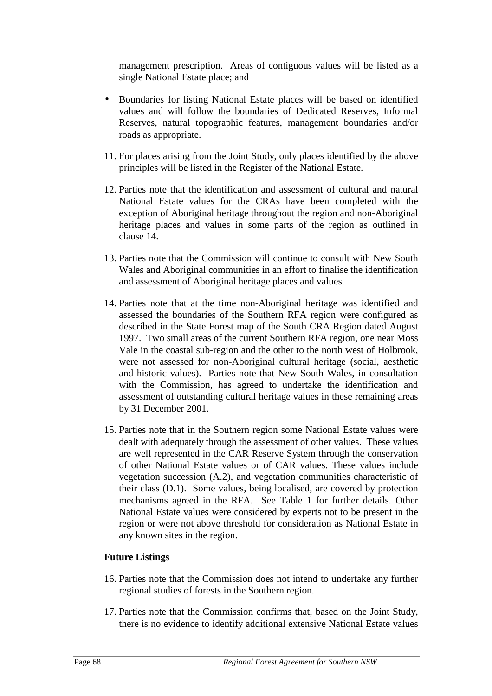management prescription. Areas of contiguous values will be listed as a single National Estate place; and

- Boundaries for listing National Estate places will be based on identified values and will follow the boundaries of Dedicated Reserves, Informal Reserves, natural topographic features, management boundaries and/or roads as appropriate.
- 11. For places arising from the Joint Study, only places identified by the above principles will be listed in the Register of the National Estate.
- 12. Parties note that the identification and assessment of cultural and natural National Estate values for the CRAs have been completed with the exception of Aboriginal heritage throughout the region and non-Aboriginal heritage places and values in some parts of the region as outlined in clause 14.
- 13. Parties note that the Commission will continue to consult with New South Wales and Aboriginal communities in an effort to finalise the identification and assessment of Aboriginal heritage places and values.
- 14. Parties note that at the time non-Aboriginal heritage was identified and assessed the boundaries of the Southern RFA region were configured as described in the State Forest map of the South CRA Region dated August 1997. Two small areas of the current Southern RFA region, one near Moss Vale in the coastal sub-region and the other to the north west of Holbrook, were not assessed for non-Aboriginal cultural heritage (social, aesthetic and historic values). Parties note that New South Wales, in consultation with the Commission, has agreed to undertake the identification and assessment of outstanding cultural heritage values in these remaining areas by 31 December 2001.
- 15. Parties note that in the Southern region some National Estate values were dealt with adequately through the assessment of other values. These values are well represented in the CAR Reserve System through the conservation of other National Estate values or of CAR values. These values include vegetation succession (A.2), and vegetation communities characteristic of their class (D.1). Some values, being localised, are covered by protection mechanisms agreed in the RFA. See Table 1 for further details. Other National Estate values were considered by experts not to be present in the region or were not above threshold for consideration as National Estate in any known sites in the region.

#### **Future Listings**

- 16. Parties note that the Commission does not intend to undertake any further regional studies of forests in the Southern region.
- 17. Parties note that the Commission confirms that, based on the Joint Study, there is no evidence to identify additional extensive National Estate values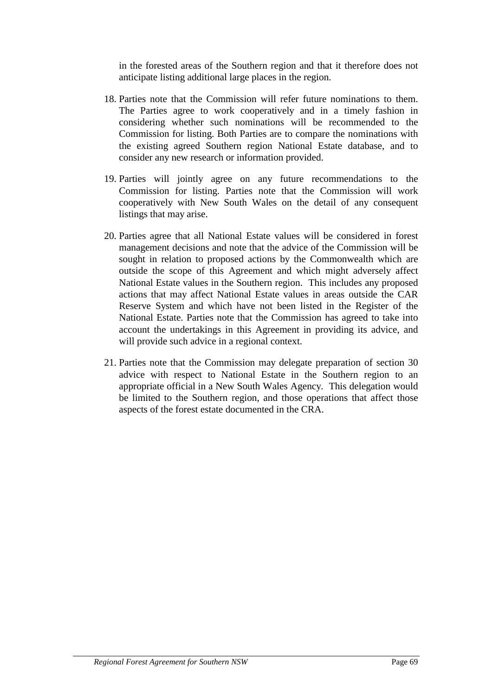in the forested areas of the Southern region and that it therefore does not anticipate listing additional large places in the region.

- 18. Parties note that the Commission will refer future nominations to them. The Parties agree to work cooperatively and in a timely fashion in considering whether such nominations will be recommended to the Commission for listing. Both Parties are to compare the nominations with the existing agreed Southern region National Estate database, and to consider any new research or information provided.
- 19. Parties will jointly agree on any future recommendations to the Commission for listing. Parties note that the Commission will work cooperatively with New South Wales on the detail of any consequent listings that may arise.
- 20. Parties agree that all National Estate values will be considered in forest management decisions and note that the advice of the Commission will be sought in relation to proposed actions by the Commonwealth which are outside the scope of this Agreement and which might adversely affect National Estate values in the Southern region. This includes any proposed actions that may affect National Estate values in areas outside the CAR Reserve System and which have not been listed in the Register of the National Estate. Parties note that the Commission has agreed to take into account the undertakings in this Agreement in providing its advice, and will provide such advice in a regional context.
- 21. Parties note that the Commission may delegate preparation of section 30 advice with respect to National Estate in the Southern region to an appropriate official in a New South Wales Agency. This delegation would be limited to the Southern region, and those operations that affect those aspects of the forest estate documented in the CRA.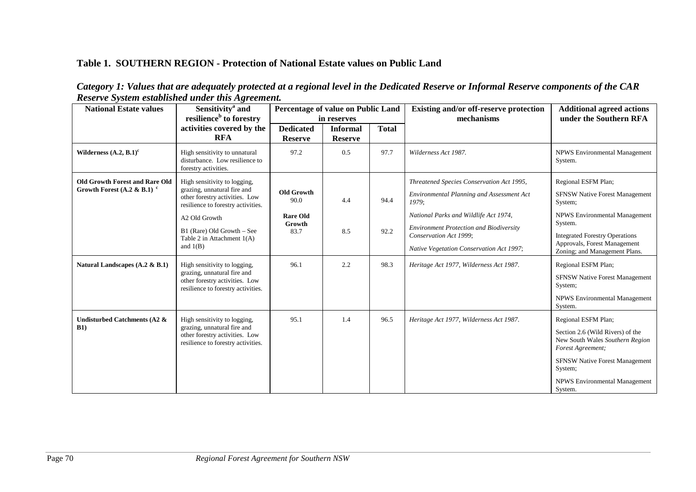#### **Table 1. SOUTHERN REGION - Protection of National Estate values on Public Land**

| Category 1: Values that are adequately protected at a regional level in the Dedicated Reserve or Informal Reserve components of the CAR |  |
|-----------------------------------------------------------------------------------------------------------------------------------------|--|
| <b>Reserve System established under this Agreement.</b>                                                                                 |  |

| <b>National Estate values</b>                  | Sensitivity <sup>a</sup> and<br>resilience <sup>b</sup> to forestry                                                                 | Percentage of value on Public Land<br>in reserves |                                   |              | Existing and/or off-reserve protection<br>mechanisms                     | <b>Additional agreed actions</b><br>under the Southern RFA                               |
|------------------------------------------------|-------------------------------------------------------------------------------------------------------------------------------------|---------------------------------------------------|-----------------------------------|--------------|--------------------------------------------------------------------------|------------------------------------------------------------------------------------------|
|                                                | activities covered by the<br><b>RFA</b>                                                                                             | <b>Dedicated</b><br><b>Reserve</b>                | <b>Informal</b><br><b>Reserve</b> | <b>Total</b> |                                                                          |                                                                                          |
| Wilderness $(A.2, B.1)^c$                      | High sensitivity to unnatural<br>disturbance. Low resilience to<br>forestry activities.                                             | 97.2                                              | 0.5                               | 97.7         | Wilderness Act 1987.                                                     | NPWS Environmental Management<br>System.                                                 |
| <b>Old Growth Forest and Rare Old</b>          | High sensitivity to logging,                                                                                                        |                                                   |                                   |              | Threatened Species Conservation Act 1995,                                | Regional ESFM Plan;                                                                      |
| Growth Forest (A.2 & B.1) $\textdegree$        | grazing, unnatural fire and<br>other forestry activities. Low<br>resilience to forestry activities.                                 | <b>Old Growth</b><br>90.0                         | 4.4                               | 94.4         | Environmental Planning and Assessment Act<br>1979;                       | <b>SFNSW Native Forest Management</b><br>System;                                         |
|                                                | A2 Old Growth                                                                                                                       | <b>Rare Old</b><br>Growth<br>83.7                 | 8.5                               | 92.2         | National Parks and Wildlife Act 1974,                                    | <b>NPWS Environmental Management</b>                                                     |
|                                                | B1 (Rare) Old Growth - See<br>Table 2 in Attachment $1(A)$<br>and $1(B)$                                                            |                                                   |                                   |              | <b>Environment Protection and Biodiversity</b><br>Conservation Act 1999; | System.<br><b>Integrated Forestry Operations</b>                                         |
|                                                |                                                                                                                                     |                                                   |                                   |              | Native Vegetation Conservation Act 1997;                                 | Approvals, Forest Management<br>Zoning; and Management Plans.                            |
| Natural Landscapes (A.2 & B.1)                 | High sensitivity to logging,<br>grazing, unnatural fire and<br>other forestry activities. Low<br>resilience to forestry activities. | 96.1                                              | 2.2                               | 98.3         | Heritage Act 1977, Wilderness Act 1987.                                  | Regional ESFM Plan;                                                                      |
|                                                |                                                                                                                                     |                                                   |                                   |              |                                                                          | SFNSW Native Forest Management<br>System;                                                |
|                                                |                                                                                                                                     |                                                   |                                   |              |                                                                          | NPWS Environmental Management<br>System.                                                 |
| <b>Undisturbed Catchments (A2 &amp;</b><br>B1) | High sensitivity to logging,<br>grazing, unnatural fire and<br>other forestry activities. Low<br>resilience to forestry activities. | 95.1                                              | 1.4                               | 96.5         | Heritage Act 1977, Wilderness Act 1987.                                  | Regional ESFM Plan;                                                                      |
|                                                |                                                                                                                                     |                                                   |                                   |              |                                                                          | Section 2.6 (Wild Rivers) of the<br>New South Wales Southern Region<br>Forest Agreement; |
|                                                |                                                                                                                                     |                                                   |                                   |              |                                                                          | <b>SFNSW Native Forest Management</b><br>System;                                         |
|                                                |                                                                                                                                     |                                                   |                                   |              |                                                                          | <b>NPWS Environmental Management</b><br>System.                                          |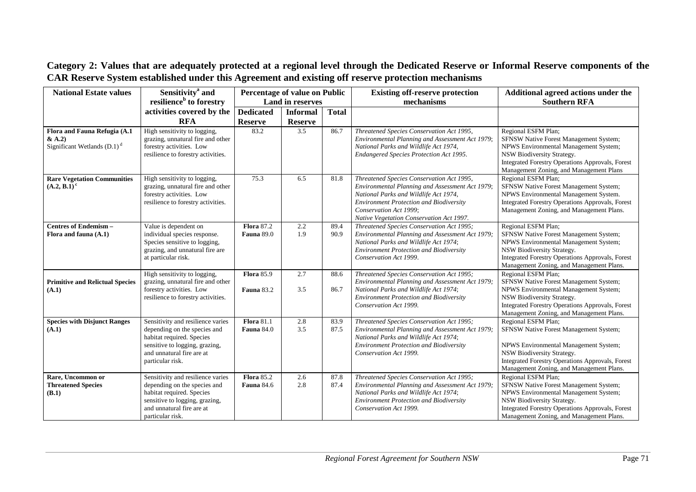| <b>National Estate values</b>                                            | Sensitivity <sup>a</sup> and                                                                                                                                                      | Percentage of value on Public          |                         |              | <b>Existing off-reserve protection</b>                                                                                                                                                                                                                        | Additional agreed actions under the                                                                                                                                                                                                  |
|--------------------------------------------------------------------------|-----------------------------------------------------------------------------------------------------------------------------------------------------------------------------------|----------------------------------------|-------------------------|--------------|---------------------------------------------------------------------------------------------------------------------------------------------------------------------------------------------------------------------------------------------------------------|--------------------------------------------------------------------------------------------------------------------------------------------------------------------------------------------------------------------------------------|
|                                                                          | resilience <sup>b</sup> to forestry                                                                                                                                               |                                        | <b>Land in reserves</b> |              | mechanisms                                                                                                                                                                                                                                                    | <b>Southern RFA</b>                                                                                                                                                                                                                  |
|                                                                          | activities covered by the                                                                                                                                                         | <b>Dedicated</b>                       | <b>Informal</b>         | <b>Total</b> |                                                                                                                                                                                                                                                               |                                                                                                                                                                                                                                      |
|                                                                          | <b>RFA</b>                                                                                                                                                                        | <b>Reserve</b>                         | <b>Reserve</b>          |              |                                                                                                                                                                                                                                                               |                                                                                                                                                                                                                                      |
| Flora and Fauna Refugia (A.1<br>& A.2)<br>Significant Wetlands $(D.1)^d$ | High sensitivity to logging,<br>grazing, unnatural fire and other<br>forestry activities. Low<br>resilience to forestry activities.                                               | 83.2                                   | 3.5                     | 86.7         | Threatened Species Conservation Act 1995,<br>Environmental Planning and Assessment Act 1979;<br>National Parks and Wildlife Act 1974,<br>Endangered Species Protection Act 1995.                                                                              | Regional ESFM Plan;<br>SFNSW Native Forest Management System;<br>NPWS Environmental Management System;<br>NSW Biodiversity Strategy.<br>Integrated Forestry Operations Approvals, Forest<br>Management Zoning, and Management Plans  |
| <b>Rare Vegetation Communities</b><br>$(A.2, B.1)$ <sup>c</sup>          | High sensitivity to logging,<br>grazing, unnatural fire and other<br>forestry activities. Low<br>resilience to forestry activities.                                               | 75.3                                   | 6.5                     | 81.8         | Threatened Species Conservation Act 1995,<br>Environmental Planning and Assessment Act 1979;<br>National Parks and Wildlife Act 1974,<br><b>Environment Protection and Biodiversity</b><br>Conservation Act 1999;<br>Native Vegetation Conservation Act 1997. | Regional ESFM Plan;<br>SFNSW Native Forest Management System;<br>NPWS Environmental Management System.<br>Integrated Forestry Operations Approvals, Forest<br>Management Zoning, and Management Plans.                               |
| <b>Centres of Endemism-</b><br>Flora and fauna (A.1)                     | Value is dependent on<br>individual species response.<br>Species sensitive to logging,<br>grazing, and unnatural fire are<br>at particular risk.                                  | <b>Flora 87.2</b><br>Fauna 89.0        | 2.2<br>1.9              | 89.4<br>90.9 | Threatened Species Conservation Act 1995;<br>Environmental Planning and Assessment Act 1979;<br>National Parks and Wildlife Act 1974;<br><b>Environment Protection and Biodiversity</b><br>Conservation Act 1999.                                             | Regional ESFM Plan;<br>SFNSW Native Forest Management System;<br>NPWS Environmental Management System;<br>NSW Biodiversity Strategy.<br>Integrated Forestry Operations Approvals, Forest<br>Management Zoning, and Management Plans. |
| <b>Primitive and Relictual Species</b><br>(A.1)                          | High sensitivity to logging,<br>grazing, unnatural fire and other<br>forestry activities. Low<br>resilience to forestry activities.                                               | <b>Flora</b> 85.9<br>Fauna 83.2        | 2.7<br>3.5              | 88.6<br>86.7 | Threatened Species Conservation Act 1995;<br>Environmental Planning and Assessment Act 1979;<br>National Parks and Wildlife Act 1974;<br><b>Environment Protection and Biodiversity</b><br>Conservation Act 1999.                                             | Regional ESFM Plan;<br>SFNSW Native Forest Management System;<br>NPWS Environmental Management System;<br>NSW Biodiversity Strategy.<br>Integrated Forestry Operations Approvals, Forest<br>Management Zoning, and Management Plans. |
| <b>Species with Disjunct Ranges</b><br>(A.1)                             | Sensitivity and resilience varies<br>depending on the species and<br>habitat required. Species<br>sensitive to logging, grazing,<br>and unnatural fire are at<br>particular risk. | <b>Flora</b> 81.1<br>Fauna 84.0        | 2.8<br>3.5              | 83.9<br>87.5 | Threatened Species Conservation Act 1995;<br>Environmental Planning and Assessment Act 1979;<br>National Parks and Wildlife Act 1974;<br><b>Environment Protection and Biodiversity</b><br>Conservation Act 1999.                                             | Regional ESFM Plan;<br>SFNSW Native Forest Management System;<br>NPWS Environmental Management System;<br>NSW Biodiversity Strategy.<br>Integrated Forestry Operations Approvals, Forest<br>Management Zoning, and Management Plans. |
| Rare, Uncommon or<br><b>Threatened Species</b><br>(B.1)                  | Sensitivity and resilience varies<br>depending on the species and<br>habitat required. Species<br>sensitive to logging, grazing,<br>and unnatural fire are at<br>particular risk. | <b>Flora 85.2</b><br><b>Fauna 84.6</b> | 2.6<br>2.8              | 87.8<br>87.4 | Threatened Species Conservation Act 1995;<br>Environmental Planning and Assessment Act 1979;<br>National Parks and Wildlife Act 1974;<br><b>Environment Protection and Biodiversity</b><br>Conservation Act 1999.                                             | Regional ESFM Plan;<br>SFNSW Native Forest Management System;<br>NPWS Environmental Management System;<br>NSW Biodiversity Strategy.<br>Integrated Forestry Operations Approvals, Forest<br>Management Zoning, and Management Plans. |

**Category 2: Values that are adequately protected at a regional level through the Dedicated Reserve or Informal Reserve components of the CAR Reserve System established under this Agreement and existing off reserve protection mechanisms**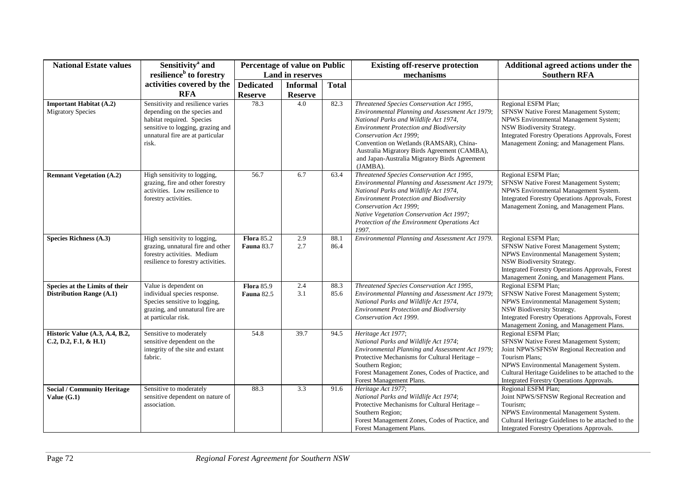| <b>National Estate values</b>                                     | Sensitivity <sup>a</sup> and                                                                                                                                                     | Percentage of value on Public          |                         |              | <b>Existing off-reserve protection</b>                                                                                                                                                                                                                                                                                                                                    | Additional agreed actions under the                                                                                                                                                                                                                                     |
|-------------------------------------------------------------------|----------------------------------------------------------------------------------------------------------------------------------------------------------------------------------|----------------------------------------|-------------------------|--------------|---------------------------------------------------------------------------------------------------------------------------------------------------------------------------------------------------------------------------------------------------------------------------------------------------------------------------------------------------------------------------|-------------------------------------------------------------------------------------------------------------------------------------------------------------------------------------------------------------------------------------------------------------------------|
|                                                                   | resilience <sup>b</sup> to forestry                                                                                                                                              |                                        | <b>Land in reserves</b> |              | mechanisms                                                                                                                                                                                                                                                                                                                                                                | <b>Southern RFA</b>                                                                                                                                                                                                                                                     |
|                                                                   | activities covered by the                                                                                                                                                        | <b>Dedicated</b>                       | <b>Informal</b>         | <b>Total</b> |                                                                                                                                                                                                                                                                                                                                                                           |                                                                                                                                                                                                                                                                         |
|                                                                   | <b>RFA</b>                                                                                                                                                                       | <b>Reserve</b>                         | <b>Reserve</b>          |              |                                                                                                                                                                                                                                                                                                                                                                           |                                                                                                                                                                                                                                                                         |
| <b>Important Habitat (A.2)</b><br><b>Migratory Species</b>        | Sensitivity and resilience varies<br>depending on the species and<br>habitat required. Species<br>sensitive to logging, grazing and<br>unnatural fire are at particular<br>risk. | 78.3                                   | 4.0                     | 82.3         | Threatened Species Conservation Act 1995,<br>Environmental Planning and Assessment Act 1979;<br>National Parks and Wildlife Act 1974,<br><b>Environment Protection and Biodiversity</b><br>Conservation Act 1999;<br>Convention on Wetlands (RAMSAR), China-<br>Australia Migratory Birds Agreement (CAMBA),<br>and Japan-Australia Migratory Birds Agreement<br>(JAMBA). | Regional ESFM Plan;<br>SFNSW Native Forest Management System;<br>NPWS Environmental Management System;<br>NSW Biodiversity Strategy.<br>Integrated Forestry Operations Approvals, Forest<br>Management Zoning; and Management Plans.                                    |
| <b>Remnant Vegetation (A.2)</b>                                   | High sensitivity to logging,<br>grazing, fire and other forestry<br>activities. Low resilience to<br>forestry activities.                                                        | 56.7                                   | 6.7                     | 63.4         | Threatened Species Conservation Act 1995,<br>Environmental Planning and Assessment Act 1979;<br>National Parks and Wildlife Act 1974,<br><b>Environment Protection and Biodiversity</b><br>Conservation Act 1999;<br>Native Vegetation Conservation Act 1997;<br>Protection of the Environment Operations Act<br>1997.                                                    | Regional ESFM Plan;<br>SFNSW Native Forest Management System;<br>NPWS Environmental Management System.<br>Integrated Forestry Operations Approvals, Forest<br>Management Zoning, and Management Plans.                                                                  |
| Species Richness (A.3)                                            | High sensitivity to logging,<br>grazing, unnatural fire and other<br>forestry activities. Medium<br>resilience to forestry activities.                                           | <b>Flora</b> 85.2<br><b>Fauna 83.7</b> | 2.9<br>2.7              | 88.1<br>86.4 | Environmental Planning and Assessment Act 1979.                                                                                                                                                                                                                                                                                                                           | Regional ESFM Plan;<br>SFNSW Native Forest Management System;<br>NPWS Environmental Management System;<br>NSW Biodiversity Strategy.<br>Integrated Forestry Operations Approvals, Forest<br>Management Zoning, and Management Plans.                                    |
| Species at the Limits of their<br><b>Distribution Range (A.1)</b> | Value is dependent on<br>individual species response.<br>Species sensitive to logging,<br>grazing, and unnatural fire are<br>at particular risk.                                 | <b>Flora</b> 85.9<br><b>Fauna 82.5</b> | 2.4<br>3.1              | 88.3<br>85.6 | Threatened Species Conservation Act 1995,<br>Environmental Planning and Assessment Act 1979;<br>National Parks and Wildlife Act 1974,<br><b>Environment Protection and Biodiversity</b><br>Conservation Act 1999.                                                                                                                                                         | Regional ESFM Plan;<br>SFNSW Native Forest Management System;<br>NPWS Environmental Management System;<br>NSW Biodiversity Strategy.<br>Integrated Forestry Operations Approvals, Forest<br>Management Zoning, and Management Plans.                                    |
| Historic Value (A.3, A.4, B.2,<br>C.2, D.2, F.1, & H.1)           | Sensitive to moderately<br>sensitive dependent on the<br>integrity of the site and extant<br>fabric.                                                                             | 54.8                                   | 39.7                    | 94.5         | Heritage Act 1977;<br>National Parks and Wildlife Act 1974;<br>Environmental Planning and Assessment Act 1979;<br>Protective Mechanisms for Cultural Heritage -<br>Southern Region;<br>Forest Management Zones, Codes of Practice, and<br>Forest Management Plans.                                                                                                        | Regional ESFM Plan;<br>SFNSW Native Forest Management System;<br>Joint NPWS/SFNSW Regional Recreation and<br>Tourism Plans:<br>NPWS Environmental Management System.<br>Cultural Heritage Guidelines to be attached to the<br>Integrated Forestry Operations Approvals. |
| <b>Social / Community Heritage</b><br>Value $(G.1)$               | Sensitive to moderately<br>sensitive dependent on nature of<br>association.                                                                                                      | 88.3                                   | 3.3                     | 91.6         | Heritage Act 1977;<br>National Parks and Wildlife Act 1974;<br>Protective Mechanisms for Cultural Heritage -<br>Southern Region;<br>Forest Management Zones, Codes of Practice, and<br>Forest Management Plans.                                                                                                                                                           | Regional ESFM Plan;<br>Joint NPWS/SFNSW Regional Recreation and<br>Tourism;<br>NPWS Environmental Management System.<br>Cultural Heritage Guidelines to be attached to the<br>Integrated Forestry Operations Approvals.                                                 |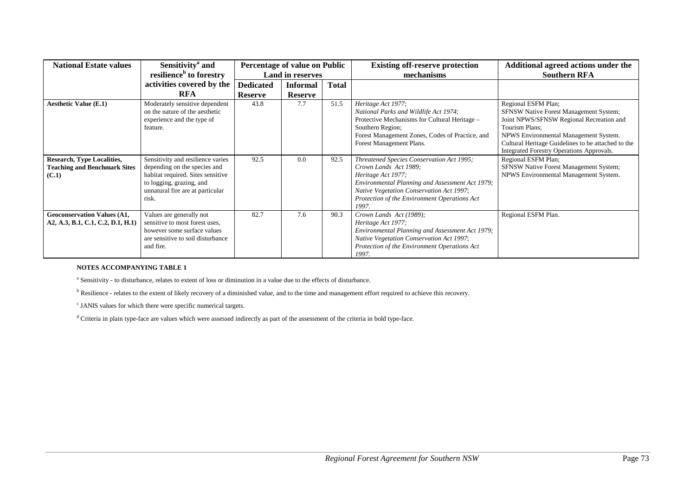| <b>National Estate values</b>                                              | Sensitivity <sup>a</sup> and<br>resilience <sup>b</sup> to forestry                                                                                                             | Percentage of value on Public<br><b>Land in reserves</b> |                |              | <b>Existing off-reserve protection</b><br>mechanisms                                                                                                                                                                                             | Additional agreed actions under the<br><b>Southern RFA</b>                                                                                                                                                                                                              |
|----------------------------------------------------------------------------|---------------------------------------------------------------------------------------------------------------------------------------------------------------------------------|----------------------------------------------------------|----------------|--------------|--------------------------------------------------------------------------------------------------------------------------------------------------------------------------------------------------------------------------------------------------|-------------------------------------------------------------------------------------------------------------------------------------------------------------------------------------------------------------------------------------------------------------------------|
|                                                                            | activities covered by the                                                                                                                                                       | <b>Dedicated</b>                                         | Informal       | <b>Total</b> |                                                                                                                                                                                                                                                  |                                                                                                                                                                                                                                                                         |
|                                                                            | <b>RFA</b>                                                                                                                                                                      | <b>Reserve</b>                                           | <b>Reserve</b> |              |                                                                                                                                                                                                                                                  |                                                                                                                                                                                                                                                                         |
| <b>Aesthetic Value (E.1)</b>                                               | Moderately sensitive dependent<br>on the nature of the aesthetic<br>experience and the type of<br>feature.                                                                      | 43.8                                                     | 7.7            | 51.5         | Heritage Act 1977;<br>National Parks and Wildlife Act 1974;<br>Protective Mechanisms for Cultural Heritage -<br>Southern Region;<br>Forest Management Zones, Codes of Practice, and<br>Forest Management Plans.                                  | Regional ESFM Plan;<br>SFNSW Native Forest Management System;<br>Joint NPWS/SFNSW Regional Recreation and<br>Tourism Plans:<br>NPWS Environmental Management System.<br>Cultural Heritage Guidelines to be attached to the<br>Integrated Forestry Operations Approvals. |
| Research, Type Localities,<br><b>Teaching and Benchmark Sites</b><br>(C.1) | Sensitivity and resilience varies<br>depending on the species and<br>habitat required. Sites sensitive<br>to logging, grazing, and<br>unnatural fire are at particular<br>risk. | 92.5                                                     | 0.0            | 92.5         | Threatened Species Conservation Act 1995;<br>Crown Lands Act 1989;<br>Heritage Act 1977;<br>Environmental Planning and Assessment Act 1979;<br>Native Vegetation Conservation Act 1997;<br>Protection of the Environment Operations Act<br>1997. | Regional ESFM Plan;<br>SFNSW Native Forest Management System;<br>NPWS Environmental Management System.                                                                                                                                                                  |
| <b>Geoconservation Values (A1,</b><br>A2, A.3, B.1, C.1, C.2, D.1, H.1)    | Values are generally not<br>sensitive to most forest uses,<br>however some surface values<br>are sensitive to soil disturbance<br>and fire.                                     | 82.7                                                     | 7.6            | 90.3         | Crown Lands Act (1989);<br>Heritage Act 1977;<br>Environmental Planning and Assessment Act 1979;<br>Native Vegetation Conservation Act 1997;<br>Protection of the Environment Operations Act<br>1997.                                            | Regional ESFM Plan.                                                                                                                                                                                                                                                     |

#### **NOTES ACCOMPANYING TABLE 1**

a Sensitivity - to disturbance, relates to extent of loss or diminution in a value due to the effects of disturbance.

<sup>b</sup> Resilience - relates to the extent of likely recovery of a diminished value, and to the time and management effort required to achieve this recovery.

c JANIS values for which there were specific numerical targets.

d Criteria in plain type-face are values which were assessed indirectly as part of the assessment of the criteria in bold type-face.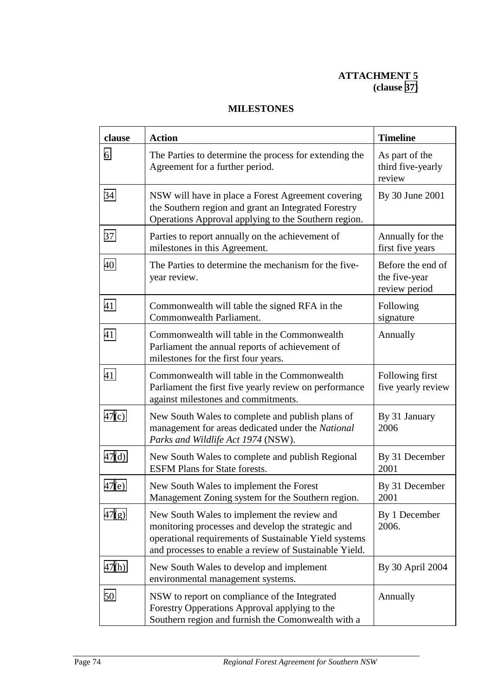# **ATTACHMENT 5 (clause [37\)](#page-15-0)**

| clause | <b>Action</b>                                                                                                                                                                                                        | <b>Timeline</b>                                     |
|--------|----------------------------------------------------------------------------------------------------------------------------------------------------------------------------------------------------------------------|-----------------------------------------------------|
| 6      | The Parties to determine the process for extending the<br>Agreement for a further period.                                                                                                                            | As part of the<br>third five-yearly<br>review       |
| 34     | NSW will have in place a Forest Agreement covering<br>the Southern region and grant an Integrated Forestry<br>Operations Approval applying to the Southern region.                                                   | By 30 June 2001                                     |
| 37     | Parties to report annually on the achievement of<br>milestones in this Agreement.                                                                                                                                    | Annually for the<br>first five years                |
| 40     | The Parties to determine the mechanism for the five-<br>year review.                                                                                                                                                 | Before the end of<br>the five-year<br>review period |
| 41     | Commonwealth will table the signed RFA in the<br>Commonwealth Parliament.                                                                                                                                            | Following<br>signature                              |
| 41     | Commonwealth will table in the Commonwealth<br>Parliament the annual reports of achievement of<br>milestones for the first four years.                                                                               | Annually                                            |
| 41     | Commonwealth will table in the Commonwealth<br>Parliament the first five yearly review on performance<br>against milestones and commitments.                                                                         | Following first<br>five yearly review               |
| 47(c)  | New South Wales to complete and publish plans of<br>management for areas dedicated under the National<br>Parks and Wildlife Act 1974 (NSW).                                                                          | By 31 January<br>2006                               |
| 47(d)  | New South Wales to complete and publish Regional<br><b>ESFM Plans for State forests.</b>                                                                                                                             | By 31 December<br>2001                              |
| 47(e)  | New South Wales to implement the Forest<br>Management Zoning system for the Southern region.                                                                                                                         | By 31 December<br>2001                              |
| 47(g)  | New South Wales to implement the review and<br>monitoring processes and develop the strategic and<br>operational requirements of Sustainable Yield systems<br>and processes to enable a review of Sustainable Yield. | By 1 December<br>2006.                              |
| 47(h)  | New South Wales to develop and implement<br>environmental management systems.                                                                                                                                        | By 30 April 2004                                    |
| 50     | NSW to report on compliance of the Integrated<br>Forestry Opperations Approval applying to the<br>Southern region and furnish the Comonwealth with a                                                                 | Annually                                            |

# **MILESTONES**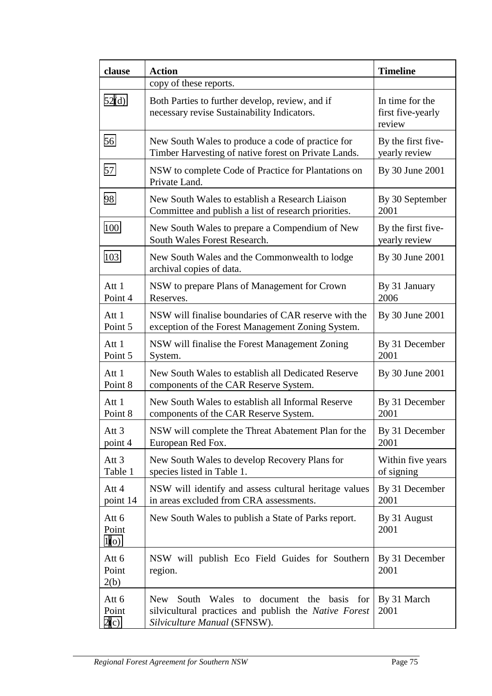| clause                           | <b>Action</b>                                                                                                                                   | <b>Timeline</b>                                |
|----------------------------------|-------------------------------------------------------------------------------------------------------------------------------------------------|------------------------------------------------|
|                                  | copy of these reports.                                                                                                                          |                                                |
| 52(d)                            | Both Parties to further develop, review, and if<br>necessary revise Sustainability Indicators.                                                  | In time for the<br>first five-yearly<br>review |
| 56                               | New South Wales to produce a code of practice for<br>Timber Harvesting of native forest on Private Lands.                                       | By the first five-<br>yearly review            |
| 57                               | NSW to complete Code of Practice for Plantations on<br>Private Land.                                                                            | By 30 June 2001                                |
| 98                               | New South Wales to establish a Research Liaison<br>Committee and publish a list of research priorities.                                         | By 30 September<br>2001                        |
| 100                              | New South Wales to prepare a Compendium of New<br>South Wales Forest Research.                                                                  | By the first five-<br>yearly review            |
| 103                              | New South Wales and the Commonwealth to lodge<br>archival copies of data.                                                                       | By 30 June 2001                                |
| Att 1<br>Point 4                 | NSW to prepare Plans of Management for Crown<br>Reserves.                                                                                       | By 31 January<br>2006                          |
| Att 1<br>Point 5                 | NSW will finalise boundaries of CAR reserve with the<br>exception of the Forest Management Zoning System.                                       | By 30 June 2001                                |
| Att 1<br>Point 5                 | NSW will finalise the Forest Management Zoning<br>System.                                                                                       | By 31 December<br>2001                         |
| Att 1<br>Point 8                 | New South Wales to establish all Dedicated Reserve<br>components of the CAR Reserve System.                                                     | By 30 June 2001                                |
| Att 1<br>Point 8                 | New South Wales to establish all Informal Reserve<br>components of the CAR Reserve System.                                                      | By 31 December<br>2001                         |
| Att <sub>3</sub><br>point 4      | NSW will complete the Threat Abatement Plan for the<br>European Red Fox.                                                                        | By 31 December<br>2001                         |
| Att $3$<br>Table 1               | New South Wales to develop Recovery Plans for<br>species listed in Table 1.                                                                     | Within five years<br>of signing                |
| Att 4<br>point 14                | NSW will identify and assess cultural heritage values<br>in areas excluded from CRA assessments.                                                | By 31 December<br>2001                         |
| Att 6<br>Point<br>1 <sub>0</sub> | New South Wales to publish a State of Parks report.                                                                                             | By 31 August<br>2001                           |
| Att 6<br>Point<br>2(b)           | NSW will publish Eco Field Guides for Southern<br>region.                                                                                       | By 31 December<br>2001                         |
| Att 6<br>Point<br>2(c)           | South Wales to<br>document the basis for<br><b>New</b><br>silvicultural practices and publish the Native Forest<br>Silviculture Manual (SFNSW). | By 31 March<br>2001                            |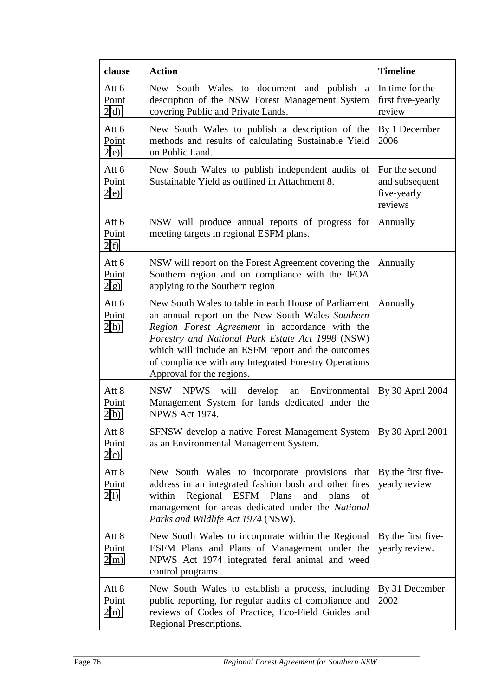| clause                 | <b>Action</b>                                                                                                                                                                                                                                                                                                                                              | <b>Timeline</b>                                            |
|------------------------|------------------------------------------------------------------------------------------------------------------------------------------------------------------------------------------------------------------------------------------------------------------------------------------------------------------------------------------------------------|------------------------------------------------------------|
| Att 6<br>Point<br>2(d) | New South Wales to document and publish a<br>description of the NSW Forest Management System<br>covering Public and Private Lands.                                                                                                                                                                                                                         | In time for the<br>first five-yearly<br>review             |
| Att 6<br>Point<br>2(e) | New South Wales to publish a description of the<br>methods and results of calculating Sustainable Yield<br>on Public Land.                                                                                                                                                                                                                                 | By 1 December<br>2006                                      |
| Att 6<br>Point<br>2(e) | New South Wales to publish independent audits of<br>Sustainable Yield as outlined in Attachment 8.                                                                                                                                                                                                                                                         | For the second<br>and subsequent<br>five-yearly<br>reviews |
| Att 6<br>Point<br>2(f) | NSW will produce annual reports of progress for<br>meeting targets in regional ESFM plans.                                                                                                                                                                                                                                                                 | Annually                                                   |
| Att 6<br>Point<br>2(g) | NSW will report on the Forest Agreement covering the<br>Southern region and on compliance with the IFOA<br>applying to the Southern region                                                                                                                                                                                                                 | Annually                                                   |
| Att 6<br>Point<br>2(h) | New South Wales to table in each House of Parliament<br>an annual report on the New South Wales Southern<br>Region Forest Agreement in accordance with the<br>Forestry and National Park Estate Act 1998 (NSW)<br>which will include an ESFM report and the outcomes<br>of compliance with any Integrated Forestry Operations<br>Approval for the regions. | Annually                                                   |
| Att 8<br>Point<br>2(b) | NSW NPWS<br>will<br>develop<br>Environmental<br>an<br>Management System for lands dedicated under the<br><b>NPWS Act 1974.</b>                                                                                                                                                                                                                             | By 30 April 2004                                           |
| Att 8<br>Point<br>2(c) | SFNSW develop a native Forest Management System<br>as an Environmental Management System.                                                                                                                                                                                                                                                                  | By 30 April 2001                                           |
| Att 8<br>Point<br>2(1) | New South Wales to incorporate provisions that<br>address in an integrated fashion bush and other fires<br>Regional ESFM Plans<br>within<br>and plans<br>of<br>management for areas dedicated under the National<br>Parks and Wildlife Act 1974 (NSW).                                                                                                     | By the first five-<br>yearly review                        |
| Att 8<br>Point<br>2(m) | New South Wales to incorporate within the Regional<br>ESFM Plans and Plans of Management under the<br>NPWS Act 1974 integrated feral animal and weed<br>control programs.                                                                                                                                                                                  | By the first five-<br>yearly review.                       |
| Att 8<br>Point<br>2(n) | New South Wales to establish a process, including<br>public reporting, for regular audits of compliance and<br>reviews of Codes of Practice, Eco-Field Guides and<br>Regional Prescriptions.                                                                                                                                                               | By 31 December<br>2002                                     |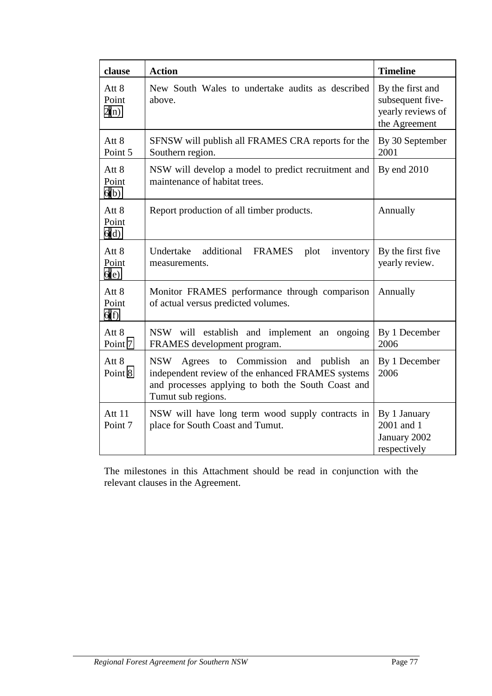| clause                 | <b>Action</b>                                                                                                                                                                            | <b>Timeline</b>                                                            |
|------------------------|------------------------------------------------------------------------------------------------------------------------------------------------------------------------------------------|----------------------------------------------------------------------------|
| Att 8<br>Point<br>2(n) | New South Wales to undertake audits as described<br>above.                                                                                                                               | By the first and<br>subsequent five-<br>yearly reviews of<br>the Agreement |
| Att 8<br>Point 5       | SFNSW will publish all FRAMES CRA reports for the<br>Southern region.                                                                                                                    | By 30 September<br>2001                                                    |
| Att 8<br>Point<br>6(b) | NSW will develop a model to predict recruitment and<br>maintenance of habitat trees.                                                                                                     | By end 2010                                                                |
| Att 8<br>Point<br>6(d) | Report production of all timber products.                                                                                                                                                | Annually                                                                   |
| Att 8<br>Point<br>6(e) | Undertake<br>additional<br><b>FRAMES</b><br>plot<br>inventory<br>measurements.                                                                                                           | By the first five<br>yearly review.                                        |
| Att 8<br>Point<br>6(f) | Monitor FRAMES performance through comparison<br>of actual versus predicted volumes.                                                                                                     | Annually                                                                   |
| Att 8<br>Point 7       | NSW will establish and implement an ongoing<br>FRAMES development program.                                                                                                               | By 1 December<br>2006                                                      |
| Att 8<br>Point 8       | Commission and publish<br><b>NSW</b><br>Agrees to<br>an<br>independent review of the enhanced FRAMES systems<br>and processes applying to both the South Coast and<br>Tumut sub regions. | By 1 December<br>2006                                                      |
| Att 11<br>Point 7      | NSW will have long term wood supply contracts in<br>place for South Coast and Tumut.                                                                                                     | By 1 January<br>2001 and 1<br>January 2002<br>respectively                 |

The milestones in this Attachment should be read in conjunction with the relevant clauses in the Agreement.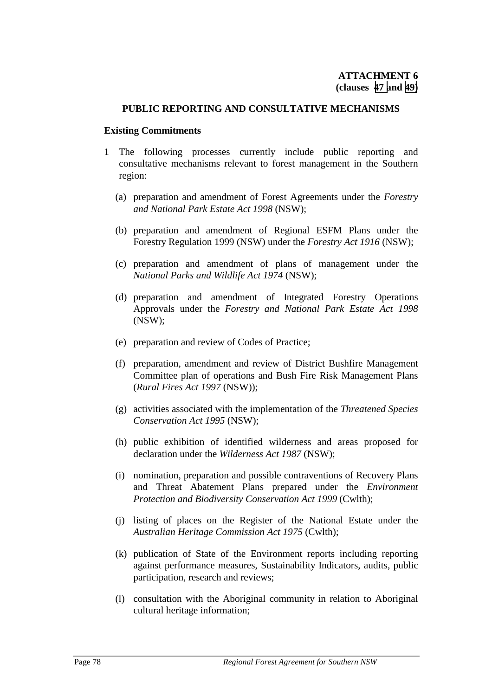#### <span id="page-79-0"></span>**PUBLIC REPORTING AND CONSULTATIVE MECHANISMS**

#### **Existing Commitments**

- 1 The following processes currently include public reporting and consultative mechanisms relevant to forest management in the Southern region:
	- (a) preparation and amendment of Forest Agreements under the *Forestry and National Park Estate Act 1998* (NSW);
	- (b) preparation and amendment of Regional ESFM Plans under the Forestry Regulation 1999 (NSW) under the *Forestry Act 1916* (NSW);
	- (c) preparation and amendment of plans of management under the *National Parks and Wildlife Act 1974* (NSW);
	- (d) preparation and amendment of Integrated Forestry Operations Approvals under the *Forestry and National Park Estate Act 1998* (NSW);
	- (e) preparation and review of Codes of Practice;
	- (f) preparation, amendment and review of District Bushfire Management Committee plan of operations and Bush Fire Risk Management Plans (*Rural Fires Act 1997* (NSW));
	- (g) activities associated with the implementation of the *Threatened Species Conservation Act 1995* (NSW);
	- (h) public exhibition of identified wilderness and areas proposed for declaration under the *Wilderness Act 1987* (NSW);
	- (i) nomination, preparation and possible contraventions of Recovery Plans and Threat Abatement Plans prepared under the *Environment Protection and Biodiversity Conservation Act 1999* (Cwlth);
	- (j) listing of places on the Register of the National Estate under the *Australian Heritage Commission Act 1975* (Cwlth);
	- (k) publication of State of the Environment reports including reporting against performance measures, Sustainability Indicators, audits, public participation, research and reviews;
	- (l) consultation with the Aboriginal community in relation to Aboriginal cultural heritage information;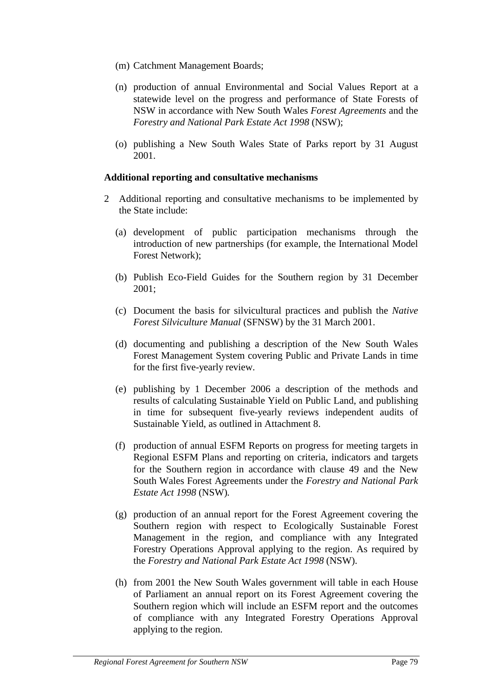- <span id="page-80-0"></span>(m) Catchment Management Boards;
- (n) production of annual Environmental and Social Values Report at a statewide level on the progress and performance of State Forests of NSW in accordance with New South Wales *Forest Agreements* and the *Forestry and National Park Estate Act 1998* (NSW);
- (o) publishing a New South Wales State of Parks report by 31 August 2001.

# **Additional reporting and consultative mechanisms**

- 2 Additional reporting and consultative mechanisms to be implemented by the State include:
	- (a) development of public participation mechanisms through the introduction of new partnerships (for example, the International Model Forest Network);
	- (b) Publish Eco-Field Guides for the Southern region by 31 December 2001;
	- (c) Document the basis for silvicultural practices and publish the *Native Forest Silviculture Manual* (SFNSW) by the 31 March 2001.
	- (d) documenting and publishing a description of the New South Wales Forest Management System covering Public and Private Lands in time for the first five-yearly review.
	- (e) publishing by 1 December 2006 a description of the methods and results of calculating Sustainable Yield on Public Land, and publishing in time for subsequent five-yearly reviews independent audits of Sustainable Yield, as outlined in Attachment 8.
	- (f) production of annual ESFM Reports on progress for meeting targets in Regional ESFM Plans and reporting on criteria, indicators and targets for the Southern region in accordance with clause 49 and the New South Wales Forest Agreements under the *Forestry and National Park Estate Act 1998* (NSW)*.*
	- (g) production of an annual report for the Forest Agreement covering the Southern region with respect to Ecologically Sustainable Forest Management in the region, and compliance with any Integrated Forestry Operations Approval applying to the region. As required by the *Forestry and National Park Estate Act 1998* (NSW).
	- (h) from 2001 the New South Wales government will table in each House of Parliament an annual report on its Forest Agreement covering the Southern region which will include an ESFM report and the outcomes of compliance with any Integrated Forestry Operations Approval applying to the region.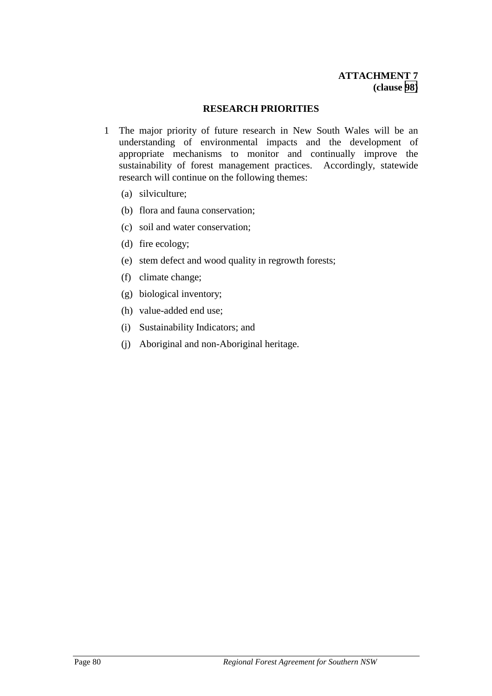#### **RESEARCH PRIORITIES**

- 1 The major priority of future research in New South Wales will be an understanding of environmental impacts and the development of appropriate mechanisms to monitor and continually improve the sustainability of forest management practices. Accordingly, statewide research will continue on the following themes:
	- (a) silviculture;
	- (b) flora and fauna conservation;
	- (c) soil and water conservation;
	- (d) fire ecology;
	- (e) stem defect and wood quality in regrowth forests;
	- (f) climate change;
	- (g) biological inventory;
	- (h) value-added end use;
	- (i) Sustainability Indicators; and
	- (j) Aboriginal and non-Aboriginal heritage.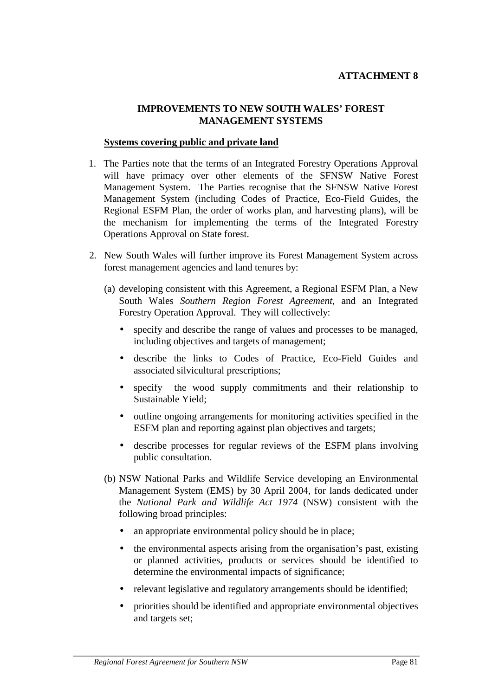# <span id="page-82-0"></span>**IMPROVEMENTS TO NEW SOUTH WALES' FOREST MANAGEMENT SYSTEMS**

#### **Systems covering public and private land**

- 1. The Parties note that the terms of an Integrated Forestry Operations Approval will have primacy over other elements of the SFNSW Native Forest Management System. The Parties recognise that the SFNSW Native Forest Management System (including Codes of Practice, Eco-Field Guides, the Regional ESFM Plan, the order of works plan, and harvesting plans), will be the mechanism for implementing the terms of the Integrated Forestry Operations Approval on State forest.
- 2. New South Wales will further improve its Forest Management System across forest management agencies and land tenures by:
	- (a) developing consistent with this Agreement, a Regional ESFM Plan, a New South Wales *Southern Region Forest Agreement*, and an Integrated Forestry Operation Approval. They will collectively:
		- specify and describe the range of values and processes to be managed, including objectives and targets of management;
		- describe the links to Codes of Practice, Eco-Field Guides and associated silvicultural prescriptions;
		- specify the wood supply commitments and their relationship to Sustainable Yield;
		- outline ongoing arrangements for monitoring activities specified in the ESFM plan and reporting against plan objectives and targets;
		- describe processes for regular reviews of the ESFM plans involving public consultation.
	- (b) NSW National Parks and Wildlife Service developing an Environmental Management System (EMS) by 30 April 2004, for lands dedicated under the *National Park and Wildlife Act 1974* (NSW) consistent with the following broad principles:
		- an appropriate environmental policy should be in place;
		- the environmental aspects arising from the organisation's past, existing or planned activities, products or services should be identified to determine the environmental impacts of significance;
		- relevant legislative and regulatory arrangements should be identified;
		- priorities should be identified and appropriate environmental objectives and targets set;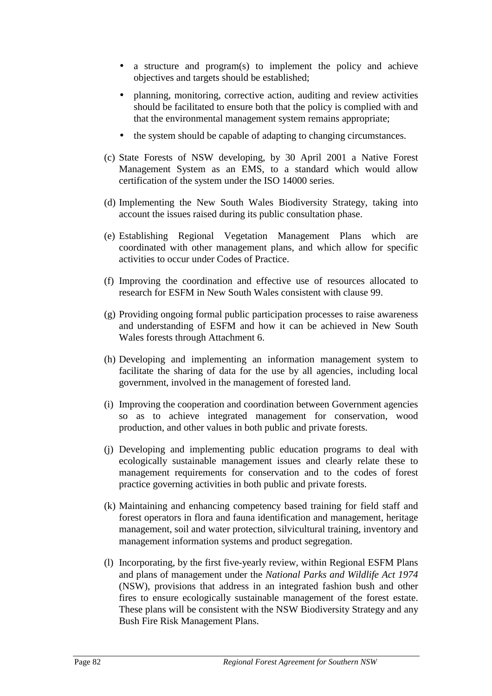- <span id="page-83-0"></span>• a structure and program(s) to implement the policy and achieve objectives and targets should be established;
- planning, monitoring, corrective action, auditing and review activities should be facilitated to ensure both that the policy is complied with and that the environmental management system remains appropriate;
- the system should be capable of adapting to changing circumstances.
- (c) State Forests of NSW developing, by 30 April 2001 a Native Forest Management System as an EMS, to a standard which would allow certification of the system under the ISO 14000 series.
- (d) Implementing the New South Wales Biodiversity Strategy, taking into account the issues raised during its public consultation phase.
- (e) Establishing Regional Vegetation Management Plans which are coordinated with other management plans, and which allow for specific activities to occur under Codes of Practice.
- (f) Improving the coordination and effective use of resources allocated to research for ESFM in New South Wales consistent with clause 99.
- (g) Providing ongoing formal public participation processes to raise awareness and understanding of ESFM and how it can be achieved in New South Wales forests through Attachment 6.
- (h) Developing and implementing an information management system to facilitate the sharing of data for the use by all agencies, including local government, involved in the management of forested land.
- (i) Improving the cooperation and coordination between Government agencies so as to achieve integrated management for conservation, wood production, and other values in both public and private forests.
- (j) Developing and implementing public education programs to deal with ecologically sustainable management issues and clearly relate these to management requirements for conservation and to the codes of forest practice governing activities in both public and private forests.
- (k) Maintaining and enhancing competency based training for field staff and forest operators in flora and fauna identification and management, heritage management, soil and water protection, silvicultural training, inventory and management information systems and product segregation.
- (l) Incorporating, by the first five-yearly review, within Regional ESFM Plans and plans of management under the *National Parks and Wildlife Act 1974* (NSW), provisions that address in an integrated fashion bush and other fires to ensure ecologically sustainable management of the forest estate. These plans will be consistent with the NSW Biodiversity Strategy and any Bush Fire Risk Management Plans.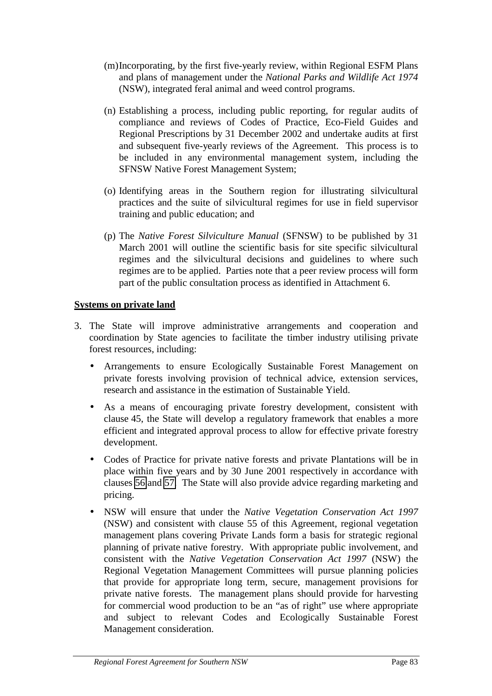- <span id="page-84-0"></span>(m)Incorporating, by the first five-yearly review, within Regional ESFM Plans and plans of management under the *National Parks and Wildlife Act 1974* (NSW), integrated feral animal and weed control programs.
- (n) Establishing a process, including public reporting, for regular audits of compliance and reviews of Codes of Practice, Eco-Field Guides and Regional Prescriptions by 31 December 2002 and undertake audits at first and subsequent five-yearly reviews of the Agreement. This process is to be included in any environmental management system, including the SFNSW Native Forest Management System;
- (o) Identifying areas in the Southern region for illustrating silvicultural practices and the suite of silvicultural regimes for use in field supervisor training and public education; and
- (p) The *Native Forest Silviculture Manual* (SFNSW) to be published by 31 March 2001 will outline the scientific basis for site specific silvicultural regimes and the silvicultural decisions and guidelines to where such regimes are to be applied. Parties note that a peer review process will form part of the public consultation process as identified in Attachment 6.

# **Systems on private land**

- 3. The State will improve administrative arrangements and cooperation and coordination by State agencies to facilitate the timber industry utilising private forest resources, including:
	- Arrangements to ensure Ecologically Sustainable Forest Management on private forests involving provision of technical advice, extension services, research and assistance in the estimation of Sustainable Yield.
	- As a means of encouraging private forestry development, consistent with clause 45, the State will develop a regulatory framework that enables a more efficient and integrated approval process to allow for effective private forestry development.
	- Codes of Practice for private native forests and private Plantations will be in place within five years and by 30 June 2001 respectively in accordance with clauses [56](#page-19-0) and [57.](#page-19-0) The State will also provide advice regarding marketing and pricing.
	- NSW will ensure that under the *Native Vegetation Conservation Act 1997* (NSW) and consistent with clause 55 of this Agreement, regional vegetation management plans covering Private Lands form a basis for strategic regional planning of private native forestry. With appropriate public involvement, and consistent with the *Native Vegetation Conservation Act 1997* (NSW) the Regional Vegetation Management Committees will pursue planning policies that provide for appropriate long term, secure, management provisions for private native forests. The management plans should provide for harvesting for commercial wood production to be an "as of right" use where appropriate and subject to relevant Codes and Ecologically Sustainable Forest Management consideration.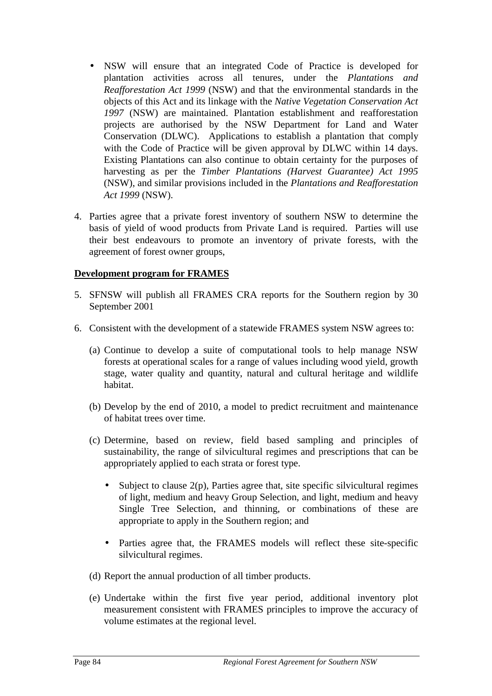- <span id="page-85-0"></span>• NSW will ensure that an integrated Code of Practice is developed for plantation activities across all tenures, under the *Plantations and Reafforestation Act 1999* (NSW) and that the environmental standards in the objects of this Act and its linkage with the *Native Vegetation Conservation Act 1997* (NSW) are maintained. Plantation establishment and reafforestation projects are authorised by the NSW Department for Land and Water Conservation (DLWC). Applications to establish a plantation that comply with the Code of Practice will be given approval by DLWC within 14 days. Existing Plantations can also continue to obtain certainty for the purposes of harvesting as per the *Timber Plantations (Harvest Guarantee) Act 1995* (NSW), and similar provisions included in the *Plantations and Reafforestation Act 1999* (NSW).
- 4. Parties agree that a private forest inventory of southern NSW to determine the basis of yield of wood products from Private Land is required. Parties will use their best endeavours to promote an inventory of private forests, with the agreement of forest owner groups,

# **Development program for FRAMES**

- 5. SFNSW will publish all FRAMES CRA reports for the Southern region by 30 September 2001
- 6. Consistent with the development of a statewide FRAMES system NSW agrees to:
	- (a) Continue to develop a suite of computational tools to help manage NSW forests at operational scales for a range of values including wood yield, growth stage, water quality and quantity, natural and cultural heritage and wildlife habitat.
	- (b) Develop by the end of 2010, a model to predict recruitment and maintenance of habitat trees over time.
	- (c) Determine, based on review, field based sampling and principles of sustainability, the range of silvicultural regimes and prescriptions that can be appropriately applied to each strata or forest type.
		- Subject to clause  $2(p)$ , Parties agree that, site specific silvicultural regimes of light, medium and heavy Group Selection, and light, medium and heavy Single Tree Selection, and thinning, or combinations of these are appropriate to apply in the Southern region; and
		- Parties agree that, the FRAMES models will reflect these site-specific silvicultural regimes.
	- (d) Report the annual production of all timber products.
	- (e) Undertake within the first five year period, additional inventory plot measurement consistent with FRAMES principles to improve the accuracy of volume estimates at the regional level.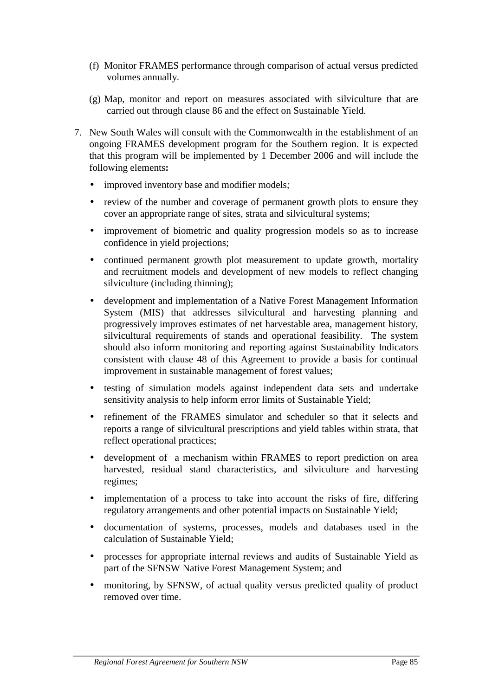- <span id="page-86-0"></span>(f) Monitor FRAMES performance through comparison of actual versus predicted volumes annually.
- (g) Map, monitor and report on measures associated with silviculture that are carried out through clause 86 and the effect on Sustainable Yield.
- 7. New South Wales will consult with the Commonwealth in the establishment of an ongoing FRAMES development program for the Southern region. It is expected that this program will be implemented by 1 December 2006 and will include the following elements**:**
	- improved inventory base and modifier models*;*
	- review of the number and coverage of permanent growth plots to ensure they cover an appropriate range of sites, strata and silvicultural systems;
	- improvement of biometric and quality progression models so as to increase confidence in yield projections;
	- continued permanent growth plot measurement to update growth, mortality and recruitment models and development of new models to reflect changing silviculture (including thinning);
	- development and implementation of a Native Forest Management Information System (MIS) that addresses silvicultural and harvesting planning and progressively improves estimates of net harvestable area, management history, silvicultural requirements of stands and operational feasibility. The system should also inform monitoring and reporting against Sustainability Indicators consistent with clause 48 of this Agreement to provide a basis for continual improvement in sustainable management of forest values;
	- testing of simulation models against independent data sets and undertake sensitivity analysis to help inform error limits of Sustainable Yield;
	- refinement of the FRAMES simulator and scheduler so that it selects and reports a range of silvicultural prescriptions and yield tables within strata, that reflect operational practices;
	- development of a mechanism within FRAMES to report prediction on area harvested, residual stand characteristics, and silviculture and harvesting regimes;
	- implementation of a process to take into account the risks of fire, differing regulatory arrangements and other potential impacts on Sustainable Yield;
	- documentation of systems, processes, models and databases used in the calculation of Sustainable Yield;
	- processes for appropriate internal reviews and audits of Sustainable Yield as part of the SFNSW Native Forest Management System; and
	- monitoring, by SFNSW, of actual quality versus predicted quality of product removed over time.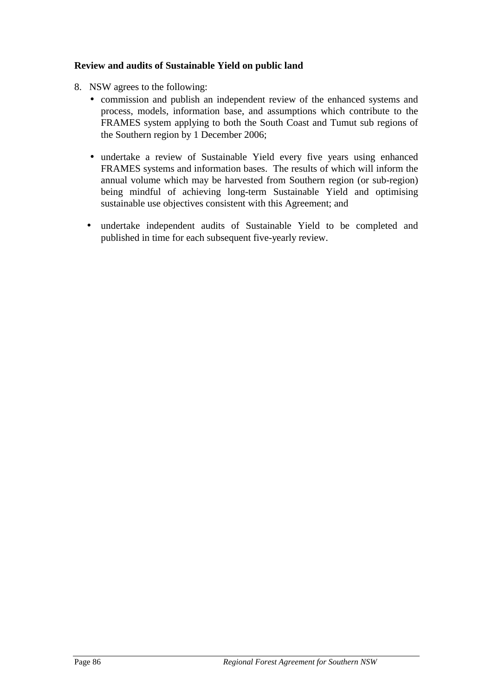# <span id="page-87-0"></span>**Review and audits of Sustainable Yield on public land**

- 8. NSW agrees to the following:
	- commission and publish an independent review of the enhanced systems and process, models, information base, and assumptions which contribute to the FRAMES system applying to both the South Coast and Tumut sub regions of the Southern region by 1 December 2006;
	- undertake a review of Sustainable Yield every five years using enhanced FRAMES systems and information bases. The results of which will inform the annual volume which may be harvested from Southern region (or sub-region) being mindful of achieving long-term Sustainable Yield and optimising sustainable use objectives consistent with this Agreement; and
	- undertake independent audits of Sustainable Yield to be completed and published in time for each subsequent five-yearly review.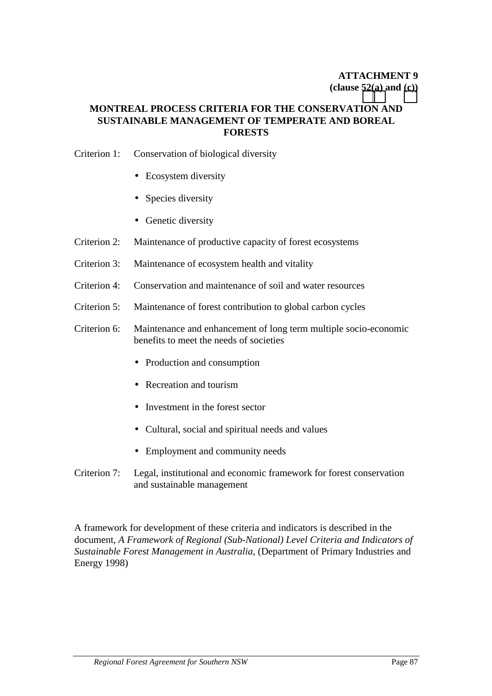# **ATTACHMENT 9 (clause [52\(a\)](#page-18-0) and [\(c\)\)](#page-19-0)**

# **MONTREAL PROCESS CRITERIA FOR THE CONSERVATION AND SUSTAINABLE MANAGEMENT OF TEMPERATE AND BOREAL FORESTS**

### Criterion 1: Conservation of biological diversity

- Ecosystem diversity
- Species diversity
- Genetic diversity
- Criterion 2: Maintenance of productive capacity of forest ecosystems
- Criterion 3: Maintenance of ecosystem health and vitality
- Criterion 4: Conservation and maintenance of soil and water resources
- Criterion 5: Maintenance of forest contribution to global carbon cycles
- Criterion 6: Maintenance and enhancement of long term multiple socio-economic benefits to meet the needs of societies
	- Production and consumption
	- Recreation and tourism
	- Investment in the forest sector
	- Cultural, social and spiritual needs and values
	- Employment and community needs
- Criterion 7: Legal, institutional and economic framework for forest conservation and sustainable management

A framework for development of these criteria and indicators is described in the document, *A Framework of Regional (Sub-National) Level Criteria and Indicators of Sustainable Forest Management in Australia,* (Department of Primary Industries and Energy 1998)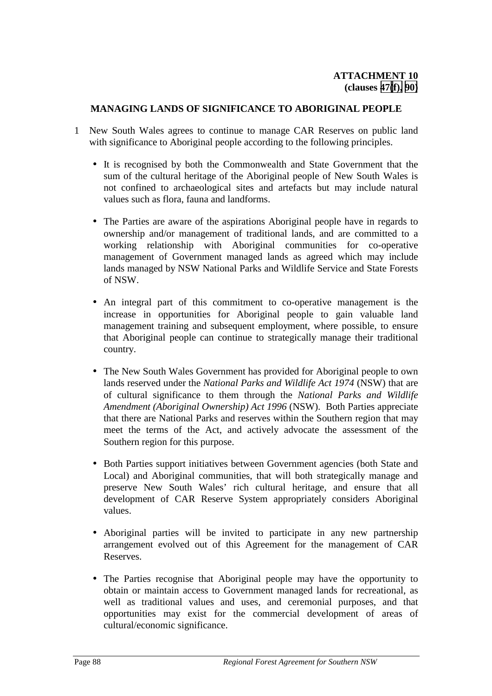### **MANAGING LANDS OF SIGNIFICANCE TO ABORIGINAL PEOPLE**

- 1 New South Wales agrees to continue to manage CAR Reserves on public land with significance to Aboriginal people according to the following principles.
	- It is recognised by both the Commonwealth and State Government that the sum of the cultural heritage of the Aboriginal people of New South Wales is not confined to archaeological sites and artefacts but may include natural values such as flora, fauna and landforms.
	- The Parties are aware of the aspirations Aboriginal people have in regards to ownership and/or management of traditional lands, and are committed to a working relationship with Aboriginal communities for co-operative management of Government managed lands as agreed which may include lands managed by NSW National Parks and Wildlife Service and State Forests of NSW.
	- An integral part of this commitment to co-operative management is the increase in opportunities for Aboriginal people to gain valuable land management training and subsequent employment, where possible, to ensure that Aboriginal people can continue to strategically manage their traditional country.
	- The New South Wales Government has provided for Aboriginal people to own lands reserved under the *National Parks and Wildlife Act 1974* (NSW) that are of cultural significance to them through the *National Parks and Wildlife Amendment (Aboriginal Ownership) Act 1996* (NSW). Both Parties appreciate that there are National Parks and reserves within the Southern region that may meet the terms of the Act, and actively advocate the assessment of the Southern region for this purpose.
	- Both Parties support initiatives between Government agencies (both State and Local) and Aboriginal communities, that will both strategically manage and preserve New South Wales' rich cultural heritage, and ensure that all development of CAR Reserve System appropriately considers Aboriginal values.
	- Aboriginal parties will be invited to participate in any new partnership arrangement evolved out of this Agreement for the management of CAR Reserves.
	- The Parties recognise that Aboriginal people may have the opportunity to obtain or maintain access to Government managed lands for recreational, as well as traditional values and uses, and ceremonial purposes, and that opportunities may exist for the commercial development of areas of cultural/economic significance.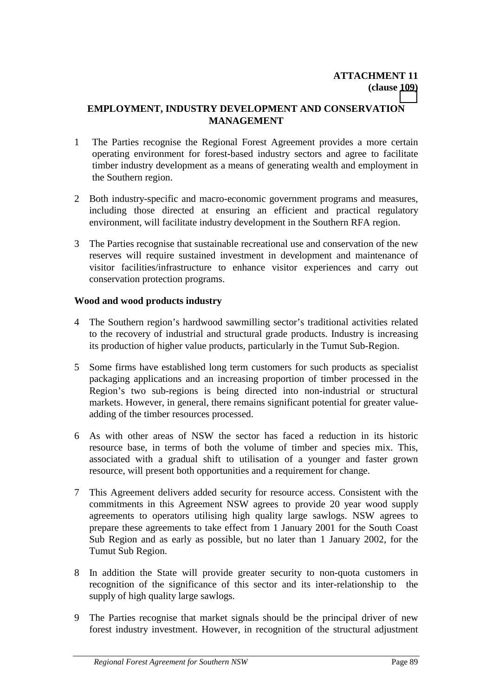# **EMPLOYMENT, INDUSTRY DEVELOPMENT AND CONSERVATION MANAGEMENT**

- 1 The Parties recognise the Regional Forest Agreement provides a more certain operating environment for forest-based industry sectors and agree to facilitate timber industry development as a means of generating wealth and employment in the Southern region.
- 2 Both industry-specific and macro-economic government programs and measures, including those directed at ensuring an efficient and practical regulatory environment, will facilitate industry development in the Southern RFA region.
- 3 The Parties recognise that sustainable recreational use and conservation of the new reserves will require sustained investment in development and maintenance of visitor facilities/infrastructure to enhance visitor experiences and carry out conservation protection programs.

# **Wood and wood products industry**

- 4 The Southern region's hardwood sawmilling sector's traditional activities related to the recovery of industrial and structural grade products. Industry is increasing its production of higher value products, particularly in the Tumut Sub-Region.
- 5 Some firms have established long term customers for such products as specialist packaging applications and an increasing proportion of timber processed in the Region's two sub-regions is being directed into non-industrial or structural markets. However, in general, there remains significant potential for greater valueadding of the timber resources processed.
- 6 As with other areas of NSW the sector has faced a reduction in its historic resource base, in terms of both the volume of timber and species mix. This, associated with a gradual shift to utilisation of a younger and faster grown resource, will present both opportunities and a requirement for change.
- 7 This Agreement delivers added security for resource access. Consistent with the commitments in this Agreement NSW agrees to provide 20 year wood supply agreements to operators utilising high quality large sawlogs. NSW agrees to prepare these agreements to take effect from 1 January 2001 for the South Coast Sub Region and as early as possible, but no later than 1 January 2002, for the Tumut Sub Region.
- 8 In addition the State will provide greater security to non-quota customers in recognition of the significance of this sector and its inter-relationship to the supply of high quality large sawlogs.
- 9 The Parties recognise that market signals should be the principal driver of new forest industry investment. However, in recognition of the structural adjustment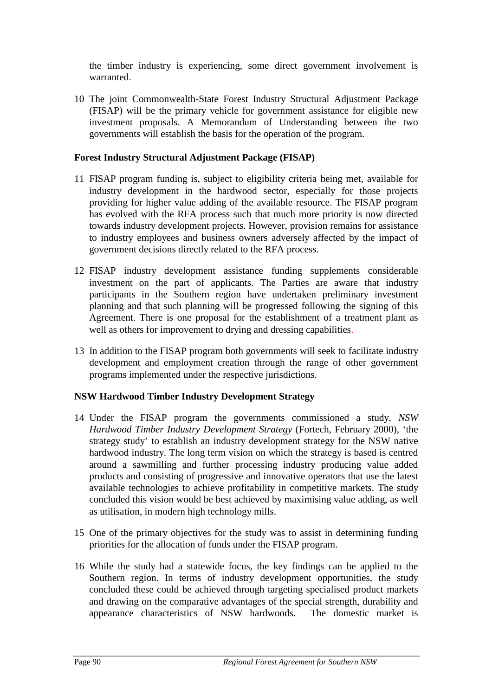the timber industry is experiencing, some direct government involvement is warranted.

10 The joint Commonwealth-State Forest Industry Structural Adjustment Package (FISAP) will be the primary vehicle for government assistance for eligible new investment proposals. A Memorandum of Understanding between the two governments will establish the basis for the operation of the program.

# **Forest Industry Structural Adjustment Package (FISAP)**

- 11 FISAP program funding is, subject to eligibility criteria being met, available for industry development in the hardwood sector, especially for those projects providing for higher value adding of the available resource. The FISAP program has evolved with the RFA process such that much more priority is now directed towards industry development projects. However, provision remains for assistance to industry employees and business owners adversely affected by the impact of government decisions directly related to the RFA process.
- 12 FISAP industry development assistance funding supplements considerable investment on the part of applicants. The Parties are aware that industry participants in the Southern region have undertaken preliminary investment planning and that such planning will be progressed following the signing of this Agreement. There is one proposal for the establishment of a treatment plant as well as others for improvement to drying and dressing capabilities.
- 13 In addition to the FISAP program both governments will seek to facilitate industry development and employment creation through the range of other government programs implemented under the respective jurisdictions.

# **NSW Hardwood Timber Industry Development Strategy**

- 14 Under the FISAP program the governments commissioned a study, *NSW Hardwood Timber Industry Development Strategy* (Fortech, February 2000), 'the strategy study' to establish an industry development strategy for the NSW native hardwood industry. The long term vision on which the strategy is based is centred around a sawmilling and further processing industry producing value added products and consisting of progressive and innovative operators that use the latest available technologies to achieve profitability in competitive markets. The study concluded this vision would be best achieved by maximising value adding, as well as utilisation, in modern high technology mills.
- 15 One of the primary objectives for the study was to assist in determining funding priorities for the allocation of funds under the FISAP program.
- 16 While the study had a statewide focus, the key findings can be applied to the Southern region. In terms of industry development opportunities, the study concluded these could be achieved through targeting specialised product markets and drawing on the comparative advantages of the special strength, durability and appearance characteristics of NSW hardwoods. The domestic market is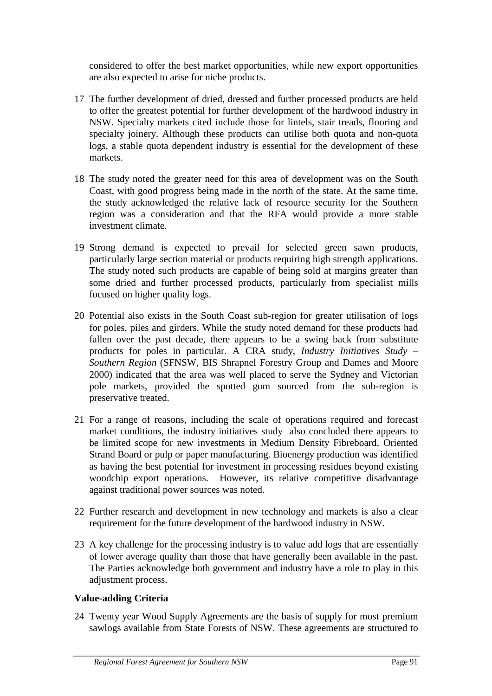considered to offer the best market opportunities, while new export opportunities are also expected to arise for niche products.

- 17 The further development of dried, dressed and further processed products are held to offer the greatest potential for further development of the hardwood industry in NSW. Specialty markets cited include those for lintels, stair treads, flooring and specialty joinery. Although these products can utilise both quota and non-quota logs, a stable quota dependent industry is essential for the development of these markets.
- 18 The study noted the greater need for this area of development was on the South Coast, with good progress being made in the north of the state. At the same time, the study acknowledged the relative lack of resource security for the Southern region was a consideration and that the RFA would provide a more stable investment climate.
- 19 Strong demand is expected to prevail for selected green sawn products, particularly large section material or products requiring high strength applications. The study noted such products are capable of being sold at margins greater than some dried and further processed products, particularly from specialist mills focused on higher quality logs.
- 20 Potential also exists in the South Coast sub-region for greater utilisation of logs for poles, piles and girders. While the study noted demand for these products had fallen over the past decade, there appears to be a swing back from substitute products for poles in particular. A CRA study, *Industry Initiatives Study – Southern Region* (SFNSW, BIS Shrapnel Forestry Group and Dames and Moore 2000) indicated that the area was well placed to serve the Sydney and Victorian pole markets, provided the spotted gum sourced from the sub-region is preservative treated.
- 21 For a range of reasons, including the scale of operations required and forecast market conditions, the industry initiatives study also concluded there appears to be limited scope for new investments in Medium Density Fibreboard, Oriented Strand Board or pulp or paper manufacturing. Bioenergy production was identified as having the best potential for investment in processing residues beyond existing woodchip export operations. However, its relative competitive disadvantage against traditional power sources was noted.
- 22 Further research and development in new technology and markets is also a clear requirement for the future development of the hardwood industry in NSW.
- 23 A key challenge for the processing industry is to value add logs that are essentially of lower average quality than those that have generally been available in the past. The Parties acknowledge both government and industry have a role to play in this adjustment process.

# **Value-adding Criteria**

24 Twenty year Wood Supply Agreements are the basis of supply for most premium sawlogs available from State Forests of NSW. These agreements are structured to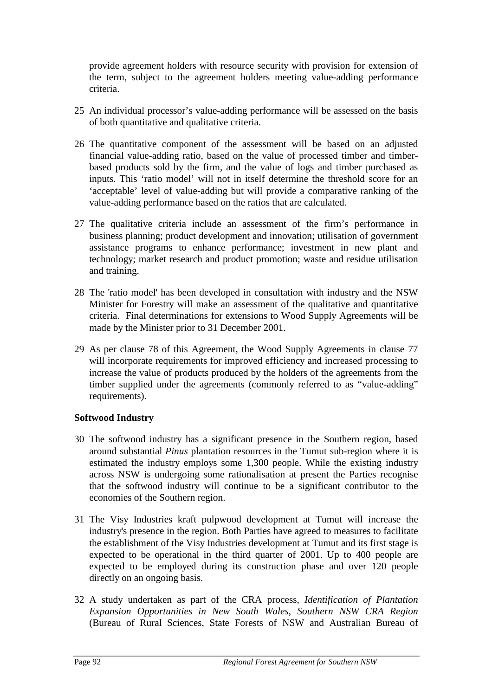provide agreement holders with resource security with provision for extension of the term, subject to the agreement holders meeting value-adding performance criteria.

- 25 An individual processor's value-adding performance will be assessed on the basis of both quantitative and qualitative criteria.
- 26 The quantitative component of the assessment will be based on an adjusted financial value-adding ratio, based on the value of processed timber and timberbased products sold by the firm, and the value of logs and timber purchased as inputs. This 'ratio model' will not in itself determine the threshold score for an 'acceptable' level of value-adding but will provide a comparative ranking of the value-adding performance based on the ratios that are calculated.
- 27 The qualitative criteria include an assessment of the firm's performance in business planning; product development and innovation; utilisation of government assistance programs to enhance performance; investment in new plant and technology; market research and product promotion; waste and residue utilisation and training.
- 28 The 'ratio model' has been developed in consultation with industry and the NSW Minister for Forestry will make an assessment of the qualitative and quantitative criteria. Final determinations for extensions to Wood Supply Agreements will be made by the Minister prior to 31 December 2001.
- 29 As per clause 78 of this Agreement, the Wood Supply Agreements in clause 77 will incorporate requirements for improved efficiency and increased processing to increase the value of products produced by the holders of the agreements from the timber supplied under the agreements (commonly referred to as "value-adding" requirements).

# **Softwood Industry**

- 30 The softwood industry has a significant presence in the Southern region, based around substantial *Pinus* plantation resources in the Tumut sub-region where it is estimated the industry employs some 1,300 people. While the existing industry across NSW is undergoing some rationalisation at present the Parties recognise that the softwood industry will continue to be a significant contributor to the economies of the Southern region.
- 31 The Visy Industries kraft pulpwood development at Tumut will increase the industry's presence in the region. Both Parties have agreed to measures to facilitate the establishment of the Visy Industries development at Tumut and its first stage is expected to be operational in the third quarter of 2001. Up to 400 people are expected to be employed during its construction phase and over 120 people directly on an ongoing basis.
- 32 A study undertaken as part of the CRA process, *Identification of Plantation Expansion Opportunities in New South Wales, Southern NSW CRA Region* (Bureau of Rural Sciences, State Forests of NSW and Australian Bureau of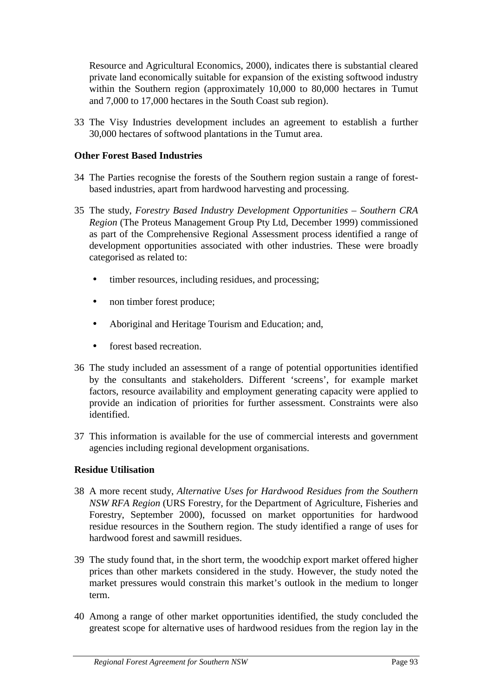Resource and Agricultural Economics, 2000), indicates there is substantial cleared private land economically suitable for expansion of the existing softwood industry within the Southern region (approximately 10,000 to 80,000 hectares in Tumut and 7,000 to 17,000 hectares in the South Coast sub region).

33 The Visy Industries development includes an agreement to establish a further 30,000 hectares of softwood plantations in the Tumut area.

# **Other Forest Based Industries**

- 34 The Parties recognise the forests of the Southern region sustain a range of forestbased industries, apart from hardwood harvesting and processing.
- 35 The study, *Forestry Based Industry Development Opportunities Southern CRA Region* (The Proteus Management Group Pty Ltd, December 1999) commissioned as part of the Comprehensive Regional Assessment process identified a range of development opportunities associated with other industries. These were broadly categorised as related to:
	- timber resources, including residues, and processing;
	- non timber forest produce;
	- Aboriginal and Heritage Tourism and Education; and,
	- forest based recreation.
- 36 The study included an assessment of a range of potential opportunities identified by the consultants and stakeholders. Different 'screens', for example market factors, resource availability and employment generating capacity were applied to provide an indication of priorities for further assessment. Constraints were also identified.
- 37 This information is available for the use of commercial interests and government agencies including regional development organisations.

# **Residue Utilisation**

- 38 A more recent study, *Alternative Uses for Hardwood Residues from the Southern NSW RFA Region* (URS Forestry, for the Department of Agriculture, Fisheries and Forestry, September 2000), focussed on market opportunities for hardwood residue resources in the Southern region. The study identified a range of uses for hardwood forest and sawmill residues.
- 39 The study found that, in the short term, the woodchip export market offered higher prices than other markets considered in the study. However, the study noted the market pressures would constrain this market's outlook in the medium to longer term.
- 40 Among a range of other market opportunities identified, the study concluded the greatest scope for alternative uses of hardwood residues from the region lay in the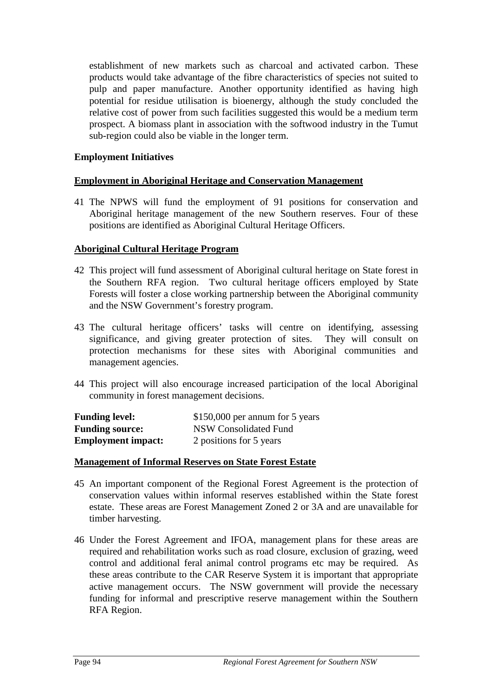establishment of new markets such as charcoal and activated carbon. These products would take advantage of the fibre characteristics of species not suited to pulp and paper manufacture. Another opportunity identified as having high potential for residue utilisation is bioenergy, although the study concluded the relative cost of power from such facilities suggested this would be a medium term prospect. A biomass plant in association with the softwood industry in the Tumut sub-region could also be viable in the longer term.

### **Employment Initiatives**

### **Employment in Aboriginal Heritage and Conservation Management**

41 The NPWS will fund the employment of 91 positions for conservation and Aboriginal heritage management of the new Southern reserves. Four of these positions are identified as Aboriginal Cultural Heritage Officers.

# **Aboriginal Cultural Heritage Program**

- 42 This project will fund assessment of Aboriginal cultural heritage on State forest in the Southern RFA region. Two cultural heritage officers employed by State Forests will foster a close working partnership between the Aboriginal community and the NSW Government's forestry program.
- 43 The cultural heritage officers' tasks will centre on identifying, assessing significance, and giving greater protection of sites. They will consult on protection mechanisms for these sites with Aboriginal communities and management agencies.
- 44 This project will also encourage increased participation of the local Aboriginal community in forest management decisions.

| <b>Funding level:</b>     | $$150,000$ per annum for 5 years |
|---------------------------|----------------------------------|
| <b>Funding source:</b>    | NSW Consolidated Fund            |
| <b>Employment impact:</b> | 2 positions for 5 years          |

#### **Management of Informal Reserves on State Forest Estate**

- 45 An important component of the Regional Forest Agreement is the protection of conservation values within informal reserves established within the State forest estate. These areas are Forest Management Zoned 2 or 3A and are unavailable for timber harvesting.
- 46 Under the Forest Agreement and IFOA, management plans for these areas are required and rehabilitation works such as road closure, exclusion of grazing, weed control and additional feral animal control programs etc may be required. As these areas contribute to the CAR Reserve System it is important that appropriate active management occurs. The NSW government will provide the necessary funding for informal and prescriptive reserve management within the Southern RFA Region.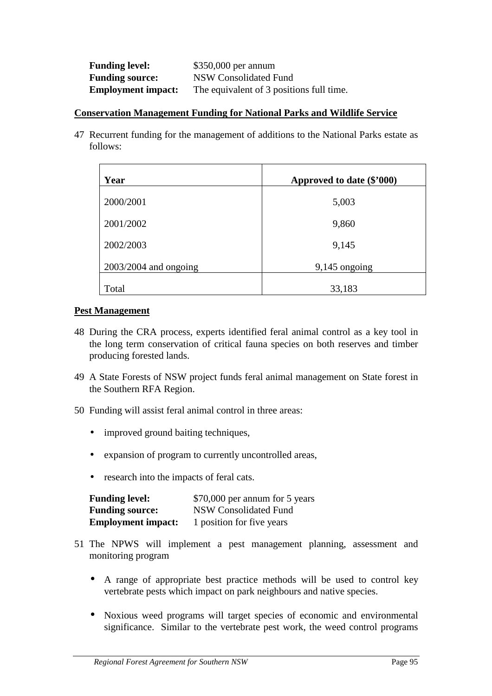| <b>Funding level:</b>     | $$350,000$ per annum                     |
|---------------------------|------------------------------------------|
| <b>Funding source:</b>    | NSW Consolidated Fund                    |
| <b>Employment impact:</b> | The equivalent of 3 positions full time. |

#### **Conservation Management Funding for National Parks and Wildlife Service**

47 Recurrent funding for the management of additions to the National Parks estate as follows:

| Year                    | Approved to date (\$'000) |
|-------------------------|---------------------------|
| 2000/2001               | 5,003                     |
| 2001/2002               | 9,860                     |
| 2002/2003               | 9,145                     |
| $2003/2004$ and ongoing | $9,145$ ongoing           |
| Total                   | 33,183                    |

### **Pest Management**

- 48 During the CRA process, experts identified feral animal control as a key tool in the long term conservation of critical fauna species on both reserves and timber producing forested lands.
- 49 A State Forests of NSW project funds feral animal management on State forest in the Southern RFA Region.
- 50 Funding will assist feral animal control in three areas:
	- improved ground baiting techniques,
	- expansion of program to currently uncontrolled areas,
	- research into the impacts of feral cats.

| <b>Funding level:</b>     | \$70,000 per annum for 5 years |
|---------------------------|--------------------------------|
| <b>Funding source:</b>    | <b>NSW Consolidated Fund</b>   |
| <b>Employment impact:</b> | 1 position for five years      |

- 51 The NPWS will implement a pest management planning, assessment and monitoring program
	- A range of appropriate best practice methods will be used to control key vertebrate pests which impact on park neighbours and native species.
	- Noxious weed programs will target species of economic and environmental significance. Similar to the vertebrate pest work, the weed control programs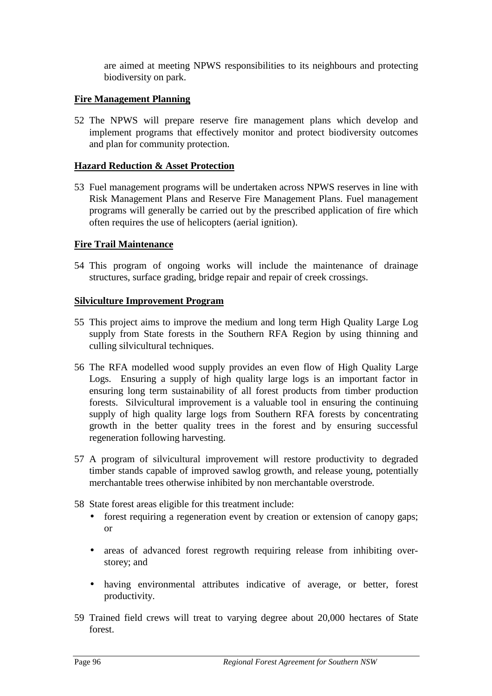are aimed at meeting NPWS responsibilities to its neighbours and protecting biodiversity on park.

# **Fire Management Planning**

52 The NPWS will prepare reserve fire management plans which develop and implement programs that effectively monitor and protect biodiversity outcomes and plan for community protection.

# **Hazard Reduction & Asset Protection**

53 Fuel management programs will be undertaken across NPWS reserves in line with Risk Management Plans and Reserve Fire Management Plans. Fuel management programs will generally be carried out by the prescribed application of fire which often requires the use of helicopters (aerial ignition).

# **Fire Trail Maintenance**

54 This program of ongoing works will include the maintenance of drainage structures, surface grading, bridge repair and repair of creek crossings.

# **Silviculture Improvement Program**

- 55 This project aims to improve the medium and long term High Quality Large Log supply from State forests in the Southern RFA Region by using thinning and culling silvicultural techniques.
- 56 The RFA modelled wood supply provides an even flow of High Quality Large Logs. Ensuring a supply of high quality large logs is an important factor in ensuring long term sustainability of all forest products from timber production forests. Silvicultural improvement is a valuable tool in ensuring the continuing supply of high quality large logs from Southern RFA forests by concentrating growth in the better quality trees in the forest and by ensuring successful regeneration following harvesting.
- 57 A program of silvicultural improvement will restore productivity to degraded timber stands capable of improved sawlog growth, and release young, potentially merchantable trees otherwise inhibited by non merchantable overstrode.
- 58 State forest areas eligible for this treatment include:
	- forest requiring a regeneration event by creation or extension of canopy gaps; or
	- areas of advanced forest regrowth requiring release from inhibiting overstorey; and
	- having environmental attributes indicative of average, or better, forest productivity.
- 59 Trained field crews will treat to varying degree about 20,000 hectares of State forest.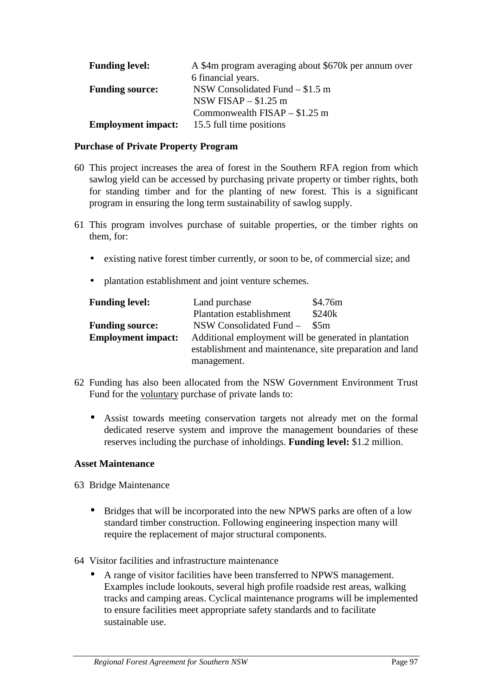| <b>Funding level:</b>     | A \$4m program averaging about \$670k per annum over |
|---------------------------|------------------------------------------------------|
|                           | 6 financial years.                                   |
| <b>Funding source:</b>    | NSW Consolidated Fund $- $1.5$ m                     |
|                           | NSW FISAP $-$ \$1.25 m                               |
|                           | Commonwealth $FISAP - $1.25$ m                       |
| <b>Employment impact:</b> | 15.5 full time positions                             |

### **Purchase of Private Property Program**

- 60 This project increases the area of forest in the Southern RFA region from which sawlog yield can be accessed by purchasing private property or timber rights, both for standing timber and for the planting of new forest. This is a significant program in ensuring the long term sustainability of sawlog supply.
- 61 This program involves purchase of suitable properties, or the timber rights on them, for:
	- existing native forest timber currently, or soon to be, of commercial size; and
	- plantation establishment and joint venture schemes.

| <b>Funding level:</b>     | Land purchase                                            | \$4.76m |
|---------------------------|----------------------------------------------------------|---------|
|                           | <b>Plantation establishment</b>                          | \$240k  |
| <b>Funding source:</b>    | NSW Consolidated Fund –                                  | \$5m    |
| <b>Employment impact:</b> | Additional employment will be generated in plantation    |         |
|                           | establishment and maintenance, site preparation and land |         |
|                           | management.                                              |         |

- 62 Funding has also been allocated from the NSW Government Environment Trust Fund for the voluntary purchase of private lands to:
	- Assist towards meeting conservation targets not already met on the formal dedicated reserve system and improve the management boundaries of these reserves including the purchase of inholdings. **Funding level:** \$1.2 million.

#### **Asset Maintenance**

63 Bridge Maintenance

- Bridges that will be incorporated into the new NPWS parks are often of a low standard timber construction. Following engineering inspection many will require the replacement of major structural components.
- 64 Visitor facilities and infrastructure maintenance
	- A range of visitor facilities have been transferred to NPWS management. Examples include lookouts, several high profile roadside rest areas, walking tracks and camping areas. Cyclical maintenance programs will be implemented to ensure facilities meet appropriate safety standards and to facilitate sustainable use.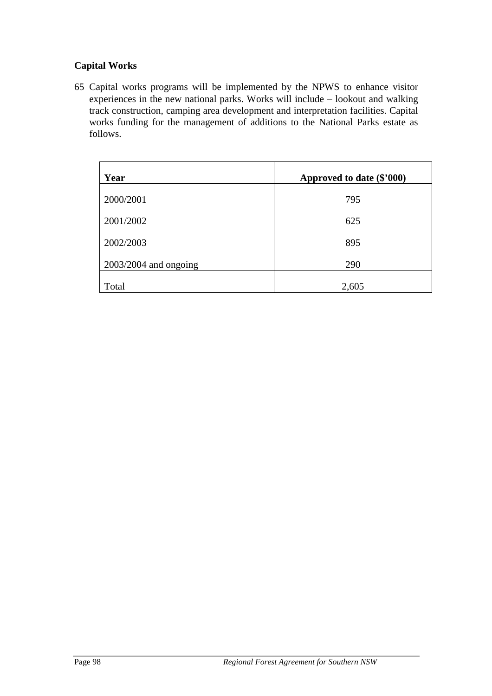# **Capital Works**

65 Capital works programs will be implemented by the NPWS to enhance visitor experiences in the new national parks. Works will include – lookout and walking track construction, camping area development and interpretation facilities. Capital works funding for the management of additions to the National Parks estate as follows.

| Year                    | Approved to date (\$'000) |
|-------------------------|---------------------------|
| 2000/2001               | 795                       |
| 2001/2002               | 625                       |
| 2002/2003               | 895                       |
| $2003/2004$ and ongoing | 290                       |
| Total                   | 2,605                     |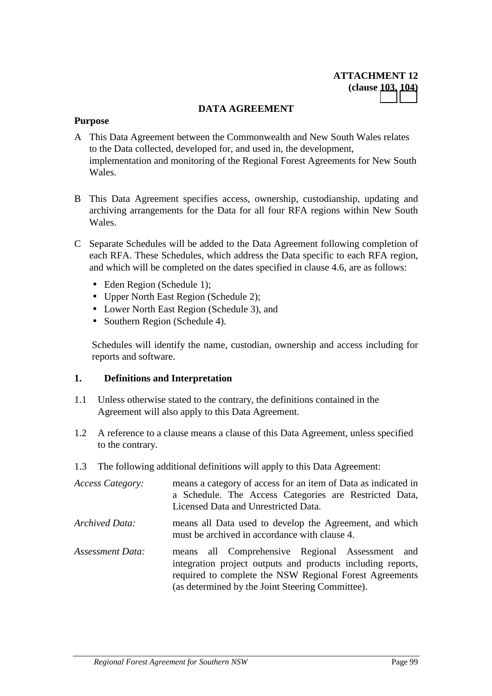### **DATA AGREEMENT**

#### **Purpose**

- A This Data Agreement between the Commonwealth and New South Wales relates to the Data collected, developed for, and used in, the development, implementation and monitoring of the Regional Forest Agreements for New South Wales.
- B This Data Agreement specifies access, ownership, custodianship, updating and archiving arrangements for the Data for all four RFA regions within New South Wales.
- C Separate Schedules will be added to the Data Agreement following completion of each RFA. These Schedules, which address the Data specific to each RFA region, and which will be completed on the dates specified in clause 4.6, are as follows:
	- Eden Region (Schedule 1);
	- Upper North East Region (Schedule 2):
	- Lower North East Region (Schedule 3), and
	- Southern Region (Schedule 4).

Schedules will identify the name, custodian, ownership and access including for reports and software.

#### **1. Definitions and Interpretation**

- 1.1 Unless otherwise stated to the contrary, the definitions contained in the Agreement will also apply to this Data Agreement.
- 1.2 A reference to a clause means a clause of this Data Agreement, unless specified to the contrary.
- 1.3 The following additional definitions will apply to this Data Agreement:

| Access Category: | means a category of access for an item of Data as indicated in<br>a Schedule. The Access Categories are Restricted Data,<br>Licensed Data and Unrestricted Data.                                                              |
|------------------|-------------------------------------------------------------------------------------------------------------------------------------------------------------------------------------------------------------------------------|
| Archived Data:   | means all Data used to develop the Agreement, and which<br>must be archived in accordance with clause 4.                                                                                                                      |
| Assessment Data: | means all Comprehensive Regional Assessment and<br>integration project outputs and products including reports,<br>required to complete the NSW Regional Forest Agreements<br>(as determined by the Joint Steering Committee). |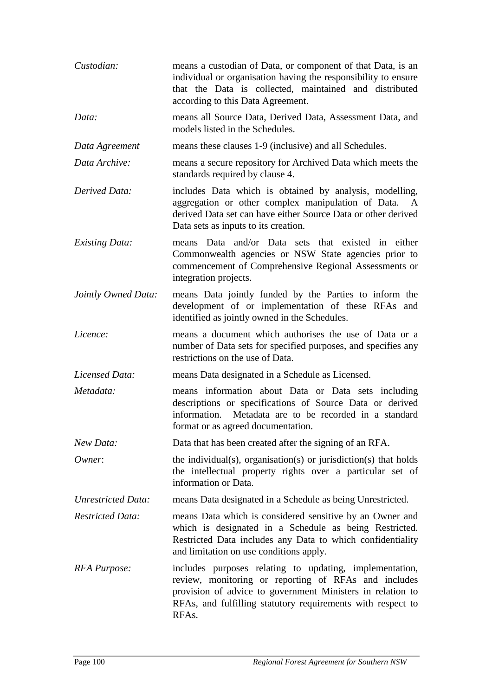| Custodian:                 | means a custodian of Data, or component of that Data, is an<br>individual or organisation having the responsibility to ensure<br>that the Data is collected, maintained and distributed<br>according to this Data Agreement.                          |
|----------------------------|-------------------------------------------------------------------------------------------------------------------------------------------------------------------------------------------------------------------------------------------------------|
| Data:                      | means all Source Data, Derived Data, Assessment Data, and<br>models listed in the Schedules.                                                                                                                                                          |
| Data Agreement             | means these clauses 1-9 (inclusive) and all Schedules.                                                                                                                                                                                                |
| Data Archive:              | means a secure repository for Archived Data which meets the<br>standards required by clause 4.                                                                                                                                                        |
| Derived Data:              | includes Data which is obtained by analysis, modelling,<br>aggregation or other complex manipulation of Data. A<br>derived Data set can have either Source Data or other derived<br>Data sets as inputs to its creation.                              |
| <b>Existing Data:</b>      | means Data and/or Data sets that existed in either<br>Commonwealth agencies or NSW State agencies prior to<br>commencement of Comprehensive Regional Assessments or<br>integration projects.                                                          |
| Jointly Owned Data:        | means Data jointly funded by the Parties to inform the<br>development of or implementation of these RFAs and<br>identified as jointly owned in the Schedules.                                                                                         |
| Licence:                   | means a document which authorises the use of Data or a<br>number of Data sets for specified purposes, and specifies any<br>restrictions on the use of Data.                                                                                           |
| Licensed Data:             | means Data designated in a Schedule as Licensed.                                                                                                                                                                                                      |
| Metadata:                  | means information about Data or Data sets including<br>descriptions or specifications of Source Data or derived<br>Metadata are to be recorded in a standard<br>information.<br>format or as agreed documentation.                                    |
| New Data:                  | Data that has been created after the signing of an RFA.                                                                                                                                                                                               |
| Owner:                     | the individual(s), organisation(s) or jurisdiction(s) that holds<br>the intellectual property rights over a particular set of<br>information or Data.                                                                                                 |
| <b>Unrestricted Data:</b>  | means Data designated in a Schedule as being Unrestricted.                                                                                                                                                                                            |
| <b>Restricted Data:</b>    | means Data which is considered sensitive by an Owner and<br>which is designated in a Schedule as being Restricted.<br>Restricted Data includes any Data to which confidentiality<br>and limitation on use conditions apply.                           |
| <b>RFA</b> <i>Purpose:</i> | includes purposes relating to updating, implementation,<br>review, monitoring or reporting of RFAs and includes<br>provision of advice to government Ministers in relation to<br>RFAs, and fulfilling statutory requirements with respect to<br>RFAs. |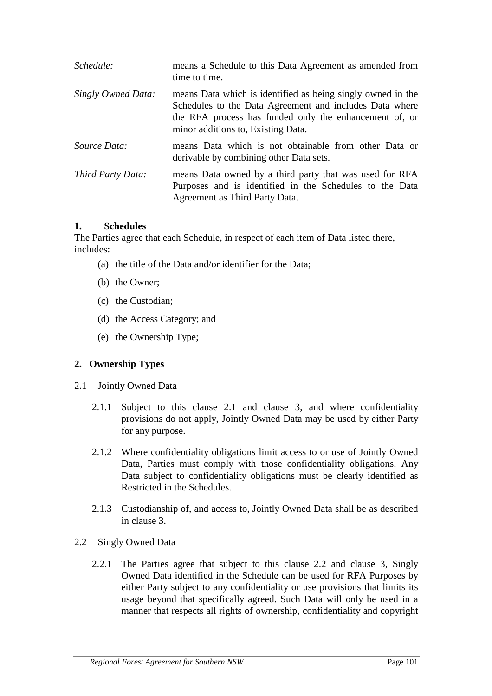| Schedule:          | means a Schedule to this Data Agreement as amended from<br>time to time.                                                                                                                                               |
|--------------------|------------------------------------------------------------------------------------------------------------------------------------------------------------------------------------------------------------------------|
| Singly Owned Data: | means Data which is identified as being singly owned in the<br>Schedules to the Data Agreement and includes Data where<br>the RFA process has funded only the enhancement of, or<br>minor additions to, Existing Data. |
| Source Data:       | means Data which is not obtainable from other Data or<br>derivable by combining other Data sets.                                                                                                                       |
| Third Party Data:  | means Data owned by a third party that was used for RFA<br>Purposes and is identified in the Schedules to the Data<br>Agreement as Third Party Data.                                                                   |

### **1. Schedules**

The Parties agree that each Schedule, in respect of each item of Data listed there, includes:

- (a) the title of the Data and/or identifier for the Data;
- (b) the Owner;
- (c) the Custodian;
- (d) the Access Category; and
- (e) the Ownership Type;

# **2. Ownership Types**

#### 2.1 Jointly Owned Data

- 2.1.1 Subject to this clause 2.1 and clause 3, and where confidentiality provisions do not apply, Jointly Owned Data may be used by either Party for any purpose.
- 2.1.2 Where confidentiality obligations limit access to or use of Jointly Owned Data, Parties must comply with those confidentiality obligations. Any Data subject to confidentiality obligations must be clearly identified as Restricted in the Schedules.
- 2.1.3 Custodianship of, and access to, Jointly Owned Data shall be as described in clause 3.

# 2.2 Singly Owned Data

2.2.1 The Parties agree that subject to this clause 2.2 and clause 3, Singly Owned Data identified in the Schedule can be used for RFA Purposes by either Party subject to any confidentiality or use provisions that limits its usage beyond that specifically agreed. Such Data will only be used in a manner that respects all rights of ownership, confidentiality and copyright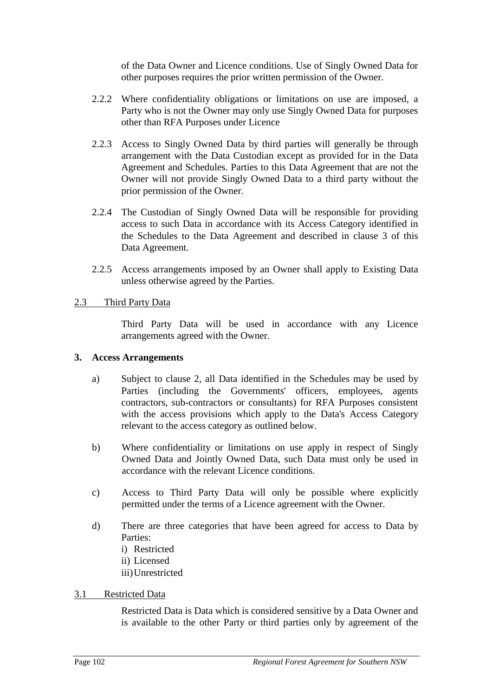of the Data Owner and Licence conditions. Use of Singly Owned Data for other purposes requires the prior written permission of the Owner.

- 2.2.2 Where confidentiality obligations or limitations on use are imposed, a Party who is not the Owner may only use Singly Owned Data for purposes other than RFA Purposes under Licence
- 2.2.3 Access to Singly Owned Data by third parties will generally be through arrangement with the Data Custodian except as provided for in the Data Agreement and Schedules. Parties to this Data Agreement that are not the Owner will not provide Singly Owned Data to a third party without the prior permission of the Owner.
- 2.2.4 The Custodian of Singly Owned Data will be responsible for providing access to such Data in accordance with its Access Category identified in the Schedules to the Data Agreement and described in clause 3 of this Data Agreement.
- 2.2.5 Access arrangements imposed by an Owner shall apply to Existing Data unless otherwise agreed by the Parties.

# 2.3 Third Party Data

Third Party Data will be used in accordance with any Licence arrangements agreed with the Owner.

#### **3. Access Arrangements**

- a) Subject to clause 2, all Data identified in the Schedules may be used by Parties (including the Governments' officers, employees, agents contractors, sub-contractors or consultants) for RFA Purposes consistent with the access provisions which apply to the Data's Access Category relevant to the access category as outlined below.
- b) Where confidentiality or limitations on use apply in respect of Singly Owned Data and Jointly Owned Data, such Data must only be used in accordance with the relevant Licence conditions.
- c) Access to Third Party Data will only be possible where explicitly permitted under the terms of a Licence agreement with the Owner.
- d) There are three categories that have been agreed for access to Data by Parties:
	- i) Restricted
	- ii) Licensed
	- iii)Unrestricted

# 3.1 Restricted Data

Restricted Data is Data which is considered sensitive by a Data Owner and is available to the other Party or third parties only by agreement of the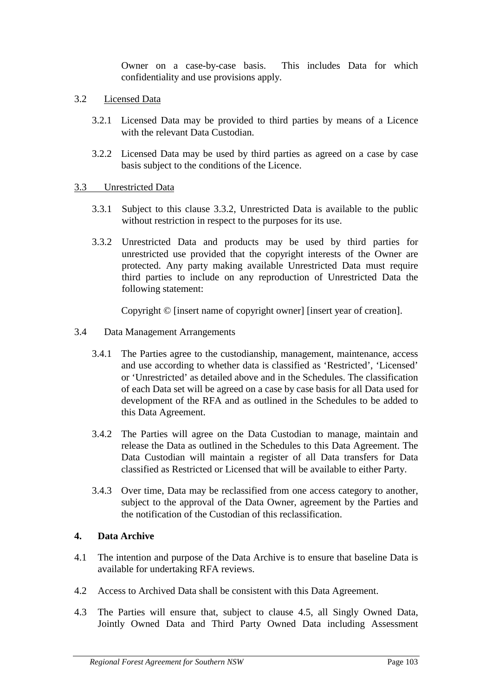Owner on a case-by-case basis. This includes Data for which confidentiality and use provisions apply.

- 3.2 Licensed Data
	- 3.2.1 Licensed Data may be provided to third parties by means of a Licence with the relevant Data Custodian.
	- 3.2.2 Licensed Data may be used by third parties as agreed on a case by case basis subject to the conditions of the Licence.

# 3.3 Unrestricted Data

- 3.3.1 Subject to this clause 3.3.2, Unrestricted Data is available to the public without restriction in respect to the purposes for its use.
- 3.3.2 Unrestricted Data and products may be used by third parties for unrestricted use provided that the copyright interests of the Owner are protected. Any party making available Unrestricted Data must require third parties to include on any reproduction of Unrestricted Data the following statement:

Copyright © [insert name of copyright owner] [insert year of creation].

- 3.4 Data Management Arrangements
	- 3.4.1 The Parties agree to the custodianship, management, maintenance, access and use according to whether data is classified as 'Restricted', 'Licensed' or 'Unrestricted' as detailed above and in the Schedules. The classification of each Data set will be agreed on a case by case basis for all Data used for development of the RFA and as outlined in the Schedules to be added to this Data Agreement.
	- 3.4.2 The Parties will agree on the Data Custodian to manage, maintain and release the Data as outlined in the Schedules to this Data Agreement. The Data Custodian will maintain a register of all Data transfers for Data classified as Restricted or Licensed that will be available to either Party.
	- 3.4.3 Over time, Data may be reclassified from one access category to another, subject to the approval of the Data Owner, agreement by the Parties and the notification of the Custodian of this reclassification.

# **4. Data Archive**

- 4.1 The intention and purpose of the Data Archive is to ensure that baseline Data is available for undertaking RFA reviews.
- 4.2 Access to Archived Data shall be consistent with this Data Agreement.
- 4.3 The Parties will ensure that, subject to clause 4.5, all Singly Owned Data, Jointly Owned Data and Third Party Owned Data including Assessment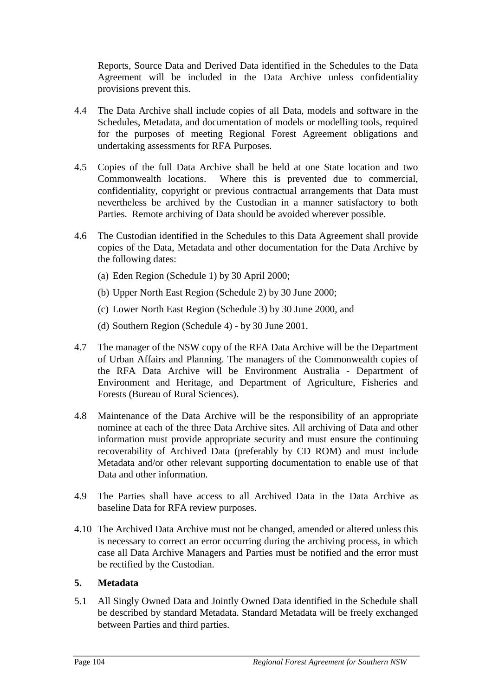Reports, Source Data and Derived Data identified in the Schedules to the Data Agreement will be included in the Data Archive unless confidentiality provisions prevent this.

- 4.4 The Data Archive shall include copies of all Data, models and software in the Schedules, Metadata, and documentation of models or modelling tools, required for the purposes of meeting Regional Forest Agreement obligations and undertaking assessments for RFA Purposes.
- 4.5 Copies of the full Data Archive shall be held at one State location and two Commonwealth locations. Where this is prevented due to commercial, confidentiality, copyright or previous contractual arrangements that Data must nevertheless be archived by the Custodian in a manner satisfactory to both Parties. Remote archiving of Data should be avoided wherever possible.
- 4.6 The Custodian identified in the Schedules to this Data Agreement shall provide copies of the Data, Metadata and other documentation for the Data Archive by the following dates:
	- (a) Eden Region (Schedule 1) by 30 April 2000;
	- (b) Upper North East Region (Schedule 2) by 30 June 2000;
	- (c) Lower North East Region (Schedule 3) by 30 June 2000, and
	- (d) Southern Region (Schedule 4) by 30 June 2001.
- 4.7 The manager of the NSW copy of the RFA Data Archive will be the Department of Urban Affairs and Planning. The managers of the Commonwealth copies of the RFA Data Archive will be Environment Australia - Department of Environment and Heritage, and Department of Agriculture, Fisheries and Forests (Bureau of Rural Sciences).
- 4.8 Maintenance of the Data Archive will be the responsibility of an appropriate nominee at each of the three Data Archive sites. All archiving of Data and other information must provide appropriate security and must ensure the continuing recoverability of Archived Data (preferably by CD ROM) and must include Metadata and/or other relevant supporting documentation to enable use of that Data and other information.
- 4.9 The Parties shall have access to all Archived Data in the Data Archive as baseline Data for RFA review purposes.
- 4.10 The Archived Data Archive must not be changed, amended or altered unless this is necessary to correct an error occurring during the archiving process, in which case all Data Archive Managers and Parties must be notified and the error must be rectified by the Custodian.

# **5. Metadata**

5.1 All Singly Owned Data and Jointly Owned Data identified in the Schedule shall be described by standard Metadata. Standard Metadata will be freely exchanged between Parties and third parties.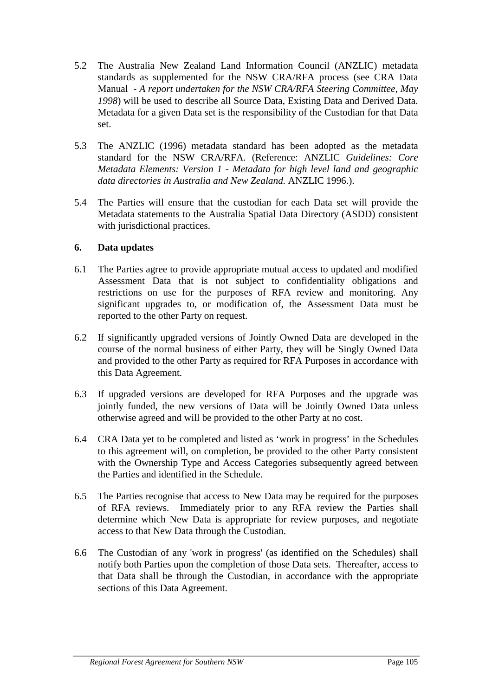- 5.2 The Australia New Zealand Land Information Council (ANZLIC) metadata standards as supplemented for the NSW CRA/RFA process (see CRA Data Manual *- A report undertaken for the NSW CRA/RFA Steering Committee, May 1998*) will be used to describe all Source Data, Existing Data and Derived Data. Metadata for a given Data set is the responsibility of the Custodian for that Data set.
- 5.3 The ANZLIC (1996) metadata standard has been adopted as the metadata standard for the NSW CRA/RFA. (Reference: ANZLIC *Guidelines: Core Metadata Elements: Version 1 - Metadata for high level land and geographic data directories in Australia and New Zealand.* ANZLIC 1996.).
- 5.4 The Parties will ensure that the custodian for each Data set will provide the Metadata statements to the Australia Spatial Data Directory (ASDD) consistent with jurisdictional practices.

# **6. Data updates**

- 6.1 The Parties agree to provide appropriate mutual access to updated and modified Assessment Data that is not subject to confidentiality obligations and restrictions on use for the purposes of RFA review and monitoring. Any significant upgrades to, or modification of, the Assessment Data must be reported to the other Party on request.
- 6.2 If significantly upgraded versions of Jointly Owned Data are developed in the course of the normal business of either Party, they will be Singly Owned Data and provided to the other Party as required for RFA Purposes in accordance with this Data Agreement.
- 6.3 If upgraded versions are developed for RFA Purposes and the upgrade was jointly funded, the new versions of Data will be Jointly Owned Data unless otherwise agreed and will be provided to the other Party at no cost.
- 6.4 CRA Data yet to be completed and listed as 'work in progress' in the Schedules to this agreement will, on completion, be provided to the other Party consistent with the Ownership Type and Access Categories subsequently agreed between the Parties and identified in the Schedule.
- 6.5 The Parties recognise that access to New Data may be required for the purposes of RFA reviews. Immediately prior to any RFA review the Parties shall determine which New Data is appropriate for review purposes, and negotiate access to that New Data through the Custodian.
- 6.6 The Custodian of any 'work in progress' (as identified on the Schedules) shall notify both Parties upon the completion of those Data sets. Thereafter, access to that Data shall be through the Custodian, in accordance with the appropriate sections of this Data Agreement.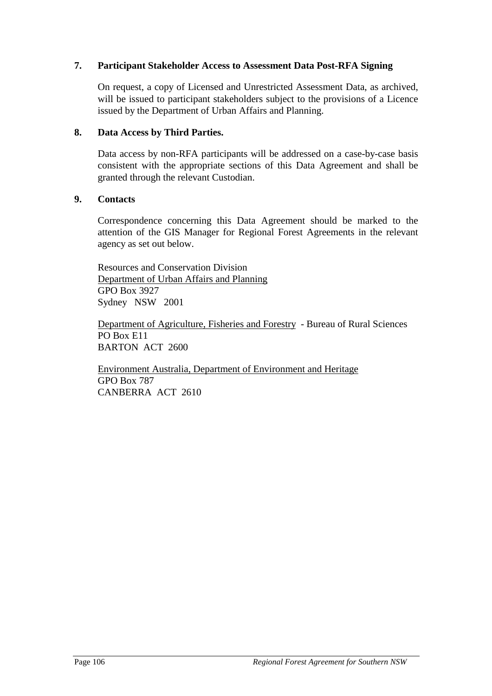# **7. Participant Stakeholder Access to Assessment Data Post-RFA Signing**

On request, a copy of Licensed and Unrestricted Assessment Data, as archived, will be issued to participant stakeholders subject to the provisions of a Licence issued by the Department of Urban Affairs and Planning.

#### **8. Data Access by Third Parties.**

Data access by non-RFA participants will be addressed on a case-by-case basis consistent with the appropriate sections of this Data Agreement and shall be granted through the relevant Custodian.

### **9. Contacts**

Correspondence concerning this Data Agreement should be marked to the attention of the GIS Manager for Regional Forest Agreements in the relevant agency as set out below.

Resources and Conservation Division Department of Urban Affairs and Planning GPO Box 3927 Sydney NSW 2001

Department of Agriculture, Fisheries and Forestry - Bureau of Rural Sciences PO Box E11 BARTON ACT 2600

Environment Australia, Department of Environment and Heritage GPO Box 787 CANBERRA ACT 2610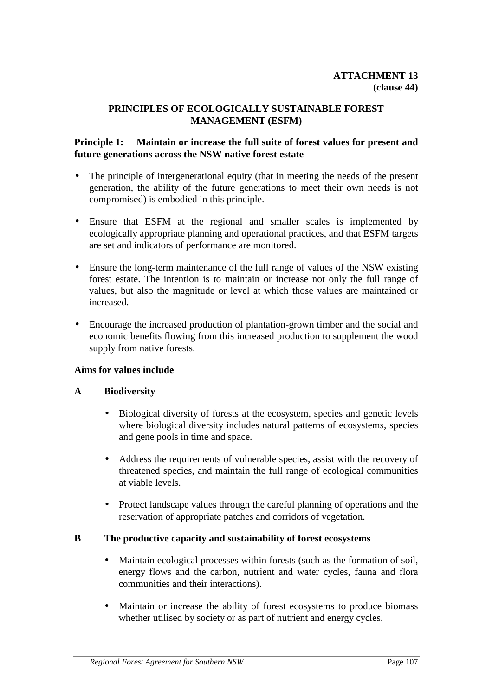# **PRINCIPLES OF ECOLOGICALLY SUSTAINABLE FOREST MANAGEMENT (ESFM)**

#### **Principle 1: Maintain or increase the full suite of forest values for present and future generations across the NSW native forest estate**

- The principle of intergenerational equity (that in meeting the needs of the present generation, the ability of the future generations to meet their own needs is not compromised) is embodied in this principle.
- Ensure that ESFM at the regional and smaller scales is implemented by ecologically appropriate planning and operational practices, and that ESFM targets are set and indicators of performance are monitored.
- Ensure the long-term maintenance of the full range of values of the NSW existing forest estate. The intention is to maintain or increase not only the full range of values, but also the magnitude or level at which those values are maintained or increased.
- Encourage the increased production of plantation-grown timber and the social and economic benefits flowing from this increased production to supplement the wood supply from native forests.

### **Aims for values include**

### **A Biodiversity**

- Biological diversity of forests at the ecosystem, species and genetic levels where biological diversity includes natural patterns of ecosystems, species and gene pools in time and space.
- Address the requirements of vulnerable species, assist with the recovery of threatened species, and maintain the full range of ecological communities at viable levels.
- Protect landscape values through the careful planning of operations and the reservation of appropriate patches and corridors of vegetation.

### **B The productive capacity and sustainability of forest ecosystems**

- Maintain ecological processes within forests (such as the formation of soil, energy flows and the carbon, nutrient and water cycles, fauna and flora communities and their interactions).
- Maintain or increase the ability of forest ecosystems to produce biomass whether utilised by society or as part of nutrient and energy cycles.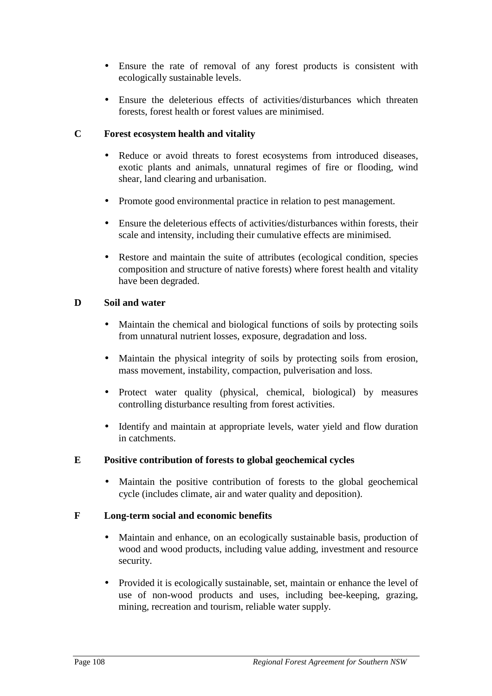- Ensure the rate of removal of any forest products is consistent with ecologically sustainable levels.
- Ensure the deleterious effects of activities/disturbances which threaten forests, forest health or forest values are minimised.

#### **C Forest ecosystem health and vitality**

- Reduce or avoid threats to forest ecosystems from introduced diseases, exotic plants and animals, unnatural regimes of fire or flooding, wind shear, land clearing and urbanisation.
- Promote good environmental practice in relation to pest management.
- Ensure the deleterious effects of activities/disturbances within forests, their scale and intensity, including their cumulative effects are minimised.
- Restore and maintain the suite of attributes (ecological condition, species composition and structure of native forests) where forest health and vitality have been degraded.

### **D Soil and water**

- Maintain the chemical and biological functions of soils by protecting soils from unnatural nutrient losses, exposure, degradation and loss.
- Maintain the physical integrity of soils by protecting soils from erosion, mass movement, instability, compaction, pulverisation and loss.
- Protect water quality (physical, chemical, biological) by measures controlling disturbance resulting from forest activities.
- Identify and maintain at appropriate levels, water yield and flow duration in catchments.

### **E Positive contribution of forests to global geochemical cycles**

• Maintain the positive contribution of forests to the global geochemical cycle (includes climate, air and water quality and deposition).

#### **F Long-term social and economic benefits**

- Maintain and enhance, on an ecologically sustainable basis, production of wood and wood products, including value adding, investment and resource security.
- Provided it is ecologically sustainable, set, maintain or enhance the level of use of non-wood products and uses, including bee-keeping, grazing, mining, recreation and tourism, reliable water supply.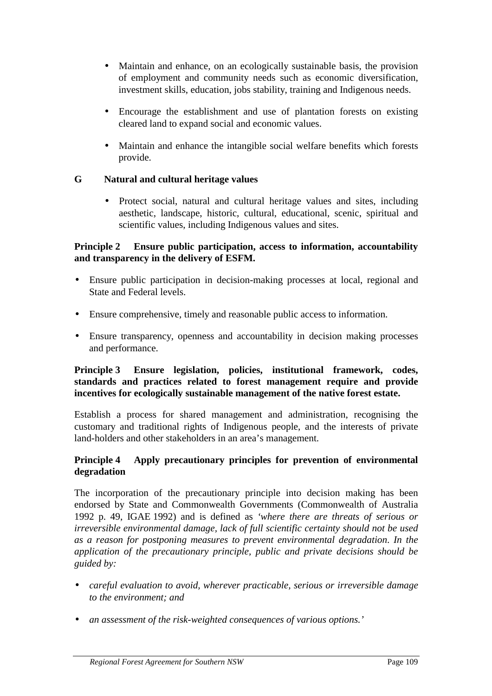- Maintain and enhance, on an ecologically sustainable basis, the provision of employment and community needs such as economic diversification, investment skills, education, jobs stability, training and Indigenous needs.
- Encourage the establishment and use of plantation forests on existing cleared land to expand social and economic values.
- Maintain and enhance the intangible social welfare benefits which forests provide.

### **G Natural and cultural heritage values**

• Protect social, natural and cultural heritage values and sites, including aesthetic, landscape, historic, cultural, educational, scenic, spiritual and scientific values, including Indigenous values and sites.

### **Principle 2 Ensure public participation, access to information, accountability and transparency in the delivery of ESFM.**

- Ensure public participation in decision-making processes at local, regional and State and Federal levels.
- Ensure comprehensive, timely and reasonable public access to information.
- Ensure transparency, openness and accountability in decision making processes and performance.

# **Principle 3 Ensure legislation, policies, institutional framework, codes, standards and practices related to forest management require and provide incentives for ecologically sustainable management of the native forest estate.**

Establish a process for shared management and administration, recognising the customary and traditional rights of Indigenous people, and the interests of private land-holders and other stakeholders in an area's management.

### **Principle 4 Apply precautionary principles for prevention of environmental degradation**

The incorporation of the precautionary principle into decision making has been endorsed by State and Commonwealth Governments (Commonwealth of Australia 1992 p. 49, IGAE 1992) and is defined as *'where there are threats of serious or irreversible environmental damage, lack of full scientific certainty should not be used as a reason for postponing measures to prevent environmental degradation*. *In the application of the precautionary principle, public and private decisions should be guided by:*

- *careful evaluation to avoid, wherever practicable, serious or irreversible damage to the environment; and*
- *an assessment of the risk-weighted consequences of various options.'*